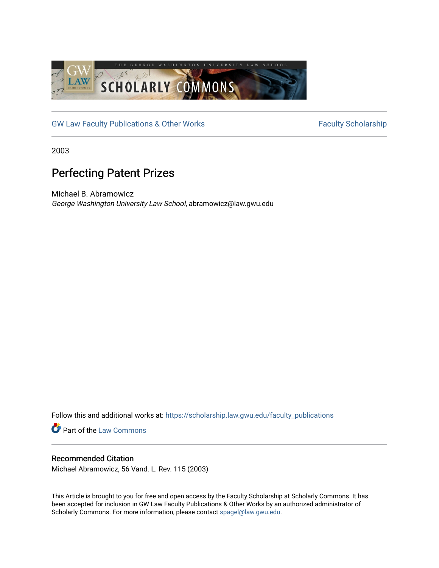

[GW Law Faculty Publications & Other Works](https://scholarship.law.gwu.edu/faculty_publications) Faculty Scholarship

2003

# Perfecting Patent Prizes

Michael B. Abramowicz George Washington University Law School, abramowicz@law.gwu.edu

Follow this and additional works at: [https://scholarship.law.gwu.edu/faculty\\_publications](https://scholarship.law.gwu.edu/faculty_publications?utm_source=scholarship.law.gwu.edu%2Ffaculty_publications%2F247&utm_medium=PDF&utm_campaign=PDFCoverPages) 

**Part of the [Law Commons](http://network.bepress.com/hgg/discipline/578?utm_source=scholarship.law.gwu.edu%2Ffaculty_publications%2F247&utm_medium=PDF&utm_campaign=PDFCoverPages)** 

### Recommended Citation

Michael Abramowicz, 56 Vand. L. Rev. 115 (2003)

This Article is brought to you for free and open access by the Faculty Scholarship at Scholarly Commons. It has been accepted for inclusion in GW Law Faculty Publications & Other Works by an authorized administrator of Scholarly Commons. For more information, please contact [spagel@law.gwu.edu](mailto:spagel@law.gwu.edu).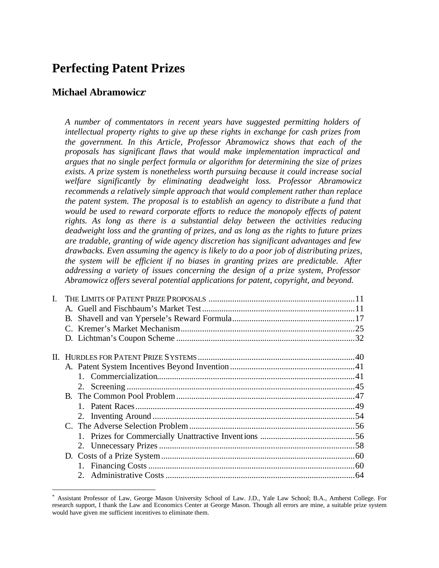## **Perfecting Patent Prizes**

### **Michael Abramowicz\***

 $\overline{a}$ 

*A number of commentators in recent years have suggested permitting holders of intellectual property rights to give up these rights in exchange for cash prizes from the government. In this Article, Professor Abramowicz shows that each of the proposals has significant flaws that would make implementation impractical and argues that no single perfect formula or algorithm for determining the size of prizes exists. A prize system is nonetheless worth pursuing because it could increase social welfare significantly by eliminating deadweight loss. Professor Abramowicz recommends a relatively simple approach that would complement rather than replace the patent system. The proposal is to establish an agency to distribute a fund that would be used to reward corporate efforts to reduce the monopoly effects of patent rights. As long as there is a substantial delay between the activities reducing deadweight loss and the granting of prizes, and as long as the rights to future prizes are tradable, granting of wide agency discretion has significant advantages and few drawbacks. Even assuming the agency is likely to do a poor job of distributing prizes, the system will be efficient if no biases in granting prizes are predictable. After addressing a variety of issues concerning the design of a prize system, Professor Abramowicz offers several potential applications for patent, copyright, and beyond.* 

<sup>\*</sup> Assistant Professor of Law, George Mason University School of Law. J.D., Yale Law School; B.A., Amherst College. For research support, I thank the Law and Economics Center at George Mason. Though all errors are mine, a suitable prize system would have given me sufficient incentives to eliminate them.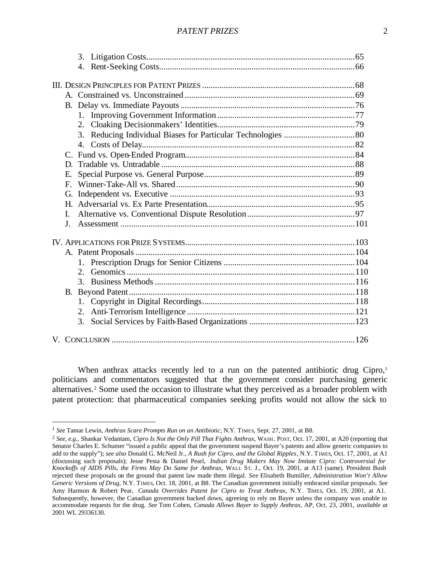#### *PATENT PRIZES* 2

| Е.             |  |
|----------------|--|
| $F_{\cdot}$    |  |
| G.             |  |
|                |  |
| Ι.             |  |
| $\mathbf{I}$ . |  |
|                |  |
|                |  |
|                |  |
| $2^{+}$        |  |
|                |  |
|                |  |
|                |  |
|                |  |
| 3.             |  |
|                |  |
|                |  |

When anthrax attacks recently led to a run on the patented antibiotic drug Cipro,<sup>1</sup> politicians and commentators suggested that the government consider purchasing generic alternatives.<sup>2</sup> Some used the occasion to illustrate what they perceived as a broader problem with patent protection: that pharmaceutical companies seeking profits would not allow the sick to

<sup>1</sup> *See* Tamar Lewin, *Anthrax Scare Prompts Run on an Antibiotic*, N.Y. TIMES, Sept. 27, 2001, at B8.

<sup>2</sup> *See, e.g.*, Shankar Vedantam, *Cipro Is Not the Only Pill That Fights Anthrax*, WASH. POST, Oct. 17, 2001, at A20 (reporting that Senator Charles E. Schumer "issued a public appeal that the government suspend Bayer's patents and allow generic companies to add to the supply"); *see also* Donald G. McNeil Jr., *A Rush for Cipro, and the Global Ripples*, N.Y. TIMES, Oct. 17, 2001, at A1 (discussing such proposals); Jesse Pesta & Daniel Pearl, *Indian Drug Makers May Now Imitate Cipro: Controversial for Knockoffs of AIDS Pills, the Firms May Do Same for Anthrax*, WALL ST. J., Oct. 19, 2001, at A13 (same). President Bush rejected these proposals on the ground that patent law made them illegal. *See* Elisabeth Bumiller, *Administration Won't Allow Generic Versions of Drug*, N.Y. TIMES, Oct. 18, 2001, at B8. The Canadian government initially embraced similar proposals. *See* Amy Harmon & Robert Pear, *Canada Overrides Patent for Cipro to Treat Anthrax*, N.Y. TIMES, Oct. 19, 2001, at A1. Subsequently, however, the Canadian government backed down, agreeing to rely on Bayer unless the company was unable to accommodate requests for the drug. *See* Tom Cohen, *Canada Allows Bayer to Supply Anthrax*, AP, Oct. 23, 2001, *available at* 2001 WL 29336130.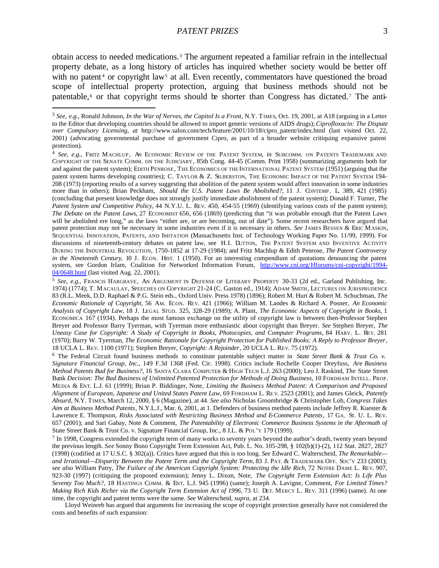$\overline{a}$ 

obtain access to needed medications.<sup>3</sup> The argument repeated a familiar refrain in the intellectual property debate, as a long history of articles has inquired whether society would be better off with no patent<sup>4</sup> or copyright law<sup>5</sup> at all. Even recently, commentators have questioned the broad scope of intellectual property protection, arguing that business methods should not be patentable,<sup>6</sup> or that copyright terms should be shorter than Congress has dictated.<sup>7</sup> The anti-

<sup>5</sup> *See, e.g.*, FRANCIS HARGRAVE, AN ARGUMENT IN DEFENSE OF LITERARY PROPERTY 30-33 (2d ed., Garland Publishing, Inc. 1974) (1774); T. MACAULAY, SPEECHES ON COPYRIGHT 21-24 (C. Gaston ed., 1914); ADAM SMITH, LECTURES ON JURISPRUDENCE 83 (R.L. Meek, D.D. Raphael & P.G. Stein eds., Oxford Univ. Press 1978) (1896); Robert M. Hurt & Robert M. Schuchman, *The Economic Rationale of Copyright*, 56 AM. ECON. REV. 421 (1966); William M. Landes & Richard A. Posner, *An Economic Analysis of Copyright Law*, 18 J. LEGAL STUD. 325, 328-29 (1989); A. Plant, *The Economic Aspects of Copyright in Books*, 1 ECONOMICA 167 (1934). Perhaps the most famous exchange on the utility of copyright law is between then-Professor Stephen Breyer and Professor Barry Tyerman, with Tyerman more enthusiastic about copyright than Breyer. *See* Stephen Breyer, *The Uneasy Case for Copyright: A Study of Copyright in Books, Photocopies, and Computer Programs*, 84 HARV. L. REV. 281 (1970); Barry W. Tyerman, *The Economic Rationale for Copyright Protection for Published Books: A Reply to Professor Breyer*, 18 UCLA L. REV. 1100 (1971); Stephen Breyer, *Copyright: A Rejoinder*, 20 UCLA L. REV. 75 (1972).

<sup>6</sup> The Federal Circuit found business methods to constitute patentable subject matter in *State Street Bank & Trust Co. v. Signature Financial Group, Inc.*, 149 F.3d 1368 (Fed. Cir. 1998). Critics include Rochelle Cooper Dreyfuss, *Are Business Method Patents Bad for Business?*, 16 SANTA CLARA COMPUTER & HIGH TECH L.J. 263 (2000); Leo J. Raskind, *The* State Street Bank *Decision: The Bad Business of Unlimited Patented Protection for Methods of Doing Business*, 10 FORDHAM INTELL. PROP. MEDIA & ENT. L.J. 61 (1999); Brian P. Biddinger, Note, *Limiting the Business Method Patent: A Comparison and Proposed Alignment of European, Japanese and United States Patent Law*, 69 FORDHAM L. RE V. 2523 (2001); and James Gleick, *Patently Absurd*, N.Y. TIMES, March 12, 2000, § 6 (Magazine), at 44. *See also* Nicholas Groombridge & Christopher Loh*, Congress Takes Aim at Business Method Patents*, N.Y.L.J., Mar. 6, 2001, at 1. Defenders of business method patents include Jeffrey R. Kuester & Lawrence E. Thompson, *Risks Associated with Restricting Business Method and E-Commerce Patents*, 17 GA. ST. U. L. REV. 657 (2001); and Sari Gabay, Note & Comment, *The Patentability of Electronic Commerce Business Systems in the Aftermath of*  State Street Bank & Trust Co. v. Signature Financial Group, Inc., 8 J.L. & POL'Y 179 (1999).

<sup>7</sup> In 1998, Congress extended the copyright term of many works to seventy years beyond the author's death, twenty years beyond the previous length. *See* Sonny Bono Copyright Term Extension Act, Pub. L. No. 105-298, § 102(b)(1)-(2), 112 Stat. 2827, 2827 (1998) (codified at 17 U.S.C. § 302(a)). Critics have argued that this is too long. *See* Edward C. Walterscheid, *The Remarkable and Irrational—Disparity Between the Patent Term and the Copyright Term*, 83 J. PAT. & TRADEMARK OFF. SOC'Y 233 (2001); *see also* William Patry, *The Failure of the American Copyright System: Protecting the Idle Rich*, 72 NOTRE DAME L. REV. 907, 923-30 (1997) (critiquing the proposed extension); Jenny L. Dixon, Note, *The Copyright Term Extension Act: Is Life Plus Seventy Too Much?*, 18 HASTINGS COMM. & ENT. L.J. 945 (1996) (same); Joseph A. Lavigne, Comment, *For Limited Times? Making Rich Kids Richer via the Copyright Term Extension Act of 1996*, 73 U. DET. MERCY L. REV. 311 (1996) (same). At one time, the copyright and patent terms were the same. *See* Walterscheid, *supra*, at 234.

Lloyd Weinreb has argued that arguments for increasing the scope of copyright protection generally have not considered the costs and benefits of such expansion:

<sup>3</sup> *See, e.g.*, Ronald Johnson, *In the War of Nerves, the Capitol Is a Front*, N.Y. TIMES, Oct. 19, 2001, at A18 (arguing in a Letter to the Editor that developing countries should be allowed to import generic versions of AIDS drugs); *Ciprofloxacin: The Dispute over Compulsory Licensing*, *at* http://www.salon.com/tech/feature/2001/10/18/cipro\_patent/index.html (last visited Oct. 22, 2001) (advocating governmental purchase of government Cipro, as part of a broader website critiquing expansive patent protection).

<sup>4</sup> *See, e.g.*, FRITZ MACHLUP, AN ECONOMIC REVIEW OF THE PATENT SYSTEM, *in* SUBCOMM. ON PATENTS TRADEMARK AND COPYRIGHT OF THE SENATE COMM. ON THE JUDICIARY, 85th Cong. 44-45 (Comm. Print 1958) (summarizing arguments both for and against the patent system); EDITH PENROSE, THE ECONOMICS OF THE INTERNATIONAL PATENT SYSTEM (1951) (arguing that the patent system harms developing countries); C. TAYLOR & Z. SILBERSTON, THE ECONOMIC IMPACT OF THE PATENT SYSTEM 194- 208 (1973) (reporting results of a survey suggesting that abolition of the patent system would affect innovation in some industries more than in others); Brian Peckham, *Should the U.S. Patent Laws Be Abolished?*, 11 J. CONTEMP. L. 389, 421 (1985) (concluding that present knowledge does not strongly justify immediate abolishment of the patent system); Donald F. Turner, *The Patent System and Competitive Policy*, 44 N.Y.U. L. REV. 450, 454-55 (1969) (identifying various costs of the patent system); *The Debate on the Patent Laws*, 27 ECONOMIST 656, 656 (1869) (predicting that "it was probable enough that the Patent Laws will be abolished ere long," as the laws "either are, or are becoming, out of date"). Some recent researchers have argued that patent protection may not be necessary in some industries even if it is necessary in others. *See* JAMES BESSEN & ERIC MASKIN, SEQUENTIAL INNOVATION, PATENTS, AND IMITATION (Massachusetts Inst. of Technology Working Paper No. 11/99, 1999). For discussions of nineteenth-century debates on patent law, see H.I. DUTTON, THE PATENT SYSTEM AND INVENTIVE ACTIVITY DURING THE INDUSTRIAL REVOLUTION, 1750-1852 at 17-29 (1984); and Fritz Machlup & Edith Penrose, *The Patent Controversy in the Nineteenth Century*, 10 J. ECON. HIST. 1 (1950). For an interesting compendium of quotations denouncing the patent system, see Gordon Irlam, Coalition for Networked Information Forum, http://www.cni.org/Hforums/cni-copyright/1994- 04/0648.html (last visited Aug. 22, 2001).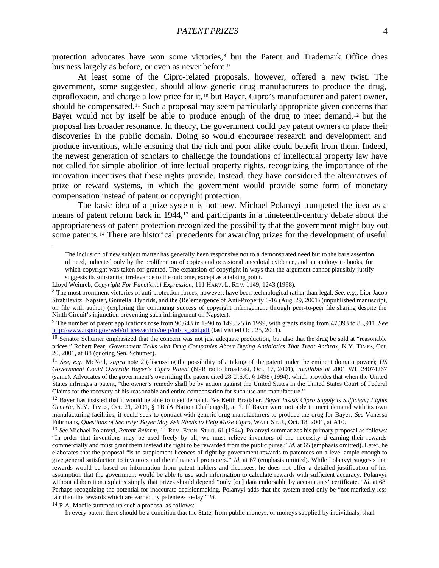protection advocates have won some victories,<sup>8</sup> but the Patent and Trademark Office does business largely as before, or even as never before.<sup>9</sup>

At least some of the Cipro-related proposals, however, offered a new twist. The government, some suggested, should allow generic drug manufacturers to produce the drug, ciprofloxacin, and charge a low price for it,10 but Bayer, Cipro's manufacturer and patent owner, should be compensated.<sup>11</sup> Such a proposal may seem particularly appropriate given concerns that Bayer would not by itself be able to produce enough of the drug to meet demand,<sup>12</sup> but the proposal has broader resonance. In theory, the government could pay patent owners to place their discoveries in the public domain. Doing so would encourage research and development and produce inventions, while ensuring that the rich and poor alike could benefit from them. Indeed, the newest generation of scholars to challenge the foundations of intellectual property law have not called for simple abolition of intellectual property rights, recognizing the importance of the innovation incentives that these rights provide. Instead, they have considered the alternatives of prize or reward systems, in which the government would provide some form of monetary compensation instead of patent or copyright protection.

The basic idea of a prize system is not new. Michael Polanvyi trumpeted the idea as a means of patent reform back in 1944,<sup>13</sup> and participants in a nineteenth-century debate about the appropriateness of patent protection recognized the possibility that the government might buy out some patents.14 There are historical precedents for awarding prizes for the development of useful

9 The number of patent applications rose from 90,643 in 1990 to 149,825 in 1999, with grants rising from 47,393 to 83,911. *See* http://www.uspto.gov/web/offices/ac/ido/oeip/taf/us\_stat.pdf (last visited Oct. 25, 2001).

<sup>14</sup> R.A. Macfie summed up such a proposal as follows:

 $\overline{a}$ 

In every patent there should be a condition that the State, from public moneys, or moneys supplied by individuals, shall

The inclusion of new subject matter has generally been responsive not to a demonstrated need but to the bare assertion of need, indicated only by the proliferation of copies and occasional anecdotal evidence, and an analogy to books, for which copyright was taken for granted. The expansion of copyright in ways that the argument cannot plausibly justify suggests its substantial irrelevance to the outcome, except as a talking point.

Lloyd Weinreb, *Copyright For Functional Expression*, 111 HARV. L. RE V. 1149, 1243 (1998).

<sup>8</sup> The most prominent victories of anti-protection forces, however, have been technological rather than legal. *See, e.g.*, Lior Jacob Strahilevitz, Napster, Gnutella, Hybrids, and the (Re)emergence of Anti-Property 6-16 (Aug. 29, 2001) (unpublished manuscript, on file with author) (exploring the continuing success of copyright infringement through peer-to-peer file sharing despite the Ninth Circuit's injunction preventing such infringement on Napster).

<sup>&</sup>lt;sup>10</sup> Senator Schumer emphasized that the concern was not just adequate production, but also that the drug be sold at "reasonable prices." Robert Pear, *Government Talks with Drug Companies About Buying Antibiotics That Treat Anthrax*, N.Y. TIMES, Oct. 20, 2001, at B8 (quoting Sen. Schumer).

<sup>11</sup> *See, e.g.*, McNeil, *supra* note 2 (discussing the possibility of a taking of the patent under the eminent domain power); *US Government Could Override Bayer's Cipro Patent* (NPR radio broadcast, Oct. 17, 2001), *available at* 2001 WL 24074267 (same). Advocates of the government's overriding the patent cited 28 U.S.C. § 1498 (1994), which provides that when the United States infringes a patent, "the owner's remedy shall be by action against the United States in the United States Court of Federal Claims for the recovery of his reasonable and entire compensation for such use and manufacture."

<sup>12</sup> Bayer has insisted that it would be able to meet demand. *See* Keith Bradsher, *Bayer Insists Cipro Supply Is Sufficient; Fights Generic*, N.Y. TIMES, Oct. 21, 2001, § 1B (A Nation Challenged), at 7. If Bayer were not able to meet demand with its own manufacturing facilities, it could seek to contract with generic drug manufacturers to produce the drug for Bayer. *See* Vanessa Fuhrmans, *Questions of Security: Bayer May Ask Rivals to Help Make Cipro*, WALL ST. J., Oct. 18, 2001, at A10.

<sup>13</sup> *See* Michael Polanvyi, *Patent Reform*, 11 REV. ECON. STUD. 61 (1944). Polanvyi summarizes his primary proposal as follows: "In order that inventions may be used freely by all, we must relieve inventors of the necessity of earning their rewards commercially and must grant them instead the right to be rewarded from the public purse." *Id.* at 65 (emphasis omitted). Later, he elaborates that the proposal "is to supplement licences of right by government rewards to patentees on a level ample enough to give general satisfaction to inventors and their financial promoters." *Id.* at 67 (emphasis omitted). While Polanvyi suggests that rewards would be based on information from patent holders and licensees, he does not offer a detailed justification of his assumption that the government would be able to use such information to calculate rewards with sufficient accuracy. Polanvyi without elaboration explains simply that prizes should depend "only [on] data endorsable by accountants' certificate." *Id.* at 68. Perhaps recognizing the potential for inaccurate decisionmaking, Polanvyi adds that the system need only be "not markedly less fair than the rewards which are earned by patentees to-day." *Id.*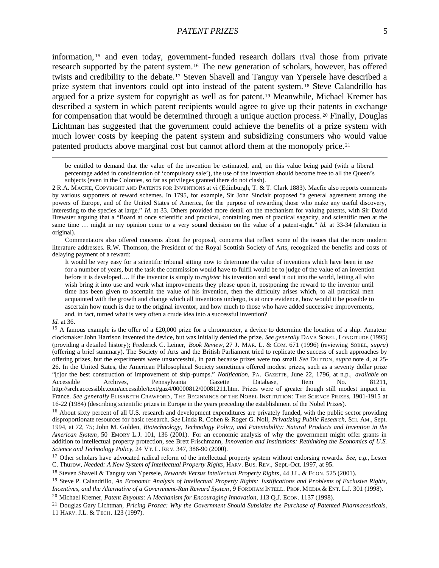information, <sup>15</sup> and even today, government-funded research dollars rival those from private research supported by the patent system.16 The new generation of scholars, however, has offered twists and credibility to the debate.17 Steven Shavell and Tanguy van Ypersele have described a prize system that inventors could opt into instead of the patent system. <sup>18</sup> Steve Calandrillo has argued for a prize system for copyright as well as for patent.19 Meanwhile, Michael Kremer has described a system in which patent recipients would agree to give up their patents in exchange for compensation that would be determined through a unique auction process.20 Finally, Douglas Lichtman has suggested that the government could achieve the benefits of a prize system with much lower costs by keeping the patent system and subsidizing consumers who would value patented products above marginal cost but cannot afford them at the monopoly price.<sup>21</sup>

be entitled to demand that the value of the invention be estimated, and, on this value being paid (with a liberal percentage added in consideration of 'compulsory sale'), the use of the invention should become free to all the Queen's subjects (even in the Colonies, so far as privileges granted there do not clash).

Commentators also offered concerns about the proposal, concerns that reflect some of the issues that the more modern literature addresses. R.W. Thomson, the President of the Royal Scottish Society of Arts, recognized the benefits and costs of delaying payment of a reward:

It would be very easy for a scientific tribunal sitting now to determine the value of inventions which have been in use for a number of years, but the task the commission would have to fulfil would be to judge of the value of an invention before it is developed…. If the inventor is simply to *register* his invention and send it out into the world, letting all who wish bring it into use and work what improvements they please upon it, postponing the reward to the inventor until time has been given to ascertain the value of his invention, then the difficulty arises which, to all practical men acquainted with the growth and change which all inventions undergo, is at once evidence, how would it be possible to ascertain how much is due to the original inventor, and how much to those who have added successive improvements, and, in fact, turned what is very often a crude idea into a successful invention?

#### *Id.* at 36.

<sup>2</sup> R.A. MACFIE, COPYRIGHT AND PATENTS FOR INVENTIONS at vi (Edinburgh, T. & T. Clark 1883). Macfie also reports comments by various supporters of reward schemes. In 1795, for example, Sir John Sinclair proposed "a general agreement among the powers of Europe, and of the United States of America, for the purpose of rewarding those who make any useful discovery, interesting to the species at large." *Id.* at 33. Others provided more detail on the mechanism for valuing patents, with Sir David Brewster arguing that a "Board at once scientific and practical, containing men of practical sagacity, and scientific men at the same time ... might in my opinion come to a very sound decision on the value of a patent-right." *Id.* at 33-34 (alteration in original).

<sup>&</sup>lt;sup>15</sup> A famous example is the offer of a £20,000 prize for a chronometer, a device to determine the location of a ship. Amateur clockmaker John Harrison invented the device, but was initially denied the prize. *See generally* DAVA SOBEL, LONGITUDE (1995) (providing a detailed history); Frederick C. Leiner, *Book Review*, 27 J. MAR. L. & COM. 671 (1996) (reviewing SOBEL, *supra*) (offering a brief summary). The Society of Arts and the British Parliament tried to replicate the success of such approaches by offering prizes, but the experiments were unsuccessful, in part because prizes were too small. *See* DUTTON, *supra* note 4, at 25- 26. In the United States, the American Philosophical Society sometimes offered modest prizes, such as a seventy dollar prize "[f]or the best construction of improvement of ship -pumps." *Notification*, PA. GAZETTE, June 22, 1796, at n.p., *available on*  Accessible Archives, Pennsylvania Gazette Database, Item No. 81211, http://srch.accessible.com/accessible/text/gaz4/00000812/00081211.htm. Prizes were of greater though still modest impact in France. *See generally* ELISABETH CRAWFORD, THE BEGINNINGS OF THE NOBEL INSTITUTION: THE SCIENCE PRIZES, 1901-1915 at 16-22 (1984) (describing scientific prizes in Europe in the years preceding the establishment of the Nobel Prizes).

<sup>&</sup>lt;sup>16</sup> About sixty percent of all U.S. research and development expenditures are privately funded, with the public sector providing disproportionate resources for basic research. *See* Linda R. Cohen & Roger G. Noll, *Privatizing Public Research*, SCI. AM., Sept. 1994, at 72, 75; John M. Golden, *Biotechnology, Technology Policy, and Patentability: Natural Products and Invention in the American System*, 50 EMORY L.J. 101, 136 (2001). For an economic analysis of why the government might offer grants in addition to intellectual property protection, see Brett Frischmann, *Innovation and Institutions: Rethinking the Economics of U.S. Science and Technology Policy*, 24 VT. L. RE V. 347, 386-90 (2000).

<sup>17</sup> Other scholars have advocated radical reform of the intellectual property system without endorsing rewards. *See, e.g.*, Lester C. Thurow, *Needed: A New System of Intellectual Property Rights*, HARV. BUS. REV., Sept.-Oct. 1997, at 95.

<sup>&</sup>lt;sup>18</sup> Steven Shavell & Tanguy van Ypersele, *Rewards Versus Intellectual Property Rights*, 44 J.L. & Econ. 525 (2001).

<sup>19</sup> Steve P. Calandrillo, *An Economic Analysis of Intellectual Property Rights: Justifications and Problems of Exclusive Rights, Incentives, and the Alternative of a Government-Run Reward System*, 9 FORDHAM INTELL. PROP. MEDIA & ENT. L.J. 301 (1998).

<sup>20</sup> Michael Kremer, *Patent Buyouts: A Mechanism for Encouraging Innovation*, 113 Q.J. ECON. 1137 (1998).

<sup>21</sup> Douglas Gary Lichtman, *Pricing Prozac: Why the Government Should Subsidize the Purchase of Patented Pharmaceuticals*, 11 HARV. J.L. & TECH. 123 (1997).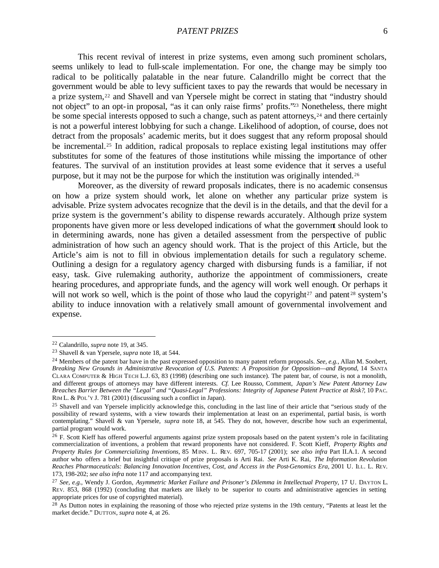This recent revival of interest in prize systems, even among such prominent scholars, seems unlikely to lead to full-scale implementation. For one, the change may be simply too radical to be politically palatable in the near future. Calandrillo might be correct that the government would be able to levy sufficient taxes to pay the rewards that would be necessary in a prize system,22 and Shavell and van Ypersele might be correct in stating that "industry should not object" to an opt-in proposal, "as it can only raise firms' profits."23 Nonetheless, there might be some special interests opposed to such a change, such as patent attorneys,<sup>24</sup> and there certainly is not a powerful interest lobbying for such a change. Likelihood of adoption, of course, does not detract from the proposals' academic merits, but it does suggest that any reform proposal should be incremental.<sup>25</sup> In addition, radical proposals to replace existing legal institutions may offer substitutes for some of the features of those institutions while missing the importance of other features. The survival of an institution provides at least some evidence that it serves a useful purpose, but it may not be the purpose for which the institution was originally intended.<sup>26</sup>

Moreover, as the diversity of reward proposals indicates, there is no academic consensus on how a prize system should work, let alone on whether any particular prize system is advisable. Prize system advocates recognize that the devil is in the details, and that the devil for a prize system is the government's ability to dispense rewards accurately. Although prize system proponents have given more or less developed indications of what the government should look to in determining awards, none has given a detailed assessment from the perspective of public administration of how such an agency should work. That is the project of this Article, but the Article's aim is not to fill in obvious implementation details for such a regulatory scheme. Outlining a design for a regulatory agency charged with disbursing funds is a familiar, if not easy, task. Give rulemaking authority, authorize the appointment of commissioners, create hearing procedures, and appropriate funds, and the agency will work well enough. Or perhaps it will not work so well, which is the point of those who laud the copyright $2^7$  and patent  $2^8$  system's ability to induce innovation with a relatively small amount of governmental involvement and expense.

<sup>22</sup> Calandrillo, *supra* note 19, at 345.

<sup>23</sup> Shavell & van Ypersele, *supra* note 18, at 544.

<sup>24</sup> Members of the patent bar have in the past expressed opposition to many patent reform proposals. *See, e.g.*, Allan M. Soobert, *Breaking New Grounds in Administrative Revocation of U.S. Patents: A Proposition for Opposition—and Beyond*, 14 SANTA CLARA COMPUTER & HIGH TECH L.J. 63, 83 (1998) (describing one such instance). The patent bar, of course, is not a monolith, and different groups of attorneys may have different interests. *Cf.* Lee Rousso, Comment, *Japan's New Patent Attorney Law Breaches Barrier Between the "Legal" and "Quasi-Legal" Professions: Integrity of Japanese Patent Practice at Risk?*, 10 PAC. RIM L. & POL'Y J. 781 (2001) (discussing such a conflict in Japan).

<sup>&</sup>lt;sup>25</sup> Shavell and van Ypersele implicitly acknowledge this, concluding in the last line of their article that "serious study of the possibility of reward systems, with a view towards their implementation at least on an experimental, partial basis, is worth contemplating." Shavell & van Ypersele, *supra* note 18, at 545. They do not, however, describe how such an experimental, partial program would work.

<sup>&</sup>lt;sup>26</sup> F. Scott Kieff has offered powerful arguments against prize system proposals based on the patent system's role in facilitating commercialization of inventions, a problem that reward proponents have not considered. F. Scott Kieff, *Property Rights and Property Rules for Commercializing Inventions*, 85 MINN. L. REV. 697, 705-17 (2001); *see also infra* Part II.A.1. A second author who offers a brief but insightful critique of prize proposals is Arti Rai. *See* Arti K. Rai, *The Information Revolution Reaches Pharmaceuticals: Balancing Innovation Incentives, Cost, and Access in the Post-Genomics Era*, 2001 U. ILL. L. REV. 173, 198-202; *see also infra* note 117 and accompanying text.

<sup>27</sup> *See, e.g.*, Wendy J. Gordon, *Asymmetric Market Failure and Prisoner's Dilemma in Intellectual Property*, 17 U. DAYTON L. REV. 853, 868 (1992) (concluding that markets are likely to be superior to courts and administrative agencies in setting appropriate prices for use of copyrighted material).

<sup>&</sup>lt;sup>28</sup> As Dutton notes in explaining the reasoning of those who rejected prize systems in the 19th century, "Patents at least let the market decide." DUTTON, *supra* note 4, at 26.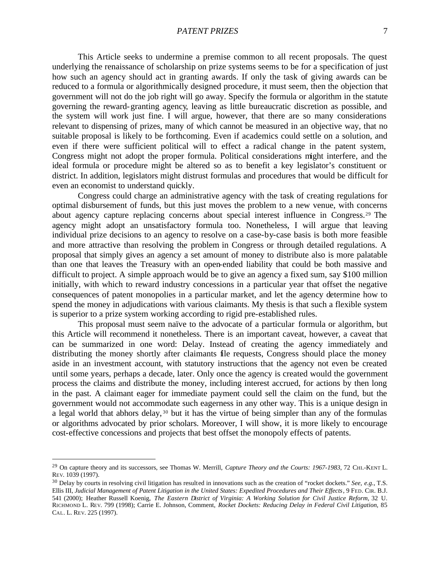#### *PATENT PRIZES* 7

This Article seeks to undermine a premise common to all recent proposals. The quest underlying the renaissance of scholarship on prize systems seems to be for a specification of just how such an agency should act in granting awards. If only the task of giving awards can be reduced to a formula or algorithmically designed procedure, it must seem, then the objection that government will not do the job right will go away. Specify the formula or algorithm in the statute governing the reward-granting agency, leaving as little bureaucratic discretion as possible, and the system will work just fine. I will argue, however, that there are so many considerations relevant to dispensing of prizes, many of which cannot be measured in an objective way, that no suitable proposal is likely to be forthcoming. Even if academics could settle on a solution, and even if there were sufficient political will to effect a radical change in the patent system, Congress might not adopt the proper formula. Political considerations might interfere, and the ideal formula or procedure might be altered so as to benefit a key legislator's constituent or district. In addition, legislators might distrust formulas and procedures that would be difficult for even an economist to understand quickly.

Congress could charge an administrative agency with the task of creating regulations for optimal disbursement of funds, but this just moves the problem to a new venue, with concerns about agency capture replacing concerns about special interest influence in Congress.29 The agency might adopt an unsatisfactory formula too. Nonetheless, I will argue that leaving individual prize decisions to an agency to resolve on a case-by-case basis is both more feasible and more attractive than resolving the problem in Congress or through detailed regulations. A proposal that simply gives an agency a set amount of money to distribute also is more palatable than one that leaves the Treasury with an open-ended liability that could be both massive and difficult to project. A simple approach would be to give an agency a fixed sum, say \$100 million initially, with which to reward industry concessions in a particular year that offset the negative consequences of patent monopolies in a particular market, and let the agency determine how to spend the money in adjudications with various claimants. My thesis is that such a flexible system is superior to a prize system working according to rigid pre-established rules.

This proposal must seem naïve to the advocate of a particular formula or algorithm, but this Article will recommend it nonetheless. There is an important caveat, however, a caveat that can be summarized in one word: Delay. Instead of creating the agency immediately and distributing the money shortly after claimants file requests, Congress should place the money aside in an investment account, with statutory instructions that the agency not even be created until some years, perhaps a decade, later. Only once the agency is created would the government process the claims and distribute the money, including interest accrued, for actions by then long in the past. A claimant eager for immediate payment could sell the claim on the fund, but the government would not accommodate such eagerness in any other way. This is a unique design in a legal world that abhors delay, <sup>30</sup> but it has the virtue of being simpler than any of the formulas or algorithms advocated by prior scholars. Moreover, I will show, it is more likely to encourage cost-effective concessions and projects that best offset the monopoly effects of patents.

<sup>&</sup>lt;sup>29</sup> On capture theory and its successors, see Thomas W. Merrill, *Capture Theory and the Courts: 1967-1983*, 72 CHI.-KENT L. REV. 1039 (1997).

<sup>30</sup> Delay by courts in resolving civil litigation has resulted in innovations such as the creation of "rocket dockets." *See, e.g.*, T.S. Ellis III, *Judicial Management of Patent Litigation in the United States: Expedited Procedures and Their Effects*, 9 FED. CIR. B.J. 541 (2000); Heather Russell Koenig, *The Eastern District of Virginia: A Working Solution for Civil Justice Reform*, 32 U. RICHMOND L. REV. 799 (1998); Carrie E. Johnson, Comment, *Rocket Dockets: Reducing Delay in Federal Civil Litigation*, 85 CAL. L. REV. 225 (1997).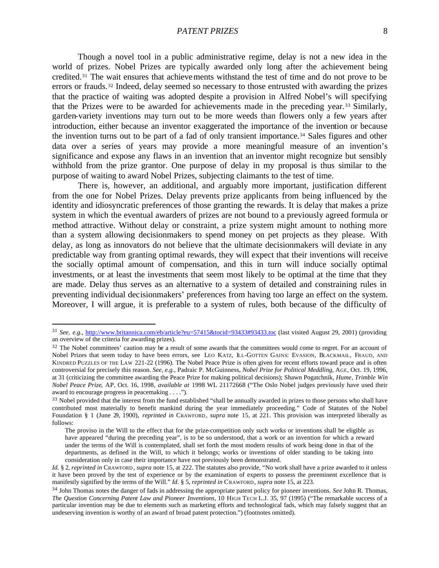Though a novel tool in a public administrative regime, delay is not a new idea in the world of prizes. Nobel Prizes are typically awarded only long after the achievement being credited.31 The wait ensures that achievements withstand the test of time and do not prove to be errors or frauds.32 Indeed, delay seemed so necessary to those entrusted with awarding the prizes that the practice of waiting was adopted despite a provision in Alfred Nobel's will specifying that the Prizes were to be awarded for achievements made in the preceding year.33 Similarly, garden-variety inventions may turn out to be more weeds than flowers only a few years after introduction, either because an inventor exaggerated the importance of the invention or because the invention turns out to be part of a fad of only transient importance.34 Sales figures and other data over a series of years may provide a more meaningful measure of an invention's significance and expose any flaws in an invention that an inventor might recognize but sensibly withhold from the prize grantor. One purpose of delay in my proposal is thus similar to the purpose of waiting to award Nobel Prizes, subjecting claimants to the test of time.

There is, however, an additional, and arguably more important, justification different from the one for Nobel Prizes. Delay prevents prize applicants from being influenced by the identity and idiosyncratic preferences of those granting the rewards. It is delay that makes a prize system in which the eventual awarders of prizes are not bound to a previously agreed formula or method attractive. Without delay or constraint, a prize system might amount to nothing more than a system allowing decisionmakers to spend money on pet projects as they please. With delay, as long as innovators do not believe that the ultimate decisionmakers will deviate in any predictable way from granting optimal rewards, they will expect that their inventions will receive the socially optimal amount of compensation, and this in turn will induce socially optimal investments, or at least the investments that seem most likely to be optimal at the time that they are made. Delay thus serves as an alternative to a system of detailed and constraining rules in preventing individual decisionmakers' preferences from having too large an effect on the system. Moreover, I will argue, it is preferable to a system of rules, both because of the difficulty of

<sup>31</sup> *See, e.g.*, http://www.britannica.com/eb/article?eu=57415&tocid=93433#93433.toc (last visited August 29, 2001) (providing an overview of the criteria for awarding prizes).

<sup>&</sup>lt;sup>32</sup> The Nobel committees' caution may be a result of some awards that the committees would come to regret. For an account of Nobel Prizes that seem today to have been errors, see LEO KATZ, ILL-GOTTEN GAINS: EVASION, BLACKMAIL, FRAUD, AND KINDRED PUZZLES OF THE LAW 221-22 (1996). The Nobel Peace Prize is often given for recent efforts toward peace and is often controversial for precisely this reason. *See, e.g.*, Padraic P. McGuinness, *Nobel Prize for Political Meddling*, AGE, Oct. 19, 1996, at 31 (criticizing the committee awarding the Peace Prize for making political decisions); Shawn Pogatchnik, *Hume, Trimble Win Nobel Peace Prize*, AP, Oct. 16, 1998, *available at* 1998 WL 21172668 ("The Oslo Nobel judges previously have used their award to encourage progress in peacemaking . . . .").

<sup>&</sup>lt;sup>33</sup> Nobel provided that the interest from the fund established "shall be annually awarded in prizes to those persons who shall have contributed most materially to benefit mankind during the year immediately proceeding." Code of Statutes of the Nobel Foundation § 1 (June 29, 1900), *reprinted in* CRAWFORD, *supra* note 15, at 221. This provision was interpreted liberally as follows:

The proviso in the Will to the effect that for the prize-competition only such works or inventions shall be eligible as have appeared "during the preceding year", is to be so understood, that a work or an invention for which a reward under the terms of the Will is contemplated, shall set forth the most modern results of work being done in that of the departments, as defined in the Will, to which it belongs; works or inventions of older standing to be taking into consideration only in case their importance have not previously been demonstrated.

*Id.* § 2, *reprinted in* CRAWFORD, *supra* note 15, at 222. The statutes also provide, "No work shall have a prize awarded to it unless it have been proved by the test of experience or by the examination of experts to possess the preeminent excellence that is manifestly signified by the terms of the Will." *Id.* § 5, *reprinted in* CRAWFORD, *supra* note 15, at 223.

<sup>34</sup> John Thomas notes the danger of fads in addressing the appropriate patent policy for pioneer inventions. *See* John R. Thomas, *The Question Concerning Patent Law and Pioneer Inventions*, 10 HIGH TECH L.J. 35, 97 (1995) ("The remarkable success of a particular invention may be due to elements such as marketing efforts and technological fads, which may falsely suggest that an undeserving invention is worthy of an award of broad patent protection.") (footnotes omitted).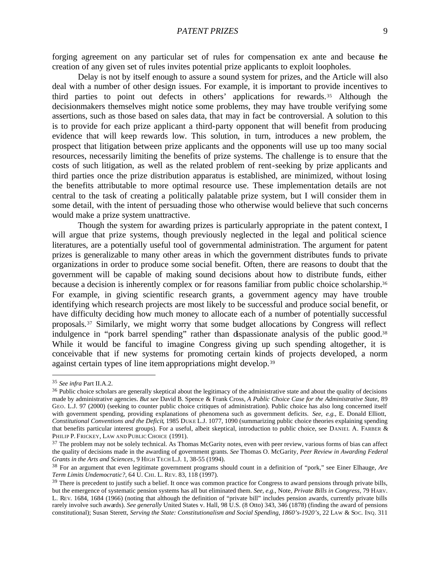forging agreement on any particular set of rules for compensation ex ante and because the creation of any given set of rules invites potential prize applicants to exploit loopholes.

Delay is not by itself enough to assure a sound system for prizes, and the Article will also deal with a number of other design issues. For example, it is important to provide incentives to third parties to point out defects in others' applications for rewards.35 Although the decisionmakers themselves might notice some problems, they may have trouble verifying some assertions, such as those based on sales data, that may in fact be controversial. A solution to this is to provide for each prize applicant a third-party opponent that will benefit from producing evidence that will keep rewards low. This solution, in turn, introduces a new problem, the prospect that litigation between prize applicants and the opponents will use up too many social resources, necessarily limiting the benefits of prize systems. The challenge is to ensure that the costs of such litigation, as well as the related problem of rent-seeking by prize applicants and third parties once the prize distribution apparatus is established, are minimized, without losing the benefits attributable to more optimal resource use. These implementation details are not central to the task of creating a politically palatable prize system, but I will consider them in some detail, with the intent of persuading those who otherwise would believe that such concerns would make a prize system unattractive.

Though the system for awarding prizes is particularly appropriate in the patent context, I will argue that prize systems, though previously neglected in the legal and political science literatures, are a potentially useful tool of governmental administration. The argument for patent prizes is generalizable to many other areas in which the government distributes funds to private organizations in order to produce some social benefit. Often, there are reasons to doubt that the government will be capable of making sound decisions about how to distribute funds, either because a decision is inherently complex or for reasons familiar from public choice scholarship.<sup>36</sup> For example, in giving scientific research grants, a government agency may have trouble identifying which research projects are most likely to be successful and produce social benefit, or have difficulty deciding how much money to allocate each of a number of potentially successful proposals.37 Similarly, we might worry that some budget allocations by Congress will reflect indulgence in "pork barrel spending" rather than dispassionate analysis of the public good.<sup>38</sup> While it would be fanciful to imagine Congress giving up such spending altogether, it is conceivable that if new systems for promoting certain kinds of projects developed, a norm against certain types of line item appropriations might develop.<sup>39</sup>

<sup>35</sup> *See infra* Part II.A.2.

<sup>&</sup>lt;sup>36</sup> Public choice scholars are generally skeptical about the legitimacy of the administrative state and about the quality of decisions made by administrative agencies. *But see* David B. Spence & Frank Cross, *A Public Choice Case for the Administrative State*, 89 GEO. L.J. 97 (2000) (seeking to counter public choice critiques of administration). Public choice has also long concerned itself with government spending, providing explanations of phenomena such as government deficits. *See, e.g.*, E. Donald Elliott, *Constitutional Conventions and the Deficit*, 1985 DUKE L.J. 1077, 1090 (summarizing public choice theories explaining spending that benefits particular interest groups). For a useful, albeit skeptical, introduction to public choice, see DANIEL A. FARBER & PHILIP P. FRICKEY, LAW AND PUBLIC CHOICE (1991).

<sup>&</sup>lt;sup>37</sup> The problem may not be solely technical. As Thomas McGarity notes, even with peer review, various forms of bias can affect the quality of decisions made in the awarding of government grants. *See* Thomas O. McGarity, *Peer Review in Awarding Federal Grants in the Arts and Sciences*, 9 HIGH TECH L.J. 1, 38-55 (1994).

<sup>38</sup> For an argument that even legitimate government programs should count in a definition of "pork," see Einer Elhauge, *Are Term Limits Undemocratic?*, 64 U. CHI. L. REV. 83, 118 (1997).

<sup>&</sup>lt;sup>39</sup> There is precedent to justify such a belief. It once was common practice for Congress to award pensions through private bills, but the emergence of systematic pension systems has all but eliminated them. *See, e.g.*, Note, *Private Bills in Congress*, 79 HARV. L. REV. 1684, 1684 (1966) (noting that although the definition of "private bill" includes pension awards, currently private bills rarely involve such awards). *See generally* United States v. Hall, 98 U.S. (8 Otto) 343, 346 (1878) (finding the award of pensions constitutional); Susan Sterett, *Serving the State: Constitutionalism and Social Spending, 1860's-1920's*, 22 LAW & SOC. INQ. 311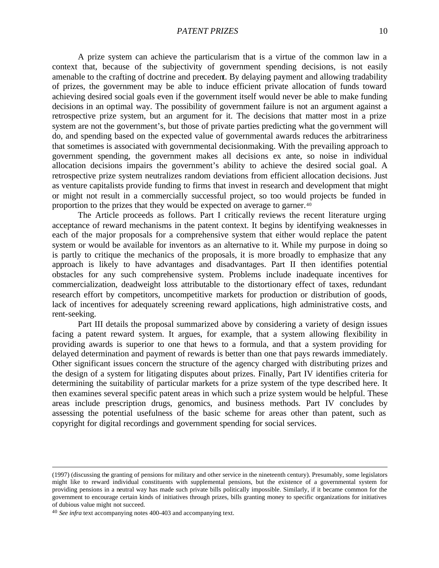A prize system can achieve the particularism that is a virtue of the common law in a context that, because of the subjectivity of government spending decisions, is not easily amenable to the crafting of doctrine and precedent. By delaying payment and allowing tradability of prizes, the government may be able to induce efficient private allocation of funds toward achieving desired social goals even if the government itself would never be able to make funding decisions in an optimal way. The possibility of government failure is not an argument against a retrospective prize system, but an argument for it. The decisions that matter most in a prize system are not the government's, but those of private parties predicting what the government will do, and spending based on the expected value of governmental awards reduces the arbitrariness that sometimes is associated with governmental decisionmaking. With the prevailing approach to government spending, the government makes all decisions ex ante, so noise in individual allocation decisions impairs the government's ability to achieve the desired social goal. A retrospective prize system neutralizes random deviations from efficient allocation decisions. Just as venture capitalists provide funding to firms that invest in research and development that might or might not result in a commercially successful project, so too would projects be funded in proportion to the prizes that they would be expected on average to garner.<sup>40</sup>

The Article proceeds as follows. Part I critically reviews the recent literature urging acceptance of reward mechanisms in the patent context. It begins by identifying weaknesses in each of the major proposals for a comprehensive system that either would replace the patent system or would be available for inventors as an alternative to it. While my purpose in doing so is partly to critique the mechanics of the proposals, it is more broadly to emphasize that any approach is likely to have advantages and disadvantages. Part II then identifies potential obstacles for any such comprehensive system. Problems include inadequate incentives for commercialization, deadweight loss attributable to the distortionary effect of taxes, redundant research effort by competitors, uncompetitive markets for production or distribution of goods, lack of incentives for adequately screening reward applications, high administrative costs, and rent-seeking.

Part III details the proposal summarized above by considering a variety of design issues facing a patent reward system. It argues, for example, that a system allowing flexibility in providing awards is superior to one that hews to a formula, and that a system providing for delayed determination and payment of rewards is better than one that pays rewards immediately. Other significant issues concern the structure of the agency charged with distributing prizes and the design of a system for litigating disputes about prizes. Finally, Part IV identifies criteria for determining the suitability of particular markets for a prize system of the type described here. It then examines several specific patent areas in which such a prize system would be helpful. These areas include prescription drugs, genomics, and business methods. Part IV concludes by assessing the potential usefulness of the basic scheme for areas other than patent, such as copyright for digital recordings and government spending for social services.

<sup>(1997) (</sup>discussing the granting of pensions for military and other service in the nineteenth century). Presumably, some legislators might like to reward individual constituents with supplemental pensions, but the existence of a governmental system for providing pensions in a neutral way has made such private bills politically impossible. Similarly, if it became common for the government to encourage certain kinds of initiatives through prizes, bills granting money to specific organizations for initiatives of dubious value might not succeed.

<sup>40</sup> *See infra* text accompanying notes 400-403 and accompanying text.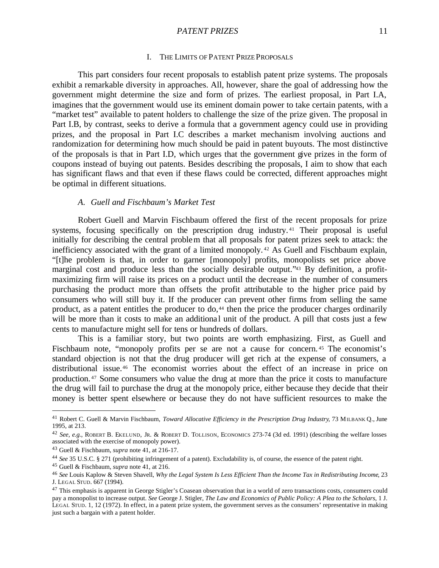#### **PATENT PRIZES** 11

#### I. THE LIMITS OF PATENT PRIZE PROPOSALS

This part considers four recent proposals to establish patent prize systems. The proposals exhibit a remarkable diversity in approaches. All, however, share the goal of addressing how the government might determine the size and form of prizes. The earliest proposal, in Part I.A, imagines that the government would use its eminent domain power to take certain patents, with a "market test" available to patent holders to challenge the size of the prize given. The proposal in Part I.B, by contrast, seeks to derive a formula that a government agency could use in providing prizes, and the proposal in Part I.C describes a market mechanism involving auctions and randomization for determining how much should be paid in patent buyouts. The most distinctive of the proposals is that in Part I.D, which urges that the government give prizes in the form of coupons instead of buying out patents. Besides describing the proposals, I aim to show that each has significant flaws and that even if these flaws could be corrected, different approaches might be optimal in different situations.

#### *A. Guell and Fischbaum's Market Test*

Robert Guell and Marvin Fischbaum offered the first of the recent proposals for prize systems, focusing specifically on the prescription drug industry.<sup>41</sup> Their proposal is useful initially for describing the central problem that all proposals for patent prizes seek to attack: the inefficiency associated with the grant of a limited monopoly. <sup>42</sup> As Guell and Fischbaum explain, "[t]he problem is that, in order to garner [monopoly] profits, monopolists set price above marginal cost and produce less than the socially desirable output."43 By definition, a profitmaximizing firm will raise its prices on a product until the decrease in the number of consumers purchasing the product more than offsets the profit attributable to the higher price paid by consumers who will still buy it. If the producer can prevent other firms from selling the same product, as a patent entitles the producer to  $d\rho$ <sup>44</sup> then the price the producer charges ordinarily will be more than it costs to make an additional unit of the product. A pill that costs just a few cents to manufacture might sell for tens or hundreds of dollars.

This is a familiar story, but two points are worth emphasizing. First, as Guell and Fischbaum note, "monopoly profits per se are not a cause for concern. <sup>45</sup> The economist's standard objection is not that the drug producer will get rich at the expense of consumers, a distributional issue.46 The economist worries about the effect of an increase in price on production. <sup>47</sup> Some consumers who value the drug at more than the price it costs to manufacture the drug will fail to purchase the drug at the monopoly price, either because they decide that their money is better spent elsewhere or because they do not have sufficient resources to make the

<sup>41</sup> Robert C. Guell & Marvin Fischbaum, *Toward Allocative Efficiency in the Prescription Drug Industry*, 73 MILBANK Q., June 1995, at 213.

<sup>42</sup> *See, e.g.*, ROBERT B. EKELUND, JR. & ROBERT D. TOLLISON, ECONOMICS 273-74 (3d ed. 1991) (describing the welfare losses associated with the exercise of monopoly power).

<sup>43</sup> Guell & Fischbaum, *supra* note 41, at 216-17.

<sup>44</sup> *See* 35 U.S.C. § 271 (prohibiting infringement of a patent). Excludability is, of course, the essence of the patent right.

<sup>45</sup> Guell & Fischbaum, *supra* note 41, at 216.

<sup>46</sup> *See* Louis Kaplow & Steven Shavell, *Why the Legal System Is Less Efficient Than the Income Tax in Redistributing Income*, 23 J. LEGAL STUD. 667 (1994).

 $47$  This emphasis is apparent in George Stigler's Coasean observation that in a world of zero transactions costs, consumers could pay a monopolist to increase output. *See* George J. Stigler, *The Law and Economics of Public Policy: A Plea to the Scholars*, 1 J. LEGAL STUD. 1, 12 (1972). In effect, in a patent prize system, the government serves as the consumers' representative in making just such a bargain with a patent holder.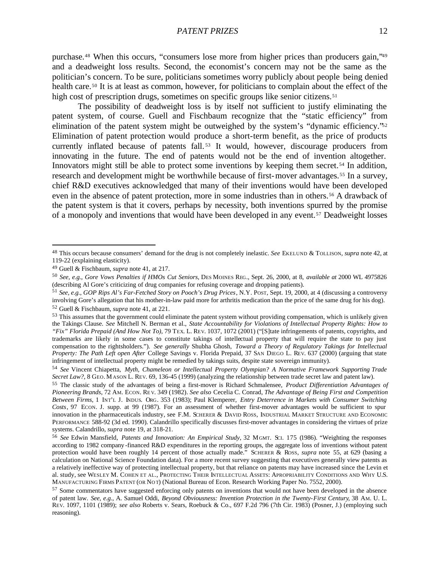purchase.48 When this occurs, "consumers lose more from higher prices than producers gain,"<sup>49</sup> and a deadweight loss results. Second, the economist's concern may not be the same as the politician's concern. To be sure, politicians sometimes worry publicly about people being denied health care.<sup>50</sup> It is at least as common, however, for politicians to complain about the effect of the high cost of prescription drugs, sometimes on specific groups like senior citizens.<sup>51</sup>

The possibility of deadweight loss is by itself not sufficient to justify eliminating the patent system, of course. Guell and Fischbaum recognize that the "static efficiency" from elimination of the patent system might be outweighed by the system's "dynamic efficiency."<sup>52</sup> Elimination of patent protection would produce a short-term benefit, as the price of products currently inflated because of patents fall.<sup>53</sup> It would, however, discourage producers from innovating in the future. The end of patents would not be the end of invention altogether. Innovators might still be able to protect some inventions by keeping them secret.<sup>54</sup> In addition, research and development might be worthwhile because of first-mover advantages.55 In a survey, chief R&D executives acknowledged that many of their inventions would have been developed even in the absence of patent protection, more in some industries than in others.56 A drawback of the patent system is that it covers, perhaps by necessity, both inventions spurred by the promise of a monopoly and inventions that would have been developed in any event.57 Deadweight losses

<sup>48</sup> This occurs because consumers' demand for the drug is not completely inelastic. *See* EKELUND & TOLLISON, *supra* note 42, at 119-22 (explaining elasticity).

<sup>49</sup> Guell & Fischbaum, *supra* note 41, at 217.

<sup>50</sup> *See, e.g.*, *Gore Vows Penalties if HMOs Cut Seniors*, DES MOINES REG., Sept. 26, 2000, at 8, *available at* 2000 WL 4975826 (describing Al Gore's criticizing of drug companies for refusing coverage and dropping patients).

<sup>51</sup> *See, e.g.*, *GOP Rips Al's Far-Fetched Story on Pooch's Drug Prices*, N.Y. POST, Sept. 19, 2000, at 4 (discussing a controversy involving Gore's allegation that his mother-in-law paid more for arthritis medication than the price of the same drug for his dog). <sup>52</sup> Guell & Fischbaum, *supra* note 41, at 221.

<sup>&</sup>lt;sup>53</sup> This assumes that the government could eliminate the patent system without providing compensation, which is unlikely given the Takings Clause. *See* Mitchell N. Berman et al., *State Accountability for Violations of Intellectual Property Rights: How to "Fix" Florida Prepaid (And How Not To)*, 79 TEX. L. REV. 1037, 1072 (2001) ("[S]tate infringements of patents, copyrights, and trademarks are likely in some cases to constitute takings of intellectual property that will require the state to pay just compensation to the rightsholders."). *See generally* Shubha Ghosh, *Toward a Theory of Regulatory Takings for Intellectual Property: The Path Left open After* College Savings v. Florida Prepaid, 37 SAN DIEGO L. REV. 637 (2000) (arguing that state infringement of intellectual property might be remedied by takings suits, despite state sovereign immunity).

<sup>54</sup> *See* Vincent Chiapetta, *Myth, Chameleon or Intellectual Property Olympian? A Normative Framework Supporting Trade Secret Law?*, 8 GEO. M ASON L. REV. 69, 136-45 (1999) (analyzing the relationship between trade secret law and patent law).

<sup>55</sup> The classic study of the advantages of being a first-mover is Richard Schmalensee, *Product Differentiation Advantages of Pioneering Brands*, 72 AM. ECON. RE V. 349 (1982). *See also* Cecelia C. Conrad, *The Advantage of Being First and Competition Between Firms*, 1 INT'L J. INDUS. ORG. 353 (1983); Paul Klemperer, *Entry Deterrence in Markets with Consumer Switching*  Costs, 97 ECON. J. supp. at 99 (1987). For an assessment of whether first-mover advantages would be sufficient to spur innovation in the pharmaceuticals industry, see F.M. SCHERER & DAVID ROSS, INDUSTRIAL MARKET STRUCTURE AND ECONOMIC PERFORMANCE 588-92 (3d ed. 1990). Calandrillo specifically discusses first-mover advantages in considering the virtues of prize systems. Calandrillo, *supra* note 19, at 318-21.

<sup>56</sup> *See* Edwin Mansfield, *Patents and Innovation: An Empirical Study*, 32 MGMT. SCI. 175 (1986). "Weighting the responses according to 1982 company -financed R&D expenditures in the reporting groups, the aggregate loss of inventions without patent protection would have been roughly 14 percent of those actually made." SCHERER & ROSS, *supra* note 55, at 629 (basing a calculation on National Science Foundation data). For a more recent survey suggesting that executives generally view patents as a relatively ineffective way of protecting intellectual property, but that reliance on patents may have increased since the Levin et al. study, see WESLEY M. COHEN ET AL., PROTECTING THEIR INTELLECTUAL ASSETS: APROPRIABILITY CONDITIONS AND WHY U.S. MANUFACTURING FIRMS PATENT (OR NOT) (National Bureau of Econ. Research Working Paper No. 7552, 2000).

<sup>&</sup>lt;sup>57</sup> Some commentators have suggested enforcing only patents on inventions that would not have been developed in the absence of patent law. *See, e.g.*, A. Samuel Oddi, *Beyond Obviousness: Invention Protection in the Twenty-First Century*, 38 AM. U. L. REV. 1097, 1101 (1989); *see also* Roberts v. Sears, Roebuck & Co., 697 F.2d 796 (7th Cir. 1983) (Posner, J.) (employing such reasoning).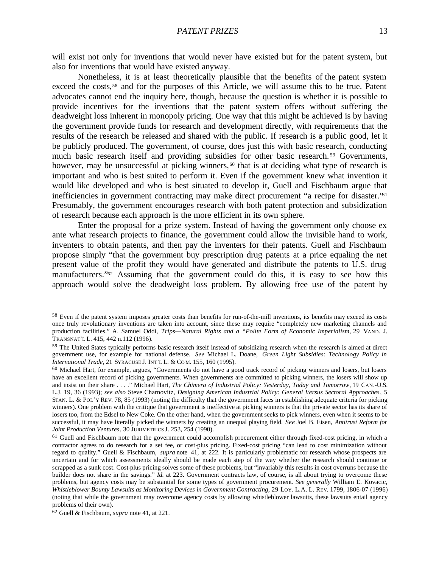will exist not only for inventions that would never have existed but for the patent system, but also for inventions that would have existed anyway.

Nonetheless, it is at least theoretically plausible that the benefits of the patent system exceed the costs,<sup>58</sup> and for the purposes of this Article, we will assume this to be true. Patent advocates cannot end the inquiry here, though, because the question is whether it is possible to provide incentives for the inventions that the patent system offers without suffering the deadweight loss inherent in monopoly pricing. One way that this might be achieved is by having the government provide funds for research and development directly, with requirements that the results of the research be released and shared with the public. If research is a public good, let it be publicly produced. The government, of course, does just this with basic research, conducting much basic research itself and providing subsidies for other basic research. <sup>59</sup> Governments, however, may be unsuccessful at picking winners,<sup>60</sup> that is at deciding what type of research is important and who is best suited to perform it. Even if the government knew what invention it would like developed and who is best situated to develop it, Guell and Fischbaum argue that inefficiencies in government contracting may make direct procurement "a recipe for disaster."<sup>61</sup> Presumably, the government encourages research with both patent protection and subsidization of research because each approach is the more efficient in its own sphere.

Enter the proposal for a prize system. Instead of having the government only choose ex ante what research projects to finance, the government could allow the invisible hand to work, inventers to obtain patents, and then pay the inventers for their patents. Guell and Fischbaum propose simply "that the government buy prescription drug patents at a price equaling the net present value of the profit they would have generated and distribute the patents to U.S. drug manufacturers."62 Assuming that the government could do this, it is easy to see how this approach would solve the deadweight loss problem. By allowing free use of the patent by

<sup>&</sup>lt;sup>58</sup> Even if the patent system imposes greater costs than benefits for run-of-the-mill inventions, its benefits may exceed its costs once truly revolutionary inventions are taken into account, since these may require "completely new marketing channels and production facilities." A. Samuel Oddi, *Trips—Natural Rights and a "Polite Form of Economic Imperialism*, 29 VAND. J. TRANSNAT'L L. 415, 442 n.112 (1996).

<sup>&</sup>lt;sup>59</sup> The United States typically performs basic research itself instead of subsidizing research when the research is aimed at direct government use, for example for national defense. *See* Michael L. Doane, *Green Light Subsidies: Technology Policy in International Trade*, 21 SYRACUSE J. INT'L L. & CO M. 155, 160 (1995).

<sup>&</sup>lt;sup>60</sup> Michael Hart, for example, argues, "Governments do not have a good track record of picking winners and losers, but losers have an excellent record of picking governments. When governments are committed to picking winners, the losers will show up and insist on their share . . . ." Michael Hart, *The Chimera of Industrial Policy: Yesterday, Today and Tomorrow*, 19 CAN.-U.S. L.J. 19, 36 (1993); *see also* Steve Charnovitz, *Designing American Industrial Policy: General Versus Sectoral Approaches*, 5 STAN. L. & POL'Y REV. 78, 85 (1993) (noting the difficulty that the government faces in establishing adequate criteria for picking winners). One problem with the critique that government is ineffective at picking winners is that the private sector has its share of losers too, from the Edsel to New Coke. On the other hand, when the government seeks to pick winners, even when it seems to be successful, it may have literally picked the winners by creating an unequal playing field. *See* Joel B. Eisen, *Antitrust Reform for Joint Production Ventures*, 30 JURIMETRICS J. 253, 254 (1990).

 $61$  Guell and Fischbaum note that the government could accomplish procurement either through fixed-cost pricing, in which a contractor agrees to do research for a set fee, or cost-plus pricing. Fixed-cost pricing "can lead to cost minimization without regard to quality." Guell & Fischbaum, *supra* note 41, at 222. It is particularly problematic for research whose prospects are uncertain and for which assessments ideally should be made each step of the way whether the research should continue or scrapped as a sunk cost. Cost-plus pricing solves some of these problems, but "invariably this results in cost overruns because the builder does not share in the savings." *Id.* at 223. Government contracts law, of course, is all about trying to overcome these problems, but agency costs may be substantial for some types of government procurement. *See generally* William E. Kovacic, *Whistleblower Bounty Lawsuits as Monitoring Devices in Government Contracting*, 29 LOY. L.A. L. REV. 1799, 1806-07 (1996) (noting that while the government may overcome agency costs by allowing whistleblower lawsuits, these lawsuits entail agency problems of their own).

<sup>62</sup> Guell & Fischbaum, *supra* note 41, at 221.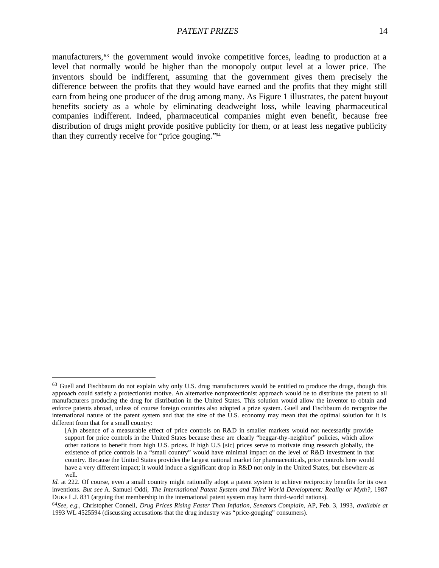manufacturers,63 the government would invoke competitive forces, leading to production at a level that normally would be higher than the monopoly output level at a lower price. The inventors should be indifferent, assuming that the government gives them precisely the difference between the profits that they would have earned and the profits that they might still earn from being one producer of the drug among many. As Figure 1 illustrates, the patent buyout benefits society as a whole by eliminating deadweight loss, while leaving pharmaceutical companies indifferent. Indeed, pharmaceutical companies might even benefit, because free distribution of drugs might provide positive publicity for them, or at least less negative publicity than they currently receive for "price gouging."<sup>64</sup>

<sup>&</sup>lt;sup>63</sup> Guell and Fischbaum do not explain why only U.S. drug manufacturers would be entitled to produce the drugs, though this approach could satisfy a protectionist motive. An alternative nonprotectionist approach would be to distribute the patent to all manufacturers producing the drug for distribution in the United States. This solution would allow the inventor to obtain and enforce patents abroad, unless of course foreign countries also adopted a prize system. Guell and Fischbaum do recognize the international nature of the patent system and that the size of the U.S. economy may mean that the optimal solution for it is different from that for a small country:

<sup>[</sup>A]n absence of a measurable effect of price controls on R&D in smaller markets would not necessarily provide support for price controls in the United States because these are clearly "beggar-thy-neighbor" policies, which allow other nations to benefit from high U.S. prices. If high U.S [sic] prices serve to motivate drug research globally, the existence of price controls in a "small country" would have minimal impact on the level of R&D investment in that country. Because the United States provides the largest national market for pharmaceuticals, price controls here would have a very different impact; it would induce a significant drop in R&D not only in the United States, but elsewhere as well.

*Id.* at 222. Of course, even a small country might rationally adopt a patent system to achieve reciprocity benefits for its own inventions. *But see* A. Samuel Oddi, *The International Patent System and Third World Development: Reality or Myth?*, 1987 DUKE L.J. 831 (arguing that membership in the international patent system may harm third-world nations).

<sup>64</sup>*See, e.g.*, Christopher Connell, *Drug Prices Rising Faster Than Inflation, Senators Complain*, AP, Feb. 3, 1993, *available at* 1993 WL 4525594 (discussing accusations that the drug industry was "price-gouging" consumers).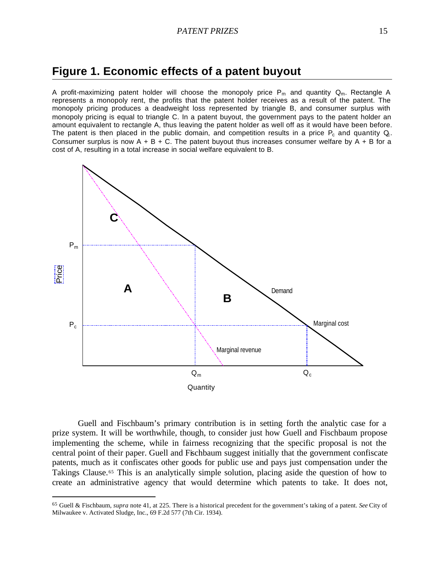## **Figure 1. Economic effects of a patent buyout**

A profit-maximizing patent holder will choose the monopoly price  $P_m$  and quantity  $Q_m$ . Rectangle A represents a monopoly rent, the profits that the patent holder receives as a result of the patent. The monopoly pricing produces a deadweight loss represented by triangle B, and consumer surplus with monopoly pricing is equal to triangle C. In a patent buyout, the government pays to the patent holder an amount equivalent to rectangle A, thus leaving the patent holder as well off as it would have been before. The patent is then placed in the public domain, and competition results in a price  $P_c$  and quantity  $Q_c$ . Consumer surplus is now  $A + B + C$ . The patent buyout thus increases consumer welfare by  $A + B$  for a cost of A, resulting in a total increase in social welfare equivalent to B.



Guell and Fischbaum's primary contribution is in setting forth the analytic case for a prize system. It will be worthwhile, though, to consider just how Guell and Fischbaum propose implementing the scheme, while in fairness recognizing that the specific proposal is not the central point of their paper. Guell and Fischbaum suggest initially that the government confiscate patents, much as it confiscates other goods for public use and pays just compensation under the Takings Clause.<sup>65</sup> This is an analytically simple solution, placing aside the question of how to create an administrative agency that would determine which patents to take. It does not,

<sup>65</sup> Guell & Fischbaum, *supra* note 41, at 225. There is a historical precedent for the government's taking of a patent. *See* City of Milwaukee v. Activated Sludge, Inc., 69 F.2d 577 (7th Cir. 1934).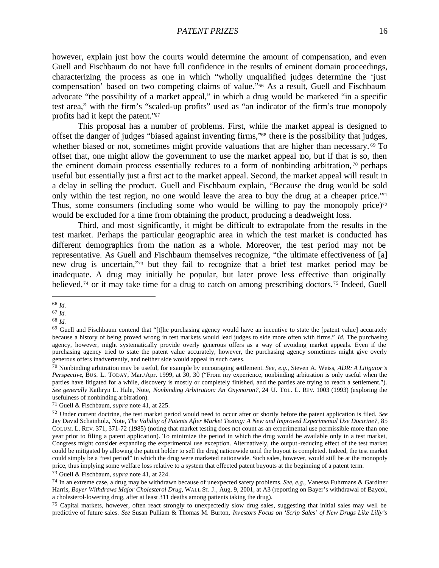#### *PATENT PRIZES* 16

however, explain just how the courts would determine the amount of compensation, and even Guell and Fischbaum do not have full confidence in the results of eminent domain proceedings, characterizing the process as one in which "wholly unqualified judges determine the 'just compensation' based on two competing claims of value."66 As a result, Guell and Fischbaum advocate "the possibility of a market appeal," in which a drug would be marketed "in a specific test area," with the firm's "scaled-up profits" used as "an indicator of the firm's true monopoly profits had it kept the patent."<sup>67</sup>

This proposal has a number of problems. First, while the market appeal is designed to offset the danger of judges "biased against inventing firms,"68 there is the possibility that judges, whether biased or not, sometimes might provide valuations that are higher than necessary.<sup>69</sup> To offset that, one might allow the government to use the market appeal too, but if that is so, then the eminent domain process essentially reduces to a form of nonbinding arbitration, <sup>70</sup> perhaps useful but essentially just a first act to the market appeal. Second, the market appeal will result in a delay in selling the product. Guell and Fischbaum explain, "Because the drug would be sold only within the test region, no one would leave the area to buy the drug at a cheaper price.<sup> $\gamma_1$ </sup> Thus, some consumers (including some who would be willing to pay the monopoly price)<sup>72</sup> would be excluded for a time from obtaining the product, producing a deadweight loss.

Third, and most significantly, it might be difficult to extrapolate from the results in the test market. Perhaps the particular geographic area in which the test market is conducted has different demographics from the nation as a whole. Moreover, the test period may not be representative. As Guell and Fischbaum themselves recognize, "the ultimate effectiveness of [a] new drug is uncertain,"73 but they fail to recognize that a brief test market period may be inadequate. A drug may initially be popular, but later prove less effective than originally believed,74 or it may take time for a drug to catch on among prescribing doctors.75 Indeed, Guell

 $\overline{a}$ 

<sup>73</sup> Guell & Fischbaum, *supra* note 41, at 224.

<sup>66</sup> *Id*.

<sup>67</sup> *Id.*

<sup>68</sup> *Id.*

 $<sup>69</sup>$  Guell and Fischbaum contend that "[t]he purchasing agency would have an incentive to state the [patent value] accurately</sup> because a history of being proved wrong in test markets would lead judges to side more often with firms." *Id.* The purchasing agency, however, might systematically provide overly generous offers as a way of avoiding market appeals. Even if the purchasing agency tried to state the patent value accurately, however, the purchasing agency sometimes might give overly generous offers inadvertently, and neither side would appeal in such cases.

<sup>70</sup> Nonbinding arbitration may be useful, for example by encouraging settlement. *See, e.g.*, Steven A. Weiss, *ADR: A Litigator's Perspective*, BUS. L. TODAY, Mar./Apr. 1999, at 30, 30 ("From my experience, nonbinding arbitration is only useful when the parties have litigated for a while, discovery is mostly or completely finished, and the parties are trying to reach a settlement."). *See generally* Kathryn L. Hale, Note, *Nonbinding Arbitration: An Oxymoron?*, 24 U. TOL. L. REV. 1003 (1993) (exploring the usefulness of nonbinding arbitration).

<sup>71</sup> Guell & Fischbaum, *supra* note 41, at 225.

<sup>72</sup> Under current doctrine, the test market period would need to occur after or shortly before the patent application is filed. *See* Jay David Schainholz, Note, *The Validity of Patents After Market Testing: A New and Improved Experimental Use Doctrine?*, 85 COLUM. L. REV. 371, 371-72 (1985) (noting that market testing does not count as an experimental use permissible more than one year prior to filing a patent application). To minimize the period in which the drug would be available only in a test market, Congress might consider expanding the experimental use exception. Alternatively, the output-reducing effect of the test market could be mitigated by allowing the patent holder to sell the drug nationwide until the buyout is completed. Indeed, the test market could simply be a "test period" in which the drug were marketed nationwide. Such sales, however, would still be at the monopoly price, thus implying some welfare loss relative to a system that effected patent buyouts at the beginning of a patent term.

<sup>74</sup> In an extreme case, a drug may be withdrawn because of unexpected safety problems. *See, e.g.*, Vanessa Fuhrmans & Gardiner Harris, *Bayer Withdraws Major Cholesterol Drug*, WALL ST. J., Aug. 9, 2001, at A3 (reporting on Bayer's withdrawal of Baycol, a cholesterol-lowering drug, after at least 311 deaths among patients taking the drug).

<sup>&</sup>lt;sup>75</sup> Capital markets, however, often react strongly to unexpectedly slow drug sales, suggesting that initial sales may well be predictive of future sales. *See* Susan Pulliam & Thomas M. Burton, *Investors Focus on 'Scrip Sales' of New Drugs Like Lilly's*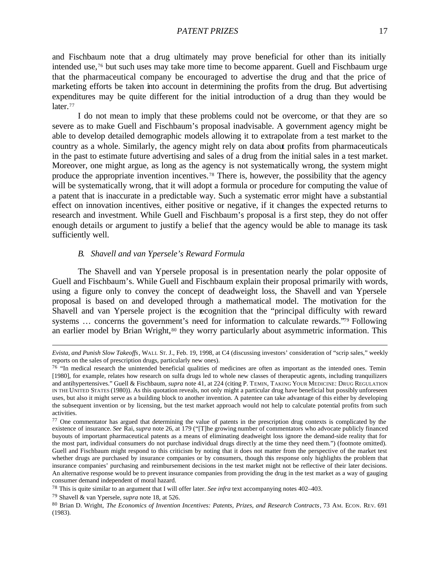#### *PATENT PRIZES* 17

and Fischbaum note that a drug ultimately may prove beneficial for other than its initially intended use,76 but such uses may take more time to become apparent. Guell and Fischbaum urge that the pharmaceutical company be encouraged to advertise the drug and that the price of marketing efforts be taken into account in determining the profits from the drug. But advertising expenditures may be quite different for the initial introduction of a drug than they would be later.<sup>77</sup>

I do not mean to imply that these problems could not be overcome, or that they are so severe as to make Guell and Fischbaum's proposal inadvisable. A government agency might be able to develop detailed demographic models allowing it to extrapolate from a test market to the country as a whole. Similarly, the agency might rely on data about profits from pharmaceuticals in the past to estimate future advertising and sales of a drug from the initial sales in a test market. Moreover, one might argue, as long as the agency is not systematically wrong, the system might produce the appropriate invention incentives.78 There is, however, the possibility that the agency will be systematically wrong, that it will adopt a formula or procedure for computing the value of a patent that is inaccurate in a predictable way. Such a systematic error might have a substantial effect on innovation incentives, either positive or negative, if it changes the expected returns to research and investment. While Guell and Fischbaum's proposal is a first step, they do not offer enough details or argument to justify a belief that the agency would be able to manage its task sufficiently well.

#### *B. Shavell and van Ypersele's Reward Formula*

The Shavell and van Ypersele proposal is in presentation nearly the polar opposite of Guell and Fischbaum's. While Guell and Fischbaum explain their proposal primarily with words, using a figure only to convey the concept of deadweight loss, the Shavell and van Ypersele proposal is based on and developed through a mathematical model. The motivation for the Shavell and van Ypersele project is the recognition that the "principal difficulty with reward systems ... concerns the government's need for information to calculate rewards."<sup>79</sup> Following an earlier model by Brian Wright,<sup>80</sup> they worry particularly about asymmetric information. This

*Evista, and Punish Slow Takeoffs*, WALL ST. J., Feb. 19, 1998, at C4 (discussing investors' consideration of "scrip sales," weekly reports on the sales of prescription drugs, particularly new ones).

 $76$  "In medical research the unintended beneficial qualities of medicines are often as important as the intended ones. Temin [1980], for example, relates how research on sulfa drugs led to whole new classes of therapeutic agents, including tranquilizers and antihypertensives." Guell & Fischbaum, *supra* note 41, at 224 (citing P. TEMIN, TAKING YOUR MEDICINE: DRUG REGULATION IN THE UNITED STATES (1980)). As this quotation reveals, not only might a particular drug have beneficial but possibly unforeseen uses, but also it might serve as a building block to another invention. A patentee can take advantage of this either by developing the subsequent invention or by licensing, but the test market approach would not help to calculate potential profits from such activities.

<sup>&</sup>lt;sup>77</sup> One commentator has argued that determining the value of patents in the prescription drug contexts is complicated by the existence of insurance. *See* Rai, *supra* note 26, at 179 ("[T]he growing number of commentators who advocate publicly financed buyouts of important pharmaceutical patents as a means of eliminating deadweight loss ignore the demand-side reality that for the most part, individual consumers do not purchase individual drugs directly at the time they need them.") (footnote omitted). Guell and Fischbaum might respond to this criticism by noting that it does not matter from the perspective of the market test whether drugs are purchased by insurance companies or by consumers, though this response only highlights the problem that insurance companies' purchasing and reimbursement decisions in the test market might not be reflective of their later decisions. An alternative response would be to prevent insurance companies from providing the drug in the test market as a way of gauging consumer demand independent of moral hazard.

<sup>78</sup> This is quite similar to an argument that I will offer later. *See infra* text accompanying notes 402–403.

<sup>79</sup> Shavell & van Ypersele, *supra* note 18, at 526.

<sup>80</sup> Brian D. Wright, *The Economics of Invention Incentives: Patents, Prizes, and Research Contracts*, 73 AM. ECON. REV. 691 (1983).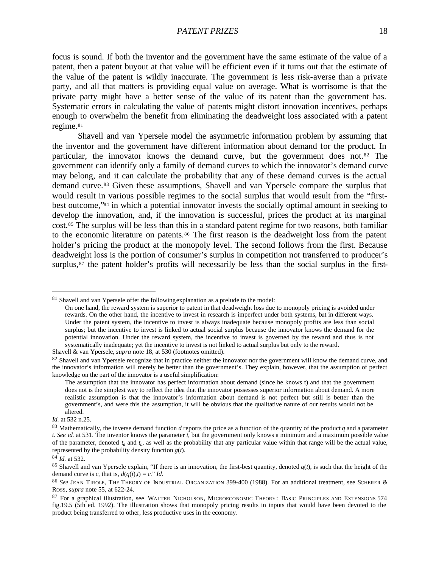focus is sound. If both the inventor and the government have the same estimate of the value of a patent, then a patent buyout at that value will be efficient even if it turns out that the estimate of the value of the patent is wildly inaccurate. The government is less risk-averse than a private party, and all that matters is providing equal value on average. What is worrisome is that the private party might have a better sense of the value of its patent than the government has. Systematic errors in calculating the value of patents might distort innovation incentives, perhaps enough to overwhelm the benefit from eliminating the deadweight loss associated with a patent regime.<sup>81</sup>

Shavell and van Ypersele model the asymmetric information problem by assuming that the inventor and the government have different information about demand for the product. In particular, the innovator knows the demand curve, but the government does not.82 The government can identify only a family of demand curves to which the innovator's demand curve may belong, and it can calculate the probability that any of these demand curves is the actual demand curve.83 Given these assumptions, Shavell and van Ypersele compare the surplus that would result in various possible regimes to the social surplus that would result from the "firstbest outcome,"84 in which a potential innovator invests the socially optimal amount in seeking to develop the innovation, and, if the innovation is successful, prices the product at its marginal cost.85 The surplus will be less than this in a standard patent regime for two reasons, both familiar to the economic literature on patents.<sup>86</sup> The first reason is the deadweight loss from the patent holder's pricing the product at the monopoly level. The second follows from the first. Because deadweight loss is the portion of consumer's surplus in competition not transferred to producer's surplus,<sup>87</sup> the patent holder's profits will necessarily be less than the social surplus in the first-

<sup>&</sup>lt;sup>81</sup> Shavell and van Ypersele offer the following explanation as a prelude to the model:

On one hand, the reward system is superior to patent in that deadweight loss due to monopoly pricing is avoided under rewards. On the other hand, the incentive to invest in research is imperfect under both systems, but in different ways. Under the patent system, the incentive to invest is always inadequate because monopoly profits are less than social surplus; but the incentive to invest is linked to actual social surplus because the innovator knows the demand for the potential innovation. Under the reward system, the incentive to invest is governed by the reward and thus is not systematically inadequate; yet the incentive to invest is not linked to actual surplus but only to the reward.

Shavell & van Ypersele, *supra* note 18, at 530 (footnotes omitted).

<sup>&</sup>lt;sup>82</sup> Shavell and van Ypersele recognize that in practice neither the innovator nor the government will know the demand curve, and the innovator's information will merely be better than the government's. They explain, however, that the assumption of perfect knowledge on the part of the innovator is a useful simplification:

The assumption that the innovator has perfect information about demand (since he knows t) and that the government does not is the simplest way to reflect the idea that the innovator possesses superior information about demand. A more realistic assumption is that the innovator's information about demand is not perfect but still is better than the government's, and were this the assumption, it will be obvious that the qualitative nature of our results would not be altered.

*Id.* at 532 n.25.

<sup>83</sup> Mathematically, the inverse demand function *d* reports the price as a function of the quantity of the product *q* and a parameter *t*. *See id.* at 531. The inventor knows the parameter *t*, but the government only knows a minimum and a maximum possible value of the parameter, denoted  $t_a$  and  $t_b$ , as well as the probability that any particular value within that range will be the actual value, represented by the probability density function  $g(t)$ .

<sup>84</sup> *Id.* at 532.

<sup>&</sup>lt;sup>85</sup> Shavell and van Ypersele explain, "If there is an innovation, the first-best quantity, denoted  $q(t)$ , is such that the height of the demand curve is *c*, that is,  $d(q(t),t) = c$ ." *Id.* 

<sup>86</sup> *See* JEAN TIROLE, THE THEORY OF INDUSTRIAL ORGANIZATION 399-400 (1988). For an additional treatment, see SCHERER & ROSS, *supra* note 55, at 622-24.

<sup>&</sup>lt;sup>87</sup> For a graphical illustration, see WALTER NICHOLSON, MICROECONOMIC THEORY: BASIC PRINCIPLES AND EXTENSIONS 574 fig.19.5 (5th ed. 1992). The illustration shows that monopoly pricing results in inputs that would have been devoted to the product being transferred to other, less productive uses in the economy.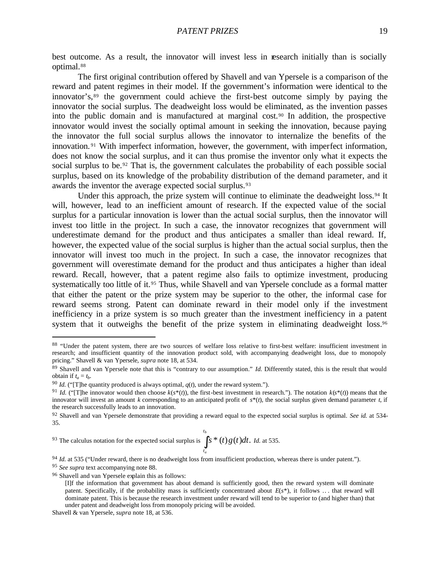best outcome. As a result, the innovator will invest less in research initially than is socially optimal.<sup>88</sup>

The first original contribution offered by Shavell and van Ypersele is a comparison of the reward and patent regimes in their model. If the government's information were identical to the innovator's,<sup>89</sup> the government could achieve the first-best outcome simply by paying the innovator the social surplus. The deadweight loss would be eliminated, as the invention passes into the public domain and is manufactured at marginal cost.90 In addition, the prospective innovator would invest the socially optimal amount in seeking the innovation, because paying the innovator the full social surplus allows the innovator to internalize the benefits of the innovation. <sup>91</sup> With imperfect information, however, the government, with imperfect information, does not know the social surplus, and it can thus promise the inventor only what it expects the social surplus to be.<sup>92</sup> That is, the government calculates the probability of each possible social surplus, based on its knowledge of the probability distribution of the demand parameter, and it awards the inventor the average expected social surplus.<sup>93</sup>

Under this approach, the prize system will continue to eliminate the deadweight loss.<sup>94</sup> It will, however, lead to an inefficient amount of research. If the expected value of the social surplus for a particular innovation is lower than the actual social surplus, then the innovator will invest too little in the project. In such a case, the innovator recognizes that government will underestimate demand for the product and thus anticipates a smaller than ideal reward. If, however, the expected value of the social surplus is higher than the actual social surplus, then the innovator will invest too much in the project. In such a case, the innovator recognizes that government will overestimate demand for the product and thus anticipates a higher than ideal reward. Recall, however, that a patent regime also fails to optimize investment, producing systematically too little of it.<sup>95</sup> Thus, while Shavell and van Ypersele conclude as a formal matter that either the patent or the prize system may be superior to the other, the informal case for reward seems strong. Patent can dominate reward in their model only if the investment inefficiency in a prize system is so much greater than the investment inefficiency in a patent system that it outweighs the benefit of the prize system in eliminating deadweight loss.<sup>96</sup>

93 The calculus notation for the expected social surplus is  $\int_{0}^{t_b}$ *a t s* \* (*t*)*g*(*t*)*dt*. *Id.* at 535.

<sup>94</sup> *Id.* at 535 ("Under reward, there is no deadweight loss from insufficient production, whereas there is under patent.").

<sup>&</sup>lt;sup>88</sup> "Under the patent system, there are two sources of welfare loss relative to first-best welfare: insufficient investment in research; and insufficient quantity of the innovation product sold, with accompanying deadweight loss, due to monopoly pricing." Shavell & van Ypersele, *supra* note 18, at 534.

<sup>89</sup> Shavell and van Ypersele note that this is "contrary to our assumption." *Id.* Differently stated, this is the result that would obtain if  $t_a = t_b$ .

<sup>&</sup>lt;sup>90</sup> *Id.* ("[T]he quantity produced is always optimal,  $q(t)$ , under the reward system.").

<sup>&</sup>lt;sup>91</sup> *Id.* ("The innovator would then choose  $k(s^*(t))$ , the first-best investment in research."). The notation  $k(s^*(t))$  means that the innovator will invest an amount *k* corresponding to an anticipated profit of  $s^*(t)$ , the social surplus given demand parameter *t*, if the research successfully leads to an innovation.

<sup>92</sup> Shavell and van Ypersele demonstrate that providing a reward equal to the expected social surplus is optimal. *See id.* at 534- 35.

<sup>95</sup> *See supra* text accompanying note 88.

<sup>96</sup> Shavell and van Ypersele explain this as follows:

<sup>[</sup>I]f the information that government has about demand is sufficiently good, then the reward system will dominate patent. Specifically, if the probability mass is sufficiently concentrated about *E*(*s*\*), it follows .. . that reward will dominate patent. This is because the research investment under reward will tend to be superior to (and higher than) that under patent and deadweight loss from monopoly pricing will be avoided.

Shavell & van Ypersele, *supra* note 18, at 536.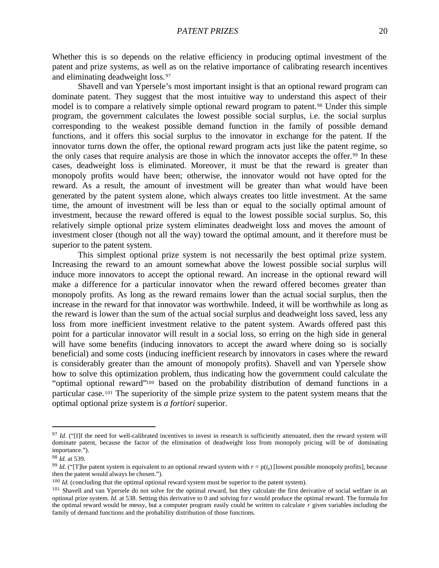Whether this is so depends on the relative efficiency in producing optimal investment of the patent and prize systems, as well as on the relative importance of calibrating research incentives and eliminating deadweight loss.<sup>97</sup>

Shavell and van Ypersele's most important insight is that an optional reward program can dominate patent. They suggest that the most intuitive way to understand this aspect of their model is to compare a relatively simple optional reward program to patent.<sup>98</sup> Under this simple program, the government calculates the lowest possible social surplus, i.e. the social surplus corresponding to the weakest possible demand function in the family of possible demand functions, and it offers this social surplus to the innovator in exchange for the patent. If the innovator turns down the offer, the optional reward program acts just like the patent regime, so the only cases that require analysis are those in which the innovator accepts the offer.99 In these cases, deadweight loss is eliminated. Moreover, it must be that the reward is greater than monopoly profits would have been; otherwise, the innovator would not have opted for the reward. As a result, the amount of investment will be greater than what would have been generated by the patent system alone, which always creates too little investment. At the same time, the amount of investment will be less than or equal to the socially optimal amount of investment, because the reward offered is equal to the lowest possible social surplus. So, this relatively simple optional prize system eliminates deadweight loss and moves the amount of investment closer (though not all the way) toward the optimal amount, and it therefore must be superior to the patent system.

This simplest optional prize system is not necessarily the best optimal prize system. Increasing the reward to an amount somewhat above the lowest possible social surplus will induce more innovators to accept the optional reward. An increase in the optional reward will make a difference for a particular innovator when the reward offered becomes greater than monopoly profits. As long as the reward remains lower than the actual social surplus, then the increase in the reward for that innovator was worthwhile. Indeed, it will be worthwhile as long as the reward is lower than the sum of the actual social surplus and deadweight loss saved, less any loss from more inefficient investment relative to the patent system. Awards offered past this point for a particular innovator will result in a social loss, so erring on the high side in general will have some benefits (inducing innovators to accept the award where doing so is socially beneficial) and some costs (inducing inefficient research by innovators in cases where the reward is considerably greater than the amount of monopoly profits). Shavell and van Ypersele show how to solve this optimization problem, thus indicating how the government could calculate the "optimal optional reward"100 based on the probability distribution of demand functions in a particular case.101 The superiority of the simple prize system to the patent system means that the optimal optional prize system is *a fortiori* superior.

<sup>&</sup>lt;sup>97</sup> *Id.* ("IIf the need for well-calibrated incentives to invest in research is sufficiently attenuated, then the reward system will dominate patent, because the factor of the elimination of deadweight loss from monopoly pricing will be of dominating importance.").

<sup>98</sup> *Id.* at 539.

<sup>&</sup>lt;sup>99</sup> *Id.* ("The patent system is equivalent to an optional reward system with  $r = p(t_a)$  [lowest possible monopoly profits], because then the patent would always be chosen.").

<sup>&</sup>lt;sup>100</sup> *Id.* (concluding that the optimal optional reward system must be superior to the patent system).

<sup>&</sup>lt;sup>101</sup> Shavell and van Ypersele do not solve for the optimal reward, but they calculate the first derivative of social welfare in an optional prize system. *Id.* at 538. Setting this derivative to 0 and solving for *r* would produce the optimal reward. The formula for the optimal reward would be messy, but a computer program easily could be written to calculate *r* given variables including the family of demand functions and the probability distribution of those functions.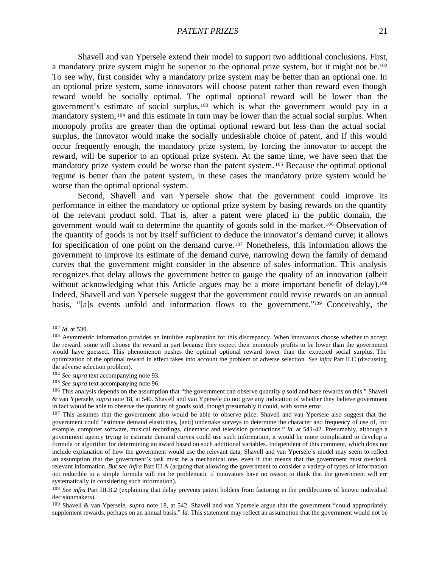Shavell and van Ypersele extend their model to support two additional conclusions. First, a mandatory prize system might be superior to the optional prize system, but it might not be.<sup>102</sup> To see why, first consider why a mandatory prize system may be better than an optional one. In an optional prize system, some innovators will choose patent rather than reward even though reward would be socially optimal. The optimal optional reward will be lower than the government's estimate of social surplus,103 which is what the government would pay in a mandatory system, <sup>104</sup> and this estimate in turn may be lower than the actual social surplus. When monopoly profits are greater than the optimal optional reward but less than the actual social surplus, the innovator would make the socially undesirable choice of patent, and if this would occur frequently enough, the mandatory prize system, by forcing the innovator to accept the reward, will be superior to an optional prize system. At the same time, we have seen that the mandatory prize system could be worse than the patent system. <sup>105</sup> Because the optimal optional regime is better than the patent system, in these cases the mandatory prize system would be worse than the optimal optional system.

Second, Shavell and van Ypersele show that the government could improve its performance in either the mandatory or optional prize system by basing rewards on the quantity of the relevant product sold. That is, after a patent were placed in the public domain, the government would wait to determine the quantity of goods sold in the market.106 Observation of the quantity of goods is not by itself sufficient to deduce the innovator's demand curve; it allows for specification of one point on the demand curve.107 Nonetheless, this information allows the government to improve its estimate of the demand curve, narrowing down the family of demand curves that the government might consider in the absence of sales information. This analysis recognizes that delay allows the government better to gauge the quality of an innovation (albeit without acknowledging what this Article argues may be a more important benefit of delay).<sup>108</sup> Indeed, Shavell and van Ypersele suggest that the government could revise rewards on an annual basis, "[a]s events unfold and information flows to the government."109 Conceivably, the

<sup>102</sup> *Id.* at 539.

<sup>&</sup>lt;sup>103</sup> Asymmetric information provides an intuitive explanation for this discrepancy. When innovators choose whether to accept the reward, some will choose the reward in part because they expect their monopoly profits to be lower than the government would have guessed. This phenomenon pushes the optimal optional reward lower than the expected social surplus. The optimization of the optional reward in effect takes into account the problem of adverse selection. *See infra* Part II.C (discussing the adverse selection problem).

<sup>104</sup> *See supra* text accompanying note 93.

<sup>105</sup> *See supra* text accompanying note 96.

<sup>&</sup>lt;sup>106</sup> This analysis depends on the assumption that "the government can observe quantity  $q$  sold and base rewards on this." Shavell & van Ypersele, *supra* note 18, at 540. Shavell and van Ypersele do not give any indication of whether they believe government in fact would be able to observe the quantity of goods sold, though presumably it could, with some error.

<sup>&</sup>lt;sup>107</sup> This assumes that the government also would be able to observe price. Shavell and van Ypersele also suggest that the government could "estimate demand elasticities, [and] undertake surveys to determine the character and frequency of use of, for example, computer software, musical recordings, cinematic and television productions." *Id.* at 541-42. Presumably, although a government agency trying to estimate demand curves could use such information, it would be more complicated to develop a formula or algorithm for determining an award based on such additional variables. Independent of this comment, which does not include explanation of how the government would use the relevant data, Shavell and van Ypersele's model may seem to reflect an assumption that the government's task must be a mechanical one, even if that means that the government must overlook relevant information. *But see infra* Part III.A (arguing that allowing the government to consider a variety of types of information not reducible to a simple formula will not be problematic if innovators have no reason to think that the government will err systematically in considering such information).

<sup>&</sup>lt;sup>108</sup> See infra Part III.B.2 (explaining that delay prevents patent holders from factoring in the predilections of known individual decisionmakers).

<sup>109</sup> Shavell & van Ypersele, *supra* note 18, at 542. Shavell and van Ypersele argue that the government "could appropriately supplement rewards, perhaps on an annual basis." *Id.* This statement may reflect an assumption that the government would not be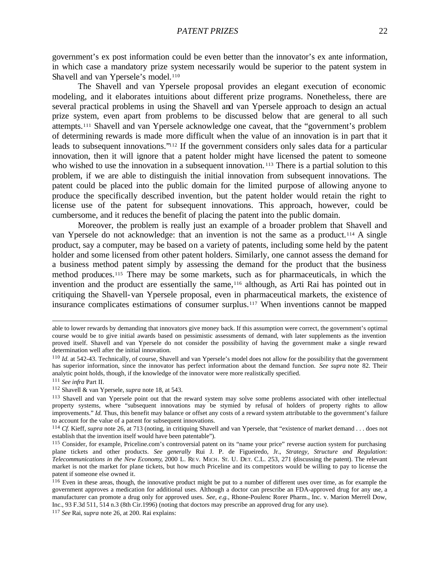government's ex post information could be even better than the innovator's ex ante information, in which case a mandatory prize system necessarily would be superior to the patent system in Shavell and van Ypersele's model.<sup>110</sup>

The Shavell and van Ypersele proposal provides an elegant execution of economic modeling, and it elaborates intuitions about different prize programs. Nonetheless, there are several practical problems in using the Shavell and van Ypersele approach to design an actual prize system, even apart from problems to be discussed below that are general to all such attempts.111 Shavell and van Ypersele acknowledge one caveat, that the "government's problem of determining rewards is made more difficult when the value of an innovation is in part that it leads to subsequent innovations."112 If the government considers only sales data for a particular innovation, then it will ignore that a patent holder might have licensed the patent to someone who wished to use the innovation in a subsequent innovation.<sup>113</sup> There is a partial solution to this problem, if we are able to distinguish the initial innovation from subsequent innovations. The patent could be placed into the public domain for the limited purpose of allowing anyone to produce the specifically described invention, but the patent holder would retain the right to license use of the patent for subsequent innovations. This approach, however, could be cumbersome, and it reduces the benefit of placing the patent into the public domain.

Moreover, the problem is really just an example of a broader problem that Shavell and van Ypersele do not acknowledge: that an invention is not the same as a product.114 A single product, say a computer, may be based on a variety of patents, including some held by the patent holder and some licensed from other patent holders. Similarly, one cannot assess the demand for a business method patent simply by assessing the demand for the product that the business method produces.115 There may be some markets, such as for pharmaceuticals, in which the invention and the product are essentially the same,116 although, as Arti Rai has pointed out in critiquing the Shavell-van Ypersele proposal, even in pharmaceutical markets, the existence of insurance complicates estimations of consumer surplus.117 When inventions cannot be mapped

able to lower rewards by demanding that innovators give money back. If this assumption were correct, the government's optimal course would be to give initial awards based on pessimistic assessments of demand, with later supplements as the invention proved itself. Shavell and van Ypersele do not consider the possibility of having the government make a single reward determination well after the initial innovation.

<sup>&</sup>lt;sup>110</sup> *Id.* at 542-43. Technically, of course, Shavell and van Ypersele's model does not allow for the possibility that the government has superior information, since the innovator has perfect information about the demand function. *See supra* note 82. Their analytic point holds, though, if the knowledge of the innovator were more realistically specified.

<sup>111</sup> *See infra* Part II.

<sup>112</sup> Shavell & van Ypersele, *supra* note 18, at 543.

<sup>113</sup> Shavell and van Ypersele point out that the reward system may solve some problems associated with other intellectual property systems, where "subsequent innovations may be stymied by refusal of holders of property rights to allow improvements." *Id.* Thus, this benefit may balance or offset any costs of a reward system attributable to the government's failure to account for the value of a patent for subsequent innovations.

<sup>&</sup>lt;sup>114</sup> *Cf.* Kieff, *supra* note 26, at 713 (noting, in critiquing Shavell and van Ypersele, that "existence of market demand . . . does not establish that the invention itself would have been patentable").

<sup>115</sup> Consider, for example, Priceline.com's controversial patent on its "name your price" reverse auction system for purchasing plane tickets and other products. *See generally* Rui J. P. de Figueiredo, Jr., *Strategy, Structure and Regulation: Telecommunications in the New Economy*, 2000 L. RE V. MICH. ST. U. DET. C.L. 253, 271 (discussing the patent). The relevant market is not the market for plane tickets, but how much Priceline and its competitors would be willing to pay to license the patent if someone else owned it.

<sup>&</sup>lt;sup>116</sup> Even in these areas, though, the innovative product might be put to a number of different uses over time, as for example the government approves a medication for additional uses. Although a doctor can prescribe an FDA-approved drug for any use, a manufacturer can promote a drug only for approved uses. *See, e.g.*, Rhone-Poulenc Rorer Pharm., Inc. v. Marion Merrell Dow, Inc., 93 F.3d 511, 514 n.3 (8th Cir.1996) (noting that doctors may prescribe an approved drug for any use).

<sup>117</sup> *See* Rai, *supra* note 26, at 200. Rai explains: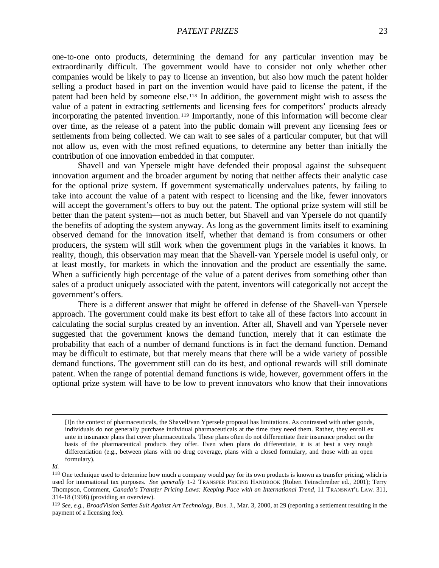one-to-one onto products, determining the demand for any particular invention may be extraordinarily difficult. The government would have to consider not only whether other companies would be likely to pay to license an invention, but also how much the patent holder selling a product based in part on the invention would have paid to license the patent, if the patent had been held by someone else.118 In addition, the government might wish to assess the value of a patent in extracting settlements and licensing fees for competitors' products already incorporating the patented invention. <sup>119</sup> Importantly, none of this information will become clear over time, as the release of a patent into the public domain will prevent any licensing fees or settlements from being collected. We can wait to see sales of a particular computer, but that will not allow us, even with the most refined equations, to determine any better than initially the contribution of one innovation embedded in that computer.

Shavell and van Ypersele might have defended their proposal against the subsequent innovation argument and the broader argument by noting that neither affects their analytic case for the optional prize system. If government systematically undervalues patents, by failing to take into account the value of a patent with respect to licensing and the like, fewer innovators will accept the government's offers to buy out the patent. The optional prize system will still be better than the patent system—not as much better, but Shavell and van Ypersele do not quantify the benefits of adopting the system anyway. As long as the government limits itself to examining observed demand for the innovation itself, whether that demand is from consumers or other producers, the system will still work when the government plugs in the variables it knows. In reality, though, this observation may mean that the Shavell-van Ypersele model is useful only, or at least mostly, for markets in which the innovation and the product are essentially the same. When a sufficiently high percentage of the value of a patent derives from something other than sales of a product uniquely associated with the patent, inventors will categorically not accept the government's offers.

There is a different answer that might be offered in defense of the Shavell-van Ypersele approach. The government could make its best effort to take all of these factors into account in calculating the social surplus created by an invention. After all, Shavell and van Ypersele never suggested that the government knows the demand function, merely that it can estimate the probability that each of a number of demand functions is in fact the demand function. Demand may be difficult to estimate, but that merely means that there will be a wide variety of possible demand functions. The government still can do its best, and optional rewards will still dominate patent. When the range of potential demand functions is wide, however, government offers in the optional prize system will have to be low to prevent innovators who know that their innovations

<sup>[</sup>I]n the context of pharmaceuticals, the Shavell/van Ypersele proposal has limitations. As contrasted with other goods, individuals do not generally purchase individual pharmaceuticals at the time they need them. Rather, they enroll ex ante in insurance plans that cover pharmaceuticals. These plans often do not differentiate their insurance product on the basis of the pharmaceutical products they offer. Even when plans do differentiate, it is at best a very rough differentiation (e.g., between plans with no drug coverage, plans with a closed formulary, and those with an open formulary).

*Id.*

<sup>&</sup>lt;sup>118</sup> One technique used to determine how much a company would pay for its own products is known as transfer pricing, which is used for international tax purposes. *See generally* 1-2 TRANSFER PRICING HANDBOOK (Robert Feinschreiber ed., 2001); Terry Thompson, Comment, *Canada's Transfer Pricing Laws: Keeping Pace with an International Trend*, 11 TRANSNAT'L LAW. 311, 314-18 (1998) (providing an overview).

<sup>119</sup> *See, e.g.*, *BroadVision Settles Suit Against Art Technology*, BUS. J., Mar. 3, 2000, at 29 (reporting a settlement resulting in the payment of a licensing fee).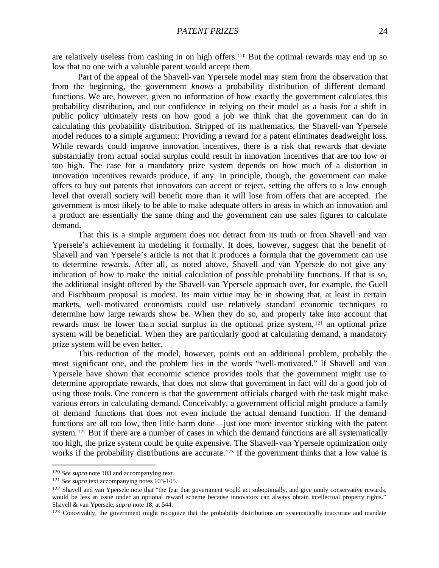are relatively useless from cashing in on high offers.120 But the optimal rewards may end up so low that no one with a valuable patent would accept them.

Part of the appeal of the Shavell-van Ypersele model may stem from the observation that from the beginning, the government *knows* a probability distribution of different demand functions. We are, however, given no information of how exactly the government calculates this probability distribution, and our confidence in relying on their model as a basis for a shift in public policy ultimately rests on how good a job we think that the government can do in calculating this probability distribution. Stripped of its mathematics, the Shavell-van Ypersele model reduces to a simple argument: Providing a reward for a patent eliminates deadweight loss. While rewards could improve innovation incentives, there is a risk that rewards that deviate substantially from actual social surplus could result in innovation incentives that are too low or too high. The case for a mandatory prize system depends on how much of a distortion in innovation incentives rewards produce, if any. In principle, though, the government can make offers to buy out patents that innovators can accept or reject, setting the offers to a low enough level that overall society will benefit more than it will lose from offers that are accepted. The government is most likely to be able to make adequate offers in areas in which an innovation and a product are essentially the same thing and the government can use sales figures to calculate demand.

That this is a simple argument does not detract from its truth or from Shavell and van Ypersele's achievement in modeling it formally. It does, however, suggest that the benefit of Shavell and van Ypersele's article is not that it produces a formula that the government can use to determine rewards. After all, as noted above, Shavell and van Ypersele do not give any indication of how to make the initial calculation of possible probability functions. If that is so, the additional insight offered by the Shavell-van Ypersele approach over, for example, the Guell and Fischbaum proposal is modest. Its main virtue may be in showing that, at least in certain markets, well-motivated economists could use relatively standard economic techniques to determine how large rewards show be. When they do so, and properly take into account that rewards must be lower than social surplus in the optional prize system, <sup>121</sup> an optional prize system will be beneficial. When they are particularly good at calculating demand, a mandatory prize system will be even better.

This reduction of the model, however, points out an additional problem, probably the most significant one, and the problem lies in the words "well-motivated." If Shavell and van Ypersele have shown that economic science provides tools that the government might use to determine appropriate rewards, that does not show that government in fact will do a good job of using those tools. One concern is that the government officials charged with the task might make various errors in calculating demand. Conceivably, a government official might produce a family of demand functions that does not even include the actual demand function. If the demand functions are all too low, then little harm done—just one more inventor sticking with the patent system. <sup>122</sup> But if there are a number of cases in which the demand functions are all systematically too high, the prize system could be quite expensive. The Shavell-van Ypersele optimization only works if the probability distributions are accurate.<sup>123</sup> If the government thinks that a low value is

<sup>120</sup> *See supra* note 103 and accompanying text.

<sup>121</sup> *See supra* text accompanying notes 103-105.

 $122$  Shavell and van Ypersele note that "the fear that government would act suboptimally, and give unuly conservative rewards, would be less an issue under an optional reward scheme because innovators can always obtain intellectual property rights." Shavell & van Ypersele, *supra* note 18, at 544.

<sup>&</sup>lt;sup>123</sup> Conceivably, the government might recognize that the probability distributions are systematically inaccurate and mandate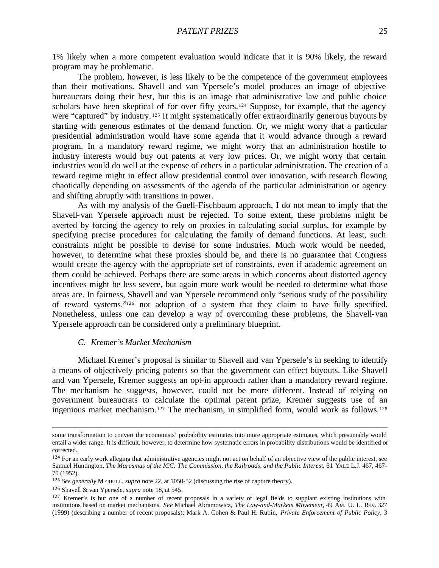The problem, however, is less likely to be the competence of the government employees than their motivations. Shavell and van Ypersele's model produces an image of objective bureaucrats doing their best, but this is an image that administrative law and public choice scholars have been skeptical of for over fifty years.<sup>124</sup> Suppose, for example, that the agency were "captured" by industry.<sup>125</sup> It might systematically offer extraordinarily generous buyouts by starting with generous estimates of the demand function. Or, we might worry that a particular presidential administration would have some agenda that it would advance through a reward program. In a mandatory reward regime, we might worry that an administration hostile to industry interests would buy out patents at very low prices. Or, we might worry that certain industries would do well at the expense of others in a particular administration. The creation of a reward regime might in effect allow presidential control over innovation, with research flowing chaotically depending on assessments of the agenda of the particular administration or agency and shifting abruptly with transitions in power.

As with my analysis of the Guell-Fischbaum approach, I do not mean to imply that the Shavell-van Ypersele approach must be rejected. To some extent, these problems might be averted by forcing the agency to rely on proxies in calculating social surplus, for example by specifying precise procedures for calculating the family of demand functions. At least, such constraints might be possible to devise for some industries. Much work would be needed, however, to determine what these proxies should be, and there is no guarantee that Congress would create the agency with the appropriate set of constraints, even if academic agreement on them could be achieved. Perhaps there are some areas in which concerns about distorted agency incentives might be less severe, but again more work would be needed to determine what those areas are. In fairness, Shavell and van Ypersele recommend only "serious study of the possibility of reward systems,"126 not adoption of a system that they claim to have fully specified. Nonetheless, unless one can develop a way of overcoming these problems, the Shavell-van Ypersele approach can be considered only a preliminary blueprint.

#### *C. Kremer's Market Mechanism*

Michael Kremer's proposal is similar to Shavell and van Ypersele's in seeking to identify a means of objectively pricing patents so that the government can effect buyouts. Like Shavell and van Ypersele, Kremer suggests an opt-in approach rather than a mandatory reward regime. The mechanism he suggests, however, could not be more different. Instead of relying on government bureaucrats to calculate the optimal patent prize, Kremer suggests use of an ingenious market mechanism.127 The mechanism, in simplified form, would work as follows.<sup>128</sup>

some transformation to convert the economists' probability estimates into more appropriate estimates, which presumably would entail a wider range. It is difficult, however, to determine how systematic errors in probability distributions would be identified or corrected.

<sup>&</sup>lt;sup>124</sup> For an early work alleging that administrative agencies might not act on behalf of an objective view of the public interest, see Samuel Huntington, *The Marasmus of the ICC: The Commission, the Railroads, and the Public Interest*, 61 YALE L.J. 467, 467-70 (1952).

<sup>125</sup> *See generally* MERRILL, *supra* note 22, at 1050-52 (discussing the rise of capture theory).

<sup>126</sup> Shavell & van Ypersele, *supra* note 18, at 545.

 $127$  Kremer's is but one of a number of recent proposals in a variety of legal fields to supplant existing institutions with institutions based on market mechanisms. *See* Michael Abramowicz, *The Law-and-Markets Movement*, 49 AM. U. L. REV. 327 (1999) (describing a number of recent proposals); Mark A. Cohen & Paul H. Rubin, *Private Enforcement of Public Policy*, 3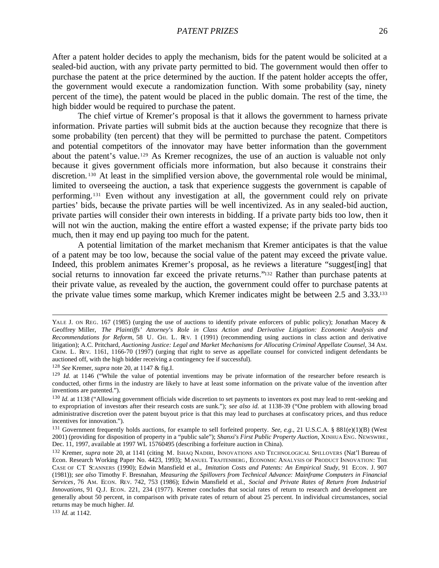After a patent holder decides to apply the mechanism, bids for the patent would be solicited at a sealed-bid auction, with any private party permitted to bid. The government would then offer to purchase the patent at the price determined by the auction. If the patent holder accepts the offer, the government would execute a randomization function. With some probability (say, ninety percent of the time), the patent would be placed in the public domain. The rest of the time, the high bidder would be required to purchase the patent.

The chief virtue of Kremer's proposal is that it allows the government to harness private information. Private parties will submit bids at the auction because they recognize that there is some probability (ten percent) that they will be permitted to purchase the patent. Competitors and potential competitors of the innovator may have better information than the government about the patent's value.129 As Kremer recognizes, the use of an auction is valuable not only because it gives government officials more information, but also because it constrains their discretion. <sup>130</sup> At least in the simplified version above, the governmental role would be minimal, limited to overseeing the auction, a task that experience suggests the government is capable of performing.131 Even without any investigation at all, the government could rely on private parties' bids, because the private parties will be well incentivized. As in any sealed-bid auction, private parties will consider their own interests in bidding. If a private party bids too low, then it will not win the auction, making the entire effort a wasted expense; if the private party bids too much, then it may end up paying too much for the patent.

A potential limitation of the market mechanism that Kremer anticipates is that the value of a patent may be too low, because the social value of the patent may exceed the private value. Indeed, this problem animates Kremer's proposal, as he reviews a literature "suggest[ing] that social returns to innovation far exceed the private returns."<sup>132</sup> Rather than purchase patents at their private value, as revealed by the auction, the government could offer to purchase patents at the private value times some markup, which Kremer indicates might be between 2.5 and 3.33.<sup>133</sup>

<sup>128</sup> *See* Kremer, *supra* note 20, at 1147 & fig.I.

<sup>133</sup> *Id.* at 1142.

YALE J. ON REG. 167 (1985) (urging the use of auctions to identify private enforcers of public policy); Jonathan Macey & Geoffrey Miller, *The Plaintiffs' Attorney's Role in Class Action and Derivative Litigation: Economic Analysis and Recommendations for Reform*, 58 U. CHI. L. REV. 1 (1991) (recommending using auctions in class action and derivative litigation); A.C. Pritchard, *Auctioning Justice: Legal and Market Mechanisms for Allocating Criminal Appellate Counsel*, 34 AM. CRIM. L. REV. 1161, 1166-70 (1997) (urging that right to serve as appellate counsel for convicted indigent defendants be auctioned off, with the high bidder receiving a contingency fee if successful).

<sup>&</sup>lt;sup>129</sup> *Id.* at 1146 ("While the value of potential inventions may be private information of the researcher before research is conducted, other firms in the industry are likely to have at least some information on the private value of the invention after inventions are patented.").

<sup>&</sup>lt;sup>130</sup> *Id.* at 1138 ("Allowing government officials wide discretion to set payments to inventors ex post may lead to rent-seeking and to expropriation of investors after their research costs are sunk."); *see also id.* at 1138-39 ("One problem with allowing broad administrative discretion over the patent buyout price is that this may lead to purchases at confiscatory prices, and thus reduce incentives for innovation.").

<sup>131</sup> Government frequently holds auctions, for example to sell forfeited property. *See, e.g.*, 21 U.S.C.A. § 881(e)(1)(B) (West 2001) (providing for disposition of property in a "public sale"); *Shanxi's First Public Property Auction*, XINHUA ENG. NEWSWIRE, Dec. 11, 1997, available at 1997 WL 15760495 (describing a forfeiture auction in China).

<sup>132</sup> Kremer, *supra* note 20, at 1141 (citing M. ISHAQ NADIRI, INNOVATIONS AND TECHNOLOGICAL SPILLOVERS (Nat'l Bureau of Econ. Research Working Paper No. 4423, 1993); MANUEL TRAJTENBERG, ECONOMIC ANALYSIS OF PRODUCT INNOVATION: THE CASE OF CT SCANNERS (1990); Edwin Mansfield et al., *Imitation Costs and Patents: An Empirical Study*, 91 ECON. J. 907 (1981)); *see also* Timothy F. Bresnahan, *Measuring the Spillovers from Technical Advance: Mainframe Computers in Financial Services*, 76 AM. ECON. REV. 742, 753 (1986); Edwin Mansfield et al., *Social and Private Rates of Return from Industrial Innovations*, 91 Q.J. ECON. 221, 234 (1977). Kremer concludes that social rates of return to research and development are generally about 50 percent, in comparison with private rates of return of about 25 percent. In individual circumstances, social returns may be much higher. *Id.*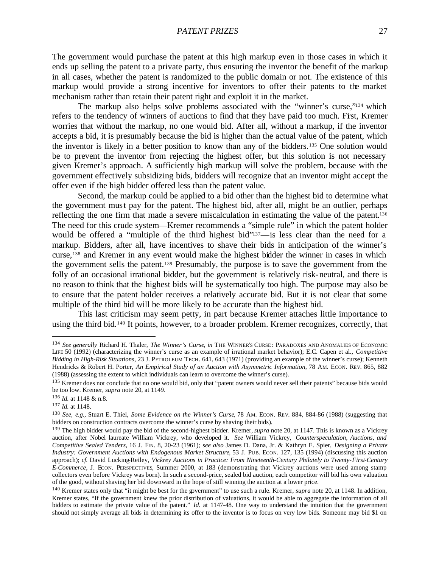The government would purchase the patent at this high markup even in those cases in which it ends up selling the patent to a private party, thus ensuring the inventor the benefit of the markup in all cases, whether the patent is randomized to the public domain or not. The existence of this markup would provide a strong incentive for inventors to offer their patents to the market mechanism rather than retain their patent right and exploit it in the market.

The markup also helps solve problems associated with the "winner's curse,"<sup>134</sup> which refers to the tendency of winners of auctions to find that they have paid too much. First, Kremer worries that without the markup, no one would bid. After all, without a markup, if the inventor accepts a bid, it is presumably because the bid is higher than the actual value of the patent, which the inventor is likely in a better position to know than any of the bidders.135 One solution would be to prevent the inventor from rejecting the highest offer, but this solution is not necessary given Kremer's approach. A sufficiently high markup will solve the problem, because with the government effectively subsidizing bids, bidders will recognize that an inventor might accept the offer even if the high bidder offered less than the patent value.

Second, the markup could be applied to a bid other than the highest bid to determine what the government must pay for the patent. The highest bid, after all, might be an outlier, perhaps reflecting the one firm that made a severe miscalculation in estimating the value of the patent.<sup>136</sup> The need for this crude system—Kremer recommends a "simple rule" in which the patent holder would be offered a "multiple of the third highest bid"<sup>137</sup>—is less clear than the need for a markup. Bidders, after all, have incentives to shave their bids in anticipation of the winner's curse,138 and Kremer in any event would make the highest bidder the winner in cases in which the government sells the patent.139 Presumably, the purpose is to save the government from the folly of an occasional irrational bidder, but the government is relatively risk-neutral, and there is no reason to think that the highest bids will be systematically too high. The purpose may also be to ensure that the patent holder receives a relatively accurate bid. But it is not clear that some multiple of the third bid will be more likely to be accurate than the highest bid.

This last criticism may seem petty, in part because Kremer attaches little importance to using the third bid.140 It points, however, to a broader problem. Kremer recognizes, correctly, that

<sup>134</sup> *See generally* Richard H. Thaler, *The Winner's Curse*, *in* THE WINNER'S CURSE: PARADOXES AND ANOMALIES OF ECONOMIC LIFE 50 (1992) (characterizing the winner's curse as an example of irrational market behavior); E.C. Capen et al., *Competitive Bidding in High-Risk Situations*, 23 J. PETROLEUM TECH. 641, 643 (1971) (providing an example of the winner's curse); Kenneth Hendricks & Robert H. Porter, *An Empirical Study of an Auction with Asymmetric Information*, 78 AM. ECON. REV. 865, 882 (1988) (assessing the extent to which individuals can learn to overcome the winner's curse).

<sup>&</sup>lt;sup>135</sup> Kremer does not conclude that no one would bid, only that "patent owners would never sell their patents" because bids would be too low. Kremer, *supra* note 20, at 1149.

<sup>136</sup> *Id.* at 1148 & n.8.

<sup>137</sup> *Id.* at 1148.

<sup>138</sup> *See, e.g.*, Stuart E. Thiel, *Some Evidence on the Winner's Curse*, 78 AM. ECON. REV. 884, 884-86 (1988) (suggesting that bidders on construction contracts overcome the winner's curse by shaving their bids).

<sup>139</sup> The high bidder would pay the bid of the second-highest bidder. Kremer, *supra* note 20, at 1147. This is known as a Vickrey auction, after Nobel laureate William Vickrey, who developed it. *See* William Vickrey, *Counterspeculation, Auctions, and Competitive Sealed Tenders*, 16 J. FIN. 8, 20-23 (1961); *see also* James D. Dana, Jr. & Kathryn E. Spier, *Designing a Private Industry: Government Auctions with Endogenous Market Structure*, 53 J. PUB. ECON. 127, 135 (1994) (discussing this auction approach); *cf.* David Lucking-Reiley, *Vickrey Auctions in Practice: From Nineteenth-Century Philately to Twenty-First-Century E-Commerce*, J. ECON. PERSPECTIVES, Summer 2000, at 183 (demonstrating that Vickrey auctions were used among stamp collectors even before Vickrey was born). In such a second-price, sealed bid auction, each competitor will bid his own valuation of the good, without shaving her bid downward in the hope of still winning the auction at a lower price.

<sup>140</sup> Kremer states only that "it might be best for the government" to use such a rule. Kremer, *supra* note 20, at 1148. In addition, Kremer states, "If the government knew the prior distribution of valuations, it would be able to aggregate the information of all bidders to estimate the private value of the patent." *Id.* at 1147-48. One way to understand the intuition that the government should not simply average all bids in determining its offer to the inventor is to focus on very low bids. Someone may bid \$1 on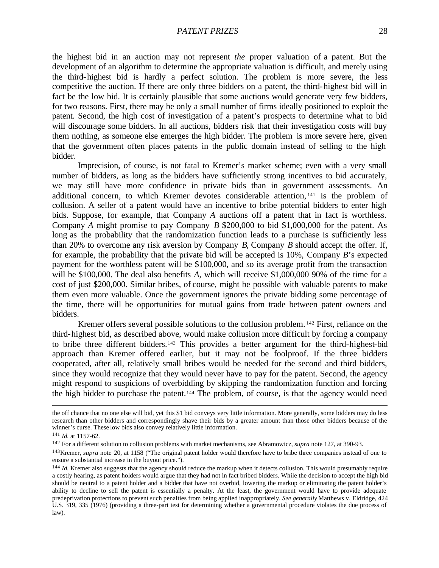the highest bid in an auction may not represent *the* proper valuation of a patent. But the development of an algorithm to determine the appropriate valuation is difficult, and merely using the third-highest bid is hardly a perfect solution. The problem is more severe, the less competitive the auction. If there are only three bidders on a patent, the third-highest bid will in fact be the low bid. It is certainly plausible that some auctions would generate very few bidders, for two reasons. First, there may be only a small number of firms ideally positioned to exploit the patent. Second, the high cost of investigation of a patent's prospects to determine what to bid will discourage some bidders. In all auctions, bidders risk that their investigation costs will buy them nothing, as someone else emerges the high bidder. The problem is more severe here, given that the government often places patents in the public domain instead of selling to the high bidder.

Imprecision, of course, is not fatal to Kremer's market scheme; even with a very small number of bidders, as long as the bidders have sufficiently strong incentives to bid accurately, we may still have more confidence in private bids than in government assessments. An additional concern, to which Kremer devotes considerable attention, <sup>141</sup> is the problem of collusion. A seller of a patent would have an incentive to bribe potential bidders to enter high bids. Suppose, for example, that Company *A* auctions off a patent that in fact is worthless. Company *A* might promise to pay Company *B* \$200,000 to bid \$1,000,000 for the patent. As long as the probability that the randomization function leads to a purchase is sufficiently less than 20% to overcome any risk aversion by Company *B*, Company *B* should accept the offer. If, for example, the probability that the private bid will be accepted is 10%, Company *B*'s expected payment for the worthless patent will be \$100,000, and so its average profit from the transaction will be \$100,000. The deal also benefits *A*, which will receive \$1,000,000 90% of the time for a cost of just \$200,000. Similar bribes, of course, might be possible with valuable patents to make them even more valuable. Once the government ignores the private bidding some percentage of the time, there will be opportunities for mutual gains from trade between patent owners and bidders.

Kremer offers several possible solutions to the collusion problem. <sup>142</sup> First, reliance on the third-highest bid, as described above, would make collusion more difficult by forcing a company to bribe three different bidders.143 This provides a better argument for the third-highest-bid approach than Kremer offered earlier, but it may not be foolproof. If the three bidders cooperated, after all, relatively small bribes would be needed for the second and third bidders, since they would recognize that they would never have to pay for the patent. Second, the agency might respond to suspicions of overbidding by skipping the randomization function and forcing the high bidder to purchase the patent.<sup>144</sup> The problem, of course, is that the agency would need

the off chance that no one else will bid, yet this \$1 bid conveys very little information. More generally, some bidders may do less research than other bidders and correspondingly shave their bids by a greater amount than those other bidders because of the winner's curse. These low bids also convey relatively little information.

<sup>141</sup> *Id.* at 1157-62.

<sup>142</sup> For a different solution to collusion problems with market mechanisms, see Abramowicz, *supra* note 127, at 390-93.

<sup>143</sup>Kremer, *supra* note 20, at 1158 ("The original patent holder would therefore have to bribe three companies instead of one to ensure a substantial increase in the buyout price.").

<sup>&</sup>lt;sup>144</sup> *Id.* Kremer also suggests that the agency should reduce the markup when it detects collusion. This would presumably require a costly hearing, as patent holders would argue that they had not in fact bribed bidders. While the decision to accept the high bid should be neutral to a patent holder and a bidder that have not overbid, lowering the markup or eliminating the patent holder's ability to decline to sell the patent is essentially a penalty. At the least, the government would have to provide adequate predeprivation protections to prevent such penalties from being applied inappropriately. *See generally* Matthews v. Eldridge, 424 U.S. 319, 335 (1976) (providing a three-part test for determining whether a governmental procedure violates the due process of law).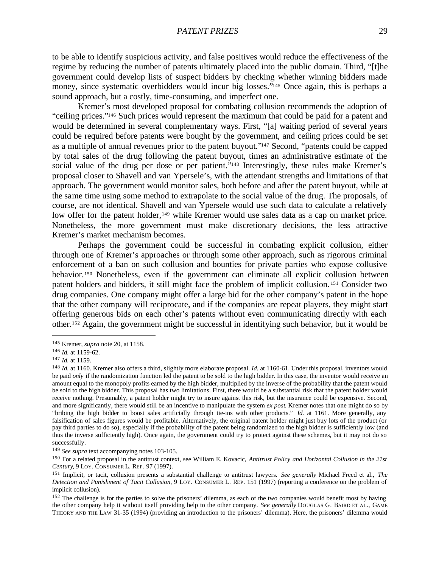to be able to identify suspicious activity, and false positives would reduce the effectiveness of the regime by reducing the number of patents ultimately placed into the public domain. Third, "[t]he government could develop lists of suspect bidders by checking whether winning bidders made money, since systematic overbidders would incur big losses."145 Once again, this is perhaps a sound approach, but a costly, time-consuming, and imperfect one.

Kremer's most developed proposal for combating collusion recommends the adoption of "ceiling prices."146 Such prices would represent the maximum that could be paid for a patent and would be determined in several complementary ways. First, "[a] waiting period of several years could be required before patents were bought by the government, and ceiling prices could be set as a multiple of annual revenues prior to the patent buyout."147 Second, "patents could be capped by total sales of the drug following the patent buyout, times an administrative estimate of the social value of the drug per dose or per patient."<sup>148</sup> Interestingly, these rules make Kremer's proposal closer to Shavell and van Ypersele's, with the attendant strengths and limitations of that approach. The government would monitor sales, both before and after the patent buyout, while at the same time using some method to extrapolate to the social value of the drug. The proposals, of course, are not identical. Shavell and van Ypersele would use such data to calculate a relatively low offer for the patent holder,<sup>149</sup> while Kremer would use sales data as a cap on market price. Nonetheless, the more government must make discretionary decisions, the less attractive Kremer's market mechanism becomes.

Perhaps the government could be successful in combating explicit collusion, either through one of Kremer's approaches or through some other approach, such as rigorous criminal enforcement of a ban on such collusion and bounties for private parties who expose collusive behavior.150 Nonetheless, even if the government can eliminate all explicit collusion between patent holders and bidders, it still might face the problem of implicit collusion. <sup>151</sup> Consider two drug companies. One company might offer a large bid for the other company's patent in the hope that the other company will reciprocate, and if the companies are repeat players, they might start offering generous bids on each other's patents without even communicating directly with each other.152 Again, the government might be successful in identifying such behavior, but it would be

<sup>145</sup> Kremer, *supra* note 20, at 1158.

<sup>146</sup> *Id.* at 1159-62.

<sup>147</sup> *Id.* at 1159.

<sup>148</sup> *Id.* at 1160. Kremer also offers a third, slightly more elaborate proposal. *Id.* at 1160-61. Under this proposal, inventors would be paid *only* if the randomization function led the patent to be sold to the high bidder. In this case, the inventor would receive an amount equal to the monopoly profits earned by the high bidder, multiplied by the inverse of the probability that the patent would be sold to the high bidder. This proposal has two limitations. First, there would be a substantial risk that the patent holder would receive nothing. Presumably, a patent holder might try to insure against this risk, but the insurance could be expensive. Second, and more significantly, there would still be an incentive to manipulate the system *ex post*. Kremer notes that one might do so by "bribing the high bidder to boost sales artificially through tie-ins with other products." *Id.* at 1161. More generally, any falsification of sales figures would be profitable. Alternatively, the original patent holder might just buy lots of the product (or pay third parties to do so), especially if the probability of the patent being randomized to the high bidder is sufficiently low (and thus the inverse sufficiently high). Once again, the government could try to protect against these schemes, but it may not do so successfully.

<sup>149</sup> *See supra* text accompanying notes 103-105.

<sup>150</sup> For a related proposal in the antitrust context, see William E. Kovacic, *Antitrust Policy and Horizontal Collusion in the 21st Century*, 9 LOY. CONSUMER L. REP. 97 (1997).

<sup>151</sup> Implicit, or tacit, collusion presents a substantial challenge to antitrust lawyers. *See generally* Michael Freed et al., *The Detection and Punishment of Tacit Collusion*, 9 LOY. CONSUMER L. REP. 151 (1997) (reporting a conference on the problem of implicit collusion).

<sup>&</sup>lt;sup>152</sup> The challenge is for the parties to solve the prisoners' dilemma, as each of the two companies would benefit most by having the other company help it without itself providing help to the other company. *See generally* DOUGLAS G. BAIRD ET AL., GAME THEORY AND THE LAW 31-35 (1994) (providing an introduction to the prisoners' dilemma). Here, the prisoners' dilemma would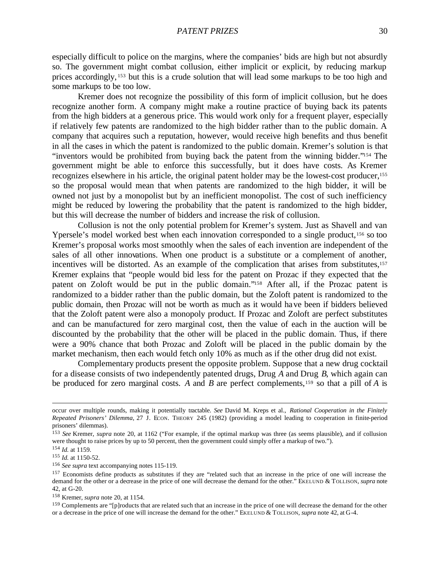especially difficult to police on the margins, where the companies' bids are high but not absurdly so. The government might combat collusion, either implicit or explicit, by reducing markup prices accordingly, <sup>153</sup> but this is a crude solution that will lead some markups to be too high and some markups to be too low.

Kremer does not recognize the possibility of this form of implicit collusion, but he does recognize another form. A company might make a routine practice of buying back its patents from the high bidders at a generous price. This would work only for a frequent player, especially if relatively few patents are randomized to the high bidder rather than to the public domain. A company that acquires such a reputation, however, would receive high benefits and thus benefit in all the cases in which the patent is randomized to the public domain. Kremer's solution is that "inventors would be prohibited from buying back the patent from the winning bidder."154 The government might be able to enforce this successfully, but it does have costs. As Kremer recognizes elsewhere in his article, the original patent holder may be the lowest-cost producer,<sup>155</sup> so the proposal would mean that when patents are randomized to the high bidder, it will be owned not just by a monopolist but by an inefficient monopolist. The cost of such inefficiency might be reduced by lowering the probability that the patent is randomized to the high bidder, but this will decrease the number of bidders and increase the risk of collusion.

Collusion is not the only potential problem for Kremer's system. Just as Shavell and van Ypersele's model worked best when each innovation corresponded to a single product,<sup>156</sup> so too Kremer's proposal works most smoothly when the sales of each invention are independent of the sales of all other innovations. When one product is a substitute or a complement of another, incentives will be distorted. As an example of the complication that arises from substitutes,<sup>157</sup> Kremer explains that "people would bid less for the patent on Prozac if they expected that the patent on Zoloft would be put in the public domain."158 After all, if the Prozac patent is randomized to a bidder rather than the public domain, but the Zoloft patent is randomized to the public domain, then Prozac will not be worth as much as it would have been if bidders believed that the Zoloft patent were also a monopoly product. If Prozac and Zoloft are perfect substitutes and can be manufactured for zero marginal cost, then the value of each in the auction will be discounted by the probability that the other will be placed in the public domain. Thus, if there were a 90% chance that both Prozac and Zoloft will be placed in the public domain by the market mechanism, then each would fetch only 10% as much as if the other drug did not exist.

Complementary products present the opposite problem. Suppose that a new drug cocktail for a disease consists of two independently patented drugs, Drug *A* and Drug *B*, which again can be produced for zero marginal costs. *A* and *B* are perfect complements,159 so that a pill of *A* is

occur over multiple rounds, making it potentially tractable. *See* David M. Kreps et al., *Rational Cooperation in the Finitely Repeated Prisoners' Dilemma*, 27 J. ECON. THEORY 245 (1982) (providing a model leading to cooperation in finite-period prisoners' dilemmas).

<sup>153</sup> *See* Kremer, *supra* note 20, at 1162 ("For example, if the optimal markup was three (as seems plausible), and if collusion were thought to raise prices by up to 50 percent, then the government could simply offer a markup of two.").

<sup>154</sup> *Id.* at 1159.

<sup>155</sup> *Id.* at 1150-52.

<sup>156</sup> *See supra* text accompanying notes 115-119.

<sup>&</sup>lt;sup>157</sup> Economists define products as substitutes if they are "related such that an increase in the price of one will increase the demand for the other or a decrease in the price of one will decrease the demand for the other." EKELUND & TOLLISON, *supra* note 42, at G-20.

<sup>158</sup> Kremer, *supra* note 20, at 1154.

<sup>&</sup>lt;sup>159</sup> Complements are "[p]roducts that are related such that an increase in the price of one will decrease the demand for the other or a decrease in the price of one will increase the demand for the other." EKELUND & TOLLISON, *supra* note 42, at G-4.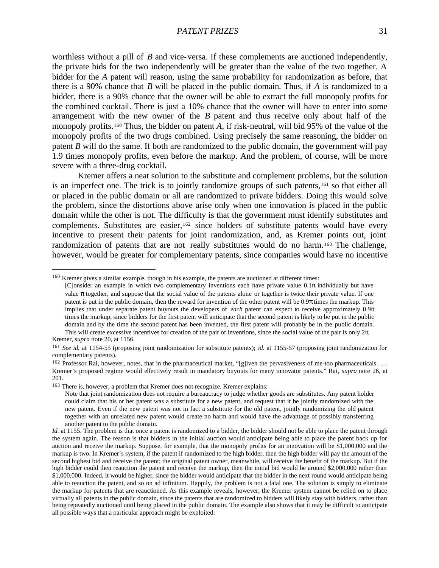worthless without a pill of *B* and vice-versa. If these complements are auctioned independently, the private bids for the two independently will be greater than the value of the two together. A bidder for the *A* patent will reason, using the same probability for randomization as before, that there is a 90% chance that *B* will be placed in the public domain. Thus, if *A* is randomized to a bidder, there is a 90% chance that the owner will be able to extract the full monopoly profits for the combined cocktail. There is just a 10% chance that the owner will have to enter into some arrangement with the new owner of the *B* patent and thus receive only about half of the monopoly profits.160 Thus, the bidder on patent *A*, if risk-neutral, will bid 95% of the value of the monopoly profits of the two drugs combined. Using precisely the same reasoning, the bidder on patent *B* will do the same. If both are randomized to the public domain, the government will pay 1.9 times monopoly profits, even before the markup. And the problem, of course, will be more severe with a three-drug cocktail.

Kremer offers a neat solution to the substitute and complement problems, but the solution is an imperfect one. The trick is to jointly randomize groups of such patents,161 so that either all or placed in the public domain or all are randomized to private bidders. Doing this would solve the problem, since the distortions above arise only when one innovation is placed in the public domain while the other is not. The difficulty is that the government must identify substitutes and complements. Substitutes are easier,<sup>162</sup> since holders of substitute patents would have every incentive to present their patents for joint randomization, and, as Kremer points out, joint randomization of patents that are not really substitutes would do no harm.163 The challenge, however, would be greater for complementary patents, since companies would have no incentive

<sup>163</sup> There is, however, a problem that Kremer does not recognize. Kremer explains:

<sup>160</sup> Kremer gives a similar example, though in his example, the patents are auctioned at different times:

<sup>[</sup>C]onsider an example in which two complementary inventions each have private value 0.1π individually but have value π together, and suppose that the social value of the patents alone or together is twice their private value. If one patent is put in the public domain, then the reward for invention of the other patent will be  $0.9\pi$  times the markup. This implies that under separate patent buyouts the developers of *each* patent can expect to receive approximately 0.9π times the markup, since bidders for the first patent will anticipate that the second patent is likely to be put in the public domain and by the time the second patent has been invented, the first patent will probably be in the public domain. This will create excessive incentives for creation of the pair of inventions, since the social value of the pair is only  $2\pi$ . Kremer, *supra* note 20, at 1156.

<sup>161</sup> *See id.* at 1154-55 (proposing joint randomization for substitute patents); *id.* at 1155-57 (proposing joint randomization for complementary patents).

<sup>&</sup>lt;sup>162</sup> Professor Rai, however, notes, that in the pharmaceutical market, "[g]iven the pervasiveness of me-too pharmaceuticals . . . Kremer's proposed regime would effectively result in mandatory buyouts for many innovator patents." Rai, *supra* note 26, at 201.

Note that joint randomization does not require a bureaucracy to judge whether goods are substitutes. Any patent holder could claim that his or her patent was a substitute for a new patent, and request that it be jointly randomized with the new patent. Even if the new patent was not in fact a substitute for the old patent, jointly randomizing the old patent together with an unrelated new patent would create no harm and would have the advantage of possibly transferring another patent to the public domain.

*Id.* at 1155. The problem is that once a patent is randomized to a bidder, the bidder should not be able to place the patent through the system again. The reason is that bidders in the initial auction would anticipate being able to place the patent back up for auction and receive the markup. Suppose, for example, that the monopoly profits for an innovation will be \$1,000,000 and the markup is two. In Kremer's system, if the patent if randomized to the high bidder, then the high bidder will pay the amount of the second highest bid and receive the patent; the original patent owner, meanwhile, will receive the benefit of the markup. But if the high bidder could then reauction the patent and receive the markup, then the initial bid would be around \$2,000,000 rather than \$1,000,000. Indeed, it would be higher, since the bidder would anticipate that the bidder in the next round would anticipate being able to reauction the patent, and so on ad infinitum. Happily, the problem is not a fatal one. The solution is simply to eliminate the markup for patents that are reauctioned. As this example reveals, however, the Kremer system cannot be relied on to place virtually all patents in the public domain, since the patents that are randomized to bidders will likely stay with bidders, rather than being repeatedly auctioned until being placed in the public domain. The example also shows that it may be difficult to anticipate all possible ways that a particular approach might be exploited.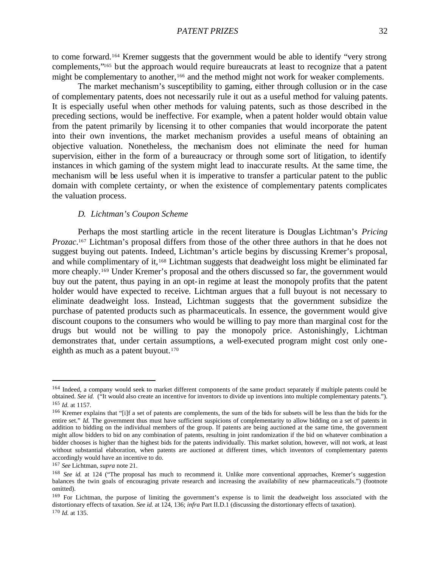to come forward.164 Kremer suggests that the government would be able to identify "very strong complements,"165 but the approach would require bureaucrats at least to recognize that a patent might be complementary to another,<sup>166</sup> and the method might not work for weaker complements.

The market mechanism's susceptibility to gaming, either through collusion or in the case of complementary patents, does not necessarily rule it out as a useful method for valuing patents. It is especially useful when other methods for valuing patents, such as those described in the preceding sections, would be ineffective. For example, when a patent holder would obtain value from the patent primarily by licensing it to other companies that would incorporate the patent into their own inventions, the market mechanism provides a useful means of obtaining an objective valuation. Nonetheless, the mechanism does not eliminate the need for human supervision, either in the form of a bureaucracy or through some sort of litigation, to identify instances in which gaming of the system might lead to inaccurate results. At the same time, the mechanism will be less useful when it is imperative to transfer a particular patent to the public domain with complete certainty, or when the existence of complementary patents complicates the valuation process.

#### *D. Lichtman's Coupon Scheme*

Perhaps the most startling article in the recent literature is Douglas Lichtman's *Pricing Prozac*. <sup>167</sup> Lichtman's proposal differs from those of the other three authors in that he does not suggest buying out patents. Indeed, Lichtman's article begins by discussing Kremer's proposal, and while complimentary of it,168 Lichtman suggests that deadweight loss might be eliminated far more cheaply.169 Under Kremer's proposal and the others discussed so far, the government would buy out the patent, thus paying in an opt-in regime at least the monopoly profits that the patent holder would have expected to receive. Lichtman argues that a full buyout is not necessary to eliminate deadweight loss. Instead, Lichtman suggests that the government subsidize the purchase of patented products such as pharmaceuticals. In essence, the government would give discount coupons to the consumers who would be willing to pay more than marginal cost for the drugs but would not be willing to pay the monopoly price. Astonishingly, Lichtman demonstrates that, under certain assumptions, a well-executed program might cost only oneeighth as much as a patent buyout.<sup>170</sup>

<sup>&</sup>lt;sup>164</sup> Indeed, a company would seek to market different components of the same product separately if multiple patents could be obtained. *See id.* ("It would also create an incentive for inventors to divide up inventions into multiple complementary patents."). <sup>165</sup> *Id.* at 1157.

<sup>&</sup>lt;sup>166</sup> Kremer explains that "[i]f a set of patents are complements, the sum of the bids for subsets will be less than the bids for the entire set." *Id.* The government thus must have sufficient suspicions of complementarity to allow bidding on a set of patents in addition to bidding on the individual members of the group. If patents are being auctioned at the same time, the government might allow bidders to bid on any combination of patents, resulting in joint randomization if the bid on whatever combination a bidder chooses is higher than the highest bids for the patents individually. This market solution, however, will not work, at least without substantial elaboration, when patents are auctioned at different times, which inventors of complementary patents accordingly would have an incentive to do.

<sup>167</sup> *See* Lichtman, *supra* note 21.

<sup>&</sup>lt;sup>168</sup> *See id.* at 124 ("The proposal has much to recommend it. Unlike more conventional approaches, Kremer's suggestion balances the twin goals of encouraging private research and increasing the availability of new pharmaceuticals.") (footnote omitted).

<sup>169</sup> For Lichtman, the purpose of limiting the government's expense is to limit the deadweight loss associated with the distortionary effects of taxation. *See id.* at 124, 136; *infra* Part II.D.1 (discussing the distortionary effects of taxation).

<sup>170</sup> *Id.* at 135.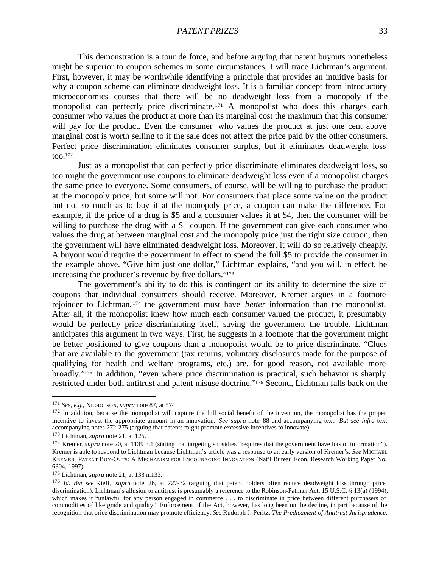PATENT PRIZES 33

This demonstration is a tour de force, and before arguing that patent buyouts nonetheless might be superior to coupon schemes in some circumstances, I will trace Lichtman's argument. First, however, it may be worthwhile identifying a principle that provides an intuitive basis for why a coupon scheme can eliminate deadweight loss. It is a familiar concept from introductory microeconomics courses that there will be no deadweight loss from a monopoly if the monopolist can perfectly price discriminate.171 A monopolist who does this charges each consumer who values the product at more than its marginal cost the maximum that this consumer will pay for the product. Even the consumer who values the product at just one cent above marginal cost is worth selling to if the sale does not affect the price paid by the other consumers. Perfect price discrimination eliminates consumer surplus, but it eliminates deadweight loss too. $172$ 

Just as a monopolist that can perfectly price discriminate eliminates deadweight loss, so too might the government use coupons to eliminate deadweight loss even if a monopolist charges the same price to everyone. Some consumers, of course, will be willing to purchase the product at the monopoly price, but some will not. For consumers that place some value on the product but not so much as to buy it at the monopoly price, a coupon can make the difference. For example, if the price of a drug is \$5 and a consumer values it at \$4, then the consumer will be willing to purchase the drug with a \$1 coupon. If the government can give each consumer who values the drug at between marginal cost and the monopoly price just the right size coupon, then the government will have eliminated deadweight loss. Moreover, it will do so relatively cheaply. A buyout would require the government in effect to spend the full \$5 to provide the consumer in the example above. "Give him just one dollar," Lichtman explains, "and you will, in effect, be increasing the producer's revenue by five dollars."<sup>173</sup>

The government's ability to do this is contingent on its ability to determine the size of coupons that individual consumers should receive. Moreover, Kremer argues in a footnote rejoinder to Lichtman, <sup>174</sup> the government must have *better* information than the monopolist. After all, if the monopolist knew how much each consumer valued the product, it presumably would be perfectly price discriminating itself, saving the government the trouble. Lichtman anticipates this argument in two ways. First, he suggests in a footnote that the government might be better positioned to give coupons than a monopolist would be to price discriminate. "Clues that are available to the government (tax returns, voluntary disclosures made for the purpose of qualifying for health and welfare programs, etc.) are, for good reason, not available more broadly."175 In addition, "even where price discrimination is practical, such behavior is sharply restricted under both antitrust and patent misuse doctrine."176 Second, Lichtman falls back on the

<sup>171</sup> *See, e.g.*, NICHOLSON, *supra* note 87, at 574.

<sup>&</sup>lt;sup>172</sup> In addition, because the monopolist will capture the full social benefit of the invention, the monopolist has the proper incentive to invest the appropriate amount in an innovation. *See supra* note 88 and accompanying text. *But see infra* text accompanying notes 272-275 (arguing that patents might promote excessive incentives to innovate).

<sup>173</sup> Lichtman, *supra* note 21, at 125.

<sup>&</sup>lt;sup>174</sup> Kremer, *supra* note 20, at 1139 n.1 (stating that targeting subsidies "requires that the government have lots of information"). Kremer is able to respond to Lichtman because Lichtman's article was a response to an early version of Kremer's. *See* MICHAEL KREMER, PATENT BUY-OUTS: A MECHANISM FOR ENCOURAGING INNOVATION (Nat'l Bureau Econ. Research Working Paper No. 6304, 1997).

<sup>175</sup> Lichtman, *supra* note 21, at 133 n.133.

<sup>176</sup> *Id. But see* Kieff, *supra* note 26, at 727-32 (arguing that patent holders often reduce deadweight loss through price discrimination). Lichtman's allusion to antitrust is presumably a reference to the Robinson-Patman Act, 15 U.S.C. § 13(a) (1994), which makes it "unlawful for any person engaged in commerce . . . to discriminate in price between different purchasers of commodities of like grade and quality." Enforcement of the Act, however, has long been on the decline, in part because of the recognition that price discrimination may promote efficiency. *See* Rudolph J. Peritz, *The Predicament of Antitrust Jurisprudence:*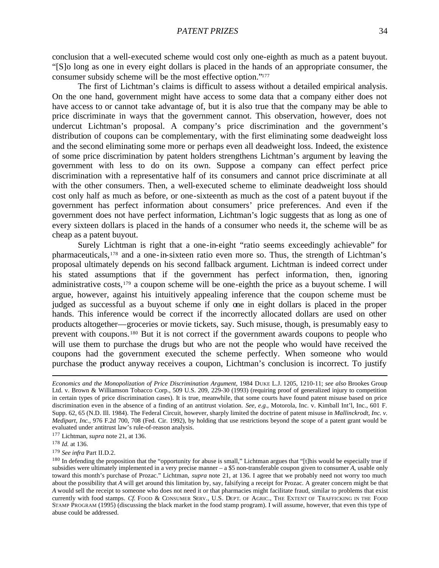conclusion that a well-executed scheme would cost only one-eighth as much as a patent buyout. "[S]o long as one in every eight dollars is placed in the hands of an appropriate consumer, the consumer subsidy scheme will be the most effective option."<sup>177</sup>

The first of Lichtman's claims is difficult to assess without a detailed empirical analysis. On the one hand, government might have access to some data that a company either does not have access to or cannot take advantage of, but it is also true that the company may be able to price discriminate in ways that the government cannot. This observation, however, does not undercut Lichtman's proposal. A company's price discrimination and the government's distribution of coupons can be complementary, with the first eliminating some deadweight loss and the second eliminating some more or perhaps even all deadweight loss. Indeed, the existence of some price discrimination by patent holders strengthens Lichtman's argument by leaving the government with less to do on its own. Suppose a company can effect perfect price discrimination with a representative half of its consumers and cannot price discriminate at all with the other consumers. Then, a well-executed scheme to eliminate deadweight loss should cost only half as much as before, or one-sixteenth as much as the cost of a patent buyout if the government has perfect information about consumers' price preferences. And even if the government does not have perfect information, Lichtman's logic suggests that as long as one of every sixteen dollars is placed in the hands of a consumer who needs it, the scheme will be as cheap as a patent buyout.

Surely Lichtman is right that a one-in-eight "ratio seems exceedingly achievable" for pharmaceuticals,178 and a one-in-sixteen ratio even more so. Thus, the strength of Lichtman's proposal ultimately depends on his second fallback argument. Lichtman is indeed correct under his stated assumptions that if the government has perfect information, then, ignoring administrative costs,179 a coupon scheme will be one-eighth the price as a buyout scheme. I will argue, however, against his intuitively appealing inference that the coupon scheme must be judged as successful as a buyout scheme if only one in eight dollars is placed in the proper hands. This inference would be correct if the incorrectly allocated dollars are used on other products altogether—groceries or movie tickets, say. Such misuse, though, is presumably easy to prevent with coupons.180 But it is not correct if the government awards coupons to people who will use them to purchase the drugs but who are not the people who would have received the coupons had the government executed the scheme perfectly. When someone who would purchase the product anyway receives a coupon, Lichtman's conclusion is incorrect. To justify

<sup>177</sup> Lichtman, *supra* note 21, at 136.

 $\overline{a}$ 

<sup>179</sup> *See infra* Part II.D.2.

*Economics and the Monopolization of Price Discrimination Argument*, 1984 DUKE L.J. 1205, 1210-11; *see also* Brookes Group Ltd. v. Brown & Williamson Tobacco Corp., 509 U.S. 209, 229-30 (1993) (requiring proof of generalized injury to competition in certain types of price discrimination cases). It is true, meanwhile, that some courts have found patent misuse based on price discrimination even in the absence of a finding of an antitrust violation. *See, e.g.*, Motorola, Inc. v. Kimball Int'l, Inc., 601 F. Supp. 62, 65 (N.D. Ill. 1984). The Federal Circuit, however, sharply limited the doctrine of patent misuse in *Mallinckrodt, Inc. v. Medipart, Inc.*, 976 F.2d 700, 708 (Fed. Cir. 1992), by holding that use restrictions beyond the scope of a patent grant would be evaluated under antitrust law's rule-of-reason analysis.

<sup>178</sup> *Id.* at 136.

<sup>&</sup>lt;sup>180</sup> In defending the proposition that the "opportunity for abuse is small," Lichtman argues that "[t]his would be especially true if subsidies were ultimately implemented in a very precise manner – a \$5 non-transferable coupon given to consumer *A*, usable only toward this month's purchase of Prozac." Lichtman, *supra* note 21, at 136. I agree that we probably need not worry too much about the possibility that *A* will get around this limitation by, say, falsifying a receipt for Prozac. A greater concern might be that *A* would sell the receipt to someone who does not need it or that pharmacies might facilitate fraud, similar to problems that exist currently with food stamps. *Cf.* FOOD & CONSUMER SERV., U.S. DEPT. OF AGRIC., THE EXTENT OF TRAFFICKING IN THE FOOD STAMP PROGRAM (1995) (discussing the black market in the food stamp program). I will assume, however, that even this type of abuse could be addressed.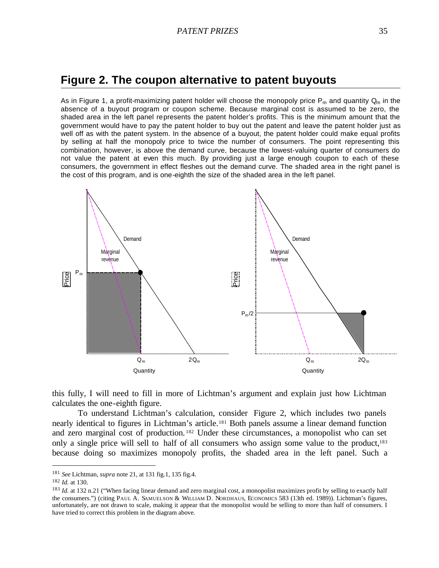## **Figure 2. The coupon alternative to patent buyouts**

As in Figure 1, a profit-maximizing patent holder will choose the monopoly price  $P_m$  and quantity  $Q_m$  in the absence of a buyout program or coupon scheme. Because marginal cost is assumed to be zero, the shaded area in the left panel represents the patent holder's profits. This is the minimum amount that the government would have to pay the patent holder to buy out the patent and leave the patent holder just as well off as with the patent system. In the absence of a buyout, the patent holder could make equal profits by selling at half the monopoly price to twice the number of consumers. The point representing this combination, however, is above the demand curve, because the lowest-valuing quarter of consumers do not value the patent at even this much. By providing just a large enough coupon to each of these consumers, the government in effect fleshes out the demand curve. The shaded area in the right panel is the cost of this program, and is one-eighth the size of the shaded area in the left panel.



this fully, I will need to fill in more of Lichtman's argument and explain just how Lichtman calculates the one-eighth figure.

To understand Lichtman's calculation, consider Figure 2, which includes two panels nearly identical to figures in Lichtman's article.181 Both panels assume a linear demand function and zero marginal cost of production. <sup>182</sup> Under these circumstances, a monopolist who can set only a single price will sell to half of all consumers who assign some value to the product,<sup>183</sup> because doing so maximizes monopoly profits, the shaded area in the left panel. Such a

<sup>181</sup> *See* Lichtman, *supra* note 21, at 131 fig.1, 135 fig.4.

<sup>182</sup> *Id.* at 130.

<sup>&</sup>lt;sup>183</sup> *Id.* at 132 n.21 ("When facing linear demand and zero marginal cost, a monopolist maximizes profit by selling to exactly half the consumers.") (citing PAUL A. SAMUELSON & WILLIAM D. NORDHAUS, ECONOMICS 583 (13th ed. 1989)). Lichtman's figures, unfortunately, are not drawn to scale, making it appear that the monopolist would be selling to more than half of consumers. I have tried to correct this problem in the diagram above.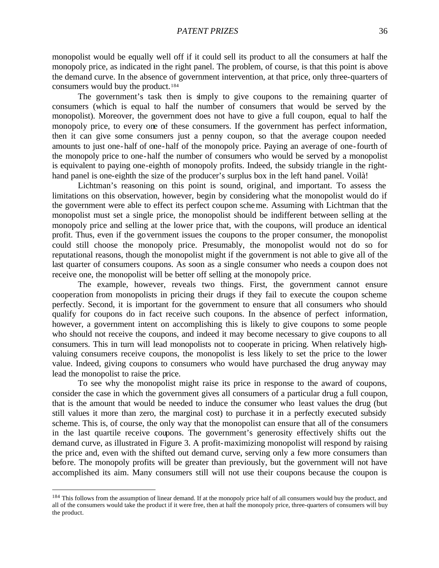monopolist would be equally well off if it could sell its product to all the consumers at half the monopoly price, as indicated in the right panel. The problem, of course, is that this point is above the demand curve. In the absence of government intervention, at that price, only three-quarters of consumers would buy the product.<sup>184</sup>

The government's task then is simply to give coupons to the remaining quarter of consumers (which is equal to half the number of consumers that would be served by the monopolist). Moreover, the government does not have to give a full coupon, equal to half the monopoly price, to every one of these consumers. If the government has perfect information, then it can give some consumers just a penny coupon, so that the average coupon needed amounts to just one-half of one-half of the monopoly price. Paying an average of one-fourth of the monopoly price to one-half the number of consumers who would be served by a monopolist is equivalent to paying one-eighth of monopoly profits. Indeed, the subsidy triangle in the righthand panel is one-eighth the size of the producer's surplus box in the left hand panel. Voilà!

Lichtman's reasoning on this point is sound, original, and important. To assess the limitations on this observation, however, begin by considering what the monopolist would do if the government were able to effect its perfect coupon scheme. Assuming with Lichtman that the monopolist must set a single price, the monopolist should be indifferent between selling at the monopoly price and selling at the lower price that, with the coupons, will produce an identical profit. Thus, even if the government issues the coupons to the proper consumer, the monopolist could still choose the monopoly price. Presumably, the monopolist would not do so for reputational reasons, though the monopolist might if the government is not able to give all of the last quarter of consumers coupons. As soon as a single consumer who needs a coupon does not receive one, the monopolist will be better off selling at the monopoly price.

The example, however, reveals two things. First, the government cannot ensure cooperation from monopolists in pricing their drugs if they fail to execute the coupon scheme perfectly. Second, it is important for the government to ensure that all consumers who should qualify for coupons do in fact receive such coupons. In the absence of perfect information, however, a government intent on accomplishing this is likely to give coupons to some people who should not receive the coupons, and indeed it may become necessary to give coupons to all consumers. This in turn will lead monopolists not to cooperate in pricing. When relatively highvaluing consumers receive coupons, the monopolist is less likely to set the price to the lower value. Indeed, giving coupons to consumers who would have purchased the drug anyway may lead the monopolist to raise the price.

To see why the monopolist might raise its price in response to the award of coupons, consider the case in which the government gives all consumers of a particular drug a full coupon, that is the amount that would be needed to induce the consumer who least values the drug (but still values it more than zero, the marginal cost) to purchase it in a perfectly executed subsidy scheme. This is, of course, the only way that the monopolist can ensure that all of the consumers in the last quartile receive coupons. The government's generosity effectively shifts out the demand curve, as illustrated in Figure 3. A profit-maximizing monopolist will respond by raising the price and, even with the shifted out demand curve, serving only a few more consumers than before. The monopoly profits will be greater than previously, but the government will not have accomplished its aim. Many consumers still will not use their coupons because the coupon is

<sup>&</sup>lt;sup>184</sup> This follows from the assumption of linear demand. If at the monopoly price half of all consumers would buy the product, and all of the consumers would take the product if it were free, then at half the monopoly price, three-quarters of consumers will buy the product.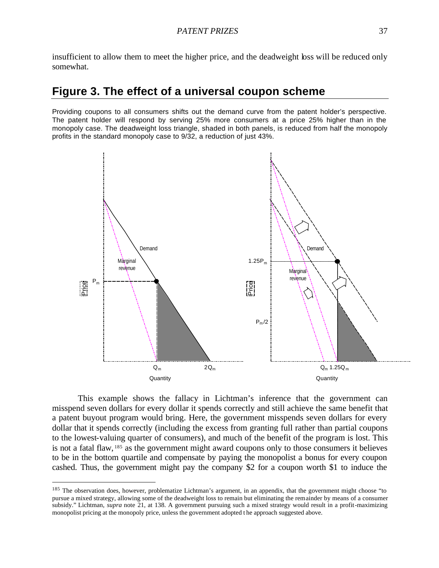insufficient to allow them to meet the higher price, and the deadweight loss will be reduced only somewhat.

# **Figure 3. The effect of a universal coupon scheme**

Providing coupons to all consumers shifts out the demand curve from the patent holder's perspective. The patent holder will respond by serving 25% more consumers at a price 25% higher than in the monopoly case. The deadweight loss triangle, shaded in both panels, is reduced from half the monopoly profits in the standard monopoly case to 9/32, a reduction of just 43%.



This example shows the fallacy in Lichtman's inference that the government can misspend seven dollars for every dollar it spends correctly and still achieve the same benefit that a patent buyout program would bring. Here, the government misspends seven dollars for every dollar that it spends correctly (including the excess from granting full rather than partial coupons to the lowest-valuing quarter of consumers), and much of the benefit of the program is lost. This is not a fatal flaw, <sup>185</sup> as the government might award coupons only to those consumers it believes to be in the bottom quartile and compensate by paying the monopolist a bonus for every coupon cashed. Thus, the government might pay the company \$2 for a coupon worth \$1 to induce the

<sup>&</sup>lt;sup>185</sup> The observation does, however, problematize Lichtman's argument, in an appendix, that the government might choose "to pursue a mixed strategy, allowing some of the deadweight loss to remain but eliminating the remainder by means of a consumer subsidy." Lichtman, *supra* note 21, at 138. A government pursuing such a mixed strategy would result in a profit-maximizing monopolist pricing at the monopoly price, unless the government adopted t he approach suggested above.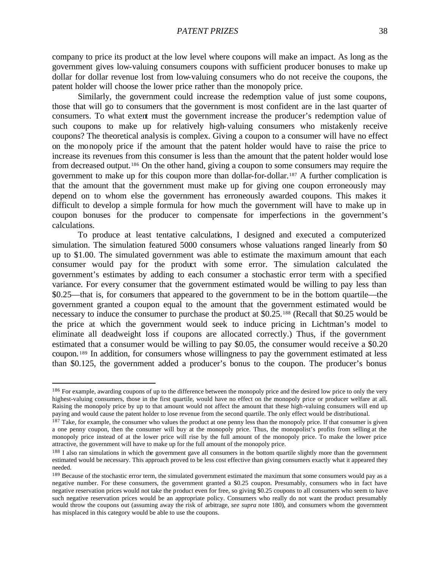company to price its product at the low level where coupons will make an impact. As long as the government gives low-valuing consumers coupons with sufficient producer bonuses to make up dollar for dollar revenue lost from low-valuing consumers who do not receive the coupons, the patent holder will choose the lower price rather than the monopoly price.

Similarly, the government could increase the redemption value of just some coupons, those that will go to consumers that the government is most confident are in the last quarter of consumers. To what extent must the government increase the producer's redemption value of such coupons to make up for relatively high-valuing consumers who mistakenly receive coupons? The theoretical analysis is complex. Giving a coupon to a consumer will have no effect on the monopoly price if the amount that the patent holder would have to raise the price to increase its revenues from this consumer is less than the amount that the patent holder would lose from decreased output.186 On the other hand, giving a coupon to some consumers may require the government to make up for this coupon more than dollar-for-dollar.187 A further complication is that the amount that the government must make up for giving one coupon erroneously may depend on to whom else the government has erroneously awarded coupons. This makes it difficult to develop a simple formula for how much the government will have to make up in coupon bonuses for the producer to compensate for imperfections in the government's calculations.

To produce at least tentative calculations, I designed and executed a computerized simulation. The simulation featured 5000 consumers whose valuations ranged linearly from \$0 up to \$1.00. The simulated government was able to estimate the maximum amount that each consumer would pay for the product with some error. The simulation calculated the government's estimates by adding to each consumer a stochastic error term with a specified variance. For every consumer that the government estimated would be willing to pay less than \$0.25—that is, for consumers that appeared to the government to be in the bottom quartile—the government granted a coupon equal to the amount that the government estimated would be necessary to induce the consumer to purchase the product at \$0.25.188 (Recall that \$0.25 would be the price at which the government would seek to induce pricing in Lichtman's model to eliminate all deadweight loss if coupons are allocated correctly.) Thus, if the government estimated that a consumer would be willing to pay \$0.05, the consumer would receive a \$0.20 coupon. <sup>189</sup> In addition, for consumers whose willingness to pay the government estimated at less than \$0.125, the government added a producer's bonus to the coupon. The producer's bonus

<sup>&</sup>lt;sup>186</sup> For example, awarding coupons of up to the difference between the monopoly price and the desired low price to only the very highest-valuing consumers, those in the first quartile, would have no effect on the monopoly price or producer welfare at all. Raising the monopoly price by up to that amount would not affect the amount that these high-valuing consumers will end up paying and would cause the patent holder to lose revenue from the second quartile. The only effect would be distributional.

<sup>&</sup>lt;sup>187</sup> Take, for example, the consumer who values the product at one penny less than the monopoly price. If that consumer is given a one penny coupon, then the consumer will buy at the monopoly price. Thus, the monopolist's profits from selling at the monopoly price instead of at the lower price will rise by the full amount of the monopoly price. To make the lower price attractive, the government will have to make up for the full amount of the monopoly price.

<sup>&</sup>lt;sup>188</sup> I also ran simulations in which the government gave all consumers in the bottom quartile slightly more than the government estimated would be necessary. This approach proved to be less cost effective than giving consumers exactly what it appeared they needed.

<sup>&</sup>lt;sup>189</sup> Because of the stochastic error term, the simulated government estimated the maximum that some consumers would pay as a negative number. For these consumers, the government granted a \$0.25 coupon. Presumably, consumers who in fact have negative reservation prices would not take the product even for free, so giving \$0.25 coupons to all consumers who seem to have such negative reservation prices would be an appropriate policy. Consumers who really do not want the product presumably would throw the coupons out (assuming away the risk of arbitrage, *see supra* note 180), and consumers whom the government has misplaced in this category would be able to use the coupons.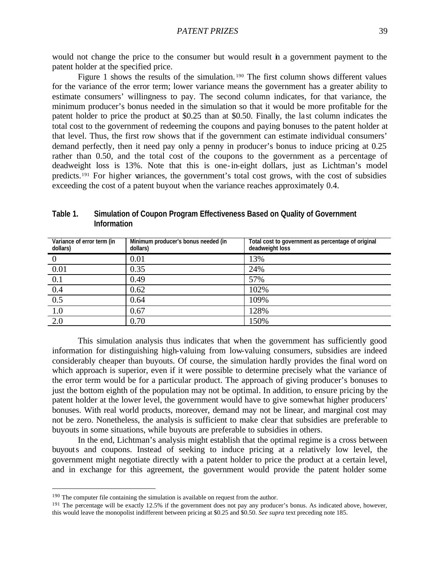patent holder at the specified price. Figure 1 shows the results of the simulation. <sup>190</sup> The first column shows different values for the variance of the error term; lower variance means the government has a greater ability to estimate consumers' willingness to pay. The second column indicates, for that variance, the minimum producer's bonus needed in the simulation so that it would be more profitable for the patent holder to price the product at \$0.25 than at \$0.50. Finally, the la st column indicates the total cost to the government of redeeming the coupons and paying bonuses to the patent holder at that level. Thus, the first row shows that if the government can estimate individual consumers' demand perfectly, then it need pay only a penny in producer's bonus to induce pricing at 0.25

rather than 0.50, and the total cost of the coupons to the government as a percentage of deadweight loss is 13%. Note that this is one-in-eight dollars, just as Lichtman's model predicts.191 For higher variances, the government's total cost grows, with the cost of subsidies exceeding the cost of a patent buyout when the variance reaches approximately 0.4.

| Variance of error term (in<br>dollars) | Minimum producer's bonus needed (in<br>dollars) | Total cost to government as percentage of original<br>deadweight loss |
|----------------------------------------|-------------------------------------------------|-----------------------------------------------------------------------|
|                                        | 0.01                                            | 13%                                                                   |
| 0.01                                   | 0.35                                            | 24%                                                                   |
| 0.1                                    | 0.49                                            | 57%                                                                   |
| 0.4                                    | 0.62                                            | 102%                                                                  |
| $\overline{0.5}$                       | 0.64                                            | 109%                                                                  |
| 1.0                                    | 0.67                                            | 128%                                                                  |
| 2.0                                    | 0.70                                            | 150%                                                                  |

**Table 1. Simulation of Coupon Program Effectiveness Based on Quality of Government Information**

This simulation analysis thus indicates that when the government has sufficiently good information for distinguishing high-valuing from low-valuing consumers, subsidies are indeed considerably cheaper than buyouts. Of course, the simulation hardly provides the final word on which approach is superior, even if it were possible to determine precisely what the variance of the error term would be for a particular product. The approach of giving producer's bonuses to just the bottom eighth of the population may not be optimal. In addition, to ensure pricing by the patent holder at the lower level, the government would have to give somewhat higher producers' bonuses. With real world products, moreover, demand may not be linear, and marginal cost may not be zero. Nonetheless, the analysis is sufficient to make clear that subsidies are preferable to buyouts in some situations, while buyouts are preferable to subsidies in others.

In the end, Lichtman's analysis might establish that the optimal regime is a cross between buyouts and coupons. Instead of seeking to induce pricing at a relatively low level, the government might negotiate directly with a patent holder to price the product at a certain level, and in exchange for this agreement, the government would provide the patent holder some

<sup>&</sup>lt;sup>190</sup> The computer file containing the simulation is available on request from the author.

<sup>&</sup>lt;sup>191</sup> The percentage will be exactly 12.5% if the government does not pay any producer's bonus. As indicated above, however, this would leave the monopolist indifferent between pricing at \$0.25 and \$0.50. *See supra* text preceding note 185.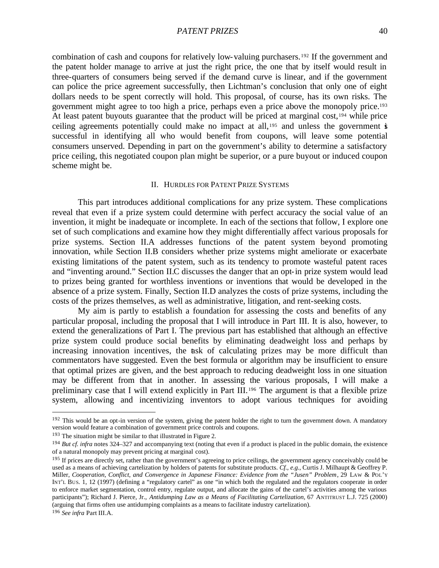combination of cash and coupons for relatively low-valuing purchasers.192 If the government and the patent holder manage to arrive at just the right price, the one that by itself would result in three-quarters of consumers being served if the demand curve is linear, and if the government can police the price agreement successfully, then Lichtman's conclusion that only one of eight dollars needs to be spent correctly will hold. This proposal, of course, has its own risks. The government might agree to too high a price, perhaps even a price above the monopoly price.<sup>193</sup> At least patent buyouts guarantee that the product will be priced at marginal cost,<sup>194</sup> while price ceiling agreements potentially could make no impact at all,<sup>195</sup> and unless the government is successful in identifying all who would benefit from coupons, will leave some potential consumers unserved. Depending in part on the government's ability to determine a satisfactory price ceiling, this negotiated coupon plan might be superior, or a pure buyout or induced coupon scheme might be.

#### II. HURDLES FOR PATENT PRIZE SYSTEMS

This part introduces additional complications for any prize system. These complications reveal that even if a prize system could determine with perfect accuracy the social value of an invention, it might be inadequate or incomplete. In each of the sections that follow, I explore one set of such complications and examine how they might differentially affect various proposals for prize systems. Section II.A addresses functions of the patent system beyond promoting innovation, while Section II.B considers whether prize systems might ameliorate or exacerbate existing limitations of the patent system, such as its tendency to promote wasteful patent races and "inventing around." Section II.C discusses the danger that an opt-in prize system would lead to prizes being granted for worthless inventions or inventions that would be developed in the absence of a prize system. Finally, Section II.D analyzes the costs of prize systems, including the costs of the prizes themselves, as well as administrative, litigation, and rent-seeking costs.

My aim is partly to establish a foundation for assessing the costs and benefits of any particular proposal, including the proposal that I will introduce in Part III. It is also, however, to extend the generalizations of Part I. The previous part has established that although an effective prize system could produce social benefits by eliminating deadweight loss and perhaps by increasing innovation incentives, the task of calculating prizes may be more difficult than commentators have suggested. Even the best formula or algorithm may be insufficient to ensure that optimal prizes are given, and the best approach to reducing deadweight loss in one situation may be different from that in another. In assessing the various proposals, I will make a preliminary case that I will extend explicitly in Part III.196 The argument is that a flexible prize system, allowing and incentivizing inventors to adopt various techniques for avoiding

 $192$  This would be an opt-in version of the system, giving the patent holder the right to turn the government down. A mandatory version would feature a combination of government price controls and coupons.

<sup>193</sup> The situation might be similar to that illustrated in Figure 2.

<sup>&</sup>lt;sup>194</sup> *But cf. infra* notes 324–327 and accompanying text (noting that even if a product is placed in the public domain, the existence of a natural monopoly may prevent pricing at marginal cost).

<sup>&</sup>lt;sup>195</sup> If prices are directly set, rather than the government's agreeing to price ceilings, the government agency conceivably could be used as a means of achieving cartelization by holders of patents for substitute products. *Cf., e.g.*, Curtis J. Milhaupt & Geoffrey P. Miller, *Cooperation, Conflict, and Convergence in Japanese Finance: Evidence from the "Jusen" Problem*, 29 LAW & POL'Y INT'L BUS. 1, 12 (1997) (defining a "regulatory cartel" as one "in which both the regulated and the regulators cooperate in order to enforce market segmentation, control entry, regulate output, and allocate the gains of the cartel's activities among the various participants"); Richard J. Pierce, Jr., *Antidumping Law as a Means of Facilitating Cartelization*, 67 ANTITRUST L.J. 725 (2000) (arguing that firms often use antidumping complaints as a means to facilitate industry cartelization).

<sup>196</sup> *See infra* Part III.A.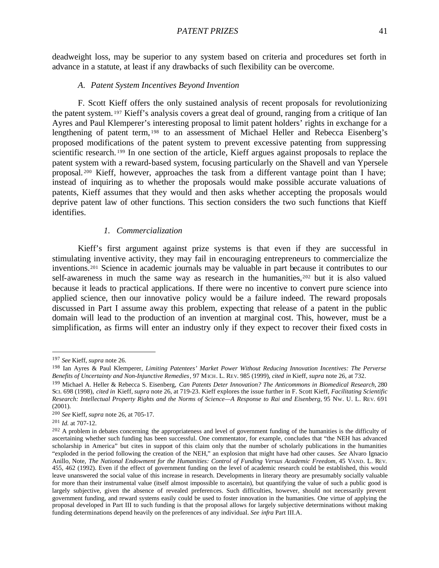deadweight loss, may be superior to any system based on criteria and procedures set forth in advance in a statute, at least if any drawbacks of such flexibility can be overcome.

#### *A. Patent System Incentives Beyond Invention*

F. Scott Kieff offers the only sustained analysis of recent proposals for revolutionizing the patent system. <sup>197</sup> Kieff's analysis covers a great deal of ground, ranging from a critique of Ian Ayres and Paul Klemperer's interesting proposal to limit patent holders' rights in exchange for a lengthening of patent term, <sup>198</sup> to an assessment of Michael Heller and Rebecca Eisenberg's proposed modifications of the patent system to prevent excessive patenting from suppressing scientific research. <sup>199</sup> In one section of the article, Kieff argues against proposals to replace the patent system with a reward-based system, focusing particularly on the Shavell and van Ypersele proposal. <sup>200</sup> Kieff, however, approaches the task from a different vantage point than I have; instead of inquiring as to whether the proposals would make possible accurate valuations of patents, Kieff assumes that they would and then asks whether accepting the proposals would deprive patent law of other functions. This section considers the two such functions that Kieff identifies.

# *1. Commercialization*

Kieff's first argument against prize systems is that even if they are successful in stimulating inventive activity, they may fail in encouraging entrepreneurs to commercialize the inventions.201 Science in academic journals may be valuable in part because it contributes to our self-awareness in much the same way as research in the humanities,<sup>202</sup> but it is also valued because it leads to practical applications. If there were no incentive to convert pure science into applied science, then our innovative policy would be a failure indeed. The reward proposals discussed in Part I assume away this problem, expecting that release of a patent in the public domain will lead to the production of an invention at marginal cost. This, however, must be a simplification, as firms will enter an industry only if they expect to recover their fixed costs in

<sup>197</sup> *See* Kieff, *supra* note 26.

<sup>198</sup> Ian Ayres & Paul Klemperer, *Limiting Patentees' Market Power Without Reducing Innovation Incentives: The Perverse Benefits of Uncertainty and Non-Injunctive Remedies*, 97 MICH. L. REV. 985 (1999), *cited in* Kieff, *supra* note 26, at 732.

<sup>199</sup> Michael A. Heller & Rebecca S. Eisenberg, *Can Patents Deter Innovation? The Anticommons in Biomedical Research*, 280 SCI. 698 (1998), *cited in* Kieff, *supra* note 26, at 719-23. Kieff explores the issue further in F. Scott Kieff, *Facilitating Scientific Research: Intellectual Property Rights and the Norms of Science—A Response to Rai and Eisenberg*, 95 NW. U. L. REV. 691 (2001).

<sup>200</sup> *See* Kieff, *supra* note 26, at 705-17.

<sup>201</sup> *Id.* at 707-12.

<sup>&</sup>lt;sup>202</sup> A problem in debates concerning the appropriateness and level of government funding of the humanities is the difficulty of ascertaining whether such funding has been successful. One commentator, for example, concludes that "the NEH has advanced scholarship in America" but cites in support of this claim only that the number of scholarly publications in the humanities "exploded in the period following the creation of the NEH," an explosion that might have had other causes. *See* Alvaro Ignacio Anillo, Note, *The National Endowment for the Humanities: Control of Funding Versus Academic Freedom*, 45 VAND. L. REV. 455, 462 (1992). Even if the effect of government funding on the level of academic research could be established, this would leave unanswered the social value of this increase in research. Developments in literary theory are presumably socially valuable for more than their instrumental value (itself almost impossible to ascertain), but quantifying the value of such a public good is largely subjective, given the absence of revealed preferences. Such difficulties, however, should not necessarily prevent government funding, and reward systems easily could be used to foster innovation in the humanities. One virtue of applying the proposal developed in Part III to such funding is that the proposal allows for largely subjective determinations without making funding determinations depend heavily on the preferences of any individual. *See infra* Part III.A.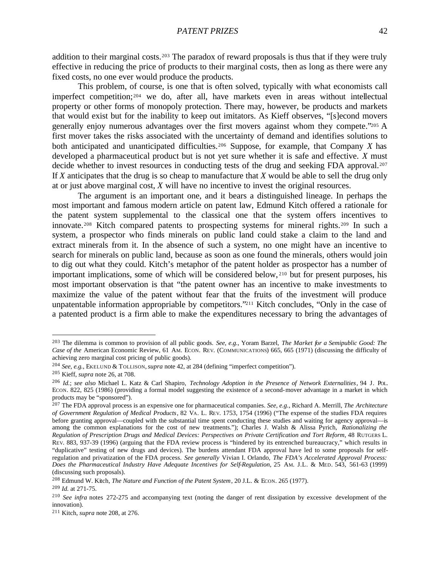addition to their marginal costs.<sup>203</sup> The paradox of reward proposals is thus that if they were truly effective in reducing the price of products to their marginal costs, then as long as there were any fixed costs, no one ever would produce the products.

This problem, of course, is one that is often solved, typically with what economists call imperfect competition;204 we do, after all, have markets even in areas without intellectual property or other forms of monopoly protection. There may, however, be products and markets that would exist but for the inability to keep out imitators. As Kieff observes, "[s]econd movers generally enjoy numerous advantages over the first movers against whom they compete."205 A first mover takes the risks associated with the uncertainty of demand and identifies solutions to both anticipated and unanticipated difficulties.<sup>206</sup> Suppose, for example, that Company *X* has developed a pharmaceutical product but is not yet sure whether it is safe and effective. *X* must decide whether to invest resources in conducting tests of the drug and seeking FDA approval.<sup>207</sup> If *X* anticipates that the drug is so cheap to manufacture that *X* would be able to sell the drug only at or just above marginal cost, *X* will have no incentive to invest the original resources.

The argument is an important one, and it bears a distinguished lineage. In perhaps the most important and famous modern article on patent law, Edmund Kitch offered a rationale for the patent system supplemental to the classical one that the system offers incentives to innovate.208 Kitch compared patents to prospecting systems for mineral rights.209 In such a system, a prospector who finds minerals on public land could stake a claim to the land and extract minerals from it. In the absence of such a system, no one might have an incentive to search for minerals on public land, because as soon as one found the minerals, others would join to dig out what they could. Kitch's metaphor of the patent holder as prospector has a number of important implications, some of which will be considered below, <sup>210</sup> but for present purposes, his most important observation is that "the patent owner has an incentive to make investments to maximize the value of the patent without fear that the fruits of the investment will produce unpatentable information appropriable by competitors."211 Kitch concludes, "Only in the case of a patented product is a firm able to make the expenditures necessary to bring the advantages of

<sup>203</sup> The dilemma is common to provision of all public goods. *See, e.g.*, Yoram Barzel, *The Market for a Semipublic Good: The Case of the* American Economic Review, 61 AM. ECON. REV. (COMMUNICATIONS) 665, 665 (1971) (discussing the difficulty of achieving zero marginal cost pricing of public goods).

<sup>204</sup> *See, e.g.*, EKELUND & TOLLISON, *supra* note 42, at 284 (defining "imperfect competition").

<sup>205</sup> Kieff, *supra* note 26, at 708.

<sup>206</sup> *Id.*; *see also* Michael L. Katz & Carl Shapiro, *Technology Adoption in the Presence of Network Externalities*, 94 J. POL. ECON. 822, 825 (1986) (providing a formal model suggesting the existence of a second-mover advantage in a market in which products may be "sponsored").

<sup>207</sup> The FDA approval process is an expensive one for pharmaceutical companies. *See, e.g.*, Richard A. Merrill, *The Architecture of Government Regulation of Medical Products*, 82 VA. L. REV. 1753, 1754 (1996) ("The expense of the studies FDA requires before granting approval—coupled with the substantial time spent conducting these studies and waiting for agency approval—is among the common explanations for the cost of new treatments."); Charles J. Walsh & Alissa Pyrich, *Rationalizing the Regulation of Prescription Drugs and Medical Devices: Perspectives on Private Certification and Tort Reform*, 48 RUTGERS L. REV. 883, 937-39 (1996) (arguing that the FDA review process is "hindered by its entrenched bureaucracy," which results in "duplicative" testing of new drugs and devices). The burdens attendant FDA approval have led to some proposals for selfregulation and privatization of the FDA process. *See generally* Vivian I. Orlando, *The FDA's Accelerated Approval Process: Does the Pharmaceutical Industry Have Adequate Incentives for Self-Regulation*, 25 AM. J.L. & MED. 543, 561-63 (1999) (discussing such proposals).

<sup>&</sup>lt;sup>208</sup> Edmund W. Kitch, *The Nature and Function of the Patent System*, 20 J.L. & ECON. 265 (1977).

<sup>209</sup> *Id.* at 271-75.

<sup>210</sup> *See infra* notes 272-275 and accompanying text (noting the danger of rent dissipation by excessive development of the innovation).

<sup>211</sup> Kitch, *supra* note 208, at 276.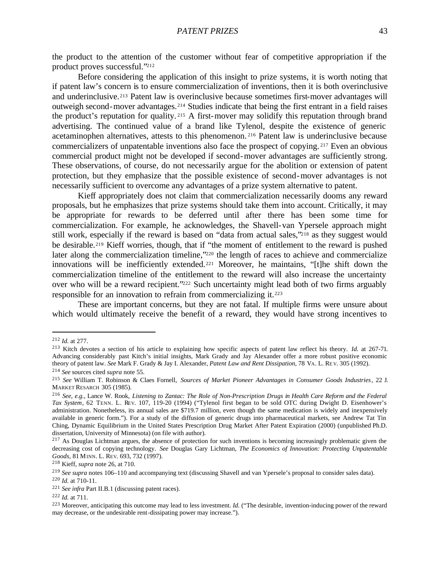the product to the attention of the customer without fear of competitive appropriation if the product proves successful."<sup>212</sup>

Before considering the application of this insight to prize systems, it is worth noting that if patent law's concern is to ensure commercialization of inventions, then it is both overinclusive and underinclusive.213 Patent law is overinclusive because sometimes first-mover advantages will outweigh second-mover advantages.214 Studies indicate that being the first entrant in a field raises the product's reputation for quality. <sup>215</sup> A first-mover may solidify this reputation through brand advertising. The continued value of a brand like Tylenol, despite the existence of generic acetaminophen alternatives, attests to this phenomenon. <sup>216</sup> Patent law is underinclusive because commercializers of unpatentable inventions also face the prospect of copying. <sup>217</sup> Even an obvious commercial product might not be developed if second-mover advantages are sufficiently strong. These observations, of course, do not necessarily argue for the abolition or extension of patent protection, but they emphasize that the possible existence of second-mover advantages is not necessarily sufficient to overcome any advantages of a prize system alternative to patent.

Kieff appropriately does not claim that commercialization necessarily dooms any reward proposals, but he emphasizes that prize systems should take them into account. Critically, it may be appropriate for rewards to be deferred until after there has been some time for commercialization. For example, he acknowledges, the Shavell-van Ypersele approach might still work, especially if the reward is based on "data from actual sales,"<sup>218</sup> as they suggest would be desirable.<sup>219</sup> Kieff worries, though, that if "the moment of entitlement to the reward is pushed later along the commercialization timeline,<sup> $220$ </sup> the length of races to achieve and commercialize innovations will be inefficiently extended.221 Moreover, he maintains, "[t]he shift down the commercialization timeline of the entitlement to the reward will also increase the uncertainty over who will be a reward recipient."222 Such uncertainty might lead both of two firms arguably responsible for an innovation to refrain from commercializing it.<sup>223</sup>

These are important concerns, but they are not fatal. If multiple firms were unsure about which would ultimately receive the benefit of a reward, they would have strong incentives to

<sup>212</sup> *Id.* at 277.

<sup>213</sup> Kitch devotes a section of his article to explaining how specific aspects of patent law reflect his theory. *Id.* at 267-71. Advancing considerably past Kitch's initial insights, Mark Grady and Jay Alexander offer a more robust positive economic theory of patent law. *See* Mark F. Grady & Jay I. Alexander, *Patent Law and Rent Dissipation*, 78 VA. L. REV. 305 (1992).

<sup>214</sup> *See* sources cited *supra* note 55.

<sup>215</sup> *See* William T. Robinson & Claes Fornell, *Sources of Market Pioneer Advantages in Consumer Goods Industries*, 22 J. MARKET RESARCH 305 (1985).

<sup>216</sup> *See, e.g.*, Lance W. Rook, *Listening to Zantac: The Role of Non-Prescription Drugs in Health Care Reform and the Federal Tax System*, 62 TENN. L. REV. 107, 119-20 (1994) ("Tylenol first began to be sold OTC during Dwight D. Eisenhower's administration. Nonetheless, its annual sales are \$719.7 million, even though the same medication is widely and inexpensively available in generic form."). For a study of the diffusion of generic drugs into pharmaceutical markets, see Andrew Tat Tin Ching, Dynamic Equilibrium in the United States Prescription Drug Market After Patent Expiration (2000) (unpublished Ph.D. dissertation, University of Minnesota) (on file with author).

 $217$  As Douglas Lichtman argues, the absence of protection for such inventions is becoming increasingly problematic given the decreasing cost of copying technology. *See* Douglas Gary Lichtman, *The Economics of Innovation: Protecting Unpatentable Goods*, 81 MINN. L. REV. 693, 732 (1997).

<sup>218</sup> Kieff, *supra* note 26, at 710.

<sup>219</sup> *See supra* notes 106–110 and accompanying text (discussing Shavell and van Ypersele's proposal to consider sales data).

<sup>220</sup> *Id.* at 710-11.

<sup>221</sup> *See infra* Part II.B.1 (discussing patent races).

<sup>222</sup> *Id.* at 711.

<sup>223</sup> Moreover, anticipating this outcome may lead to less investment. *Id.* ("The desirable, invention-inducing power of the reward may decrease, or the undesirable rent-dissipating power may increase.").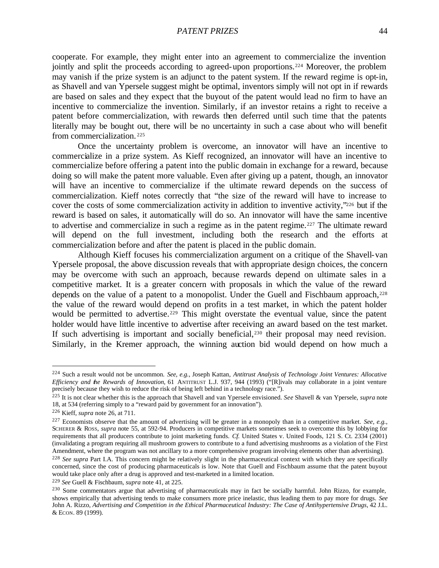cooperate. For example, they might enter into an agreement to commercialize the invention jointly and split the proceeds according to agreed-upon proportions.<sup>224</sup> Moreover, the problem may vanish if the prize system is an adjunct to the patent system. If the reward regime is opt-in, as Shavell and van Ypersele suggest might be optimal, inventors simply will not opt in if rewards are based on sales and they expect that the buyout of the patent would lead no firm to have an incentive to commercialize the invention. Similarly, if an investor retains a right to receive a patent before commercialization, with rewards then deferred until such time that the patents literally may be bought out, there will be no uncertainty in such a case about who will benefit from commercialization. <sup>225</sup>

Once the uncertainty problem is overcome, an innovator will have an incentive to commercialize in a prize system. As Kieff recognized, an innovator will have an incentive to commercialize before offering a patent into the public domain in exchange for a reward, because doing so will make the patent more valuable. Even after giving up a patent, though, an innovator will have an incentive to commercialize if the ultimate reward depends on the success of commercialization. Kieff notes correctly that "the size of the reward will have to increase to cover the costs of some commercialization activity in addition to inventive activity,"226 but if the reward is based on sales, it automatically will do so. An innovator will have the same incentive to advertise and commercialize in such a regime as in the patent regime.227 The ultimate reward will depend on the full investment, including both the research and the efforts at commercialization before and after the patent is placed in the public domain.

Although Kieff focuses his commercialization argument on a critique of the Shavell-van Ypersele proposal, the above discussion reveals that with appropriate design choices, the concern may be overcome with such an approach, because rewards depend on ultimate sales in a competitive market. It is a greater concern with proposals in which the value of the reward depends on the value of a patent to a monopolist. Under the Guell and Fischbaum approach,  $228$ the value of the reward would depend on profits in a test market, in which the patent holder would be permitted to advertise.<sup>229</sup> This might overstate the eventual value, since the patent holder would have little incentive to advertise after receiving an award based on the test market. If such advertising is important and socially beneficial,<sup>230</sup> their proposal may need revision. Similarly, in the Kremer approach, the winning auction bid would depend on how much a

<sup>224</sup> Such a result would not be uncommon. *See, e.g.*, Joseph Kattan, *Antitrust Analysis of Technology Joint Ventures: Allocative Efficiency and the Rewards of Innovation*, 61 ANTITRUST L.J. 937, 944 (1993) ("[R]ivals may collaborate in a joint venture precisely because they wish to reduce the risk of being left behind in a technology race.").

<sup>225</sup> It is not clear whether this is the approach that Shavell and van Ypersele envisioned. *See* Shavell & van Ypersele, *supra* note 18, at 534 (referring simply to a "reward paid by government for an innovation").

<sup>226</sup> Kieff, *supra* note 26, at 711.

<sup>227</sup> Economists observe that the amount of advertising will be greater in a monopoly than in a competitive market. *See, e.g.*, SCHERER & ROSS, *supra* note 55, at 592-94. Producers in competitive markets sometimes seek to overcome this by lobbying for requirements that all producers contribute to joint marketing funds. *Cf.* United States v. United Foods, 121 S. Ct. 2334 (2001) (invalidating a program requiring all mushroom growers to contribute to a fund advertising mushrooms as a violation of the First Amendment, where the program was not ancillary to a more comprehensive program involving elements other than advertising).

<sup>228</sup> *See supra* Part I.A. This concern might be relatively slight in the pharmaceutical context with which they are specifically concerned, since the cost of producing pharmaceuticals is low. Note that Guell and Fischbaum assume that the patent buyout would take place only after a drug is approved and test-marketed in a limited location.

<sup>229</sup> *See* Guell & Fischbaum, *supra* note 41, at 225.

<sup>&</sup>lt;sup>230</sup> Some commentators argue that advertising of pharmaceuticals may in fact be socially harmful. John Rizzo, for example, shows empirically that advertising tends to make consumers more price inelastic, thus leading them to pay more for drugs. *See* John A. Rizzo, *Advertising and Competition in the Ethical Pharmaceutical Industry: The Case of Antihypertensive Drugs*, 42 J.L. & ECON. 89 (1999).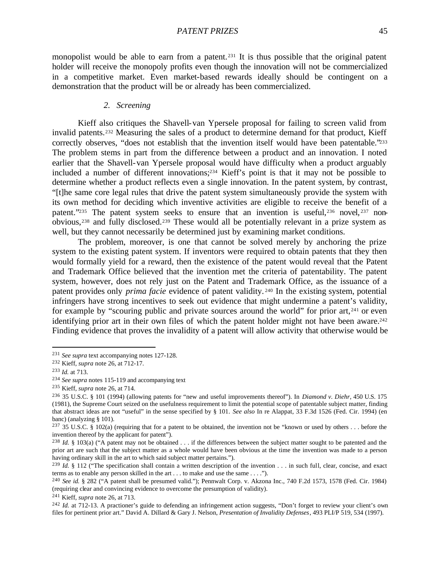monopolist would be able to earn from a patent.<sup>231</sup> It is thus possible that the original patent holder will receive the monopoly profits even though the innovation will not be commercialized in a competitive market. Even market-based rewards ideally should be contingent on a demonstration that the product will be or already has been commercialized.

#### *2. Screening*

Kieff also critiques the Shavell-van Ypersele proposal for failing to screen valid from invalid patents.232 Measuring the sales of a product to determine demand for that product, Kieff correctly observes, "does not establish that the invention itself would have been patentable."233 The problem stems in part from the difference between a product and an innovation. I noted earlier that the Shavell-van Ypersele proposal would have difficulty when a product arguably included a number of different innovations;234 Kieff's point is that it may not be possible to determine whether a product reflects even a single innovation. In the patent system, by contrast, "[t]he same core legal rules that drive the patent system simultaneously provide the system with its own method for deciding which inventive activities are eligible to receive the benefit of a patent."235 The patent system seeks to ensure that an invention is useful, 236 novel, 237 nonobvious,238 and fully disclosed.239 These would all be potentially relevant in a prize system as well, but they cannot necessarily be determined just by examining market conditions.

The problem, moreover, is one that cannot be solved merely by anchoring the prize system to the existing patent system. If inventors were required to obtain patents that they then would formally yield for a reward, then the existence of the patent would reveal that the Patent and Trademark Office believed that the invention met the criteria of patentability. The patent system, however, does not rely just on the Patent and Trademark Office, as the issuance of a patent provides only *prima facie* evidence of patent validity. <sup>240</sup> In the existing system, potential infringers have strong incentives to seek out evidence that might undermine a patent's validity, for example by "scouring public and private sources around the world" for prior art,<sup>241</sup> or even identifying prior art in their own files of which the patent holder might not have been aware.<sup>242</sup> Finding evidence that proves the invalidity of a patent will allow activity that otherwise would be

<sup>231</sup> *See supra* text accompanying notes 127-128.

<sup>232</sup> Kieff, *supra* note 26, at 712-17.

<sup>233</sup> *Id.* at 713.

<sup>234</sup> *See supra* notes 115-119 and accompanying text

<sup>235</sup> Kieff, *supra* note 26, at 714.

<sup>236</sup> 35 U.S.C. § 101 (1994) (allowing patents for "new and useful improvements thereof"). In *Diamond v. Diehr*, 450 U.S. 175 (1981), the Supreme Court seized on the usefulness requirement to limit the potential scope of patentable subject matter, finding that abstract ideas are not "useful" in the sense specified by § 101. *See also* In re Alappat, 33 F.3d 1526 (Fed. Cir. 1994) (en banc) (analyzing § 101).

<sup>&</sup>lt;sup>237</sup> 35 U.S.C. § 102(a) (requiring that for a patent to be obtained, the invention not be "known or used by others  $\dots$  before the invention thereof by the applicant for patent").

<sup>&</sup>lt;sup>238</sup> *Id.* § 103(a) ("A patent may not be obtained . . . if the differences between the subject matter sought to be patented and the prior art are such that the subject matter as a whole would have been obvious at the time the invention was made to a person having ordinary skill in the art to which said subject matter pertains.").

<sup>&</sup>lt;sup>239</sup> *Id.* § 112 ("The specification shall contain a written description of the invention . . . in such full, clear, concise, and exact terms as to enable any person skilled in the art . . . to make and use the same . . . .").

<sup>240</sup> *See id.* § 282 ("A patent shall be presumed valid."); Pennwalt Corp. v. Akzona Inc., 740 F.2d 1573, 1578 (Fed. Cir. 1984) (requiring clear and convincing evidence to overcome the presumption of validity).

<sup>241</sup> Kieff, *supra* note 26, at 713.

<sup>242</sup> *Id.* at 712-13. A practioner's guide to defending an infringement action suggests, "Don't forget to review your client's own files for pertinent prior art." David A. Dillard & Gary J. Nelson, *Presentation of Invalidity Defenses*, 493 PLI/P 519, 534 (1997).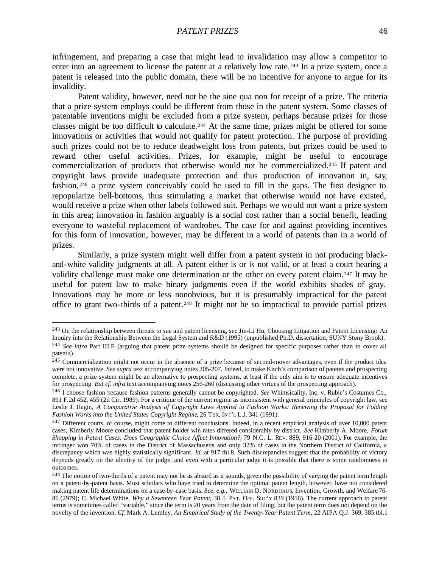infringement, and preparing a case that might lead to invalidation may allow a competitor to enter into an agreement to license the patent at a relatively low rate.<sup>243</sup> In a prize system, once a patent is released into the public domain, there will be no incentive for anyone to argue for its invalidity.

Patent validity, however, need not be the sine qua non for receipt of a prize. The criteria that a prize system employs could be different from those in the patent system. Some classes of patentable inventions might be excluded from a prize system, perhaps because prizes for those classes might be too difficult to calculate.244 At the same time, prizes might be offered for some innovations or activities that would not qualify for patent protection. The purpose of providing such prizes could not be to reduce deadweight loss from patents, but prizes could be used to reward other useful activities. Prizes, for example, might be useful to encourage commercialization of products that otherwise would not be commercialized.245 If patent and copyright laws provide inadequate protection and thus production of innovation in, say, fashion, <sup>246</sup> a prize system conceivably could be used to fill in the gaps. The first designer to repopularize bell-bottoms, thus stimulating a market that otherwise would not have existed, would receive a prize when other labels followed suit. Perhaps we would not want a prize system in this area; innovation in fashion arguably is a social cost rather than a social benefit, leading everyone to wasteful replacement of wardrobes. The case for and against providing incentives for this form of innovation, however, may be different in a world of patents than in a world of prizes.

Similarly, a prize system might well differ from a patent system in not producing blackand-white validity judgments at all. A patent either is or is not valid, or at least a court hearing a validity challenge must make one determination or the other on every patent claim.247 It may be useful for patent law to make binary judgments even if the world exhibits shades of gray. Innovations may be more or less nonobvious, but it is presumably impractical for the patent office to grant two-thirds of a patent.248 It might not be so impractical to provide partial prizes

<sup>&</sup>lt;sup>243</sup> On the relationship between threats to sue and patent licensing, see Jin-Li Hu, Choosing Litigation and Patent Licensing: An Inquiry into the Relationship Between the Legal System and R&D (1995) (unpublished Ph.D. dissertation, SUNY Stony Brook). <sup>244</sup> See infra Part III.E (arguing that patent prize systems should be designed for specific purposes rather than to cover all

patent s).

<sup>&</sup>lt;sup>245</sup> Commercialization might not occur in the absence of a prize because of second-mover advantages, even if the product idea were not innovative. *See supra* text accompanying notes 205-207. Indeed, to make Kitch's comparison of patents and prospecting complete, a prize system might be an alternative to prospecting systems, at least if the only aim is to ensure adequate incentives for prospecting. *But cf. infra* text accompanying notes 256-260 (discussing other virtues of the prospecting approach).

<sup>246</sup> I choose fashion because fashion patterns generally cannot be copyrighted. *See* Whimsicality, Inc. v. Rubie's Costumes Co., 891 F.2d 452, 455 (2d Cir. 1989). For a critique of the current regime as inconsistent with general principles of copyright law, see Leslie J. Hagin, *A Comparative Analysis of Copyright Laws Applied to Fashion Works: Renewing the Proposal for Folding Fashion Works into the United States Copyright Regime*, 26 TEX. INT'L L.J. 341 (1991).

 $247$  Different courts, of course, might come to different conclusions. Indeed, in a recent empirical analysis of over 10,000 patent cases, Kimberly Moore concluded that patent holder win rates differed considerably by district. *See* Kimberly A. Moore, *Forum Shopping in Patent Cases: Does Geographic Choice Affect Innovation?*, 79 N.C. L. REV. 889, 916-20 (2001). For example, the infringer won 70% of cases in the District of Massachusetts and only 32% of cases in the Northern District of California, a discrepancy which was highly statistically significant. *Id.* at 917 tbl.8. Such discrepancies suggest that the probability of victory depends greatly on the identity of the judge, and even with a particular judge it is possible that there is some randomness in outcomes.

<sup>&</sup>lt;sup>248</sup> The notion of two-thirds of a patent may not be as absurd as it sounds, given the possibility of varying the patent term length on a patent-by-patent basis. Most scholars who have tried to determine the optimal patent length, however, have not considered making patent life determinations on a case-by-case basis. *See, e.g.*, WILLIAM D. NORDHAUS, Invention, Growth, and Welfare 76- 86 (2979); C. Michael White, *Why a Seventeen Year Patent*, 38 J. PAT. OFF. SOC'Y 839 (1956). The current approach to patent terms is sometimes called "variable," since the term is 20 years from the date of filing, but the patent term does not depend on the novelty of the invention. *Cf.* Mark A. Lemley, *An Empirical Study of the Twenty-Year Patent Term*, 22 AIPA Q.J. 369, 385 tbl.1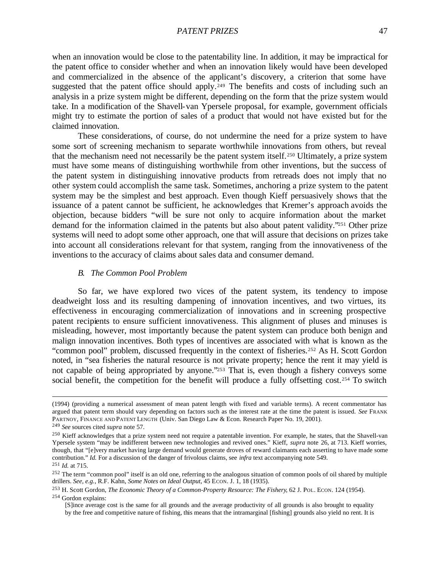when an innovation would be close to the patentability line. In addition, it may be impractical for the patent office to consider whether and when an innovation likely would have been developed and commercialized in the absence of the applicant's discovery, a criterion that some have suggested that the patent office should apply.<sup>249</sup> The benefits and costs of including such an analysis in a prize system might be different, depending on the form that the prize system would take. In a modification of the Shavell-van Ypersele proposal, for example, government officials might try to estimate the portion of sales of a product that would not have existed but for the claimed innovation.

These considerations, of course, do not undermine the need for a prize system to have some sort of screening mechanism to separate worthwhile innovations from others, but reveal that the mechanism need not necessarily be the patent system itself.250 Ultimately, a prize system must have some means of distinguishing worthwhile from other inventions, but the success of the patent system in distinguishing innovative products from retreads does not imply that no other system could accomplish the same task. Sometimes, anchoring a prize system to the patent system may be the simplest and best approach. Even though Kieff persuasively shows that the issuance of a patent cannot be sufficient, he acknowledges that Kremer's approach avoids the objection, because bidders "will be sure not only to acquire information about the market demand for the information claimed in the patents but also about patent validity."251 Other prize systems will need to adopt some other approach, one that will assure that decisions on prizes take into account all considerations relevant for that system, ranging from the innovativeness of the inventions to the accuracy of claims about sales data and consumer demand.

## *B. The Common Pool Problem*

So far, we have explored two vices of the patent system, its tendency to impose deadweight loss and its resulting dampening of innovation incentives, and two virtues, its effectiveness in encouraging commercialization of innovations and in screening prospective patent recipients to ensure sufficient innovativeness. This alignment of pluses and minuses is misleading, however, most importantly because the patent system can produce both benign and malign innovation incentives. Both types of incentives are associated with what is known as the "common pool" problem, discussed frequently in the context of fisheries.<sup>252</sup> As H. Scott Gordon noted, in "sea fisheries the natural resource is not private property; hence the rent it may yield is not capable of being appropriated by anyone."<sup>253</sup> That is, even though a fishery conveys some social benefit, the competition for the benefit will produce a fully offsetting cost.<sup>254</sup> To switch

<sup>(1994) (</sup>providing a numerical assessment of mean patent length with fixed and variable terms). A recent commentator has argued that patent term should vary depending on factors such as the interest rate at the time the patent is issued. *See* FRANK PARTNOY, FINANCE AND PATENT LENGTH (Univ. San Diego Law & Econ. Research Paper No. 19, 2001).

<sup>249</sup> *See* sources cited *supra* note 57.

<sup>&</sup>lt;sup>250</sup> Kieff acknowledges that a prize system need not require a patentable invention. For example, he states, that the Shavell-van Ypersele system "may be indifferent between new technologies and revived ones." Kieff, *supra* note 26, at 713. Kieff worries, though, that "[e]very market having large demand would generate droves of reward claimants each asserting to have made some contribution." *Id.* For a discussion of the danger of frivolous claims, see *infra* text accompanying note 549. <sup>251</sup> *Id.* at 715.

 $^{252}$  The term "common pool" itself is an old one, referring to the analogous situation of common pools of oil shared by multiple drillers. *See, e.g.*, R.F. Kahn, *Some Notes on Ideal Output*, 45 ECON. J. 1, 18 (1935).

<sup>253</sup> H. Scott Gordon, *The Economic Theory of a Common-Property Resource: The Fishery*, 62 J. POL. ECON. 124 (1954). <sup>254</sup> Gordon explains:

<sup>[</sup>S]ince average cost is the same for all grounds and the average productivity of all grounds is also brought to equality by the free and competitive nature of fishing, this means that the intramarginal [fishing] grounds also yield no rent. It is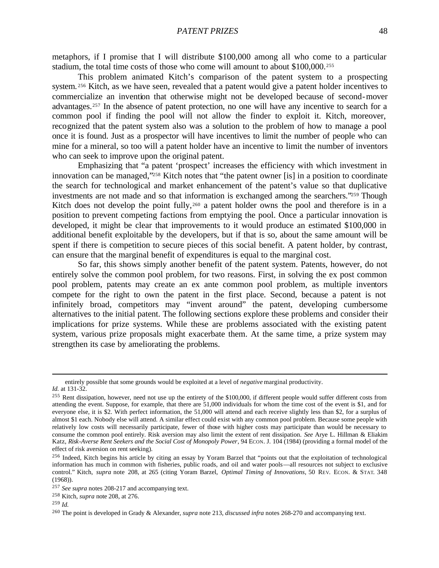metaphors, if I promise that I will distribute \$100,000 among all who come to a particular stadium, the total time costs of those who come will amount to about \$100,000.<sup>255</sup>

This problem animated Kitch's comparison of the patent system to a prospecting system.<sup>256</sup> Kitch, as we have seen, revealed that a patent would give a patent holder incentives to commercialize an invention that otherwise might not be developed because of second-mover advantages.257 In the absence of patent protection, no one will have any incentive to search for a common pool if finding the pool will not allow the finder to exploit it. Kitch, moreover, recognized that the patent system also was a solution to the problem of how to manage a pool once it is found. Just as a prospector will have incentives to limit the number of people who can mine for a mineral, so too will a patent holder have an incentive to limit the number of inventors who can seek to improve upon the original patent.

Emphasizing that "a patent 'prospect' increases the efficiency with which investment in innovation can be managed,"258 Kitch notes that "the patent owner [is] in a position to coordinate the search for technological and market enhancement of the patent's value so that duplicative investments are not made and so that information is exchanged among the searchers."259 Though Kitch does not develop the point fully,<sup>260</sup> a patent holder owns the pool and therefore is in a position to prevent competing factions from emptying the pool. Once a particular innovation is developed, it might be clear that improvements to it would produce an estimated \$100,000 in additional benefit exploitable by the developers, but if that is so, about the same amount will be spent if there is competition to secure pieces of this social benefit. A patent holder, by contrast, can ensure that the marginal benefit of expenditures is equal to the marginal cost.

So far, this shows simply another benefit of the patent system. Patents, however, do not entirely solve the common pool problem, for two reasons. First, in solving the ex post common pool problem, patents may create an ex ante common pool problem, as multiple inventors compete for the right to own the patent in the first place. Second, because a patent is not infinitely broad, competitors may "invent around" the patent, developing cumbersome alternatives to the initial patent. The following sections explore these problems and consider their implications for prize systems. While these are problems associated with the existing patent system, various prize proposals might exacerbate them. At the same time, a prize system may strengthen its case by ameliorating the problems.

entirely possible that some grounds would be exploited at a level of *negative* marginal productivity. *Id.* at 131-32.

<sup>&</sup>lt;sup>255</sup> Rent dissipation, however, need not use up the entirety of the \$100,000, if different people would suffer different costs from attending the event. Suppose, for example, that there are 51,000 individuals for whom the time cost of the event is \$1, and for everyone else, it is \$2. With perfect information, the 51,000 will attend and each receive slightly less than \$2, for a surplus of almost \$1 each. Nobody else will attend. A similar effect could exist with any common pool problem. Because some people with relatively low costs will necessarily participate, fewer of those with higher costs may participate than would be necessary to consume the common pool entirely. Risk aversion may also limit the extent of rent dissipation. *See* Arye L. Hillman & Eliakim Katz, *Risk-Averse Rent Seekers and the Social Cost of Monopoly Power*, 94 ECON. J. 104 (1984) (providing a formal model of the effect of risk aversion on rent seeking).

<sup>256</sup> Indeed, Kitch begins his article by citing an essay by Yoram Barzel that "points out that the exploitation of technological information has much in common with fisheries, public roads, and oil and water pools—all resources not subject to exclusive control." Kitch, *supra* note 208, at 265 (citing Yoram Barzel, *Optimal Timing of Innovations*, 50 REV. ECON. & STAT. 348 (1968)).

<sup>257</sup> *See supra* notes 208-217 and accompanying text.

<sup>258</sup> Kitch, *supra* note 208, at 276.

<sup>259</sup> *Id.*

<sup>260</sup> The point is developed in Grady & Alexander, *supra* note 213, *discussed infra* notes 268-270 and accompanying text.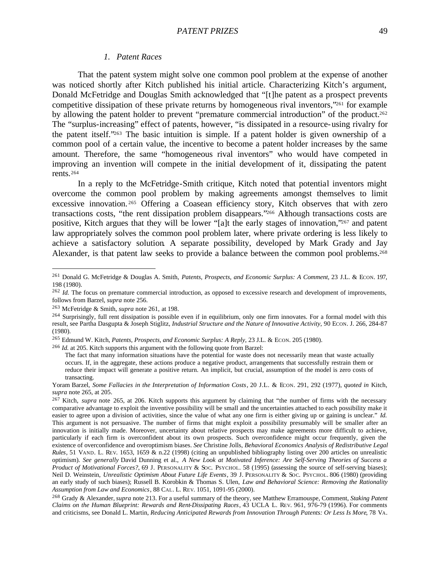## *1. Patent Races*

That the patent system might solve one common pool problem at the expense of another was noticed shortly after Kitch published his initial article. Characterizing Kitch's argument, Donald McFetridge and Douglas Smith acknowledged that "[t]he patent as a prospect prevents competitive dissipation of these private returns by homogeneous rival inventors,"261 for example by allowing the patent holder to prevent "premature commercial introduction" of the product.<sup>262</sup> The "surplus-increasing" effect of patents, however, "is dissipated in a resource-using rivalry for the patent itself."263 The basic intuition is simple. If a patent holder is given ownership of a common pool of a certain value, the incentive to become a patent holder increases by the same amount. Therefore, the same "homogeneous rival inventors" who would have competed in improving an invention will compete in the initial development of it, dissipating the patent rents.<sup>264</sup>

In a reply to the McFetridge-Smith critique, Kitch noted that potential inventors might overcome the common pool problem by making agreements amongst themselves to limit excessive innovation.<sup>265</sup> Offering a Coasean efficiency story, Kitch observes that with zero transactions costs, "the rent dissipation problem disappears."266 Although transactions costs are positive, Kitch argues that they will be lower "[a]t the early stages of innovation,"267 and patent law appropriately solves the common pool problem later, where private ordering is less likely to achieve a satisfactory solution. A separate possibility, developed by Mark Grady and Jay Alexander, is that patent law seeks to provide a balance between the common pool problems.<sup>268</sup>

<sup>261</sup> Donald G. McFetridge & Douglas A. Smith, *Patents, Prospects, and Economic Surplus: A Comment*, 23 J.L. & ECON. 197, 198 (1980).

<sup>&</sup>lt;sup>262</sup> *Id.* The focus on premature commercial introduction, as opposed to excessive research and development of improvements, follows from Barzel, *supra* note 256.

<sup>263</sup> McFetridge & Smith, *supra* note 261, at 198.

 $^{264}$  Surprisingly, full rent dissipation is possible even if in equilibrium, only one firm innovates. For a formal model with this result, see Partha Dasgupta & Joseph Stiglitz, *Industrial Structure and the Nature of Innovative Activity*, 90 ECON. J. 266, 284-87 (1980).

<sup>265</sup> Edmund W. Kitch, *Patents, Prospects, and Economic Surplus: A Reply*, 23 J.L. & ECON. 205 (1980).

<sup>266</sup> *Id.* at 205. Kitch supports this argument with the following quote from Barzel:

The fact that many information situations have the potential for waste does not necessarily mean that waste actually occurs. If, in the aggregate, these actions produce a negative product, arrangements that successfully restrain them or reduce their impact will generate a positive return. An implicit, but crucial, assumption of the model is zero costs of transacting.

Yoram Barzel, *Some Fallacies in the Interpretation of Information Costs*, 20 J.L. & ECON. 291, 292 (1977), *quoted in* Kitch, *supra* note 265, at 205.

<sup>&</sup>lt;sup>267</sup> Kitch, *supra* note 265, at 206. Kitch supports this argument by claiming that "the number of firms with the necessary comparative advantage to exploit the inventive possibility will be small and the uncertainties attached to each possibility make it easier to agree upon a division of activities, since the value of what any one firm is either giving up or gaining is unclear." *Id.* This argument is not persuasive. The number of firms that might exploit a possibility presumably will be smaller after an innovation is initially made. Moreover, uncertainty about relative prospects may make agreements more difficult to achieve, particularly if each firm is overconfident about its own prospects. Such overconfidence might occur frequently, given the existence of overconfidence and overoptimism biases. *See* Christine Jolls, *Behavioral Economics Analysis of Redistributive Legal Rules*, 51 VAND. L. REV. 1653, 1659 & n.22 (1998) (citing an unpublished bibliography listing over 200 articles on unrealistic optimism). *See generally* David Dunning et al., *A New Look at Motivated Inference: Are Self-Serving Theories of Success a Product of Motivational Forces?*, 69 J. PERSONALITY & SOC. PSYCHOL. 58 (1995) (assessing the source of self-serving biases); Neil D. Weinstein, *Unrealistic Optimism About Future Life Events*, 39 J. PERSONALITY & SOC. PSYCHOL. 806 (1980) (providing an early study of such biases); Russell B. Korobkin & Thomas S. Ulen, *Law and Behavioral Science: Removing the Rationality Assumption from Law and Economics*, 88 CAL. L. REV. 1051, 1091-95 (2000).

<sup>268</sup> Grady & Alexander, *supra* note 213. For a useful summary of the theory, see Matthew Erramouspe, Comment, *Staking Patent Claims on the Human Blueprint: Rewards and Rent-Dissipating Races*, 43 UCLA L. REV. 961, 976-79 (1996). For comments and criticisms, see Donald L. Martin, *Reducing Anticipated Rewards from Innovation Through Patents: Or Less Is More*, 78 VA.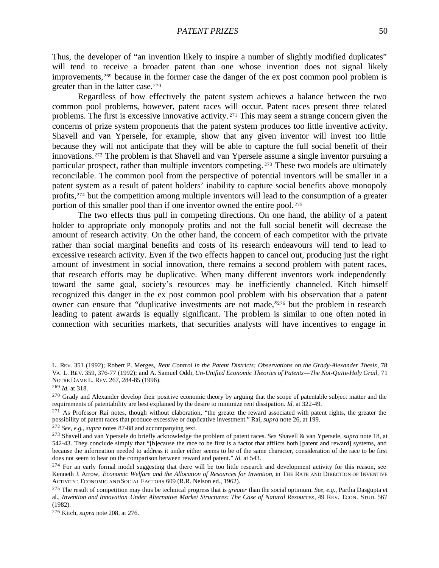Thus, the developer of "an invention likely to inspire a number of slightly modified duplicates" will tend to receive a broader patent than one whose invention does not signal likely improvements,<sup>269</sup> because in the former case the danger of the ex post common pool problem is greater than in the latter case.<sup>270</sup>

Regardless of how effectively the patent system achieves a balance between the two common pool problems, however, patent races will occur. Patent races present three related problems. The first is excessive innovative activity. <sup>271</sup> This may seem a strange concern given the concerns of prize system proponents that the patent system produces too little inventive activity. Shavell and van Ypersele, for example, show that any given inventor will invest too little because they will not anticipate that they will be able to capture the full social benefit of their innovations.272 The problem is that Shavell and van Ypersele assume a single inventor pursuing a particular prospect, rather than multiple inventors competing. <sup>273</sup> These two models are ultimately reconcilable. The common pool from the perspective of potential inventors will be smaller in a patent system as a result of patent holders' inability to capture social benefits above monopoly profits,274 but the competition among multiple inventors will lead to the consumption of a greater portion of this smaller pool than if one inventor owned the entire pool. <sup>275</sup>

The two effects thus pull in competing directions. On one hand, the ability of a patent holder to appropriate only monopoly profits and not the full social benefit will decrease the amount of research activity. On the other hand, the concern of each competitor with the private rather than social marginal benefits and costs of its research endeavours will tend to lead to excessive research activity. Even if the two effects happen to cancel out, producing just the right amount of investment in social innovation, there remains a second problem with patent races, that research efforts may be duplicative. When many different inventors work independently toward the same goal, society's resources may be inefficiently channeled. Kitch himself recognized this danger in the ex post common pool problem with his observation that a patent owner can ensure that "duplicative investments are not made,"276 but the problem in research leading to patent awards is equally significant. The problem is similar to one often noted in connection with securities markets, that securities analysts will have incentives to engage in

L. REV. 351 (1992); Robert P. Merges, *Rent Control in the Patent Districts: Observations on the Grady-Alexander Thesis*, 78 VA. L. RE V. 359, 376-77 (1992); and A. Samuel Oddi, *Un-Unified Economic Theories of Patents—The Not-Quite-Holy Grail*, 71 NOTRE DAME L. REV. 267, 284-85 (1996).

<sup>269</sup> *Id.* at 318.

<sup>&</sup>lt;sup>270</sup> Grady and Alexander develop their positive economic theory by arguing that the scope of patentable subject matter and the requirements of patentability are best explained by the desire to minimize rent dissipation. *Id*. at 322-49.

<sup>&</sup>lt;sup>271</sup> As Professor Rai notes, though without elaboration, "the greater the reward associated with patent rights, the greater the possibility of patent races that produce excessive or duplicative investment." Rai, *supra* note 26, at 199.

<sup>272</sup> *See, e.g.*, *supra* notes 87-88 and accompanying text.

<sup>273</sup> Shavell and van Ypersele do briefly acknowledge the problem of patent races. *See* Shavell & van Ypersele, *supra* note 18, at 542-43. They conclude simply that "[b]ecause the race to be first is a factor that afflicts both [patent and reward] systems, and because the information needed to address it under either seems to be of the same character, consideration of the race to be first does not seem to bear on the comparison between reward and patent." *Id.* at 543.

 $274$  For an early formal model suggesting that there will be too little research and development activity for this reason, see Kenneth J. Arrow, *Economic Welfare and the Allocation of Resources for Invention*, in THE RATE AND DIRECTION OF INVENTIVE ACTIVITY: ECONOMIC AND SOCIAL FACTORS 609 (R.R. Nelson ed., 1962).

<sup>275</sup> The result of competition may thus be technical progress that is *greater* than the social optimum. *See, e.g.*, Partha Dasgupta et al., *Invention and Innovation Under Alternative Market Structures: The Case of Natural Resources*, 49 REV. ECON. STUD. 567 (1982).

<sup>276</sup> Kitch, *supra* note 208, at 276.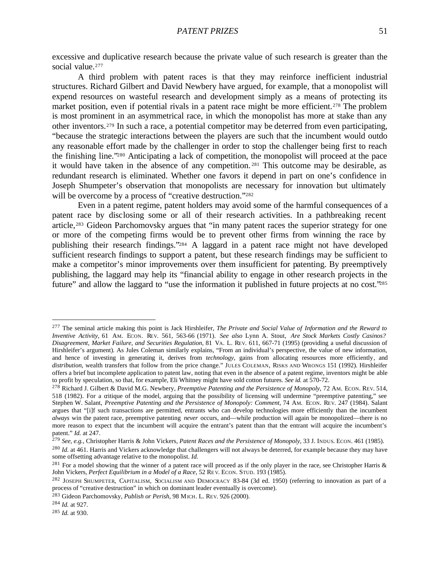excessive and duplicative research because the private value of such research is greater than the social value.<sup>277</sup>

A third problem with patent races is that they may reinforce inefficient industrial structures. Richard Gilbert and David Newbery have argued, for example, that a monopolist will expend resources on wasteful research and development simply as a means of protecting its market position, even if potential rivals in a patent race might be more efficient.<sup>278</sup> The problem is most prominent in an asymmetrical race, in which the monopolist has more at stake than any other inventors.279 In such a race, a potential competitor may be deterred from even participating, "because the strategic interactions between the players are such that the incumbent would outdo any reasonable effort made by the challenger in order to stop the challenger being first to reach the finishing line."280 Anticipating a lack of competition, the monopolist will proceed at the pace it would have taken in the absence of any competition. <sup>281</sup> This outcome may be desirable, as redundant research is eliminated. Whether one favors it depend in part on one's confidence in Joseph Shumpeter's observation that monopolists are necessary for innovation but ultimately will be overcome by a process of "creative destruction."<sup>282</sup>

Even in a patent regime, patent holders may avoid some of the harmful consequences of a patent race by disclosing some or all of their research activities. In a pathbreaking recent article,<sup>283</sup> Gideon Parchomovsky argues that "in many patent races the superior strategy for one or more of the competing firms would be to prevent other firms from winning the race by publishing their research findings."284 A laggard in a patent race might not have developed sufficient research findings to support a patent, but these research findings may be sufficient to make a competitor's minor improvements over them insufficient for patenting. By preemptively publishing, the laggard may help its "financial ability to engage in other research projects in the future" and allow the laggard to "use the information it published in future projects at no cost."<sup>285</sup>

<sup>277</sup> The seminal article making this point is Jack Hirshleifer, *The Private and Social Value of Information and the Reward to Inventive Activity*, 61 AM. ECON. REV. 561, 563-66 (1971). *See also* Lynn A. Stout, *Are Stock Markets Costly Casinos? Disagreement, Market Failure, and Securities Regulation*, 81 VA. L. REV. 611, 667-71 (1995) (providing a useful discussion of Hirshleifer's argument). As Jules Coleman similarly explains, "From an individual's perspective, the value of new information, and hence of investing in generating it, derives from *technology*, gains from allocating resources more efficiently, and *distribution*, wealth transfers that follow from the price change." JULES COLEMAN, RISKS AND WRONGS 151 (1992). Hirshleifer offers a brief but incomplete application to patent law, noting that even in the absence of a patent regime, inventors might be able to profit by speculation, so that, for example, Eli Whitney might have sold cotton futures. *See id.* at 570-72.

<sup>278</sup> Richard J. Gilbert & David M.G. Newbery, *Preemptive Patenting and the Persistence of Monopoly*, 72 AM. ECON. REV. 514, 518 (1982). For a critique of the model, arguing that the possibility of licensing will undermine "preemptive patenting," see Stephen W. Salant, *Preemptive Patenting and the Persistence of Monopoly: Comment*, 74 AM. ECON. REV. 247 (1984). Salant argues that "[i]f such transactions are permitted, entrants who can develop technologies more efficiently than the incumbent *always* win the patent race, preemptive patenting *never* occurs, and—while production will again be monopolized—there is no more reason to expect that the incumbent will acquire the entrant's patent than that the entrant will acquire the incumbent's patent." *Id.* at 247.

<sup>279</sup> *See, e.g.*, Christopher Harris & John Vickers, *Patent Races and the Persistence of Monopoly*, 33 J. INDUS. ECON. 461 (1985).

<sup>&</sup>lt;sup>280</sup> *Id.* at 461. Harris and Vickers acknowledge that challengers will not always be deterred, for example because they may have some offsetting advantage relative to the monopolist. *Id.*

 $^{281}$  For a model showing that the winner of a patent race will proceed as if the only player in the race, see Christopher Harris & John Vickers, *Perfect Equilibrium in a Model of a Race*, 52 RE V. ECON. STUD. 193 (1985).

<sup>282</sup> JOSEPH SHUMPETER, CAPITALISM, SOCIALISM AND DEMOCRACY 83-84 (3d ed. 1950) (referring to innovation as part of a process of "creative destruction" in which on dominant leader eventually is overcome).

<sup>283</sup> Gideon Parchomovsky, *Publish or Perish*, 98 MICH. L. REV. 926 (2000).

<sup>284</sup> *Id.* at 927.

<sup>285</sup> *Id.* at 930.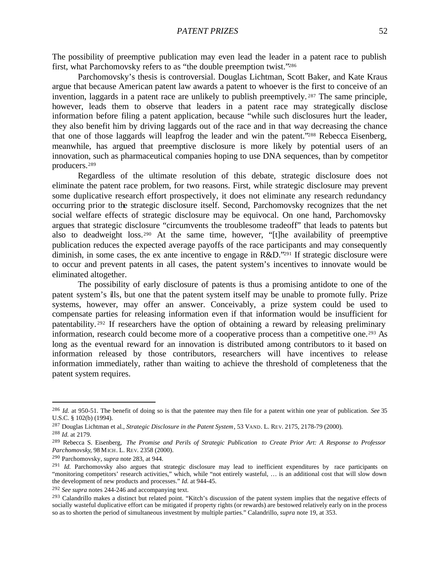The possibility of preemptive publication may even lead the leader in a patent race to publish first, what Parchomovsky refers to as "the double preemption twist."<sup>286</sup>

Parchomovsky's thesis is controversial. Douglas Lichtman, Scott Baker, and Kate Kraus argue that because American patent law awards a patent to whoever is the first to conceive of an invention, laggards in a patent race are unlikely to publish preemptively. <sup>287</sup> The same principle, however, leads them to observe that leaders in a patent race may strategically disclose information before filing a patent application, because "while such disclosures hurt the leader, they also benefit him by driving laggards out of the race and in that way decreasing the chance that one of those laggards will leapfrog the leader and win the patent."288 Rebecca Eisenberg, meanwhile, has argued that preemptive disclosure is more likely by potential users of an innovation, such as pharmaceutical companies hoping to use DNA sequences, than by competitor producers.<sup>289</sup>

Regardless of the ultimate resolution of this debate, strategic disclosure does not eliminate the patent race problem, for two reasons. First, while strategic disclosure may prevent some duplicative research effort prospectively, it does not eliminate any research redundancy occurring prior to the strategic disclosure itself. Second, Parchomovsky recognizes that the net social welfare effects of strategic disclosure may be equivocal. On one hand, Parchomovsky argues that strategic disclosure "circumvents the troublesome tradeoff" that leads to patents but also to deadweight loss.290 At the same time, however, "[t]he availability of preemptive publication reduces the expected average payoffs of the race participants and may consequently diminish, in some cases, the ex ante incentive to engage in R&D."291 If strategic disclosure were to occur and prevent patents in all cases, the patent system's incentives to innovate would be eliminated altogether.

The possibility of early disclosure of patents is thus a promising antidote to one of the patent system's ills, but one that the patent system itself may be unable to promote fully. Prize systems, however, may offer an answer. Conceivably, a prize system could be used to compensate parties for releasing information even if that information would be insufficient for patentability. <sup>292</sup> If researchers have the option of obtaining a reward by releasing preliminary information, research could become more of a cooperative process than a competitive one.<sup>293</sup> As long as the eventual reward for an innovation is distributed among contributors to it based on information released by those contributors, researchers will have incentives to release information immediately, rather than waiting to achieve the threshold of completeness that the patent system requires.

<sup>286</sup> *Id.* at 950-51. The benefit of doing so is that the patentee may then file for a patent within one year of publication. *See* 35 U.S.C. § 102(b) (1994).

<sup>287</sup> Douglas Lichtman et al., *Strategic Disclosure in the Patent System*, 53 VAND. L. REV. 2175, 2178-79 (2000).

<sup>288</sup> *Id.* at 2179.

<sup>289</sup> Rebecca S. Eisenberg, *The Promise and Perils of Strategic Publication to Create Prior Art: A Response to Professor Parchomovsky*, 98 MICH. L. REV. 2358 (2000).

<sup>290</sup> Parchomovsky, *supra* note 283, at 944.

<sup>&</sup>lt;sup>291</sup> *Id.* Parchomovsky also argues that strategic disclosure may lead to inefficient expenditures by race participants on "monitoring competitors' research activities," which, while "not entirely wasteful, … is an additional cost that will slow down the development of new products and processes." *Id.* at 944-45.

<sup>292</sup> *See supra* notes 244-246 and accompanying text.

<sup>&</sup>lt;sup>293</sup> Calandrillo makes a distinct but related point. "Kitch's discussion of the patent system implies that the negative effects of socially wasteful duplicative effort can be mitigated if property rights (or rewards) are bestowed relatively early on in the process so as to shorten the period of simultaneous investment by multiple parties." Calandrillo, *supra* note 19, at 353.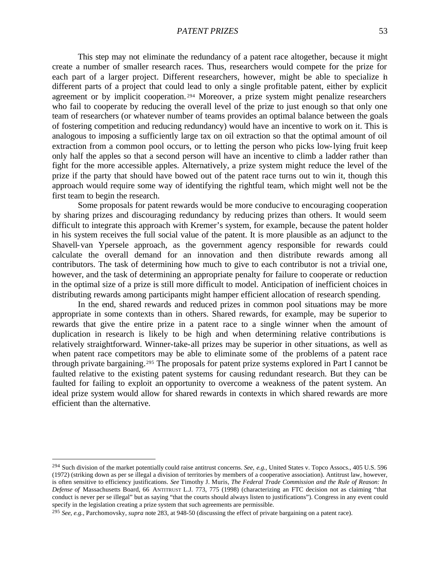This step may not eliminate the redundancy of a patent race altogether, because it might create a number of smaller research races. Thus, researchers would compete for the prize for each part of a larger project. Different researchers, however, might be able to specialize in different parts of a project that could lead to only a single profitable patent, either by explicit agreement or by implicit cooperation. <sup>294</sup> Moreover, a prize system might penalize researchers who fail to cooperate by reducing the overall level of the prize to just enough so that only one team of researchers (or whatever number of teams provides an optimal balance between the goals of fostering competition and reducing redundancy) would have an incentive to work on it. This is analogous to imposing a sufficiently large tax on oil extraction so that the optimal amount of oil extraction from a common pool occurs, or to letting the person who picks low-lying fruit keep only half the apples so that a second person will have an incentive to climb a ladder rather than fight for the more accessible apples. Alternatively, a prize system might reduce the level of the prize if the party that should have bowed out of the patent race turns out to win it, though this approach would require some way of identifying the rightful team, which might well not be the first team to begin the research.

Some proposals for patent rewards would be more conducive to encouraging cooperation by sharing prizes and discouraging redundancy by reducing prizes than others. It would seem difficult to integrate this approach with Kremer's system, for example, because the patent holder in his system receives the full social value of the patent. It is more plausible as an adjunct to the Shavell-van Ypersele approach, as the government agency responsible for rewards could calculate the overall demand for an innovation and then distribute rewards among all contributors. The task of determining how much to give to each contributor is not a trivial one, however, and the task of determining an appropriate penalty for failure to cooperate or reduction in the optimal size of a prize is still more difficult to model. Anticipation of inefficient choices in distributing rewards among participants might hamper efficient allocation of research spending.

In the end, shared rewards and reduced prizes in common pool situations may be more appropriate in some contexts than in others. Shared rewards, for example, may be superior to rewards that give the entire prize in a patent race to a single winner when the amount of duplication in research is likely to be high and when determining relative contributions is relatively straightforward. Winner-take-all prizes may be superior in other situations, as well as when patent race competitors may be able to eliminate some of the problems of a patent race through private bargaining.295 The proposals for patent prize systems explored in Part I cannot be faulted relative to the existing patent systems for causing redundant research. But they can be faulted for failing to exploit an opportunity to overcome a weakness of the patent system. An ideal prize system would allow for shared rewards in contexts in which shared rewards are more efficient than the alternative.

<sup>294</sup> Such division of the market potentially could raise antitrust concerns. *See, e.g.*, United States v. Topco Assocs., 405 U.S. 596 (1972) (striking down as per se illegal a division of territories by members of a cooperative association). Antitrust law, however, is often sensitive to efficiency justifications. *See* Timothy J. Muris, *The Federal Trade Commission and the Rule of Reason: In Defense of* Massachusetts Board, 66 ANTITRUST L.J. 773, 775 (1998) (characterizing an FTC decision not as claiming "that conduct is never per se illegal" but as saying "that the courts should always listen to justifications"). Congress in any event could specify in the legislation creating a prize system that such agreements are permissible.

<sup>295</sup> *See, e.g.*, Parchomovsky, *supra* note 283, at 948-50 (discussing the effect of private bargaining on a patent race).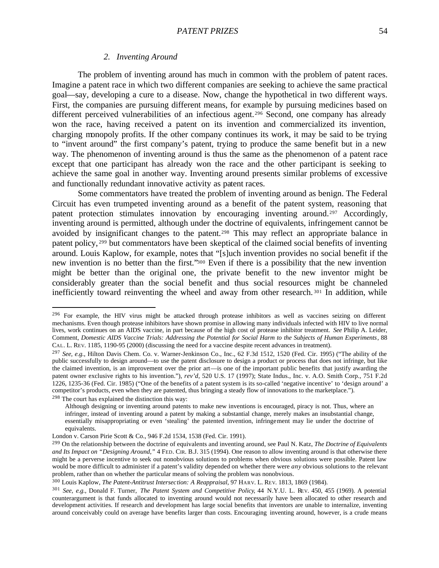# *2. Inventing Around*

The problem of inventing around has much in common with the problem of patent races. Imagine a patent race in which two different companies are seeking to achieve the same practical goal—say, developing a cure to a disease. Now, change the hypothetical in two different ways. First, the companies are pursuing different means, for example by pursuing medicines based on different perceived vulnerabilities of an infectious agent.<sup>296</sup> Second, one company has already won the race, having received a patent on its invention and commercialized its invention, charging monopoly profits. If the other company continues its work, it may be said to be trying to "invent around" the first company's patent, trying to produce the same benefit but in a new way. The phenomenon of inventing around is thus the same as the phenomenon of a patent race except that one participant has already won the race and the other participant is seeking to achieve the same goal in another way. Inventing around presents similar problems of excessive and functionally redundant innovative activity as patent races.

Some commentators have treated the problem of inventing around as benign. The Federal Circuit has even trumpeted inventing around as a benefit of the patent system, reasoning that patent protection stimulates innovation by encouraging inventing around.<sup>297</sup> Accordingly, inventing around is permitted, although under the doctrine of equivalents, infringement cannot be avoided by insignificant changes to the patent.<sup>298</sup> This may reflect an appropriate balance in patent policy, <sup>299</sup> but commentators have been skeptical of the claimed social benefits of inventing around. Louis Kaplow, for example, notes that "[s]uch invention provides no social benefit if the new invention is no better than the first."300 Even if there is a possibility that the new invention might be better than the original one, the private benefit to the new inventor might be considerably greater than the social benefit and thus social resources might be channeled inefficiently toward reinventing the wheel and away from other research. <sup>301</sup> In addition, while

Although designing or inventing around patents to make new inventions is encouraged, piracy is not. Thus, where an

<sup>&</sup>lt;sup>296</sup> For example, the HIV virus might be attacked through protease inhibitors as well as vaccines seizing on different mechanisms. Even though protease inhibitors have shown promise in allowing many individuals infected with HIV to live normal lives, work continues on an AIDS vaccine, in part because of the high cost of protease inhibitor treatment. *See* Philip A. Leider, Comment, *Domestic AIDS Vaccine Trials: Addressing the Potential for Social Harm to the Subjects of Human Experiments*, 88 CAL. L. REV. 1185, 1190-95 (2000) (discussing the need for a vaccine despite recent advances in treatment).

<sup>297</sup> *See, e.g.*, Hilton Davis Chem. Co. v. Warner-Jenkinson Co., Inc., 62 F.3d 1512, 1520 (Fed. Cir. 1995) ("The ability of the public successfully to design around—to use the patent disclosure to design a product or process that does not infringe, but like the claimed invention, is an improvement over the prior art—is one of the important public benefits that justify awarding the patent owner exclusive rights to his invention."), *rev'd*, 520 U.S. 17 (1997); State Indus., Inc. v. A.O. Smith Corp., 751 F.2d 1226, 1235-36 (Fed. Cir. 1985) ("One of the benefits of a patent system is its so-called 'negative incentive' to 'design around' a competitor's products, even when they are patented, thus bringing a steady flow of innovations to the marketplace."). <sup>298</sup> The court has explained the distinction this way:

infringer, instead of inventing around a patent by making a substantial change, merely makes an insubstantial change, essentially misappropriating or even 'stealing' the patented invention, infringement may lie under the doctrine of equivalents.

London v. Carson Pirie Scott & Co., 946 F.2d 1534, 1538 (Fed. Cir. 1991).

<sup>299</sup> On the relationship between the doctrine of equivalents and inventing around, see Paul N. Katz, *The Doctrine of Equivalents and Its Impact on "Designing Around*,*"* 4 FED. CIR. B.J. 315 (1994). One reason to allow inventing around is that otherwise there might be a perverse incentive to seek out nonobvious solutions to problems when obvious solutions were possible. Patent law would be more difficult to administer if a patent's validity depended on whether there were *any* obvious solutions to the relevant problem, rather than on whether the particular means of solving the problem was nonobvious.

<sup>300</sup> Louis Kaplow, *The Patent-Antitrust Intersection: A Reappraisal*, 97 HARV. L. REV. 1813, 1869 (1984).

<sup>301</sup> *See, e.g.*, Donald F. Turner, *The Patent System and Competitive Policy*, 44 N.Y.U. L. REV. 450, 455 (1969). A potential counterargument is that funds allocated to inventing around would not necessarily have been allocated to other research and development activities. If research and development has large social benefits that inventors are unable to internalize, inventing around conceivably could on average have benefits larger than costs. Encouraging inventing around, however, is a crude means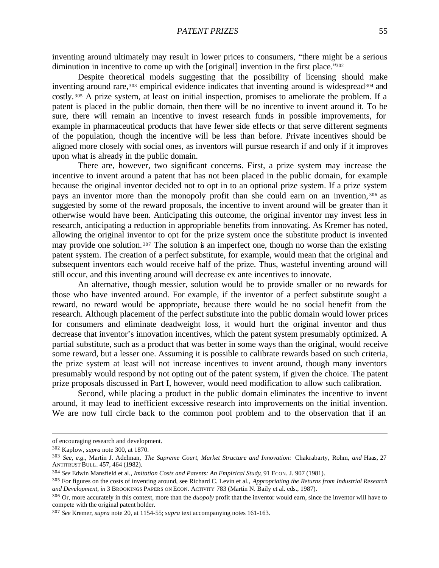inventing around ultimately may result in lower prices to consumers, "there might be a serious diminution in incentive to come up with the [original] invention in the first place."302

Despite theoretical models suggesting that the possibility of licensing should make inventing around rare,<sup>303</sup> empirical evidence indicates that inventing around is widespread<sup>304</sup> and costly. <sup>305</sup> A prize system, at least on initial inspection, promises to ameliorate the problem. If a patent is placed in the public domain, then there will be no incentive to invent around it. To be sure, there will remain an incentive to invest research funds in possible improvements, for example in pharmaceutical products that have fewer side effects or that serve different segments of the population, though the incentive will be less than before. Private incentives should be aligned more closely with social ones, as inventors will pursue research if and only if it improves upon what is already in the public domain.

There are, however, two significant concerns. First, a prize system may increase the incentive to invent around a patent that has not been placed in the public domain, for example because the original inventor decided not to opt in to an optional prize system. If a prize system pays an inventor more than the monopoly profit than she could earn on an invention, <sup>306</sup> as suggested by some of the reward proposals, the incentive to invent around will be greater than it otherwise would have been. Anticipating this outcome, the original inventor may invest less in research, anticipating a reduction in appropriable benefits from innovating. As Kremer has noted, allowing the original inventor to opt for the prize system once the substitute product is invented may provide one solution.<sup>307</sup> The solution is an imperfect one, though no worse than the existing patent system. The creation of a perfect substitute, for example, would mean that the original and subsequent inventors each would receive half of the prize. Thus, wasteful inventing around will still occur, and this inventing around will decrease ex ante incentives to innovate.

An alternative, though messier, solution would be to provide smaller or no rewards for those who have invented around. For example, if the inventor of a perfect substitute sought a reward, no reward would be appropriate, because there would be no social benefit from the research. Although placement of the perfect substitute into the public domain would lower prices for consumers and eliminate deadweight loss, it would hurt the original inventor and thus decrease that inventor's innovation incentives, which the patent system presumably optimized. A partial substitute, such as a product that was better in some ways than the original, would receive some reward, but a lesser one. Assuming it is possible to calibrate rewards based on such criteria, the prize system at least will not increase incentives to invent around, though many inventors presumably would respond by not opting out of the patent system, if given the choice. The patent prize proposals discussed in Part I, however, would need modification to allow such calibration.

Second, while placing a product in the public domain eliminates the incentive to invent around, it may lead to inefficient excessive research into improvements on the initial invention. We are now full circle back to the common pool problem and to the observation that if an

of encouraging research and development.

<sup>302</sup> Kaplow, *supra* note 300, at 1870.

<sup>303</sup> *See, e.g.*, Martin J. Adelman, *The Supreme Court, Market Structure and Innovation:* Chakrabarty*,* Rohm*, and* Haas, 27 ANTITRUST BULL. 457, 464 (1982).

<sup>304</sup> *See* Edwin Mansfield et al., *Imitation Costs and Patents: An Empirical Study*, 91 ECON. J. 907 (1981).

<sup>305</sup> For figures on the costs of inventing around, see Richard C. Levin et al., *Appropriating the Returns from Industrial Research and Development*, *in* 3 BROOKINGS PAPERS ON ECON. ACTIVITY 783 (Martin N. Baily et al. eds., 1987).

<sup>306</sup> Or, more accurately in this context, more than the *duopoly* profit that the inventor would earn, since the inventor will have to compete with the original patent holder.

<sup>307</sup> *See* Kremer, *supra* note 20, at 1154-55; *supra* text accompanying notes 161-163.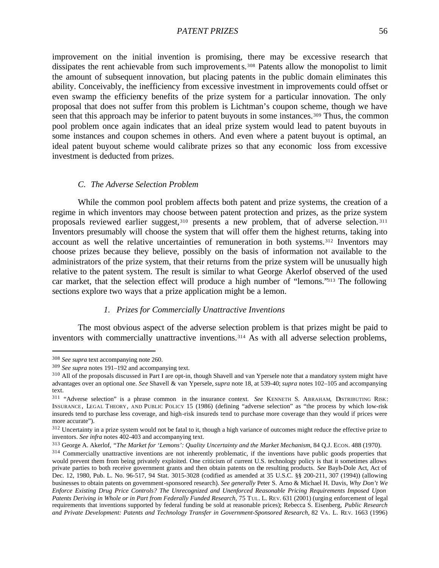improvement on the initial invention is promising, there may be excessive research that dissipates the rent achievable from such improvements.<sup>308</sup> Patents allow the monopolist to limit the amount of subsequent innovation, but placing patents in the public domain eliminates this ability. Conceivably, the inefficiency from excessive investment in improvements could offset or even swamp the efficiency benefits of the prize system for a particular innovation. The only proposal that does not suffer from this problem is Lichtman's coupon scheme, though we have seen that this approach may be inferior to patent buyouts in some instances.<sup>309</sup> Thus, the common pool problem once again indicates that an ideal prize system would lead to patent buyouts in some instances and coupon schemes in others. And even where a patent buyout is optimal, an ideal patent buyout scheme would calibrate prizes so that any economic loss from excessive investment is deducted from prizes.

## *C. The Adverse Selection Problem*

While the common pool problem affects both patent and prize systems, the creation of a regime in which inventors may choose between patent protection and prizes, as the prize system proposals reviewed earlier suggest,310 presents a new problem, that of adverse selection. <sup>311</sup> Inventors presumably will choose the system that will offer them the highest returns, taking into account as well the relative uncertainties of remuneration in both systems.<sup>312</sup> Inventors may choose prizes because they believe, possibly on the basis of information not available to the administrators of the prize system, that their returns from the prize system will be unusually high relative to the patent system. The result is similar to what George Akerlof observed of the used car market, that the selection effect will produce a high number of "lemons."313 The following sections explore two ways that a prize application might be a lemon.

# *1. Prizes for Commercially Unattractive Inventions*

The most obvious aspect of the adverse selection problem is that prizes might be paid to inventors with commercially unattractive inventions.<sup>314</sup> As with all adverse selection problems,

<sup>308</sup> *See supra* text accompanying note 260.

<sup>309</sup> *See supra* notes 191–192 and accompanying text.

<sup>&</sup>lt;sup>310</sup> All of the proposals discussed in Part I are opt-in, though Shavell and van Ypersele note that a mandatory system might have advantages over an optional one. *See* Shavell & van Ypersele, *supra* note 18, at 539-40; *supra* notes 102–105 and accompanying text.

<sup>311</sup> "Adverse selection" is a phrase common in the insurance context. *See* KENNETH S. ABRAHAM, DISTRIBUTING RISK: INSURANCE, LEGAL THEORY, AND PUBLIC POLICY 15 (1986) (defining "adverse selection" as "the process by which low-risk insureds tend to purchase less coverage, and high-risk insureds tend to purchase more coverage than they would if prices were more accurate").

<sup>&</sup>lt;sup>312</sup> Uncertainty in a prize system would not be fatal to it, though a high variance of outcomes might reduce the effective prize to inventors. *See infra* notes 402-403 and accompanying text.

<sup>313</sup> George A. Akerlof, *"The Market for 'Lemons': Quality Uncertainty and the Market Mechanism*, 84 Q.J. ECON. 488 (1970).

<sup>&</sup>lt;sup>314</sup> Commercially unattractive inventions are not inherently problematic, if the inventions have public goods properties that would prevent them from being privately exploited. One criticism of current U.S. technology policy is that it sometimes allows private parties to both receive government grants and then obtain patents on the resulting products. *See* Bayh-Dole Act, Act of Dec. 12, 1980, Pub. L. No. 96-517, 94 Stat. 3015-3028 (codified as amended at 35 U.S.C. §§ 200-211, 307 (1994)) (allowing businesses to obtain patents on government-sponsored research). *See generally* Peter S. Arno & Michael H. Davis, *Why Don't We Enforce Existing Drug Price Controls? The Unrecognized and Unenforced Reasonable Pricing Requirements Imposed Upon Patents Deriving in Whole or in Part from Federally Funded Research*, 75 TUL. L. REV. 631 (2001) (urging enforcement of legal requirements that inventions supported by federal funding be sold at reasonable prices); Rebecca S. Eisenberg, *Public Research and Private Development: Patents and Technology Transfer in Government-Sponsored Research*, 82 VA. L. REV. 1663 (1996)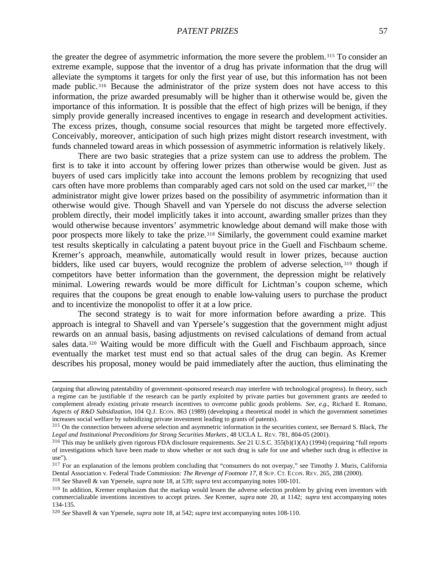the greater the degree of asymmetric information, the more severe the problem.315 To consider an extreme example, suppose that the inventor of a drug has private information that the drug will alleviate the symptoms it targets for only the first year of use, but this information has not been made public.<sup>316</sup> Because the administrator of the prize system does not have access to this information, the prize awarded presumably will be higher than it otherwise would be, given the importance of this information. It is possible that the effect of high prizes will be benign, if they simply provide generally increased incentives to engage in research and development activities. The excess prizes, though, consume social resources that might be targeted more effectively. Conceivably, moreover, anticipation of such high prizes might distort research investment, with funds channeled toward areas in which possession of asymmetric information is relatively likely.

There are two basic strategies that a prize system can use to address the problem. The first is to take it into account by offering lower prizes than otherwise would be given. Just as buyers of used cars implicitly take into account the lemons problem by recognizing that used cars often have more problems than comparably aged cars not sold on the used car market, 317 the administrator might give lower prizes based on the possibility of asymmetric information than it otherwise would give. Though Shavell and van Ypersele do not discuss the adverse selection problem directly, their model implicitly takes it into account, awarding smaller prizes than they would otherwise because inventors' asymmetric knowledge about demand will make those with poor prospects more likely to take the prize.<sup>318</sup> Similarly, the government could examine market test results skeptically in calculating a patent buyout price in the Guell and Fischbaum scheme. Kremer's approach, meanwhile, automatically would result in lower prizes, because auction bidders, like used car buyers, would recognize the problem of adverse selection, 319 though if competitors have better information than the government, the depression might be relatively minimal. Lowering rewards would be more difficult for Lichtman's coupon scheme, which requires that the coupons be great enough to enable low-valuing users to purchase the product and to incentivize the monopolist to offer it at a low price.

The second strategy is to wait for more information before awarding a prize. This approach is integral to Shavell and van Ypersele's suggestion that the government might adjust rewards on an annual basis, basing adjustments on revised calculations of demand from actual sales data.320 Waiting would be more difficult with the Guell and Fischbaum approach, since eventually the market test must end so that actual sales of the drug can begin. As Kremer describes his proposal, money would be paid immediately after the auction, thus eliminating the

<sup>(</sup>arguing that allowing patentability of government-sponsored research may interfere with technological progress). In theory, such a regime can be justifiable if the research can be partly exploited by private parties but government grants are needed to complement already existing private research incentives to overcome public goods problems. *See, e.g.*, Richard E. Romano, *Aspects of R&D Subsidization*, 104 Q.J. Econ. 863 (1989) (developing a theoretical model in which the government sometimes increases social welfare by subsidizing private investment leading to grants of patents).

<sup>315</sup> On the connection between adverse selection and asymmetric information in the securities context, see Bernard S. Black, *The Legal and Institutional Preconditions for Strong Securities Markets*, 48 UCLA L. REV. 781, 804-05 (2001).

<sup>316</sup> This may be unlikely given rigorous FDA disclosure requirements. *See* 21 U.S.C. 355(b)(1)(A) (1994) (requiring "full reports of investigations which have been made to show whether or not such drug is safe for use and whether such drug is effective in use").

<sup>&</sup>lt;sup>317</sup> For an explanation of the lemons problem concluding that "consumers do not overpay," see Timothy J. Muris, California Dental Association v. Federal Trade Commission*: The Revenge of Footnote 17*, 8 SUP. CT. ECON. REV. 265, 288 (2000).

<sup>318</sup> *See* Shavell & van Ypersele, *supra* note 18, at 539; *supra* text accompanying notes 100-101.

 $319$  In addition, Kremer emphasizes that the markup would lessen the adverse selection problem by giving even inventors with commercializable inventions incentives to accept prizes. *See* Kremer, *supra* note 20, at 1142; *supra* text accompanying notes 134-135.

<sup>320</sup> *See* Shavell & van Ypersele, *supra* note 18, at 542; *supra* text accompanying notes 108-110.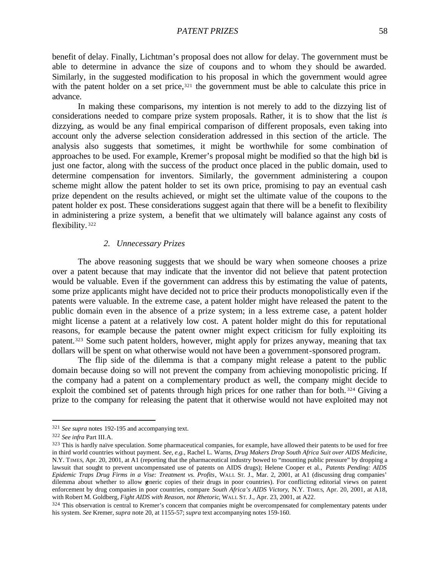benefit of delay. Finally, Lichtman's proposal does not allow for delay. The government must be able to determine in advance the size of coupons and to whom they should be awarded. Similarly, in the suggested modification to his proposal in which the government would agree with the patent holder on a set price,  $321$  the government must be able to calculate this price in advance.

In making these comparisons, my intention is not merely to add to the dizzying list of considerations needed to compare prize system proposals. Rather, it is to show that the list *is* dizzying, as would be any final empirical comparison of different proposals, even taking into account only the adverse selection consideration addressed in this section of the article. The analysis also suggests that sometimes, it might be worthwhile for some combination of approaches to be used. For example, Kremer's proposal might be modified so that the high bid is just one factor, along with the success of the product once placed in the public domain, used to determine compensation for inventors. Similarly, the government administering a coupon scheme might allow the patent holder to set its own price, promising to pay an eventual cash prize dependent on the results achieved, or might set the ultimate value of the coupons to the patent holder ex post. These considerations suggest again that there will be a benefit to flexibility in administering a prize system, a benefit that we ultimately will balance against any costs of flexibility. <sup>322</sup>

## *2. Unnecessary Prizes*

The above reasoning suggests that we should be wary when someone chooses a prize over a patent because that may indicate that the inventor did not believe that patent protection would be valuable. Even if the government can address this by estimating the value of patents, some prize applicants might have decided not to price their products monopolistically even if the patents were valuable. In the extreme case, a patent holder might have released the patent to the public domain even in the absence of a prize system; in a less extreme case, a patent holder might license a patent at a relatively low cost. A patent holder might do this for reputational reasons, for example because the patent owner might expect criticism for fully exploiting its patent.323 Some such patent holders, however, might apply for prizes anyway, meaning that tax dollars will be spent on what otherwise would not have been a government-sponsored program.

The flip side of the dilemma is that a company might release a patent to the public domain because doing so will not prevent the company from achieving monopolistic pricing. If the company had a patent on a complementary product as well, the company might decide to exploit the combined set of patents through high prices for one rather than for both.<sup>324</sup> Giving a prize to the company for releasing the patent that it otherwise would not have exploited may not

<sup>321</sup> *See supra* notes 192-195 and accompanying text.

<sup>322</sup> *See infra* Part III.A.

<sup>&</sup>lt;sup>323</sup> This is hardly naïve speculation. Some pharmaceutical companies, for example, have allowed their patents to be used for free in third world countries without payment. *See, e.g.*, Rachel L. Warns, *Drug Makers Drop South Africa Suit over AIDS Medicine*, N.Y. TIMES, Apr. 20, 2001, at A1 (reporting that the pharmaceutical industry bowed to "mounting public pressure" by dropping a lawsuit that sought to prevent uncompensated use of patents on AIDS drugs); Helene Cooper et al., *Patents Pending: AIDS Epidemic Traps Drug Firms in a Vise: Treatment vs. Profits*, WALL ST. J., Mar. 2, 2001, at A1 (discussing drug companies' dilemma about whether to allow generic copies of their drugs in poor countries). For conflicting editorial views on patent enforcement by drug companies in poor countries, compare *South Africa's AIDS Victory*, N.Y. TIMES, Apr. 20, 2001, at A18, with Robert M. Goldberg, *Fight AIDS with Reason, not Rhetoric*, WALL ST. J., Apr. 23, 2001, at A22.

<sup>&</sup>lt;sup>324</sup> This observation is central to Kremer's concern that companies might be overcompensated for complementary patents under his system. *See* Kremer, *supra* note 20, at 1155-57; *supra* text accompanying notes 159-160.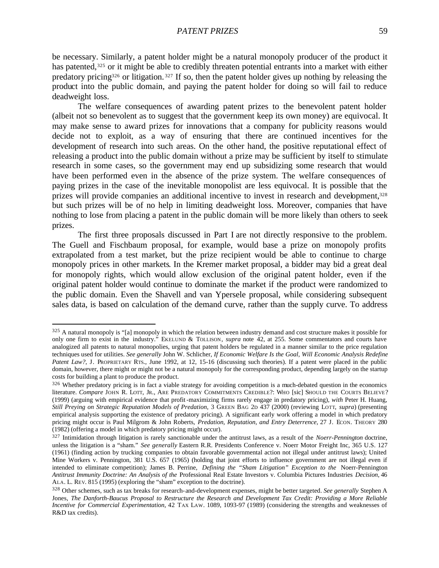be necessary. Similarly, a patent holder might be a natural monopoly producer of the product it has patented,<sup>325</sup> or it might be able to credibly threaten potential entrants into a market with either predatory pricing326 or litigation. <sup>327</sup> If so, then the patent holder gives up nothing by releasing the product into the public domain, and paying the patent holder for doing so will fail to reduce deadweight loss.

The welfare consequences of awarding patent prizes to the benevolent patent holder (albeit not so benevolent as to suggest that the government keep its own money) are equivocal. It may make sense to award prizes for innovations that a company for publicity reasons would decide not to exploit, as a way of ensuring that there are continued incentives for the development of research into such areas. On the other hand, the positive reputational effect of releasing a product into the public domain without a prize may be sufficient by itself to stimulate research in some cases, so the government may end up subsidizing some research that would have been performed even in the absence of the prize system. The welfare consequences of paying prizes in the case of the inevitable monopolist are less equivocal. It is possible that the prizes will provide companies an additional incentive to invest in research and development,<sup>328</sup> but such prizes will be of no help in limiting deadweight loss. Moreover, companies that have nothing to lose from placing a patent in the public domain will be more likely than others to seek prizes.

The first three proposals discussed in Part I are not directly responsive to the problem. The Guell and Fischbaum proposal, for example, would base a prize on monopoly profits extrapolated from a test market, but the prize recipient would be able to continue to charge monopoly prices in other markets. In the Kremer market proposal, a bidder may bid a great deal for monopoly rights, which would allow exclusion of the original patent holder, even if the original patent holder would continue to dominate the market if the product were randomized to the public domain. Even the Shavell and van Ypersele proposal, while considering subsequent sales data, is based on calculation of the demand curve, rather than the supply curve. To address

 $325$  A natural monopoly is "[a] monopoly in which the relation between industry demand and cost structure makes it possible for only one firm to exist in the industry." EKELUND & TOLLISON, *supra* note 42, at 255. Some commentators and courts have analogized all patents to natural monopolies, urging that patent holders be regulated in a manner similar to the price regulation techniques used for utilities. *See generally* John W. Schlicher, *If Economic Welfare Is the Goal, Will Economic Analysis Redefine Patent Law?*, J. PROPRIETARY RTS., June 1992, at 12, 15-16 (discussing such theories). If a patent were placed in the public domain, however, there might or might not be a natural monopoly for the corresponding product, depending largely on the startup costs for building a plant to produce the product.

<sup>326</sup> Whether predatory pricing is in fact a viable strategy for avoiding competition is a much-debated question in the economics literature. *Compare* JOHN R. LOTT, JR., ARE PREDATORY COMMITMENTS CREDIBLE?: WHO [sic] SHOULD THE COURTS BELIEVE? (1999) (arguing with empirical evidence that profit-maximizing firms rarely engage in predatory pricing), *with* Peter H. Huang, *Still Preying on Strategic Reputation Models of Predation*, 3 GREEN BAG 2D 437 (2000) (reviewing LOTT, *supra*) (presenting empirical analysis supporting the existence of predatory pricing). A significant early work offering a model in which predatory pricing might occur is Paul Milgrom & John Roberts, *Predation, Reputation, and Entry Deterrence*, 27 J. ECON. THEORY 280 (1982) (offering a model in which predatory pricing might occur).

<sup>327</sup> Intimidation through litigation is rarely sanctionable under the antitrust laws, as a result of the *Noerr-Pennington* doctrine, unless the litigation is a "sham." *See generally* Eastern R.R. Presidents Conference v. Noerr Motor Freight Inc, 365 U.S. 127 (1961) (finding action by trucking companies to obtain favorable governmental action not illegal under antitrust laws); United Mine Workers v. Pennington, 381 U.S. 657 (1965) (holding that joint efforts to influence government are not illegal even if intended to eliminate competition); James B. Perrine, *Defining the "Sham Litigation" Exception to the* Noerr-Pennington *Antitrust Immunity Doctrine: An Analysis of the* Professional Real Estate Investors v. Columbia Pictures Industries *Decision*, 46 ALA. L. REV. 815 (1995) (exploring the "sham" exception to the doctrine).

<sup>328</sup> Other schemes, such as tax breaks for research-and-development expenses, might be better targeted. *See generally* Stephen A Jones, *The Danforth-Baucus Proposal to Restructure the Research and Development Tax Credit: Providing a More Reliable Incentive for Commercial Experimentation*, 42 TAX LAW. 1089, 1093-97 (1989) (considering the strengths and weaknesses of R&D tax credits).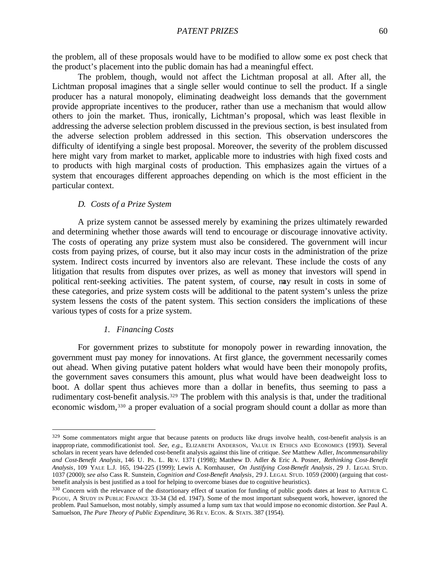the problem, all of these proposals would have to be modified to allow some ex post check that the product's placement into the public domain has had a meaningful effect.

The problem, though, would not affect the Lichtman proposal at all. After all, the Lichtman proposal imagines that a single seller would continue to sell the product. If a single producer has a natural monopoly, eliminating deadweight loss demands that the government provide appropriate incentives to the producer, rather than use a mechanism that would allow others to join the market. Thus, ironically, Lichtman's proposal, which was least flexible in addressing the adverse selection problem discussed in the previous section, is best insulated from the adverse selection problem addressed in this section. This observation underscores the difficulty of identifying a single best proposal. Moreover, the severity of the problem discussed here might vary from market to market, applicable more to industries with high fixed costs and to products with high marginal costs of production. This emphasizes again the virtues of a system that encourages different approaches depending on which is the most efficient in the particular context.

## *D. Costs of a Prize System*

A prize system cannot be assessed merely by examining the prizes ultimately rewarded and determining whether those awards will tend to encourage or discourage innovative activity. The costs of operating any prize system must also be considered. The government will incur costs from paying prizes, of course, but it also may incur costs in the administration of the prize system. Indirect costs incurred by inventors also are relevant. These include the costs of any litigation that results from disputes over prizes, as well as money that investors will spend in political rent-seeking activities. The patent system, of course, may result in costs in some of these categories, and prize system costs will be additional to the patent system's unless the prize system lessens the costs of the patent system. This section considers the implications of these various types of costs for a prize system.

## *1. Financing Costs*

 $\overline{a}$ 

For government prizes to substitute for monopoly power in rewarding innovation, the government must pay money for innovations. At first glance, the government necessarily comes out ahead. When giving putative patent holders what would have been their monopoly profits, the government saves consumers this amount, plus what would have been deadweight loss to boot. A dollar spent thus achieves more than a dollar in benefits, thus seeming to pass a rudimentary cost-benefit analysis.329 The problem with this analysis is that, under the traditional economic wisdom,330 a proper evaluation of a social program should count a dollar as more than

 $329$  Some commentators might argue that because patents on products like drugs involve health, cost-benefit analysis is an inapprop riate, commodificationist tool. *See, e.g.*, ELIZABETH ANDERSON, VALUE IN ETHICS AND ECONOMICS (1993). Several scholars in recent years have defended cost-benefit analysis against this line of critique. *See* Matthew Adler, *Incommensurability and Cost-Benefit Analysis*, 146 U. PA. L. RE V. 1371 (1998); Matthew D. Adler & Eric A. Posner, *Rethinking Cost-Benefit Analysis*, 109 YALE L.J. 165, 194-225 (1999); Lewis A. Kornhauser, *On Justifying Cost-Benefit Analysis*, 29 J. LEGAL STUD. 1037 (2000); *see also* Cass R. Sunstein, *Cognition and Cost-Benefit Analysis*, 29 J. LEGAL STUD. 1059 (2000) (arguing that costbenefit analysis is best justified as a tool for helping to overcome biases due to cognitive heuristics).

<sup>330</sup> Concern with the relevance of the distortionary effect of taxation for funding of public goods dates at least to ARTHUR C. PIGOU, A STUDY IN PUBLIC FINANCE 33-34 (3d ed. 1947). Some of the most important subsequent work, however, ignored the problem. Paul Samuelson, most notably, simply assumed a lump sum tax that would impose no economic distortion. *See* Paul A. Samuelson, *The Pure Theory of Public Expenditure*, 36 REV. ECON. & STATS. 387 (1954).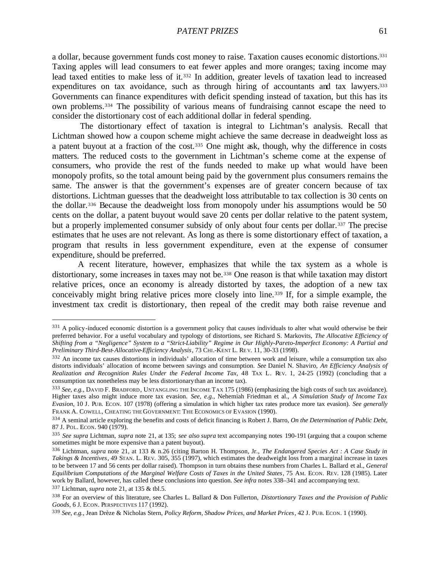a dollar, because government funds cost money to raise. Taxation causes economic distortions.<sup>331</sup> Taxing apples will lead consumers to eat fewer apples and more oranges; taxing income may lead taxed entities to make less of it.332 In addition, greater levels of taxation lead to increased expenditures on tax avoidance, such as through hiring of accountants and tax lawyers.<sup>333</sup> Governments can finance expenditures with deficit spending instead of taxation, but this has its own problems.334 The possibility of various means of fundraising cannot escape the need to consider the distortionary cost of each additional dollar in federal spending.

 The distortionary effect of taxation is integral to Lichtman's analysis. Recall that Lichtman showed how a coupon scheme might achieve the same decrease in deadweight loss as a patent buyout at a fraction of the cost.<sup>335</sup> One might ask, though, why the difference in costs matters. The reduced costs to the government in Lichtman's scheme come at the expense of consumers, who provide the rest of the funds needed to make up what would have been monopoly profits, so the total amount being paid by the government plus consumers remains the same. The answer is that the government's expenses are of greater concern because of tax distortions. Lichtman guesses that the deadweight loss attributable to tax collection is 30 cents on the dollar.336 Because the deadweight loss from monopoly under his assumptions would be 50 cents on the dollar, a patent buyout would save 20 cents per dollar relative to the patent system, but a properly implemented consumer subsidy of only about four cents per dollar.<sup>337</sup> The precise estimates that he uses are not relevant. As long as there is some distortionary effect of taxation, a program that results in less government expenditure, even at the expense of consumer expenditure, should be preferred.

A recent literature, however, emphasizes that while the tax system as a whole is distortionary, some increases in taxes may not be.338 One reason is that while taxation may distort relative prices, once an economy is already distorted by taxes, the adoption of a new tax conceivably might bring relative prices more closely into line.339 If, for a simple example, the investment tax credit is distortionary, then repeal of the credit may both raise revenue and

<sup>337</sup> Lichtman, *supra* note 21, at 135 & tbl.5.

<sup>&</sup>lt;sup>331</sup> A policy-induced economic distortion is a government policy that causes individuals to alter what would otherwise be their preferred behavior. For a useful vocabulary and typology of distortions, see Richard S. Markovits, *The Allocative Efficiency of Shifting from a "Negligence" System to a "Strict-Liability" Regime in Our Highly-Pareto-Imperfect Economy: A Partial and Preliminary Third-Best-Allocative-Efficiency Analysis*, 73 CHI.-KENT L. RE V. 11, 30-33 (1998).

<sup>332</sup> An income tax causes distortions in individuals' allocation of time between work and leisure, while a consumption tax also distorts individuals' allocation of income between savings and consumption. *See* Daniel N. Shaviro, *An Efficiency Analysis of Realization and Recognition Rules Under the Federal Income Tax*, 48 TAX L. REV. 1, 24-25 (1992) (concluding that a consumption tax nonetheless may be less distortionary than an income tax).

<sup>333</sup> *See, e.g.*, DAVID F. BRADFORD, UNTANGLING THE INCOME TAX 175 (1986) (emphasizing the high costs of such tax avoidance). Higher taxes also might induce more tax evasion. *See, e.g.*, Nehemiah Friedman et al., *A Simulation Study of Income Tax Evasion*, 10 J. PUB. ECON. 107 (1978) (offering a simulation in which higher tax rates produce more tax evasion). *See generally*  FRANK A. COWELL, CHEATING THE GOVERNMENT: THE ECONOMICS OF EVASION (1990).

<sup>334</sup> A seminal article exploring the benefits and costs of deficit financing is Robert J. Barro, *On the Determination of Public Debt*, 87 J. POL. ECON. 940 (1979).

<sup>335</sup> *See supra* Lichtman, *supra* note 21, at 135; *see also supra* text accompanying notes 190-191 (arguing that a coupon scheme sometimes might be more expensive than a patent buyout).

<sup>336</sup> Lichtman, *supra* note 21, at 133 & n.26 (citing Barton H. Thompson, Jr., *The Endangered Species Act : A Case Study in Takings & Incentives*, 49 STAN. L. REV. 305, 355 (1997), which estimates the deadweight loss from a marginal increase in taxes to be between 17 and 56 cents per dollar raised). Thompson in turn obtains these numbers from Charles L. Ballard et al., *General Equilibrium Computations of the Marginal Welfare Costs of Taxes in the United States*, 75 AM. ECON. REV. 128 (1985). Later work by Ballard, however, has called these conclusions into question. *See infra* notes 338–341 and accompanying text.

<sup>338</sup> For an overview of this literature, see Charles L. Ballard & Don Fullerton, *Distortionary Taxes and the Provision of Public Goods*, 6 J. ECON. PERSPECTIVES 117 (1992).

<sup>339</sup> *See, e.g.*, Jean Drèze & Nicholas Stern, *Policy Reform, Shadow Prices, and Market Prices*, 42 J. PUB. ECON. 1 (1990).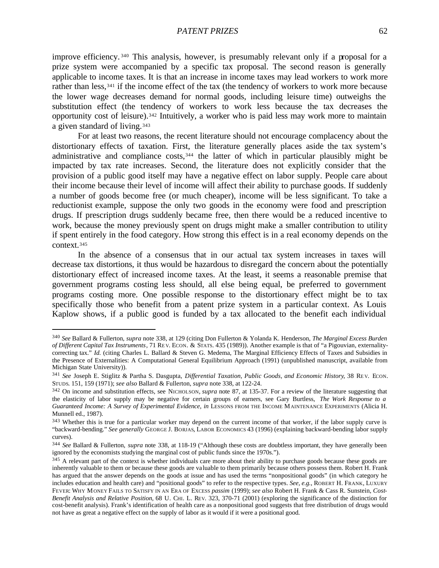improve efficiency. <sup>340</sup> This analysis, however, is presumably relevant only if a proposal for a prize system were accompanied by a specific tax proposal. The second reason is generally applicable to income taxes. It is that an increase in income taxes may lead workers to work more rather than less,<sup>341</sup> if the income effect of the tax (the tendency of workers to work more because the lower wage decreases demand for normal goods, including leisure time) outweighs the substitution effect (the tendency of workers to work less because the tax decreases the opportunity cost of leisure).342 Intuitively, a worker who is paid less may work more to maintain a given standard of living.<sup>343</sup>

For at least two reasons, the recent literature should not encourage complacency about the distortionary effects of taxation. First, the literature generally places aside the tax system's administrative and compliance costs,<sup>344</sup> the latter of which in particular plausibly might be impacted by tax rate increases. Second, the literature does not explicitly consider that the provision of a public good itself may have a negative effect on labor supply. People care about their income because their level of income will affect their ability to purchase goods. If suddenly a number of goods become free (or much cheaper), income will be less significant. To take a reductionist example, suppose the only two goods in the economy were food and prescription drugs. If prescription drugs suddenly became free, then there would be a reduced incentive to work, because the money previously spent on drugs might make a smaller contribution to utility if spent entirely in the food category. How strong this effect is in a real economy depends on the context.<sup>345</sup>

In the absence of a consensus that in our actual tax system increases in taxes will decrease tax distortions, it thus would be hazardous to disregard the concern about the potentially distortionary effect of increased income taxes. At the least, it seems a reasonable premise that government programs costing less should, all else being equal, be preferred to government programs costing more. One possible response to the distortionary effect might be to tax specifically those who benefit from a patent prize system in a particular context. As Louis Kaplow shows, if a public good is funded by a tax allocated to the benefit each individual

<sup>340</sup> *See* Ballard & Fullerton, *supra* note 338, at 129 (citing Don Fullerton & Yolanda K. Henderson, *The Marginal Excess Burden of Different Capital Tax Instruments*, 71 RE V. ECON. & STATS. 435 (1989)). Another example is that of "a Pigouvian, externalitycorrecting tax." *Id.* (citing Charles L. Ballard & Steven G. Medema, The Marginal Efficiency Effects of Taxes and Subsidies in the Presence of Externalities: A Computational General Equilibrium Approach (1991) (unpublished manuscript, available from Michigan State University)).

<sup>341</sup> *See* Joseph E. Stiglitz & Partha S. Dasgupta, *Differential Taxation, Public Goods, and Economic History*, 38 RE V. ECON. STUDS. 151, 159 (1971); *see also* Ballard & Fullerton, *supra* note 338, at 122-24.

<sup>&</sup>lt;sup>342</sup> On income and substitution effects, see NICHOLSON, *supra* note 87, at 135-37. For a review of the literature suggesting that the elasticity of labor supply may be negative for certain groups of earners, see Gary Burtless, *The Work Response to a Guaranteed Income: A Survey of Experimental Evidence*, *in* LESSONS FROM THE INCOME MAINTENANCE EXPERIMENTS (Alicia H. Munnell ed., 1987).

<sup>&</sup>lt;sup>343</sup> Whether this is true for a particular worker may depend on the current income of that worker, if the labor supply curve is "backward-bending." See generally GEORGE J. BORJAS, LABOR ECONOMICS 43 (1996) (explaining backward-bending labor supply curves).

<sup>344</sup> *See* Ballard & Fullerton, *supra* note 338, at 118-19 ("Although these costs are doubtless important, they have generally been ignored by the economists studying the marginal cost of public funds since the 1970s.").

<sup>&</sup>lt;sup>345</sup> A relevant part of the context is whether individuals care more about their ability to purchase goods because these goods are inherently valuable to them or because these goods are valuable to them primarily because others possess them. Robert H. Frank has argued that the answer depends on the goods at issue and has used the terms "nonpositional goods" (in which category he includes education and health care) and "positional goods" to refer to the respective types. *See, e.g.*, ROBERT H. FRANK, LUXURY FEVER: WHY MONEY FAILS TO SATISFY IN AN ERA OF EXCESS *passim* (1999); *see also* Robert H. Frank & Cass R. Sunstein, *Cost-Benefit Analysis and Relative Position*, 68 U. CHI. L. REV. 323, 370-71 (2001) (exploring the significance of the distinction for cost-benefit analysis). Frank's identification of health care as a nonpositional good suggests that free distribution of drugs would not have as great a negative effect on the supply of labor as it would if it were a positional good.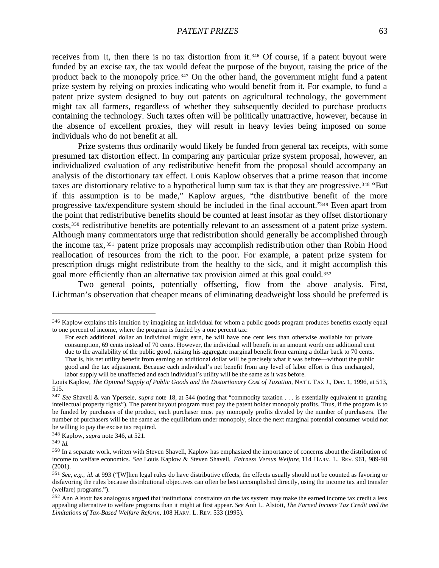receives from it, then there is no tax distortion from it.346 Of course, if a patent buyout were funded by an excise tax, the tax would defeat the purpose of the buyout, raising the price of the product back to the monopoly price.347 On the other hand, the government might fund a patent prize system by relying on proxies indicating who would benefit from it. For example, to fund a patent prize system designed to buy out patents on agricultural technology, the government might tax all farmers, regardless of whether they subsequently decided to purchase products containing the technology. Such taxes often will be politically unattractive, however, because in the absence of excellent proxies, they will result in heavy levies being imposed on some individuals who do not benefit at all.

Prize systems thus ordinarily would likely be funded from general tax receipts, with some presumed tax distortion effect. In comparing any particular prize system proposal, however, an individualized evaluation of any redistributive benefit from the proposal should accompany an analysis of the distortionary tax effect. Louis Kaplow observes that a prime reason that income taxes are distortionary relative to a hypothetical lump sum tax is that they are progressive.<sup>348</sup> "But if this assumption is to be made," Kaplow argues, "the distributive benefit of the more progressive tax/expenditure system should be included in the final account."349 Even apart from the point that redistributive benefits should be counted at least insofar as they offset distortionary costs,350 redistributive benefits are potentially relevant to an assessment of a patent prize system. Although many commentators urge that redistribution should generally be accomplished through the income tax, <sup>351</sup> patent prize proposals may accomplish redistribution other than Robin Hood reallocation of resources from the rich to the poor. For example, a patent prize system for prescription drugs might redistribute from the healthy to the sick, and it might accomplish this goal more efficiently than an alternative tax provision aimed at this goal could.<sup>352</sup>

Two general points, potentially offsetting, flow from the above analysis. First, Lichtman's observation that cheaper means of eliminating deadweight loss should be preferred is

<sup>&</sup>lt;sup>346</sup> Kaplow explains this intuition by imagining an individual for whom a public goods program produces benefits exactly equal to one percent of income, where the program is funded by a one percent tax:

For each additional dollar an individual might earn, he will have one cent less than otherwise available for private consumption, 69 cents instead of 70 cents. However, the individual will benefit in an amount worth one additional cent due to the availability of the public good, raising his aggregate marginal benefit from earning a dollar back to 70 cents. That is, his net utility benefit from earning an additional dollar will be precisely what it was before—without the public good and the tax adjustment. Because each individual's net benefit from any level of labor effort is thus unchanged, labor supply will be unaffected and each individual's utility will be the same as it was before.

Louis Kaplow, *The Optimal Supply of Public Goods and the Distortionary Cost of Taxation*, NAT'L TAX J., Dec. 1, 1996, at 513, 515.

<sup>347</sup> *See* Shavell & van Ypersele, *supra* note 18, at 544 (noting that "commodity taxation . . . is essentially equivalent to granting intellectual property rights"). The patent buyout program must pay the patent holder monopoly profits. Thus, if the program is to be funded by purchases of the product, each purchaser must pay monopoly profits divided by the number of purchasers. The number of purchasers will be the same as the equilibrium under monopoly, since the next marginal potential consumer would not be willing to pay the excise tax required.

<sup>348</sup> Kaplow, *supra* note 346, at 521.

<sup>349</sup> *Id.*

<sup>350</sup> In a separate work, written with Steven Shavell, Kaplow has emphasized the importance of concerns about the distribution of income to welfare economics. *See* Louis Kaplow & Steven Shavell, *Fairness Versus Welfare*, 114 HARV. L. REV. 961, 989-98 (2001).

<sup>351</sup> *See, e.g.*, *id.* at 993 ("[W]hen legal rules do have distributive effects, the effects usually should not be counted as favoring or disfavoring the rules because distributional objectives can often be best accomplished directly, using the income tax and transfer (welfare) programs.").

<sup>&</sup>lt;sup>352</sup> Ann Alstott has analogous argued that institutional constraints on the tax system may make the earned income tax credit a less appealing alternative to welfare programs than it might at first appear. *See* Ann L. Alstott, *The Earned Income Tax Credit and the Limitations of Tax-Based Welfare Reform*, 108 HARV. L. REV. 533 (1995).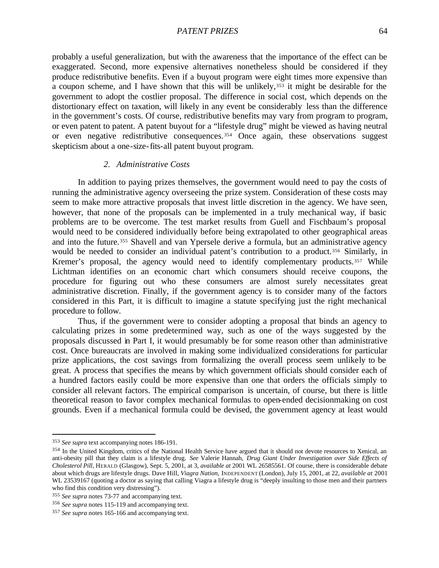probably a useful generalization, but with the awareness that the importance of the effect can be exaggerated. Second, more expensive alternatives nonetheless should be considered if they produce redistributive benefits. Even if a buyout program were eight times more expensive than a coupon scheme, and I have shown that this will be unlikely,<sup>353</sup> it might be desirable for the government to adopt the costlier proposal. The difference in social cost, which depends on the distortionary effect on taxation, will likely in any event be considerably less than the difference in the government's costs. Of course, redistributive benefits may vary from program to program, or even patent to patent. A patent buyout for a "lifestyle drug" might be viewed as having neutral or even negative redistributive consequences.354 Once again, these observations suggest skepticism about a one-size-fits-all patent buyout program.

## *2. Administrative Costs*

In addition to paying prizes themselves, the government would need to pay the costs of running the administrative agency overseeing the prize system. Consideration of these costs may seem to make more attractive proposals that invest little discretion in the agency. We have seen, however, that none of the proposals can be implemented in a truly mechanical way, if basic problems are to be overcome. The test market results from Guell and Fischbaum's proposal would need to be considered individually before being extrapolated to other geographical areas and into the future.355 Shavell and van Ypersele derive a formula, but an administrative agency would be needed to consider an individual patent's contribution to a product.<sup>356</sup> Similarly, in Kremer's proposal, the agency would need to identify complementary products.<sup>357</sup> While Lichtman identifies on an economic chart which consumers should receive coupons, the procedure for figuring out who these consumers are almost surely necessitates great administrative discretion. Finally, if the government agency is to consider many of the factors considered in this Part, it is difficult to imagine a statute specifying just the right mechanical procedure to follow.

Thus, if the government were to consider adopting a proposal that binds an agency to calculating prizes in some predetermined way, such as one of the ways suggested by the proposals discussed in Part I, it would presumably be for some reason other than administrative cost. Once bureaucrats are involved in making some individualized considerations for particular prize applications, the cost savings from formalizing the overall process seem unlikely to be great. A process that specifies the means by which government officials should consider each of a hundred factors easily could be more expensive than one that orders the officials simply to consider all relevant factors. The empirical comparison is uncertain, of course, but there is little theoretical reason to favor complex mechanical formulas to open-ended decisionmaking on cost grounds. Even if a mechanical formula could be devised, the government agency at least would

<sup>353</sup> *See supra* text accompanying notes 186-191.

<sup>&</sup>lt;sup>354</sup> In the United Kingdom, critics of the National Health Service have argued that it should not devote resources to Xenical, an anti-obesity pill that they claim is a lifestyle drug. *See* Valerie Hannah, *Drug Giant Under Investigation over Side Effects of Cholesterol Pill*, HERALD (Glasgow), Sept. 5, 2001, at 3, *available at* 2001 WL 26585561. Of course, there is considerable debate about which drugs are lifestyle drugs. Dave Hill, *Viagra Nation*, INDEPENDENT (London), July 15, 2001, at 22, *available at* 2001 WL 23539167 (quoting a doctor as saying that calling Viagra a lifestyle drug is "deeply insulting to those men and their partners who find this condition very distressing").

<sup>355</sup> *See supra* notes 73-77 and accompanying text.

<sup>356</sup> *See supra* notes 115-119 and accompanying text.

<sup>357</sup> *See supra* notes 165-166 and accompanying text.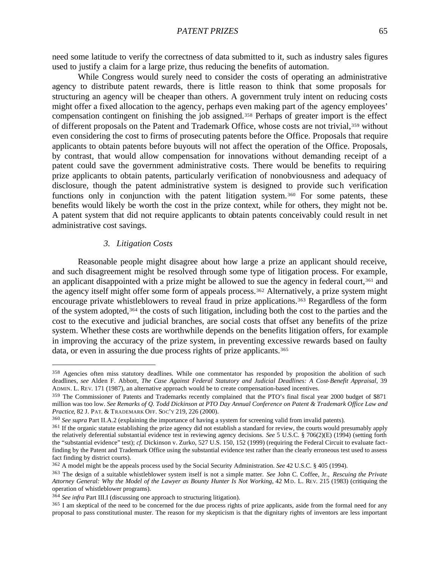need some latitude to verify the correctness of data submitted to it, such as industry sales figures used to justify a claim for a large prize, thus reducing the benefits of automation.

While Congress would surely need to consider the costs of operating an administrative agency to distribute patent rewards, there is little reason to think that some proposals for structuring an agency will be cheaper than others. A government truly intent on reducing costs might offer a fixed allocation to the agency, perhaps even making part of the agency employees' compensation contingent on finishing the job assigned.<sup>358</sup> Perhaps of greater import is the effect of different proposals on the Patent and Trademark Office, whose costs are not trivial,<sup>359</sup> without even considering the cost to firms of prosecuting patents before the Office. Proposals that require applicants to obtain patents before buyouts will not affect the operation of the Office. Proposals, by contrast, that would allow compensation for innovations without demanding receipt of a patent could save the government administrative costs. There would be benefits to requiring prize applicants to obtain patents, particularly verification of nonobviousness and adequacy of disclosure, though the patent administrative system is designed to provide such verification functions only in conjunction with the patent litigation system.<sup>360</sup> For some patents, these benefits would likely be worth the cost in the prize context, while for others, they might not be. A patent system that did not require applicants to obtain patents conceivably could result in net administrative cost savings.

# *3. Litigation Costs*

 $\overline{a}$ 

Reasonable people might disagree about how large a prize an applicant should receive, and such disagreement might be resolved through some type of litigation process. For example, an applicant disappointed with a prize might be allowed to sue the agency in federal court,<sup>361</sup> and the agency itself might offer some form of appeals process.<sup>362</sup> Alternatively, a prize system might encourage private whistleblowers to reveal fraud in prize applications.<sup>363</sup> Regardless of the form of the system adopted,364 the costs of such litigation, including both the cost to the parties and the cost to the executive and judicial branches, are social costs that offset any benefits of the prize system. Whether these costs are worthwhile depends on the benefits litigation offers, for example in improving the accuracy of the prize system, in preventing excessive rewards based on faulty data, or even in assuring the due process rights of prize applicants. 365

<sup>&</sup>lt;sup>358</sup> Agencies often miss statutory deadlines. While one commentator has responded by proposition the abolition of such deadlines, *see* Alden F. Abbott, *The Case Against Federal Statutory and Judicial Deadlines: A Cost-Benefit Appraisal*, 39 ADMIN. L. REV. 171 (1987), an alternative approach would be to create compensation-based incentives.

<sup>359</sup> The Commissioner of Patents and Trademarks recently complained that the PTO's final fiscal year 2000 budget of \$871 million was too low. *See Remarks of Q. Todd Dickinson at PTO Day Annual Conference on Patent & Trademark Office Law and Practice*, 82 J. PAT. & TRADEMARK OFF. SOC'Y 219, 226 (2000).

<sup>360</sup> *See supra* Part II.A.2 (explaining the importance of having a system for screening valid from invalid patents).

<sup>&</sup>lt;sup>361</sup> If the organic statute establishing the prize agency did not establish a standard for review, the courts would presumably apply the relatively deferential substantial evidence test in reviewing agency decisions. *See* 5 U.S.C. § 706(2)(E) (1994) (setting forth the "substantial evidence" test); *cf.* Dickinson v. Zurko, 527 U.S. 150, 152 (1999) (requiring the Federal Circuit to evaluate factfinding by the Patent and Trademark Office using the substantial evidence test rather than the clearly erroneous test used to assess fact finding by district courts).

<sup>362</sup> A model might be the appeals process used by the Social Security Administration. *See* 42 U.S.C. § 405 (1994).

<sup>363</sup> The design of a suitable whistleblower system itself is not a simple matter. *See* John C. Coffee, Jr., *Rescuing the Private Attorney General: Why the Model of the Lawyer as Bounty Hunter Is Not Working*, 42 MD. L. REV. 215 (1983) (critiquing the operation of whistleblower programs).

<sup>364</sup> *See infra* Part III.I (discussing one approach to structuring litigation).

<sup>365</sup> I am skeptical of the need to be concerned for the due process rights of prize applicants, aside from the formal need for any proposal to pass constitutional muster. The reason for my skepticism is that the dignitary rights of inventors are less important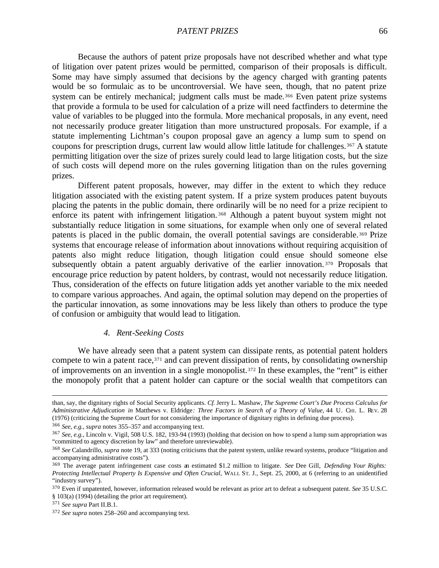Because the authors of patent prize proposals have not described whether and what type of litigation over patent prizes would be permitted, comparison of their proposals is difficult. Some may have simply assumed that decisions by the agency charged with granting patents would be so formulaic as to be uncontroversial. We have seen, though, that no patent prize system can be entirely mechanical; judgment calls must be made.<sup>366</sup> Even patent prize systems that provide a formula to be used for calculation of a prize will need factfinders to determine the value of variables to be plugged into the formula. More mechanical proposals, in any event, need not necessarily produce greater litigation than more unstructured proposals. For example, if a statute implementing Lichtman's coupon proposal gave an agency a lump sum to spend on coupons for prescription drugs, current law would allow little latitude for challenges.367 A statute permitting litigation over the size of prizes surely could lead to large litigation costs, but the size of such costs will depend more on the rules governing litigation than on the rules governing prizes.

Different patent proposals, however, may differ in the extent to which they reduce litigation associated with the existing patent system. If a prize system produces patent buyouts placing the patents in the public domain, there ordinarily will be no need for a prize recipient to enforce its patent with infringement litigation. <sup>368</sup> Although a patent buyout system might not substantially reduce litigation in some situations, for example when only one of several related patents is placed in the public domain, the overall potential savings are considerable.<sup>369</sup> Prize systems that encourage release of information about innovations without requiring acquisition of patents also might reduce litigation, though litigation could ensue should someone else subsequently obtain a patent arguably derivative of the earlier innovation. <sup>370</sup> Proposals that encourage price reduction by patent holders, by contrast, would not necessarily reduce litigation. Thus, consideration of the effects on future litigation adds yet another variable to the mix needed to compare various approaches. And again, the optimal solution may depend on the properties of the particular innovation, as some innovations may be less likely than others to produce the type of confusion or ambiguity that would lead to litigation.

## *4. Rent-Seeking Costs*

We have already seen that a patent system can dissipate rents, as potential patent holders compete to win a patent race,371 and can prevent dissipation of rents, by consolidating ownership of improvements on an invention in a single monopolist.372 In these examples, the "rent" is either the monopoly profit that a patent holder can capture or the social wealth that competitors can

<sup>366</sup> *See, e.g.*, *supra* notes 355–357 and accompanying text.

than, say, the dignitary rights of Social Security applicants. *Cf.* Jerry L. Mashaw, *The Supreme Court's Due Process Calculus for Administrative Adjudication in* Matthews v. Eldridge*: Three Factors in Search of a Theory of Value*, 44 U. CHI. L. REV. 28 (1976) (criticizing the Supreme Court for not considering the importance of dignitary rights in defining due process).

<sup>367</sup> *See, e.g.*, Lincoln v. Vigil, 508 U.S. 182, 193-94 (1993) (holding that decision on how to spend a lump sum appropriation was "committed to agency discretion by law" and therefore unreviewable).

<sup>368</sup> *See* Calandrillo, *supra* note 19, at 333 (noting criticisms that the patent system, unlike reward systems, produce "litigation and accompanying administrative costs").

<sup>369</sup> The average patent infringement case costs an estimated \$1.2 million to litigate. *See* Dee Gill, *Defending Your Rights: Protecting Intellectual Property Is Expensive and Often Crucial*, WALL ST. J., Sept. 25, 2000, at 6 (referring to an unidentified "industry survey").

<sup>370</sup> Even if unpatented, however, information released would be relevant as prior art to defeat a subsequent patent. *See* 35 U.S.C. § 103(a) (1994) (detailing the prior art requirement).

<sup>371</sup> *See supra* Part II.B.1.

<sup>372</sup> *See supra* notes 258–260 and accompanying text.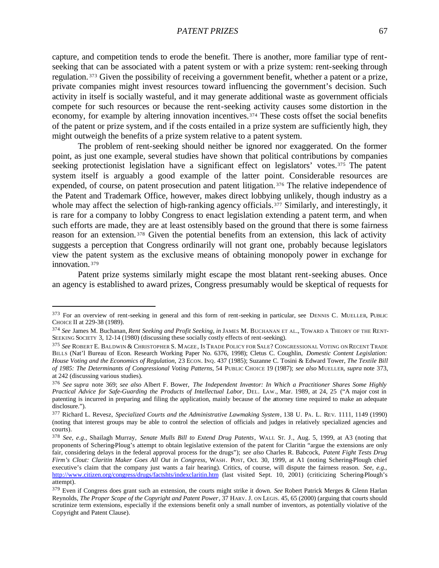capture, and competition tends to erode the benefit. There is another, more familiar type of rentseeking that can be associated with a patent system or with a prize system: rent-seeking through regulation. <sup>373</sup> Given the possibility of receiving a government benefit, whether a patent or a prize, private companies might invest resources toward influencing the government's decision. Such activity in itself is socially wasteful, and it may generate additional waste as government officials compete for such resources or because the rent-seeking activity causes some distortion in the economy, for example by altering innovation incentives.<sup>374</sup> These costs offset the social benefits of the patent or prize system, and if the costs entailed in a prize system are sufficiently high, they might outweigh the benefits of a prize system relative to a patent system.

The problem of rent-seeking should neither be ignored nor exaggerated. On the former point, as just one example, several studies have shown that political contributions by companies seeking protectionist legislation have a significant effect on legislators' votes.<sup>375</sup> The patent system itself is arguably a good example of the latter point. Considerable resources are expended, of course, on patent prosecution and patent litigation.<sup>376</sup> The relative independence of the Patent and Trademark Office, however, makes direct lobbying unlikely, though industry as a whole may affect the selection of high-ranking agency officials.<sup>377</sup> Similarly, and interestingly, it is rare for a company to lobby Congress to enact legislation extending a patent term, and when such efforts are made, they are at least ostensibly based on the ground that there is some fairness reason for an extension. <sup>378</sup> Given the potential benefits from an extension, this lack of activity suggests a perception that Congress ordinarily will not grant one, probably because legislators view the patent system as the exclusive means of obtaining monopoly power in exchange for innovation. <sup>379</sup>

Patent prize systems similarly might escape the most blatant rent-seeking abuses. Once an agency is established to award prizes, Congress presumably would be skeptical of requests for

<sup>373</sup> For an overview of rent-seeking in general and this form of rent-seeking in particular, see DENNIS C. MUELLER, PUBLIC CHOICE II at 229-38 (1989).

<sup>374</sup> *See* James M. Buchanan, *Rent Seeking and Profit Seeking*, *in* JAMES M. BUCHANAN ET AL., TOWARD A THEORY OF THE RENT-SEEKING SOCIETY 3, 12-14 (1980) (discussing these socially costly effects of rent-seeking).

<sup>375</sup> *See* ROBERT E. BALDWIN & CHRISTOPHER S. MAGEE, IS TRADE POLICY FOR SALE? CONGRESSIONAL VOTING ON RECENT TRADE BILLS (Nat'l Bureau of Econ. Research Working Paper No. 6376, 1998); Cletus C. Coughlin, *Domestic Content Legislation: House Voting and the Economics of Regulation*, 23 ECON. INQ. 437 (1985); Suzanne C. Tosini & Edward Tower, *The Textile Bill of 1985: The Determinants of Congressional Voting Patterns*, 54 PUBLIC CHOICE 19 (1987); *see also* MUELLER, *supra* note 373, at 242 (discussing various studies).

<sup>376</sup> *See supra* note 369; *see also* Albert F. Bower, *The Independent Inventor: In Which a Practitioner Shares Some Highly Practical Advice for Safe-Guarding the Products of Intellectual Labor*, DEL. LAW., Mar. 1989, at 24, 25 ("A major cost in patenting is incurred in preparing and filing the application, mainly because of the attorney time required to make an adequate disclosure.").

<sup>377</sup> Richard L. Revesz, *Specialized Courts and the Administrative Lawmaking System*, 138 U. PA. L. REV. 1111, 1149 (1990) (noting that interest groups may be able to control the selection of officials and judges in relatively specialized agencies and courts).

<sup>378</sup> *See, e.g.*, Shailagh Murray, *Senate Mulls Bill to Extend Drug Patents*, WALL ST. J., Aug. 5, 1999, at A3 (noting that proponents of Schering-Ploug's attempt to obtain legislative extension of the patent for Claritin "argue the extensions are only fair, considering delays in the federal approval process for the drugs"); *see also* Charles R. Babcock, *Patent Fight Tests Drug Firm's Clout: Claritin Maker Goes All Out in Congress*, WASH. POST, Oct. 30, 1999, at A1 (noting Schering-Plough chief executive's claim that the company just wants a fair hearing). Critics, of course, will dispute the fairness reason. *See, e.g.*, http://www.citizen.org/congress/drugs/factshts/indexclaritin.htm (last visited Sept. 10, 2001) (criticizing Schering-Plough's attempt).

<sup>379</sup> Even if Congress does grant such an extension, the courts might strike it down. *See* Robert Patrick Merges & Glenn Harlan Reynolds, *The Proper Scope of the Copyright and Patent Power*, 37 HARV. J. ON LEGIS. 45, 65 (2000) (arguing that courts should scrutinize term extensions, especially if the extensions benefit only a small number of inventors, as potentially violative of the Copyright and Patent Clause).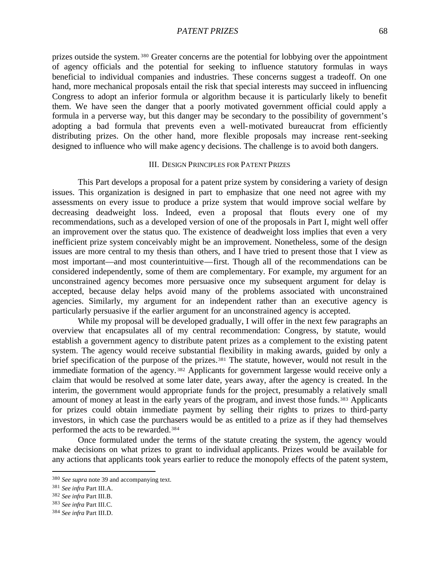prizes outside the system. <sup>380</sup> Greater concerns are the potential for lobbying over the appointment of agency officials and the potential for seeking to influence statutory formulas in ways beneficial to individual companies and industries. These concerns suggest a tradeoff. On one hand, more mechanical proposals entail the risk that special interests may succeed in influencing Congress to adopt an inferior formula or algorithm because it is particularly likely to benefit them. We have seen the danger that a poorly motivated government official could apply a formula in a perverse way, but this danger may be secondary to the possibility of government's adopting a bad formula that prevents even a well-motivated bureaucrat from efficiently distributing prizes. On the other hand, more flexible proposals may increase rent-seeking designed to influence who will make agency decisions. The challenge is to avoid both dangers.

#### III. DESIGN PRINCIPLES FOR PATENT PRIZES

This Part develops a proposal for a patent prize system by considering a variety of design issues. This organization is designed in part to emphasize that one need not agree with my assessments on every issue to produce a prize system that would improve social welfare by decreasing deadweight loss. Indeed, even a proposal that flouts every one of my recommendations, such as a developed version of one of the proposals in Part I, might well offer an improvement over the status quo. The existence of deadweight loss implies that even a very inefficient prize system conceivably might be an improvement. Nonetheless, some of the design issues are more central to my thesis than others, and I have tried to present those that I view as most important—and most counterintuitive—first. Though all of the recommendations can be considered independently, some of them are complementary. For example, my argument for an unconstrained agency becomes more persuasive once my subsequent argument for delay is accepted, because delay helps avoid many of the problems associated with unconstrained agencies. Similarly, my argument for an independent rather than an executive agency is particularly persuasive if the earlier argument for an unconstrained agency is accepted.

While my proposal will be developed gradually, I will offer in the next few paragraphs an overview that encapsulates all of my central recommendation: Congress, by statute, would establish a government agency to distribute patent prizes as a complement to the existing patent system. The agency would receive substantial flexibility in making awards, guided by only a brief specification of the purpose of the prizes.<sup>381</sup> The statute, however, would not result in the immediate formation of the agency. <sup>382</sup> Applicants for government largesse would receive only a claim that would be resolved at some later date, years away, after the agency is created. In the interim, the government would appropriate funds for the project, presumably a relatively small amount of money at least in the early years of the program, and invest those funds.383 Applicants for prizes could obtain immediate payment by selling their rights to prizes to third-party investors, in which case the purchasers would be as entitled to a prize as if they had themselves performed the acts to be rewarded.<sup>384</sup>

Once formulated under the terms of the statute creating the system, the agency would make decisions on what prizes to grant to individual applicants. Prizes would be available for any actions that applicants took years earlier to reduce the monopoly effects of the patent system,

<sup>380</sup> *See supra* note 39 and accompanying text.

<sup>381</sup> *See infra* Part III.A.

<sup>382</sup> *See infra* Part III.B.

<sup>383</sup> *See infra* Part III.C.

<sup>384</sup> *See infra* Part III.D.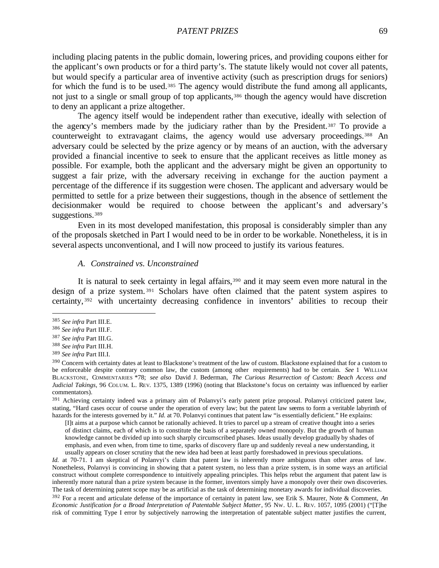including placing patents in the public domain, lowering prices, and providing coupons either for the applicant's own products or for a third party's. The statute likely would not cover all patents, but would specify a particular area of inventive activity (such as prescription drugs for seniors) for which the fund is to be used.<sup>385</sup> The agency would distribute the fund among all applicants, not just to a single or small group of top applicants,<sup>386</sup> though the agency would have discretion to deny an applicant a prize altogether.

The agency itself would be independent rather than executive, ideally with selection of the agency's members made by the judiciary rather than by the President.387 To provide a counterweight to extravagant claims, the agency would use adversary proceedings.<sup>388</sup> An adversary could be selected by the prize agency or by means of an auction, with the adversary provided a financial incentive to seek to ensure that the applicant receives as little money as possible. For example, both the applicant and the adversary might be given an opportunity to suggest a fair prize, with the adversary receiving in exchange for the auction payment a percentage of the difference if its suggestion were chosen. The applicant and adversary would be permitted to settle for a prize between their suggestions, though in the absence of settlement the decisionmaker would be required to choose between the applicant's and adversary's suggestions.<sup>389</sup>

Even in its most developed manifestation, this proposal is considerably simpler than any of the proposals sketched in Part I would need to be in order to be workable. Nonetheless, it is in several aspects unconventional, and I will now proceed to justify its various features.

#### *A. Constrained vs. Unconstrained*

It is natural to seek certainty in legal affairs,<sup>390</sup> and it may seem even more natural in the design of a prize system. <sup>391</sup> Scholars have often claimed that the patent system aspires to certainty, <sup>392</sup> with uncertainty decreasing confidence in inventors' abilities to recoup their

 $\overline{a}$ 

<sup>391</sup> Achieving certainty indeed was a primary aim of Polanvyi's early patent prize proposal. Polanvyi criticized patent law, stating, "Hard cases occur of course under the operation of every law; but the patent law seems to form a veritable labyrinth of hazards for the interests governed by it." *Id.* at 70. Polanvyi continues that patent law "is essentially deficient." He explains:

[I]t aims at a purpose which cannot be rationally achieved. It tries to parcel up a stream of creative thought into a series of distinct claims, each of which is to constitute the basis of a separately owned monopoly. But the growth of human knowledge cannot be divided up into such sharply circumscribed phases. Ideas usually develop gradually by shades of emphasis, and even when, from time to time, sparks of discovery flare up and suddenly reveal a new understanding, it usually appears on closer scrutiny that the new idea had been at least partly foreshadowed in previous speculations.

*Id.* at 70-71. I am skeptical of Polanvyi's claim that patent law is inherently more ambiguous than other areas of law. Nonetheless, Polanvyi is convincing in showing that a patent system, no less than a prize system, is in some ways an artificial construct without complete correspondence to intuitively appealing principles. This helps rebut the argument that patent law is inherently more natural than a prize system because in the former, inventors simply have a monopoly over their own discoveries. The task of determining patent scope may be as artificial as the task of determining monetary awards for individual discoveries.

<sup>392</sup> For a recent and articulate defense of the importance of certainty in patent law, see Erik S. Maurer, Note & Comment, *An Economic Justification for a Broad Interpretation of Patentable Subject Matter*, 95 NW. U. L. REV. 1057, 1095 (2001) ("[T]he risk of committing Type I error by subjectively narrowing the interpretation of patentable subject matter justifies the current,

<sup>385</sup> *See infra* Part III.E.

<sup>386</sup> *See infra* Part III.F.

<sup>387</sup> *See infra* Part III.G.

<sup>388</sup> *See infra* Part III.H.

<sup>389</sup> *See infra* Part III.I.

<sup>&</sup>lt;sup>390</sup> Concern with certainty dates at least to Blackstone's treatment of the law of custom. Blackstone explained that for a custom to be enforceable despite contrary common law, the custom (among other requirements) had to be certain. *See* 1 WILLIAM BLACKSTONE, COMMENTARIES \*78; *see also* David J. Bederman, *The Curious Resurrection of Custom: Beach Access and Judicial Takings*, 96 COLUM. L. REV. 1375, 1389 (1996) (noting that Blackstone's focus on certainty was influenced by earlier commentators).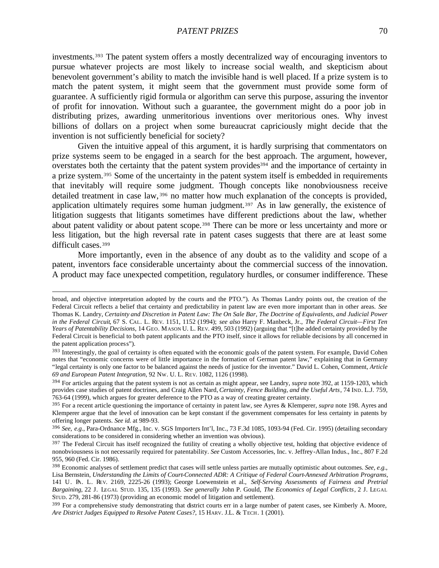investments.393 The patent system offers a mostly decentralized way of encouraging inventors to pursue whatever projects are most likely to increase social wealth, and skepticism about benevolent government's ability to match the invisible hand is well placed. If a prize system is to match the patent system, it might seem that the government must provide some form of guarantee. A sufficiently rigid formula or algorithm can serve this purpose, assuring the inventor of profit for innovation. Without such a guarantee, the government might do a poor job in distributing prizes, awarding unmeritorious inventions over meritorious ones. Why invest billions of dollars on a project when some bureaucrat capriciously might decide that the invention is not sufficiently beneficial for society?

Given the intuitive appeal of this argument, it is hardly surprising that commentators on prize systems seem to be engaged in a search for the best approach. The argument, however, overstates both the certainty that the patent system provides<sup>394</sup> and the importance of certainty in a prize system.395 Some of the uncertainty in the patent system itself is embedded in requirements that inevitably will require some judgment. Though concepts like nonobviousness receive detailed treatment in case law, <sup>396</sup> no matter how much explanation of the concepts is provided, application ultimately requires some human judgment.<sup>397</sup> As in law generally, the existence of litigation suggests that litigants sometimes have different predictions about the law, whether about patent validity or about patent scope.<sup>398</sup> There can be more or less uncertainty and more or less litigation, but the high reversal rate in patent cases suggests that there are at least some difficult cases.<sup>399</sup>

More importantly, even in the absence of any doubt as to the validity and scope of a patent, inventors face considerable uncertainty about the commercial success of the innovation. A product may face unexpected competition, regulatory hurdles, or consumer indifference. These

broad, and objective interpretation adopted by the courts and the PTO."). As Thomas Landry points out, the creation of the Federal Circuit reflects a belief that certainty and predictability in patent law are even more important than in other areas. *See* Thomas K. Landry, *Certainty and Discretion in Patent Law: The On Sale Bar, The Doctrine of Equivalents, and Judicial Power in the Federal Circuit*, 67 S. CAL. L. REV. 1151, 1152 (1994); *see also* Harry F. Manbeck, Jr., *The Federal Circuit—First Ten Years of Patentability Decisions*, 14 GEO. MASON U. L. REV. 499, 503 (1992) (arguing that "[t]he added certainty provided by the Federal Circuit is beneficial to both patent applicants and the PTO itself, since it allows for reliable decisions by all concerned in the patent application process").

<sup>393</sup> Interestingly, the goal of certainty is often equated with the economic goals of the patent system. For example, David Cohen notes that "economic concerns were of little importance in the formation of German patent law," explaining that in Germany "legal certainty is only one factor to be balanced against the needs of justice for the inventor." David L. Cohen, Comment, *Article 69 and European Patent Integration*, 92 NW. U. L. REV. 1082, 1126 (1998).

<sup>394</sup> For articles arguing that the patent system is not as certain as might appear, see Landry, *supra* note 392, at 1159-1203, which provides case studies of patent doctrines, and Craig Allen Nard, *Certainty, Fence Building, and the Useful Arts*, 74 IND. L.J. 759, 763-64 (1999), which argues for greater deference to the PTO as a way of creating greater certainty.

<sup>395</sup> For a recent article questioning the importance of certainty in patent law, see Ayres & Klemperer, *supra* note 198. Ayres and Klemperer argue that the level of innovation can be kept constant if the government compensates for less certainty in patents by offering longer patents. *See id.* at 989-93.

<sup>396</sup> *See, e.g.*, Para-Ordnance Mfg., Inc. v. SGS Importers Int'l, Inc., 73 F.3d 1085, 1093-94 (Fed. Cir. 1995) (detailing secondary considerations to be considered in considering whether an invention was obvious).

<sup>&</sup>lt;sup>397</sup> The Federal Circuit has itself recognized the futility of creating a wholly objective test, holding that objective evidence of nonobviousness is not necessarily required for patentability. *See* Custom Accessories, Inc. v. Jeffrey-Allan Indus., Inc., 807 F.2d 955, 960 (Fed. Cir. 1986).

<sup>398</sup> Economic analyses of settlement predict that cases will settle unless parties are mutually optimistic about outcomes. *See, e.g.*, Lisa Bernstein, *Understanding the Limits of Court-Connected ADR: A Critique of Federal Court-Annexed Arbitration Programs*, 141 U. PA. L. REV. 2169, 2225-26 (1993); George Loewenstein et al., *Self-Serving Assessments of Fairness and Pretrial Bargaining*, 22 J. LEGAL STUD. 135, 135 (1993). *See generally* John P. Gould, *The Economics of Legal Conflicts*, 2 J. LEGAL STUD. 279, 281-86 (1973) (providing an economic model of litigation and settlement).

<sup>&</sup>lt;sup>399</sup> For a comprehensive study demonstrating that district courts err in a large number of patent cases, see Kimberly A. Moore, *Are District Judges Equipped to Resolve Patent Cases?*, 15 HARV. J.L. & TECH. 1 (2001).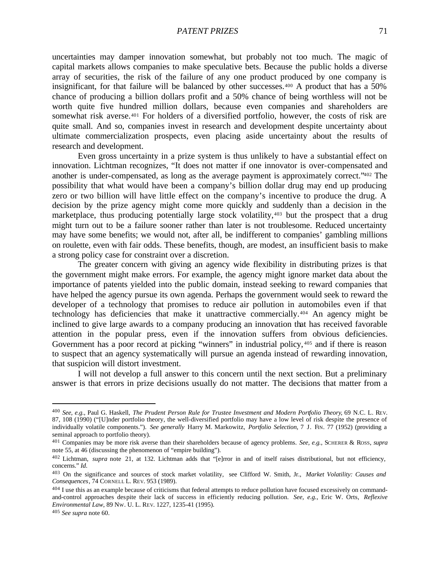uncertainties may damper innovation somewhat, but probably not too much. The magic of capital markets allows companies to make speculative bets. Because the public holds a diverse array of securities, the risk of the failure of any one product produced by one company is insignificant, for that failure will be balanced by other successes.400 A product that has a 50% chance of producing a billion dollars profit and a 50% chance of being worthless will not be worth quite five hundred million dollars, because even companies and shareholders are somewhat risk averse.401 For holders of a diversified portfolio, however, the costs of risk are quite small. And so, companies invest in research and development despite uncertainty about ultimate commercialization prospects, even placing aside uncertainty about the results of research and development.

Even gross uncertainty in a prize system is thus unlikely to have a substantial effect on innovation. Lichtman recognizes, "It does not matter if one innovator is over-compensated and another is under-compensated, as long as the average payment is approximately correct."402 The possibility that what would have been a company's billion dollar drug may end up producing zero or two billion will have little effect on the company's incentive to produce the drug. A decision by the prize agency might come more quickly and suddenly than a decision in the marketplace, thus producing potentially large stock volatility,403 but the prospect that a drug might turn out to be a failure sooner rather than later is not troublesome. Reduced uncertainty may have some benefits; we would not, after all, be indifferent to companies' gambling millions on roulette, even with fair odds. These benefits, though, are modest, an insufficient basis to make a strong policy case for constraint over a discretion.

The greater concern with giving an agency wide flexibility in distributing prizes is that the government might make errors. For example, the agency might ignore market data about the importance of patents yielded into the public domain, instead seeking to reward companies that have helped the agency pursue its own agenda. Perhaps the government would seek to reward the developer of a technology that promises to reduce air pollution in automobiles even if that technology has deficiencies that make it unattractive commercially.404 An agency might be inclined to give large awards to a company producing an innovation that has received favorable attention in the popular press, even if the innovation suffers from obvious deficiencies. Government has a poor record at picking "winners" in industrial policy,  $405$  and if there is reason to suspect that an agency systematically will pursue an agenda instead of rewarding innovation, that suspicion will distort investment.

I will not develop a full answer to this concern until the next section. But a preliminary answer is that errors in prize decisions usually do not matter. The decisions that matter from a

<sup>400</sup> *See, e.g.*, Paul G. Haskell, *The Prudent Person Rule for Trustee Investment and Modern Portfolio Theory*, 69 N.C. L. REV. 87, 108 (1990) ("[U]nder portfolio theory, the well-diversified portfolio may have a low level of risk despite the presence of individually volatile components."). *See generally* Harry M. Markowitz, *Portfolio Selection*, 7 J. FIN. 77 (1952) (providing a seminal approach to portfolio theory).

<sup>401</sup> Companies may be more risk averse than their shareholders because of agency problems. *See, e.g.*, SCHERER & ROSS, *supra* note 55, at 46 (discussing the phenomenon of "empire building").

<sup>402</sup> Lichtman, *supra* note 21, at 132. Lichtman adds that "[e]rror in and of itself raises distributional, but not efficiency, concerns." *Id.*

<sup>403</sup> On the significance and sources of stock market volatility, see Clifford W. Smith, Jr., *Market Volatility: Causes and Consequences*, 74 CORNELL L. REV. 953 (1989).

<sup>&</sup>lt;sup>404</sup> I use this as an example because of criticisms that federal attempts to reduce pollution have focused excessively on commandand-control approaches despite their lack of success in efficiently reducing pollution. *See, e.g.*, Eric W. Orts, *Reflexive Environmental Law*, 89 NW. U. L. REV. 1227, 1235-41 (1995).

<sup>405</sup> *See supra* note 60.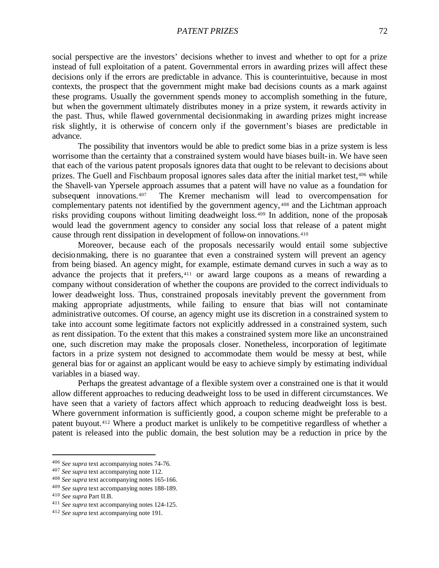social perspective are the investors' decisions whether to invest and whether to opt for a prize instead of full exploitation of a patent. Governmental errors in awarding prizes will affect these decisions only if the errors are predictable in advance. This is counterintuitive, because in most contexts, the prospect that the government might make bad decisions counts as a mark against these programs. Usually the government spends money to accomplish something in the future, but when the government ultimately distributes money in a prize system, it rewards activity in the past. Thus, while flawed governmental decisionmaking in awarding prizes might increase risk slightly, it is otherwise of concern only if the government's biases are predictable in advance.

The possibility that inventors would be able to predict some bias in a prize system is less worrisome than the certainty that a constrained system would have biases built-in. We have seen that each of the various patent proposals ignores data that ought to be relevant to decisions about prizes. The Guell and Fischbaum proposal ignores sales data after the initial market test, 406 while the Shavell-van Ypersele approach assumes that a patent will have no value as a foundation for subsequent innovations.407 The Kremer mechanism will lead to overcompensation for complementary patents not identified by the government agency, <sup>408</sup> and the Lichtman approach risks providing coupons without limiting deadweight loss.409 In addition, none of the proposals would lead the government agency to consider any social loss that release of a patent might cause through rent dissipation in development of follow-on innovations.<sup>410</sup>

Moreover, because each of the proposals necessarily would entail some subjective decisionmaking, there is no guarantee that even a constrained system will prevent an agency from being biased. An agency might, for example, estimate demand curves in such a way as to advance the projects that it prefers,<sup>411</sup> or award large coupons as a means of rewarding a company without consideration of whether the coupons are provided to the correct individuals to lower deadweight loss. Thus, constrained proposals inevitably prevent the government from making appropriate adjustments, while failing to ensure that bias will not contaminate administrative outcomes. Of course, an agency might use its discretion in a constrained system to take into account some legitimate factors not explicitly addressed in a constrained system, such as rent dissipation. To the extent that this makes a constrained system more like an unconstrained one, such discretion may make the proposals closer. Nonetheless, incorporation of legitimate factors in a prize system not designed to accommodate them would be messy at best, while general bias for or against an applicant would be easy to achieve simply by estimating individual variables in a biased way.

Perhaps the greatest advantage of a flexible system over a constrained one is that it would allow different approaches to reducing deadweight loss to be used in different circumstances. We have seen that a variety of factors affect which approach to reducing deadweight loss is best. Where government information is sufficiently good, a coupon scheme might be preferable to a patent buyout.412 Where a product market is unlikely to be competitive regardless of whether a patent is released into the public domain, the best solution may be a reduction in price by the

<sup>406</sup> *See supra* text accompanying notes 74-76.

<sup>407</sup> *See supra* text accompanying note 112.

<sup>408</sup> *See supra* text accompanying notes 165-166.

<sup>409</sup> *See supra* text accompanying notes 188-189.

<sup>410</sup> *See supra* Part II.B.

<sup>411</sup> *See supra* text accompanying notes 124-125.

<sup>412</sup> *See supra* text accompanying note 191.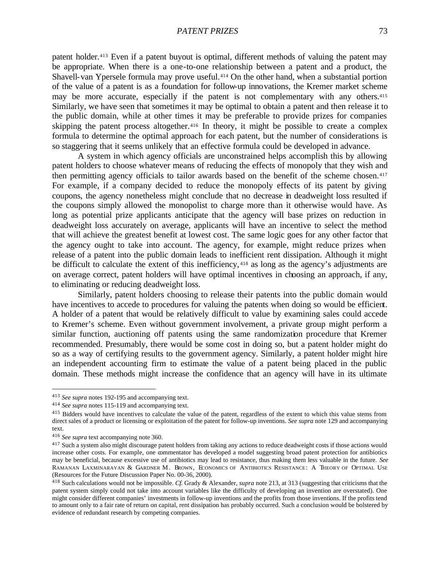patent holder.413 Even if a patent buyout is optimal, different methods of valuing the patent may be appropriate. When there is a one-to-one relationship between a patent and a product, the Shavell-van Ypersele formula may prove useful.414 On the other hand, when a substantial portion of the value of a patent is as a foundation for follow-up innovations, the Kremer market scheme may be more accurate, especially if the patent is not complementary with any others.<sup>415</sup> Similarly, we have seen that sometimes it may be optimal to obtain a patent and then release it to the public domain, while at other times it may be preferable to provide prizes for companies skipping the patent process altogether.<sup>416</sup> In theory, it might be possible to create a complex formula to determine the optimal approach for each patent, but the number of considerations is so staggering that it seems unlikely that an effective formula could be developed in advance.

A system in which agency officials are unconstrained helps accomplish this by allowing patent holders to choose whatever means of reducing the effects of monopoly that they wish and then permitting agency officials to tailor awards based on the benefit of the scheme chosen.<sup>417</sup> For example, if a company decided to reduce the monopoly effects of its patent by giving coupons, the agency nonetheless might conclude that no decrease in deadweight loss resulted if the coupons simply allowed the monopolist to charge more than it otherwise would have. As long as potential prize applicants anticipate that the agency will base prizes on reduction in deadweight loss accurately on average, applicants will have an incentive to select the method that will achieve the greatest benefit at lowest cost. The same logic goes for any other factor that the agency ought to take into account. The agency, for example, might reduce prizes when release of a patent into the public domain leads to inefficient rent dissipation. Although it might be difficult to calculate the extent of this inefficiency, <sup>418</sup> as long as the agency's adjustments are on average correct, patent holders will have optimal incentives in choosing an approach, if any, to eliminating or reducing deadweight loss.

Similarly, patent holders choosing to release their patents into the public domain would have incentives to accede to procedures for valuing the patents when doing so would be efficient. A holder of a patent that would be relatively difficult to value by examining sales could accede to Kremer's scheme. Even without government involvement, a private group might perform a similar function, auctioning off patents using the same randomization procedure that Kremer recommended. Presumably, there would be some cost in doing so, but a patent holder might do so as a way of certifying results to the government agency. Similarly, a patent holder might hire an independent accounting firm to estimate the value of a patent being placed in the public domain. These methods might increase the confidence that an agency will have in its ultimate

<sup>413</sup> *See supra* notes 192-195 and accompanying text.

<sup>414</sup> *See supra* notes 115-119 and accompanying text.

<sup>&</sup>lt;sup>415</sup> Bidders would have incentives to calculate the value of the patent, regardless of the extent to which this value stems from direct sales of a product or licensing or exploitation of the patent for follow-up inventions. *See supra* note 129 and accompanying text.

<sup>416</sup> *See supra* text accompanying note 360.

<sup>&</sup>lt;sup>417</sup> Such a system also might discourage patent holders from taking any actions to reduce deadweight costs if those actions would increase other costs. For example, one commentator has developed a model suggesting broad patent protection for antibiotics may be beneficial, because excessive use of antibiotics may lead to resistance, thus making them less valuable in the future. *See* RAMANAN LAXMINARAYAN & GARDNER M. BROWN, ECONOMICS OF ANTIBIOTICS RESISTANCE: A THEORY OF OPTIMAL USE (Resources for the Future Discussion Paper No. 00-36, 2000).

<sup>418</sup> Such calculations would not be impossible. *Cf.* Grady & Alexander, *supra* note 213, at 313 (suggesting that criticisms that the patent system simply could not take into account variables like the difficulty of developing an invention are overstated). One might consider different companies' investments in follow-up inventions and the profits from those inventions. If the profits tend to amount only to a fair rate of return on capital, rent dissipation has probably occurred. Such a conclusion would be bolstered by evidence of redundant research by competing companies.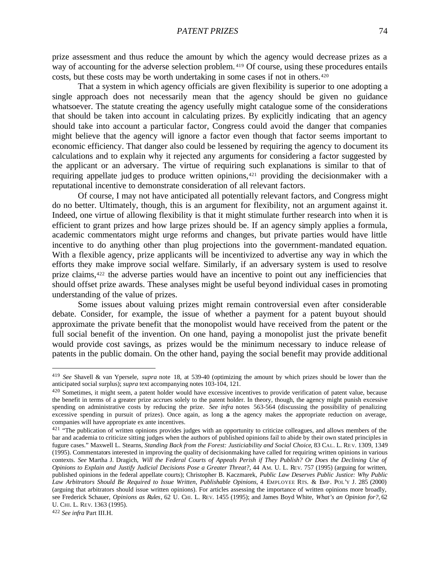prize assessment and thus reduce the amount by which the agency would decrease prizes as a way of accounting for the adverse selection problem. <sup>419</sup> Of course, using these procedures entails costs, but these costs may be worth undertaking in some cases if not in others.<sup>420</sup>

That a system in which agency officials are given flexibility is superior to one adopting a single approach does not necessarily mean that the agency should be given no guidance whatsoever. The statute creating the agency usefully might catalogue some of the considerations that should be taken into account in calculating prizes. By explicitly indicating that an agency should take into account a particular factor, Congress could avoid the danger that companies might believe that the agency will ignore a factor even though that factor seems important to economic efficiency. That danger also could be lessened by requiring the agency to document its calculations and to explain why it rejected any arguments for considering a factor suggested by the applicant or an adversary. The virtue of requiring such explanations is similar to that of requiring appellate judges to produce written opinions,<sup>421</sup> providing the decisionmaker with a reputational incentive to demonstrate consideration of all relevant factors.

Of course, I may not have anticipated all potentially relevant factors, and Congress might do no better. Ultimately, though, this is an argument for flexibility, not an argument against it. Indeed, one virtue of allowing flexibility is that it might stimulate further research into when it is efficient to grant prizes and how large prizes should be. If an agency simply applies a formula, academic commentators might urge reforms and changes, but private parties would have little incentive to do anything other than plug projections into the government-mandated equation. With a flexible agency, prize applicants will be incentivized to advertise any way in which the efforts they make improve social welfare. Similarly, if an adversary system is used to resolve prize claims,422 the adverse parties would have an incentive to point out any inefficiencies that should offset prize awards. These analyses might be useful beyond individual cases in promoting understanding of the value of prizes.

Some issues about valuing prizes might remain controversial even after considerable debate. Consider, for example, the issue of whether a payment for a patent buyout should approximate the private benefit that the monopolist would have received from the patent or the full social benefit of the invention. On one hand, paying a monopolist just the private benefit would provide cost savings, as prizes would be the minimum necessary to induce release of patents in the public domain. On the other hand, paying the social benefit may provide additional

<sup>422</sup> *See infra* Part III.H.

<sup>419</sup> *See* Shavell & van Ypersele, *supra* note 18, at 539-40 (optimizing the amount by which prizes should be lower than the anticipated social surplus); *supra* text accompanying notes 103-104, 121.

<sup>&</sup>lt;sup>420</sup> Sometimes, it might seem, a patent holder would have excessive incentives to provide verification of patent value, because the benefit in terms of a greater prize accrues solely to the patent holder. In theory, though, the agency might punish excessive spending on administrative costs by reducing the prize. *See infra* notes 563-564 (discussing the possibility of penalizing excessive spending in pursuit of prizes). Once again, as long as the agency makes the appropriate reduction on average, companies will have appropriate ex ante incentives.

<sup>&</sup>lt;sup>421</sup> "The publication of written opinions provides judges with an opportunity to criticize colleagues, and allows members of the bar and academia to criticize sitting judges when the authors of published opinions fail to abide by their own stated principles in fugure cases." Maxwell L. Stearns, *Standing Back from the Forest: Justiciability and Social Choice*, 83 CAL. L. REV. 1309, 1349 (1995). Commentators interested in improving the quality of decisionmaking have called for requiring written opinions in various contexts. *See* Martha J. Dragich, *Will the Federal Courts of Appeals Perish if They Publish? Or Does the Declining Use of Opinions to Explain and Justify Judicial Decisions Pose a Greater Threat?*, 44 AM. U. L. REV. 757 (1995) (arguing for written, published opinions in the federal appellate courts); Christopher B. Kaczmarek, *Public Law Deserves Public Justice: Why Public Law Arbitrators Should Be Required to Issue Written, Publishable Opinions*, 4 EMPLOYEE RTS. & EMP. POL'Y J. 285 (2000) (arguing that arbitrators should issue written opinions). For articles assessing the importance of written opinions more broadly, see Frederick Schauer, *Opinions as Rules*, 62 U. CHI. L. REV. 1455 (1995); and James Boyd White, *What's an Opinion for?*, 62 U. CHI. L. REV. 1363 (1995).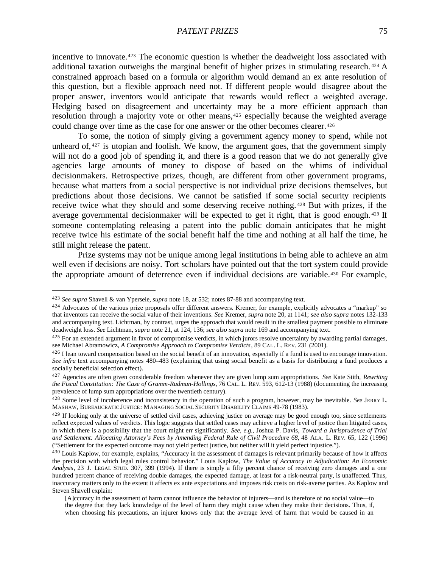incentive to innovate.<sup>423</sup> The economic question is whether the deadweight loss associated with additional taxation outweighs the marginal benefit of higher prizes in stimulating research. <sup>424</sup> A constrained approach based on a formula or algorithm would demand an ex ante resolution of this question, but a flexible approach need not. If different people would disagree about the proper answer, inventors would anticipate that rewards would reflect a weighted average. Hedging based on disagreement and uncertainty may be a more efficient approach than resolution through a majority vote or other means,<sup>425</sup> especially because the weighted average could change over time as the case for one answer or the other becomes clearer.<sup>426</sup>

To some, the notion of simply giving a government agency money to spend, while not unheard of,  $427$  is utopian and foolish. We know, the argument goes, that the government simply will not do a good job of spending it, and there is a good reason that we do not generally give agencies large amounts of money to dispose of based on the whims of individual decisionmakers. Retrospective prizes, though, are different from other government programs, because what matters from a social perspective is not individual prize decisions themselves, but predictions about those decisions. We cannot be satisfied if some social security recipients receive twice what they should and some deserving receive nothing. <sup>428</sup> But with prizes, if the average governmental decisionmaker will be expected to get it right, that is good enough. <sup>429</sup> If someone contemplating releasing a patent into the public domain anticipates that he might receive twice his estimate of the social benefit half the time and nothing at all half the time, he still might release the patent.

Prize systems may not be unique among legal institutions in being able to achieve an aim well even if decisions are noisy. Tort scholars have pointed out that the tort system could provide the appropriate amount of deterrence even if individual decisions are variable.<sup>430</sup> For example,

<sup>423</sup> *See supra* Shavell & van Ypersele, *supra* note 18, at 532; notes 87-88 and accompanying text.

<sup>&</sup>lt;sup>424</sup> Advocates of the various prize proposals offer different answers. Kremer, for example, explicitly advocates a "markup" so that inventors can receive the social value of their inventions. *See* Kremer, *supra* note 20, at 1141; *see also supra* notes 132-133 and accompanying text. Lichtman, by contrast, urges the approach that would result in the smallest payment possible to eliminate deadweight loss. *See* Lichtman, *supra* note 21, at 124, 136; *see also supra* note 169 and accompanying text.

 $425$  For an extended argument in favor of compromise verdicts, in which jurors resolve uncertainty by awarding partial damages, see Michael Abramowicz, *A Compromise Approach to Compromise Verdicts*, 89 CAL. L. REV. 231 (2001).

<sup>&</sup>lt;sup>426</sup> I lean toward compensation based on the social benefit of an innovation, especially if a fund is used to encourage innovation. *See infra* text accompanying notes 480–483 (explaining that using social benefit as a basis for distributing a fund produces a socially beneficial selection effect).

<sup>427</sup> Agencies are often given considerable freedom whenever they are given lump sum appropriations. *See* Kate Stith, *Rewriting the Fiscal Constitution: The Case of Gramm-Rudman-Hollings*, 76 CAL. L. REV. 593, 612-13 (1988) (documenting the increasing prevalence of lump sum appropriations over the twentieth century).

<sup>428</sup> Some level of incoherence and inconsistency in the operation of such a program, however, may be inevitable. *See* JERRY L. MASHAW, BUREAUCRATIC JUSTICE: MANAGING SOCIAL SECURITY DISABILITY CLAIMS 49-78 (1983).

 $429$  If looking only at the universe of settled civil cases, achieving justice on average may be good enough too, since settlements reflect expected values of verdicts. This logic suggests that settled cases may achieve a higher level of justice than litigated cases, in which there is a possibility that the court might err significantly. *See, e.g.*, Joshua P. Davis, *Toward a Jurisprudence of Trial and Settlement: Allocating Attorney's Fees by Amending Federal Rule of Civil Procedure 68*, 48 ALA. L. REV. 65, 122 (1996) ("Settlement for the expected outcome may not yield perfect justice, but neither will it yield perfect injustice.").

<sup>430</sup> Louis Kaplow, for example, explains, "Accuracy in the assessment of damages is relevant primarily because of how it affects the precision with which legal rules control behavior." Louis Kaplow, *The Value of Accuracy in Adjudication: An Economic Analysis*, 23 J. LEGAL STUD. 307, 399 (1994). If there is simply a fifty percent chance of receiving zero damages and a one hundred percent chance of receiving double damages, the expected damage, at least for a risk-neutral party, is unaffected. Thus, inaccuracy matters only to the extent it affects ex ante expectations and imposes risk costs on risk-averse parties. As Kaplow and Steven Shavell explain:

<sup>[</sup>A]ccuracy in the assessment of harm cannot influence the behavior of injurers—and is therefore of no social value—to the degree that they lack knowledge of the level of harm they might cause when they make their decisions. Thus, if, when choosing his precautions, an injurer knows only that the average level of harm that would be caused in an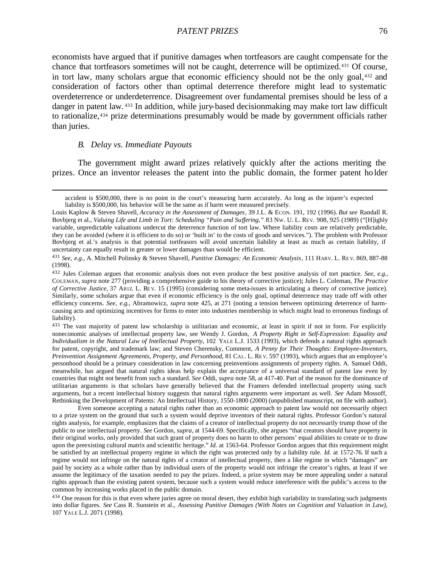economists have argued that if punitive damages when tortfeasors are caught compensate for the chance that tortfeasors sometimes will not be caught, deterrence will be optimized.431 Of course, in tort law, many scholars argue that economic efficiency should not be the only goal,432 and consideration of factors other than optimal deterrence therefore might lead to systematic overdeterrence or underdeterrence. Disagreement over fundamental premises should be less of a danger in patent law. <sup>433</sup> In addition, while jury-based decisionmaking may make tort law difficult to rationalize,434 prize determinations presumably would be made by government officials rather than juries.

#### *B. Delay vs. Immediate Payouts*

 $\overline{a}$ 

The government might award prizes relatively quickly after the actions meriting the prizes. Once an inventor releases the patent into the public domain, the former patent holder

<sup>433</sup> The vast majority of patent law scholarship is utilitarian and economic, at least in spirit if not in form. For explicitly noneconomic analyses of intellectual property law, see Wendy J. Gordon, *A Property Right in Self-Expression: Equality and Individualism in the Natural Law of Intellectual Property*, 102 YALE L.J. 1533 (1993), which defends a natural rights approach for patent, copyright, and trademark law; and Steven Cherensky, Comment, *A Penny for Their Thoughts: Employee-Inventors, Preinvention Assignment Agreements, Property, and Personhood*, 81 CAL. L. RE V. 597 (1993), which argues that an employee's personhood should be a primary consideration in law concerning preinventions assignments of property rights. A. Samuel Oddi, meanwhile, has argued that natural rights ideas help explain the acceptance of a universal standard of patent law even by countries that might not benefit from such a standard. *See* Oddi, *supra* note 58, at 417-40. Part of the reason for the dominance of utilitarian arguments is that scholars have generally believed that the Framers defended intellectual property using such arguments, but a recent intellectual history suggests that natural rights arguments were important as well. *See* Adam Mossoff, Rethinking the Development of Patents: An Intellectual History, 1550-1800 (2000) (unpublished manuscript, on file with author).

Even someone accepting a natural rights rather than an economic approach to patent law would not necessarily object to a prize system on the ground that such a system would deprive inventors of their natural rights. Professor Gordon's natural rights analysis, for example, emphasizes that the claims of a creator of intellectual property do not necessarily trump those of the public to use intellectual property. *See* Gordon, *supra*, at 1544-69. Specifically, she argues "that creators should have property in their original works, only provided that such grant of property does no harm to other persons' equal abilities to create or to draw upon the preexisting cultural matrix and scientific heritage." *Id.* at 1563-64. Professor Gordon argues that this requirement might be satisfied by an intellectual property regime in which the right was protected only by a liability rule. *Id.* at 1572-76. If such a regime would not infringe on the natural rights of a creator of intellectual property, then a like regime in which "damages" are paid by society as a whole rather than by individual users of the property would not infringe the creator's rights, at least if we assume the legitimacy of the taxation needed to pay the prizes. Indeed, a prize system may be more appealing under a natural rights approach than the existing patent system, because such a system would reduce interference with the public's access to the common by increasing works placed in the public domain.

<sup>434</sup> One reason for this is that even where juries agree on moral desert, they exhibit high variability in translating such judgments into dollar figures. *See* Cass R. Sunstein et al., *Assessing Punitive Damages (With Notes on Cognition and Valuation in Law)*, 107 YALE L.J. 2071 (1998).

accident is \$500,000, there is no point in the court's measuring harm accurately. As long as the injurer's expected liability is \$500,000, his behavior will be the same as if harm were measured precisely.

Louis Kaplow & Steven Shavell, *Accuracy in the Assessment of Damages*, 39 J.L. & ECON. 191, 192 (1996). *But see* Randall R. Bovbjerg et al., *Valuing Life and Limb in Tort: Scheduling "Pain and Suffering*,*"* 83 NW. U. L. REV. 908, 925 (1989) ("[H]ighly variable, unpredictable valuations undercut the deterrence function of tort law. Where liability costs are relatively predictable, they can be avoided (where it is efficient to do so) or 'built in' to the costs of goods and services."). The problem with Professor Bovbjerg et al.'s analysis is that potential tortfeasors will avoid uncertain liability at least as much as certain liability, if uncertainty can equally result in greater or lower damages than would be efficient.

<sup>431</sup> *See, e.g.*, A. Mitchell Polinsky & Steven Shavell, *Punitive Damages: An Economic Analysis*, 111 HARV. L. RE V. 869, 887-88 (1998).

<sup>432</sup> Jules Coleman argues that economic analysis does not even produce the best positive analysis of tort practice. *See, e.g.*, COLEMAN, *supra* note 277 (providing a comprehensive guide to his theory of corrective justice); Jules L. Coleman, *The Practice of Corrective Justice*, 37 ARIZ. L. RE V. 15 (1995) (considering some meta-issues in articulating a theory of corrective justice). Similarly, some scholars argue that even if economic efficiency is the only goal, optimal deterrence may trade off with other efficiency concerns. *See, e.g.*, Abramowicz, *supra* note 425, at 271 (noting a tension between optimizing deterrence of harmcausing acts and optimizing incentives for firms to enter into industries membership in which might lead to erroneous findings of liability).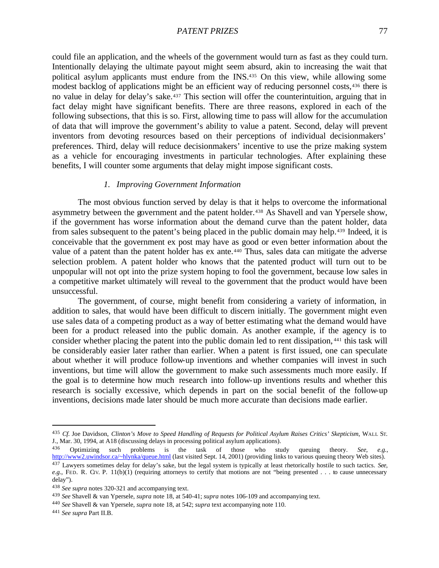could file an application, and the wheels of the government would turn as fast as they could turn. Intentionally delaying the ultimate payout might seem absurd, akin to increasing the wait that political asylum applicants must endure from the INS.435 On this view, while allowing some modest backlog of applications might be an efficient way of reducing personnel costs,436 there is no value in delay for delay's sake.437 This section will offer the counterintuition, arguing that in fact delay might have significant benefits. There are three reasons, explored in each of the following subsections, that this is so. First, allowing time to pass will allow for the accumulation of data that will improve the government's ability to value a patent. Second, delay will prevent inventors from devoting resources based on their perceptions of individual decisionmakers' preferences. Third, delay will reduce decisionmakers' incentive to use the prize making system as a vehicle for encouraging investments in particular technologies. After explaining these benefits, I will counter some arguments that delay might impose significant costs.

# *1. Improving Government Information*

The most obvious function served by delay is that it helps to overcome the informational asymmetry between the government and the patent holder.<sup>438</sup> As Shavell and van Ypersele show, if the government has worse information about the demand curve than the patent holder, data from sales subsequent to the patent's being placed in the public domain may help.439 Indeed, it is conceivable that the government ex post may have as good or even better information about the value of a patent than the patent holder has ex ante.440 Thus, sales data can mitigate the adverse selection problem. A patent holder who knows that the patented product will turn out to be unpopular will not opt into the prize system hoping to fool the government, because low sales in a competitive market ultimately will reveal to the government that the product would have been unsuccessful.

The government, of course, might benefit from considering a variety of information, in addition to sales, that would have been difficult to discern initially. The government might even use sales data of a competing product as a way of better estimating what the demand would have been for a product released into the public domain. As another example, if the agency is to consider whether placing the patent into the public domain led to rent dissipation, <sup>441</sup> this task will be considerably easier later rather than earlier. When a patent is first issued, one can speculate about whether it will produce follow-up inventions and whether companies will invest in such inventions, but time will allow the government to make such assessments much more easily. If the goal is to determine how much research into follow-up inventions results and whether this research is socially excessive, which depends in part on the social benefit of the follow-up inventions, decisions made later should be much more accurate than decisions made earlier.

<sup>435</sup> *Cf.* Joe Davidson, *Clinton's Move to Speed Handling of Requests for Political Asylum Raises Critics' Skepticism*, WALL ST. J., Mar. 30, 1994, at A18 (discussing delays in processing political asylum applications).

<sup>436</sup> Optimizing such problems is the task of those who study queuing theory. *See, e.g.*, http://www2.uwindsor.ca/~hlynka/queue.html (last visited Sept. 14, 2001) (providing links to various queuing theory Web sites). <sup>437</sup> Lawyers sometimes delay for delay's sake, but the legal system is typically at least rhetorically hostile to such tactics. *See, e.g.*, FED. R. CIV. P. 11(b)(1) (requiring attorneys to certify that motions are not "being presented . . . to cause unnecessary delay").

<sup>438</sup> *See supra* notes 320-321 and accompanying text.

<sup>439</sup> *See* Shavell & van Ypersele, *supra* note 18, at 540-41; *supra* notes 106-109 and accompanying text.

<sup>440</sup> *See* Shavell & van Ypersele, *supra* note 18, at 542; *supra* text accompanying note 110.

<sup>441</sup> *See supra* Part II.B.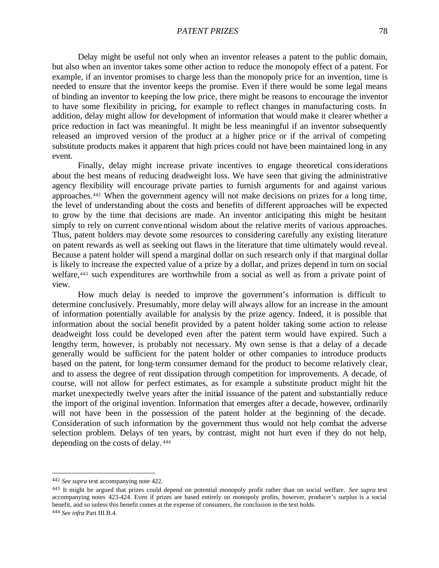Delay might be useful not only when an inventor releases a patent to the public domain, but also when an inventor takes some other action to reduce the monopoly effect of a patent. For example, if an inventor promises to charge less than the monopoly price for an invention, time is needed to ensure that the inventor keeps the promise. Even if there would be some legal means of binding an inventor to keeping the low price, there might be reasons to encourage the inventor to have some flexibility in pricing, for example to reflect changes in manufacturing costs. In addition, delay might allow for development of information that would make it clearer whether a price reduction in fact was meaningful. It might be less meaningful if an inventor subsequently released an improved version of the product at a higher price or if the arrival of competing substitute products makes it apparent that high prices could not have been maintained long in any event.

Finally, delay might increase private incentives to engage theoretical considerations about the best means of reducing deadweight loss. We have seen that giving the administrative agency flexibility will encourage private parties to furnish arguments for and against various approaches.442 When the government agency will not make decisions on prizes for a long time, the level of understanding about the costs and benefits of different approaches will be expected to grow by the time that decisions are made. An inventor anticipating this might be hesitant simply to rely on current conventional wisdom about the relative merits of various approaches. Thus, patent holders may devote some resources to considering carefully any existing literature on patent rewards as well as seeking out flaws in the literature that time ultimately would reveal. Because a patent holder will spend a marginal dollar on such research only if that marginal dollar is likely to increase the expected value of a prize by a dollar, and prizes depend in turn on social welfare,443 such expenditures are worthwhile from a social as well as from a private point of view.

How much delay is needed to improve the government's information is difficult to determine conclusively. Presumably, more delay will always allow for an increase in the amount of information potentially available for analysis by the prize agency. Indeed, it is possible that information about the social benefit provided by a patent holder taking some action to release deadweight loss could be developed even after the patent term would have expired. Such a lengthy term, however, is probably not necessary. My own sense is that a delay of a decade generally would be sufficient for the patent holder or other companies to introduce products based on the patent, for long-term consumer demand for the product to become relatively clear, and to assess the degree of rent dissipation through competition for improvements. A decade, of course, will not allow for perfect estimates, as for example a substitute product might hit the market unexpectedly twelve years after the initial issuance of the patent and substantially reduce the import of the original invention. Information that emerges after a decade, however, ordinarily will not have been in the possession of the patent holder at the beginning of the decade. Consideration of such information by the government thus would not help combat the adverse selection problem. Delays of ten years, by contrast, might not hurt even if they do not help, depending on the costs of delay. <sup>444</sup>

<sup>442</sup> *See supra* text accompanying note 422.

<sup>443</sup> It might be argued that prizes could depend on potential monopoly profit rather than on social welfare. *See supra* text accompanying notes 423-424. Even if prizes are based entirely on monopoly profits, however, producer's surplus is a social benefit, and so unless this benefit comes at the expense of consumers, the conclusion in the text holds.

<sup>444</sup> *See infra* Part III.B.4.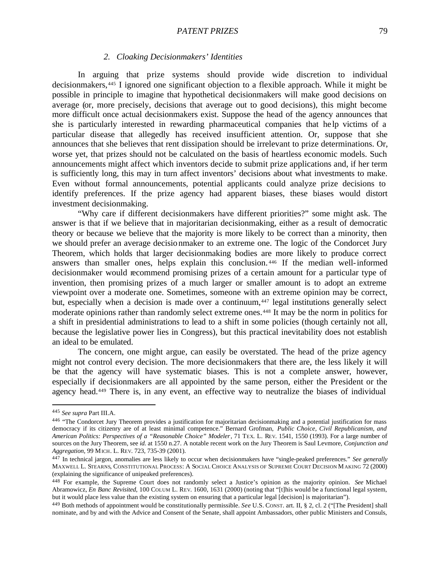### *2. Cloaking Decisionmakers' Identities*

In arguing that prize systems should provide wide discretion to individual decisionmakers,445 I ignored one significant objection to a flexible approach. While it might be possible in principle to imagine that hypothetical decisionmakers will make good decisions on average (or, more precisely, decisions that average out to good decisions), this might become more difficult once actual decisionmakers exist. Suppose the head of the agency announces that she is particularly interested in rewarding pharmaceutical companies that he lp victims of a particular disease that allegedly has received insufficient attention. Or, suppose that she announces that she believes that rent dissipation should be irrelevant to prize determinations. Or, worse yet, that prizes should not be calculated on the basis of heartless economic models. Such announcements might affect which inventors decide to submit prize applications and, if her term is sufficiently long, this may in turn affect inventors' decisions about what investments to make. Even without formal announcements, potential applicants could analyze prize decisions to identify preferences. If the prize agency had apparent biases, these biases would distort investment decisionmaking.

"Why care if different decisionmakers have different priorities?" some might ask. The answer is that if we believe that in majoritarian decisionmaking, either as a result of democratic theory or because we believe that the majority is more likely to be correct than a minority, then we should prefer an average decisionmaker to an extreme one. The logic of the Condorcet Jury Theorem, which holds that larger decisionmaking bodies are more likely to produce correct answers than smaller ones, helps explain this conclusion. <sup>446</sup> If the median well-informed decisionmaker would recommend promising prizes of a certain amount for a particular type of invention, then promising prizes of a much larger or smaller amount is to adopt an extreme viewpoint over a moderate one. Sometimes, someone with an extreme opinion may be correct, but, especially when a decision is made over a continuum,<sup>447</sup> legal institutions generally select moderate opinions rather than randomly select extreme ones.448 It may be the norm in politics for a shift in presidential administrations to lead to a shift in some policies (though certainly not all, because the legislative power lies in Congress), but this practical inevitability does not establish an ideal to be emulated.

The concern, one might argue, can easily be overstated. The head of the prize agency might not control every decision. The more decisionmakers that there are, the less likely it will be that the agency will have systematic biases. This is not a complete answer, however, especially if decisionmakers are all appointed by the same person, either the President or the agency head.449 There is, in any event, an effective way to neutralize the biases of individual

<sup>445</sup> *See supra* Part III.A.

<sup>446 &</sup>quot;The Condorcet Jury Theorem provides a justification for majoritarian decisionmaking and a potential justification for mass democracy if its citizenry are of at least minimal competence." Bernard Grofman, *Public Choice, Civil Republicanism, and American Politics: Perspectives of a "Reasonable Choice" Modeler*, 71 TEX. L. REV. 1541, 1550 (1993). For a large number of sources on the Jury Theorem, see *id.* at 1550 n.27. A notable recent work on the Jury Theorem is Saul Levmore, *Conjunction and Aggregation*, 99 MICH. L. REV. 723, 735-39 (2001).

<sup>447</sup> In technical jargon, anomalies are less likely to occur when decisionmakers have "single-peaked preferences." *See generally* MAXWELL L. STEARNS, CONSTITUTIONAL PROCESS: A SOCIAL CHOICE ANALYSIS OF SUPREME COURT DECISION MAKING 72 (2000) (explaining the significance of unipeaked preferences).

<sup>448</sup> For example, the Supreme Court does not randomly select a Justice's opinion as the majority opinion. *See* Michael Abramowicz, *En Banc Revisited*, 100 COLUM L. REV. 1600, 1631 (2000) (noting that "[t]his would be a functional legal system, but it would place less value than the existing system on ensuring that a particular legal [decision] is majoritarian").

<sup>449</sup> Both methods of appointment would be constitutionally permissible. *See* U.S. CONST. art. II, § 2, cl. 2 ("[The President] shall nominate, and by and with the Advice and Consent of the Senate, shall appoint Ambassadors, other public Ministers and Consuls,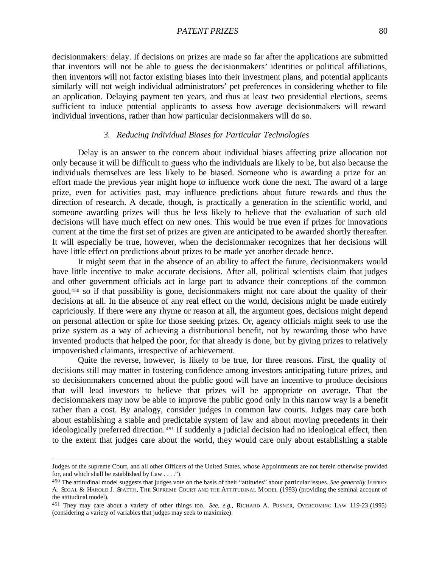decisionmakers: delay. If decisions on prizes are made so far after the applications are submitted that inventors will not be able to guess the decisionmakers' identities or political affiliations, then inventors will not factor existing biases into their investment plans, and potential applicants similarly will not weigh individual administrators' pet preferences in considering whether to file an application. Delaying payment ten years, and thus at least two presidential elections, seems sufficient to induce potential applicants to assess how average decisionmakers will reward individual inventions, rather than how particular decisionmakers will do so.

### *3. Reducing Individual Biases for Particular Technologies*

Delay is an answer to the concern about individual biases affecting prize allocation not only because it will be difficult to guess who the individuals are likely to be, but also because the individuals themselves are less likely to be biased. Someone who is awarding a prize for an effort made the previous year might hope to influence work done the next. The award of a large prize, even for activities past, may influence predictions about future rewards and thus the direction of research. A decade, though, is practically a generation in the scientific world, and someone awarding prizes will thus be less likely to believe that the evaluation of such old decisions will have much effect on new ones. This would be true even if prizes for innovations current at the time the first set of prizes are given are anticipated to be awarded shortly thereafter. It will especially be true, however, when the decisionmaker recognizes that her decisions will have little effect on predictions about prizes to be made yet another decade hence.

It might seem that in the absence of an ability to affect the future, decisionmakers would have little incentive to make accurate decisions. After all, political scientists claim that judges and other government officials act in large part to advance their conceptions of the common good,450 so if that possibility is gone, decisionmakers might not care about the quality of their decisions at all. In the absence of any real effect on the world, decisions might be made entirely capriciously. If there were any rhyme or reason at all, the argument goes, decisions might depend on personal affection or spite for those seeking prizes. Or, agency officials might seek to use the prize system as a way of achieving a distributional benefit, not by rewarding those who have invented products that helped the poor, for that already is done, but by giving prizes to relatively impoverished claimants, irrespective of achievement.

Quite the reverse, however, is likely to be true, for three reasons. First, the quality of decisions still may matter in fostering confidence among investors anticipating future prizes, and so decisionmakers concerned about the public good will have an incentive to produce decisions that will lead investors to believe that prizes will be appropriate on average. That the decisionmakers may now be able to improve the public good only in this narrow way is a benefit rather than a cost. By analogy, consider judges in common law courts. Judges may care both about establishing a stable and predictable system of law and about moving precedents in their ideologically preferred direction. <sup>451</sup> If suddenly a judicial decision had no ideological effect, then to the extent that judges care about the world, they would care only about establishing a stable

Judges of the supreme Court, and all other Officers of the United States, whose Appointments are not herein otherwise provided for, and which shall be established by Law . . . .").

<sup>&</sup>lt;sup>450</sup> The attitudinal model suggests that judges vote on the basis of their "attitudes" about particular issues. See generally JEFFREY A. SEGAL & HAROLD J. SPAETH, THE SUPREME COURT AND THE ATTITUDINAL MODEL (1993) (providing the seminal account of the attitudinal model).

<sup>451</sup> They may care about a variety of other things too. *See, e.g.*, RICHARD A. POSNER, OVERCOMING LAW 119-23 (1995) (considering a variety of variables that judges may seek to maximize).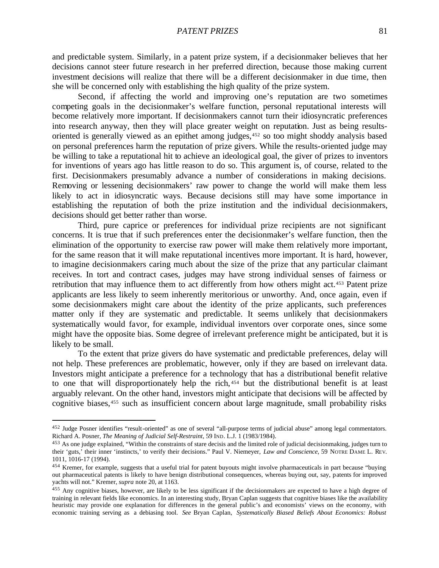and predictable system. Similarly, in a patent prize system, if a decisionmaker believes that her decisions cannot steer future research in her preferred direction, because those making current investment decisions will realize that there will be a different decisionmaker in due time, then she will be concerned only with establishing the high quality of the prize system.

Second, if affecting the world and improving one's reputation are two sometimes competing goals in the decisionmaker's welfare function, personal reputational interests will become relatively more important. If decisionmakers cannot turn their idiosyncratic preferences into research anyway, then they will place greater weight on reputation. Just as being resultsoriented is generally viewed as an epithet among judges,452 so too might shoddy analysis based on personal preferences harm the reputation of prize givers. While the results-oriented judge may be willing to take a reputational hit to achieve an ideological goal, the giver of prizes to inventors for inventions of years ago has little reason to do so. This argument is, of course, related to the first. Decisionmakers presumably advance a number of considerations in making decisions. Removing or lessening decisionmakers' raw power to change the world will make them less likely to act in idiosyncratic ways. Because decisions still may have some importance in establishing the reputation of both the prize institution and the individual decisionmakers, decisions should get better rather than worse.

Third, pure caprice or preferences for individual prize recipients are not significant concerns. It is true that if such preferences enter the decisionmaker's welfare function, then the elimination of the opportunity to exercise raw power will make them relatively more important, for the same reason that it will make reputational incentives more important. It is hard, however, to imagine decisionmakers caring much about the size of the prize that any particular claimant receives. In tort and contract cases, judges may have strong individual senses of fairness or retribution that may influence them to act differently from how others might act.453 Patent prize applicants are less likely to seem inherently meritorious or unworthy. And, once again, even if some decisionmakers might care about the identity of the prize applicants, such preferences matter only if they are systematic and predictable. It seems unlikely that decisionmakers systematically would favor, for example, individual inventors over corporate ones, since some might have the opposite bias. Some degree of irrelevant preference might be anticipated, but it is likely to be small.

To the extent that prize givers do have systematic and predictable preferences, delay will not help. These preferences are problematic, however, only if they are based on irrelevant data. Investors might anticipate a preference for a technology that has a distributional benefit relative to one that will disproportionately help the rich, <sup>454</sup> but the distributional benefit is at least arguably relevant. On the other hand, investors might anticipate that decisions will be affected by cognitive biases,455 such as insufficient concern about large magnitude, small probability risks

<sup>452</sup> Judge Posner identifies "result-oriented" as one of several "all-purpose terms of judicial abuse" among legal commentators. Richard A. Posner, *The Meaning of Judicial Self-Restraint*, 59 IND. L.J. 1 (1983/1984).

<sup>&</sup>lt;sup>453</sup> As one judge explained, "Within the constraints of stare decisis and the limited role of judicial decisionmaking, judges turn to their 'guts,' their inner 'instincts,' to verify their decisions." Paul V. Niemeyer, *Law and Conscience*, 59 NOTRE DAME L. REV. 1011, 1016-17 (1994).

<sup>454</sup> Kremer, for example, suggests that a useful trial for patent buyouts might involve pharmaceuticals in part because "buying out pharmaceutical patents is likely to have benign distributional consequences, whereas buying out, say, patents for improved yachts will not." Kremer, *supra* note 20, at 1163.

 $455$  Any cognitive biases, however, are likely to be less significant if the decisionmakers are expected to have a high degree of training in relevant fields like economics. In an interesting study, Bryan Caplan suggests that cognitive biases like the availability heuristic may provide one explanation for differences in the general public's and economists' views on the economy, with economic training serving as a debiasing tool. *See* Bryan Caplan, *Systematically Biased Beliefs About Economics: Robust*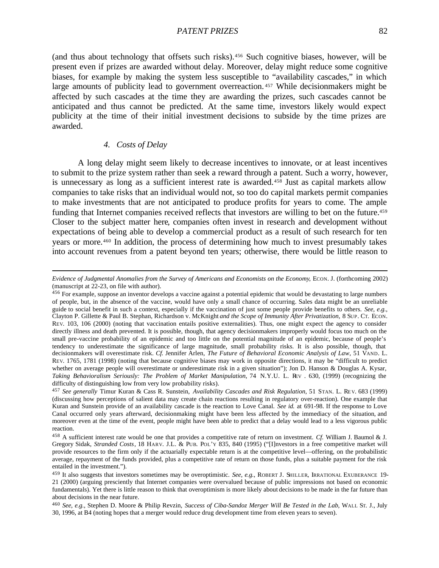(and thus about technology that offsets such risks).456 Such cognitive biases, however, will be present even if prizes are awarded without delay. Moreover, delay might reduce some cognitive biases, for example by making the system less susceptible to "availability cascades," in which large amounts of publicity lead to government overreaction.<sup>457</sup> While decisionmakers might be affected by such cascades at the time they are awarding the prizes, such cascades cannot be anticipated and thus cannot be predicted. At the same time, investors likely would expect publicity at the time of their initial investment decisions to subside by the time prizes are awarded.

# *4. Costs of Delay*

 $\overline{a}$ 

A long delay might seem likely to decrease incentives to innovate, or at least incentives to submit to the prize system rather than seek a reward through a patent. Such a worry, however, is unnecessary as long as a sufficient interest rate is awarded.458 Just as capital markets allow companies to take risks that an individual would not, so too do capital markets permit companies to make investments that are not anticipated to produce profits for years to come. The ample funding that Internet companies received reflects that investors are willing to bet on the future.<sup>459</sup> Closer to the subject matter here, companies often invest in research and development without expectations of being able to develop a commercial product as a result of such research for ten years or more.460 In addition, the process of determining how much to invest presumably takes into account revenues from a patent beyond ten years; otherwise, there would be little reason to

*Evidence of Judgmental Anomalies from the Survey of Americans and Economists on the Economy*, ECON. J. (forthcoming 2002) (manuscript at 22-23, on file with author).

<sup>456</sup> For example, suppose an inventor develops a vaccine against a potential epidemic that would be devastating to large numbers of people, but, in the absence of the vaccine, would have only a small chance of occurring. Sales data might be an unreliable guide to social benefit in such a context, especially if the vaccination of just some people provide benefits to others. *See, e.g.*, Clayton P. Gillette & Paul B. Stephan, Richardson v. McKnight *and the Scope of Immunity After Privatization*, 8 SUP. CT. ECON. REV. 103, 106 (2000) (noting that vaccination entails positive externalities). Thus, one might expect the agency to consider directly illness and death prevented. It is possible, though, that agency decisionmakers improperly would focus too much on the small pre-vaccine probability of an epidemic and too little on the potential magnitude of an epidemic, because of people's tendency to underestimate the significance of large magnitude, small probability risks. It is also possible, though, that decisionmakers will overestimate risk. *Cf.* Jennifer Arlen, *The Future of Behavioral Economic Analysis of Law*, 51 VAND. L. REV. 1765, 1781 (1998) (noting that because cognitive biases may work in opposite directions, it may be "difficult to predict whether on average people will overestimate or underestimate risk in a given situation"); Jon D. Hanson & Douglas A. Kysar, *Taking Behavioralism Seriously: The Problem of Market Manipulation*, 74 N.Y.U. L. REV . 630, (1999) (recognizing the difficulty of distinguishing low from very low probability risks).

<sup>457</sup> *See generally* Timur Kuran & Cass R. Sunstein, *Availability Cascades and Risk Regulation*, 51 STAN. L. RE V. 683 (1999) (discussing how perceptions of salient data may create chain reactions resulting in regulatory over-reaction). One example that Kuran and Sunstein provide of an availability cascade is the reaction to Love Canal. *See id.* at 691-98. If the response to Love Canal occurred only years afterward, decisionmaking might have been less affected by the immediacy of the situation, and moreover even at the time of the event, people might have been able to predict that a delay would lead to a less vigorous public reaction.

<sup>458</sup> A sufficient interest rate would be one that provides a competitive rate of return on investment. *Cf.* William J. Baumol & J. Gregory Sidak, *Stranded Costs*, 18 HARV. J.L. & PUB. POL'Y 835, 840 (1995) ("[I]nvestors in a free competitive market will provide resources to the firm only if the actuarially expectable return is at the competitive level—offering, on the probabilistic average, repayment of the funds provided, plus a competitive rate of return on those funds, plus a suitable payment for the risk entailed in the investment.").

<sup>459</sup> It also suggests that investors sometimes may be overoptimistic. *See, e.g.*, ROBERT J. SHILLER, IRRATIONAL EXUBERANCE 19- 21 (2000) (arguing presciently that Internet companies were overvalued because of public impressions not based on economic fundamentals). Yet there is little reason to think that overoptimism is more likely about decisions to be made in the far future than about decisions in the near future.

<sup>460</sup> *See, e.g.*, Stephen D. Moore & Philip Revzin, *Success of Ciba-Sandoz Merger Will Be Tested in the Lab*, WALL ST. J., July 30, 1996, at B4 (noting hopes that a merger would reduce drug development time from eleven years to seven).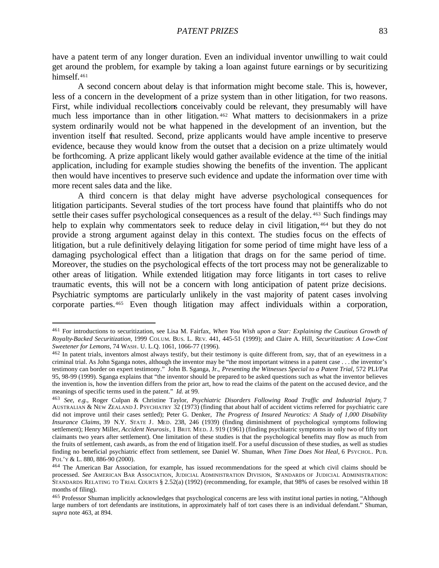have a patent term of any longer duration. Even an individual inventor unwilling to wait could get around the problem, for example by taking a loan against future earnings or by securitizing himself.<sup>461</sup>

A second concern about delay is that information might become stale. This is, however, less of a concern in the development of a prize system than in other litigation, for two reasons. First, while individual recollections conceivably could be relevant, they presumably will have much less importance than in other litigation. <sup>462</sup> What matters to decisionmakers in a prize system ordinarily would not be what happened in the development of an invention, but the invention itself that resulted. Second, prize applicants would have ample incentive to preserve evidence, because they would know from the outset that a decision on a prize ultimately would be forthcoming. A prize applicant likely would gather available evidence at the time of the initial application, including for example studies showing the benefits of the invention. The applicant then would have incentives to preserve such evidence and update the information over time with more recent sales data and the like.

A third concern is that delay might have adverse psychological consequences for litigation participants. Several studies of the tort process have found that plaintiffs who do not settle their cases suffer psychological consequences as a result of the delay. <sup>463</sup> Such findings may help to explain why commentators seek to reduce delay in civil litigation, <sup>464</sup> but they do not provide a strong argument against delay in this context. The studies focus on the effects of litigation, but a rule definitively delaying litigation for some period of time might have less of a damaging psychological effect than a litigation that drags on for the same period of time. Moreover, the studies on the psychological effects of the tort process may not be generalizable to other areas of litigation. While extended litigation may force litigants in tort cases to relive traumatic events, this will not be a concern with long anticipation of patent prize decisions. Psychiatric symptoms are particularly unlikely in the vast majority of patent cases involving corporate parties.465 Even though litigation may affect individuals within a corporation,

<sup>461</sup> For introductions to securitization, see Lisa M. Fairfax, *When You Wish upon a Star: Explaining the Cautious Growth of Royalty-Backed Securitization*, 1999 COLUM. BUS. L. REV. 441, 445-51 (1999); and Claire A. Hill, *Securitization: A Low-Cost Sweetener for Lemons*, 74 WASH. U. L.Q. 1061, 1066-77 (1996).

<sup>462</sup> In patent trials, inventors almost always testify, but their testimony is quite different from, say, that of an eyewitness in a criminal trial. As John Sganga notes, although the inventor may be "the most important witness in a patent case . . . the inventor's testimony can border on expert testimony." John B. Sganga, Jr., *Presenting the Witnesses Special to a Patent Trial*, 572 PLI/Pat 95, 98-99 (1999). Sganga explains that "the inventor should be prepared to be asked questions such as what the inventor believes the invention is, how the invention differs from the prior art, how to read the claims of the patent on the accused device, and the meanings of specific terms used in the patent." *Id.* at 99.

<sup>463</sup> *See, e.g.*, Roger Culpan & Christine Taylor, *Psychiatric Disorders Following Road Traffic and Industrial Injury*, 7 AUSTRALIAN & NEW ZEALAND J. PSYCHIATRY 32 (1973) (finding that about half of accident victims referred for psychiatric care did not improve until their cases settled); Peter G. Denker, *The Progress of Insured Neurotics: A Study of 1,000 Disability Insurance Claims*, 39 N.Y. STATE J. MED. 238, 246 (1939) (finding diminishment of psychological symptoms following settlement); Henry Miller, *Accident Neurosis*, 1 BRIT. MED. J. 919 (1961) (finding psychiatric symptoms in only two of fifty tort claimants two years after settlement). One limitation of these studies is that the psychological benefits may flow as much from the fruits of settlement, cash awards, as from the end of litigation itself. For a useful discussion of these studies, as well as studies finding no beneficial psychiatric effect from settlement, see Daniel W. Shuman, *When Time Does Not Heal*, 6 PSYCHOL. PUB. POL'Y & L. 880, 886-90 (2000).

<sup>464</sup> The American Bar Association, for example, has issued recommendations for the speed at which civil claims should be processed. *See* AMERICAN BAR ASSOCIATION, JUDICIAL ADMINISTRATION DIVISION, STANDARDS OF JUDICIAL ADMINISTRATION: STANDARDS RELATING TO TRIAL COURTS § 2.52(a) (1992) (recommending, for example, that 98% of cases be resolved within 18 months of filing).

<sup>465</sup> Professor Shuman implicitly acknowledges that psychological concerns are less with institut ional parties in noting, "Although large numbers of tort defendants are institutions, in approximately half of tort cases there is an individual defendant." Shuman, *supra* note 463, at 894.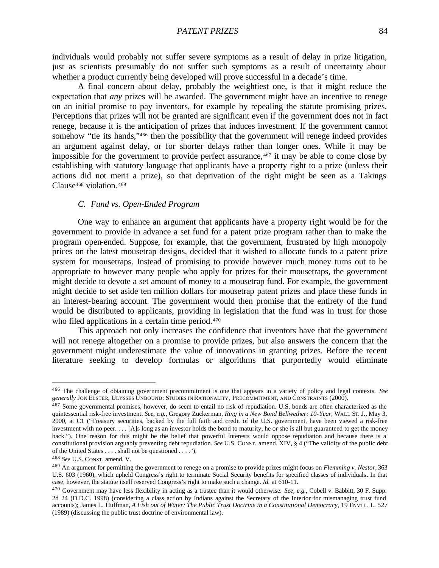individuals would probably not suffer severe symptoms as a result of delay in prize litigation, just as scientists presumably do not suffer such symptoms as a result of uncertainty about whether a product currently being developed will prove successful in a decade's time.

A final concern about delay, probably the weightiest one, is that it might reduce the expectation that *any* prizes will be awarded. The government might have an incentive to renege on an initial promise to pay inventors, for example by repealing the statute promising prizes. Perceptions that prizes will not be granted are significant even if the government does not in fact renege, because it is the anticipation of prizes that induces investment. If the government cannot somehow "tie its hands,"466 then the possibility that the government will renege indeed provides an argument against delay, or for shorter delays rather than longer ones. While it may be impossible for the government to provide perfect assurance, $467$  it may be able to come close by establishing with statutory language that applicants have a property right to a prize (unless their actions did not merit a prize), so that deprivation of the right might be seen as a Takings Clause<sup>468</sup> violation. <sup>469</sup>

#### *C. Fund vs. Open-Ended Program*

One way to enhance an argument that applicants have a property right would be for the government to provide in advance a set fund for a patent prize program rather than to make the program open-ended. Suppose, for example, that the government, frustrated by high monopoly prices on the latest mousetrap designs, decided that it wished to allocate funds to a patent prize system for mousetraps. Instead of promising to provide however much money turns out to be appropriate to however many people who apply for prizes for their mousetraps, the government might decide to devote a set amount of money to a mousetrap fund. For example, the government might decide to set aside ten million dollars for mousetrap patent prizes and place these funds in an interest-bearing account. The government would then promise that the entirety of the fund would be distributed to applicants, providing in legislation that the fund was in trust for those who filed applications in a certain time period.<sup>470</sup>

This approach not only increases the confidence that inventors have that the government will not renege altogether on a promise to provide prizes, but also answers the concern that the government might underestimate the value of innovations in granting prizes. Before the recent literature seeking to develop formulas or algorithms that purportedly would eliminate

<sup>466</sup> The challenge of obtaining government precommitment is one that appears in a variety of policy and legal contexts. *See generally* JON ELSTER, ULYSSES UNBOUND: STUDIES IN RATIONALITY, PRECOMMITMENT, AND CONSTRAINTS (2000).

<sup>467</sup> Some governmental promises, however, do seem to entail no risk of repudiation. U.S. bonds are often characterized as the quintessential risk-free investment. *See, e.g.*, Gregory Zuckerman, *Ring in a New Bond Bellwether: 10-Year*, WALL ST. J., May 3, 2000, at C1 ("Treasury securities, backed by the full faith and credit of the U.S. government, have been viewed a risk-free investment with no peer. . . . [A]s long as an investor holds the bond to maturity, he or she is all but guaranteed to get the money back."). One reason for this might be the belief that powerful interests would oppose repudiation and because there is a constitutional provision arguably preventing debt repudiation. *See* U.S. CONST. amend. XIV, § 4 ("The validity of the public debt of the United States . . . . shall not be questioned . . . .").

<sup>468</sup> *See* U.S. CONST. amend. V.

<sup>469</sup> An argument for permitting the government to renege on a promise to provide prizes might focus on *Flemming v. Nestor*, 363 U.S. 603 (1960), which upheld Congress's right to terminate Social Security benefits for specified classes of individuals. In that case, however, the statute itself reserved Congress's right to make such a change. *Id.* at 610-11.

<sup>470</sup> Government may have less flexibility in acting as a trustee than it would otherwise. *See, e.g.*, Cobell v. Babbitt, 30 F. Supp. 2d 24 (D.D.C. 1998) (considering a class action by Indians against the Secretary of the Interior for mismanaging trust fund accounts); James L. Huffman, *A Fish out of Water: The Public Trust Doctrine in a Constitutional Democracy*, 19 ENVTL. L. 527 (1989) (discussing the public trust doctrine of environmental law).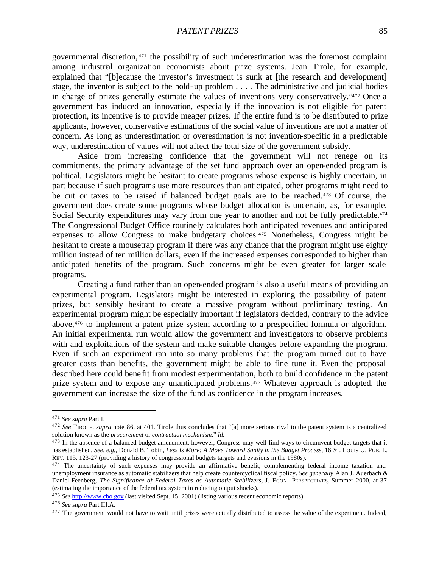governmental discretion, <sup>471</sup> the possibility of such underestimation was the foremost complaint among industrial organization economists about prize systems. Jean Tirole, for example, explained that "[b]ecause the investor's investment is sunk at [the research and development] stage, the inventor is subject to the hold-up problem . . . . The administrative and judicial bodies in charge of prizes generally estimate the values of inventions very conservatively."472 Once a government has induced an innovation, especially if the innovation is not eligible for patent protection, its incentive is to provide meager prizes. If the entire fund is to be distributed to prize applicants, however, conservative estimations of the social value of inventions are not a matter of concern. As long as underestimation or overestimation is not invention-specific in a predictable way, underestimation of values will not affect the total size of the government subsidy.

Aside from increasing confidence that the government will not renege on its commitments, the primary advantage of the set fund approach over an open-ended program is political. Legislators might be hesitant to create programs whose expense is highly uncertain, in part because if such programs use more resources than anticipated, other programs might need to be cut or taxes to be raised if balanced budget goals are to be reached.473 Of course, the government does create some programs whose budget allocation is uncertain, as, for example, Social Security expenditures may vary from one year to another and not be fully predictable.<sup>474</sup> The Congressional Budget Office routinely calculates both anticipated revenues and anticipated expenses to allow Congress to make budgetary choices.<sup>475</sup> Nonetheless, Congress might be hesitant to create a mousetrap program if there was any chance that the program might use eighty million instead of ten million dollars, even if the increased expenses corresponded to higher than anticipated benefits of the program. Such concerns might be even greater for larger scale programs.

Creating a fund rather than an open-ended program is also a useful means of providing an experimental program. Legislators might be interested in exploring the possibility of patent prizes, but sensibly hesitant to create a massive program without preliminary testing. An experimental program might be especially important if legislators decided, contrary to the advice above,476 to implement a patent prize system according to a prespecified formula or algorithm. An initial experimental run would allow the government and investigators to observe problems with and exploitations of the system and make suitable changes before expanding the program. Even if such an experiment ran into so many problems that the program turned out to have greater costs than benefits, the government might be able to fine tune it. Even the proposal described here could bene fit from modest experimentation, both to build confidence in the patent prize system and to expose any unanticipated problems.477 Whatever approach is adopted, the government can increase the size of the fund as confidence in the program increases.

<sup>471</sup> *See supra* Part I.

<sup>472</sup> *See* TIROLE, *supra* note 86, at 401. Tirole thus concludes that "[a] more serious rival to the patent system is a centralized solution known as the *procurement* or *contractual mechanism*." *Id.*

<sup>&</sup>lt;sup>473</sup> In the absence of a balanced budget amendment, however, Congress may well find ways to circumvent budget targets that it has established. *See, e.g.*, Donald B. Tobin, *Less Is More: A Move Toward Sanity in the Budget Process*, 16 ST. LOUIS U. PUB. L. REV. 115, 123-27 (providing a history of congressional budgets targets and evasions in the 1980s).

<sup>&</sup>lt;sup>474</sup> The uncertainty of such expenses may provide an affirmative benefit, complementing federal income taxation and unemployment insurance as automatic stabilizers that help create countercyclical fiscal policy. *See generally* Alan J. Auerbach & Daniel Feenberg, *The Significance of Federal Taxes as Automatic Stabilizers*, J. ECON. PERSPECTIVES, Summer 2000, at 37 (estimating the importance of the federal tax system in reducing output shocks).

<sup>475</sup> *See* http://www.cbo.gov (last visited Sept. 15, 2001) (listing various recent economic reports).

<sup>476</sup> *See supra* Part III.A.

<sup>&</sup>lt;sup>477</sup> The government would not have to wait until prizes were actually distributed to assess the value of the experiment. Indeed,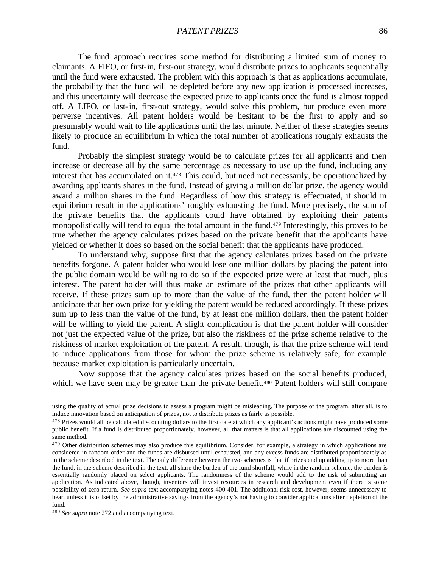The fund approach requires some method for distributing a limited sum of money to claimants. A FIFO, or first-in, first-out strategy, would distribute prizes to applicants sequentially until the fund were exhausted. The problem with this approach is that as applications accumulate, the probability that the fund will be depleted before any new application is processed increases, and this uncertainty will decrease the expected prize to applicants once the fund is almost topped off. A LIFO, or last-in, first-out strategy, would solve this problem, but produce even more perverse incentives. All patent holders would be hesitant to be the first to apply and so presumably would wait to file applications until the last minute. Neither of these strategies seems likely to produce an equilibrium in which the total number of applications roughly exhausts the fund.

Probably the simplest strategy would be to calculate prizes for all applicants and then increase or decrease all by the same percentage as necessary to use up the fund, including any interest that has accumulated on it.<sup>478</sup> This could, but need not necessarily, be operationalized by awarding applicants shares in the fund. Instead of giving a million dollar prize, the agency would award a million shares in the fund. Regardless of how this strategy is effectuated, it should in equilibrium result in the applications' roughly exhausting the fund. More precisely, the sum of the private benefits that the applicants could have obtained by exploiting their patents monopolistically will tend to equal the total amount in the fund.479 Interestingly, this proves to be true whether the agency calculates prizes based on the private benefit that the applicants have yielded or whether it does so based on the social benefit that the applicants have produced.

To understand why, suppose first that the agency calculates prizes based on the private benefits forgone. A patent holder who would lose one million dollars by placing the patent into the public domain would be willing to do so if the expected prize were at least that much, plus interest. The patent holder will thus make an estimate of the prizes that other applicants will receive. If these prizes sum up to more than the value of the fund, then the patent holder will anticipate that her own prize for yielding the patent would be reduced accordingly. If these prizes sum up to less than the value of the fund, by at least one million dollars, then the patent holder will be willing to yield the patent. A slight complication is that the patent holder will consider not just the expected value of the prize, but also the riskiness of the prize scheme relative to the riskiness of market exploitation of the patent. A result, though, is that the prize scheme will tend to induce applications from those for whom the prize scheme is relatively safe, for example because market exploitation is particularly uncertain.

Now suppose that the agency calculates prizes based on the social benefits produced, which we have seen may be greater than the private benefit.<sup>480</sup> Patent holders will still compare

using the quality of actual prize decisions to assess a program might be misleading. The purpose of the program, after all, is to induce innovation based on anticipation of prizes, not to distribute prizes as fairly as possible.

<sup>&</sup>lt;sup>478</sup> Prizes would all be calculated discounting dollars to the first date at which any applicant's actions might have produced some public benefit. If a fund is distributed proportionately, however, all that matters is that all applications are discounted using the same method.

 $479$  Other distribution schemes may also produce this equilibrium. Consider, for example, a strategy in which applications are considered in random order and the funds are disbursed until exhausted, and any excess funds are distributed proportionately as in the scheme described in the text. The only difference between the two schemes is that if prizes end up adding up to more than the fund, in the scheme described in the text, all share the burden of the fund shortfall, while in the random scheme, the burden is essentially randomly placed on select applicants. The randomness of the scheme would add to the risk of submitting an application. As indicated above, though, inventors will invest resources in research and development even if there is some possibility of zero return. *See supra* text accompanying notes 400-401. The additional risk cost, however, seems unnecessary to bear, unless it is offset by the administrative savings from the agency's not having to consider applications after depletion of the fund.

<sup>480</sup> *See supra* note 272 and accompanying text.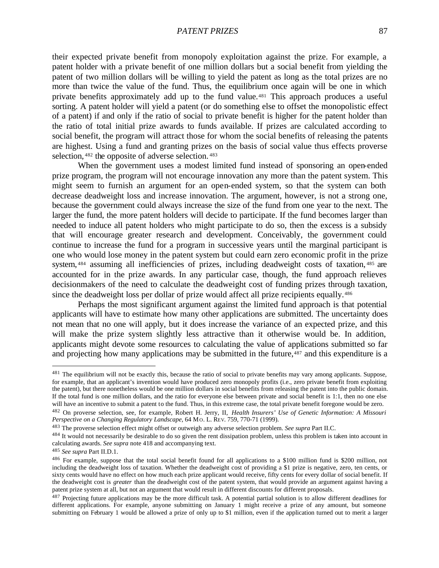their expected private benefit from monopoly exploitation against the prize. For example, a patent holder with a private benefit of one million dollars but a social benefit from yielding the patent of two million dollars will be willing to yield the patent as long as the total prizes are no more than twice the value of the fund. Thus, the equilibrium once again will be one in which private benefits approximately add up to the fund value.481 This approach produces a useful sorting. A patent holder will yield a patent (or do something else to offset the monopolistic effect of a patent) if and only if the ratio of social to private benefit is higher for the patent holder than the ratio of total initial prize awards to funds available. If prizes are calculated according to social benefit, the program will attract those for whom the social benefits of releasing the patents are highest. Using a fund and granting prizes on the basis of social value thus effects proverse selection, <sup>482</sup> the opposite of adverse selection. <sup>483</sup>

When the government uses a modest limited fund instead of sponsoring an open-ended prize program, the program will not encourage innovation any more than the patent system. This might seem to furnish an argument for an open-ended system, so that the system can both decrease deadweight loss and increase innovation. The argument, however, is not a strong one, because the government could always increase the size of the fund from one year to the next. The larger the fund, the more patent holders will decide to participate. If the fund becomes larger than needed to induce all patent holders who might participate to do so, then the excess is a subsidy that will encourage greater research and development. Conceivably, the government could continue to increase the fund for a program in successive years until the marginal participant is one who would lose money in the patent system but could earn zero economic profit in the prize system, <sup>484</sup> assuming all inefficiencies of prizes, including deadweight costs of taxation, <sup>485</sup> are accounted for in the prize awards. In any particular case, though, the fund approach relieves decisionmakers of the need to calculate the deadweight cost of funding prizes through taxation, since the deadweight loss per dollar of prize would affect all prize recipients equally.<sup>486</sup>

Perhaps the most significant argument against the limited fund approach is that potential applicants will have to estimate how many other applications are submitted. The uncertainty does not mean that no one will apply, but it does increase the variance of an expected prize, and this will make the prize system slightly less attractive than it otherwise would be. In addition, applicants might devote some resources to calculating the value of applications submitted so far and projecting how many applications may be submitted in the future,<sup>487</sup> and this expenditure is a

<sup>&</sup>lt;sup>481</sup> The equilibrium will not be exactly this, because the ratio of social to private benefits may vary among applicants. Suppose, for example, that an applicant's invention would have produced zero monopoly profits (i.e., zero private benefit from exploiting the patent), but there nonetheless would be one million dollars in social benefits from releasing the patent into the public domain. If the total fund is one million dollars, and the ratio for everyone else between private and social benefit is 1:1, then no one else will have an incentive to submit a patent to the fund. Thus, in this extreme case, the total private benefit foregone would be zero.

<sup>482</sup> On proverse selection, see, for example, Robert H. Jerry, II, *Health Insurers' Use of Genetic Information: A Missouri Perspective on a Changing Regulatory Landscape*, 64 MO. L. REV. 759, 770-71 (1999).

<sup>483</sup> The proverse selection effect might offset or outweigh any adverse selection problem. *See supra* Part II.C.

 $484$  It would not necessarily be desirable to do so given the rent dissipation problem, unless this problem is taken into account in calculating awards. *See supra* note 418 and accompanying text.

<sup>485</sup> *See supra* Part II.D.1.

<sup>486</sup> For example, suppose that the total social benefit found for all applications to a \$100 million fund is \$200 million, not including the deadweight loss of taxation. Whether the deadweight cost of providing a \$1 prize is negative, zero, ten cents, or sixty cents would have no effect on how much each prize applicant would receive, fifty cents for every dollar of social benefit. If the deadweight cost is *greater* than the deadweight cost of the patent system, that would provide an argument against having a patent prize system at all, but not an argument that would result in different discounts for different proposals.

<sup>487</sup> Projecting future applications may be the more difficult task. A potential partial solution is to allow different deadlines for different applications. For example, anyone submitting on January 1 might receive a prize of any amount, but someone submitting on February 1 would be allowed a prize of only up to \$1 million, even if the application turned out to merit a larger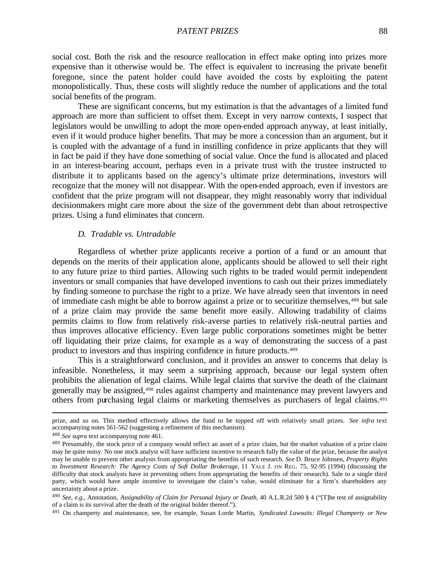social cost. Both the risk and the resource reallocation in effect make opting into prizes more expensive than it otherwise would be. The effect is equivalent to increasing the private benefit foregone, since the patent holder could have avoided the costs by exploiting the patent monopolistically. Thus, these costs will slightly reduce the number of applications and the total social benefits of the program.

These are significant concerns, but my estimation is that the advantages of a limited fund approach are more than sufficient to offset them. Except in very narrow contexts, I suspect that legislators would be unwilling to adopt the more open-ended approach anyway, at least initially, even if it would produce higher benefits. That may be more a concession than an argument, but it is coupled with the advantage of a fund in instilling confidence in prize applicants that they will in fact be paid if they have done something of social value. Once the fund is allocated and placed in an interest-bearing account, perhaps even in a private trust with the trustee instructed to distribute it to applicants based on the agency's ultimate prize determinations, investors will recognize that the money will not disappear. With the open-ended approach, even if investors are confident that the prize program will not disappear, they might reasonably worry that individual decisionmakers might care more about the size of the government debt than about retrospective prizes. Using a fund eliminates that concern.

### *D. Tradable vs. Untradable*

Regardless of whether prize applicants receive a portion of a fund or an amount that depends on the merits of their application alone, applicants should be allowed to sell their right to any future prize to third parties. Allowing such rights to be traded would permit independent inventors or small companies that have developed inventions to cash out their prizes immediately by finding someone to purchase the right to a prize. We have already seen that inventors in need of immediate cash might be able to borrow against a prize or to securitize themselves,488 but sale of a prize claim may provide the same benefit more easily. Allowing tradability of claims permits claims to flow from relatively risk-averse parties to relatively risk-neutral parties and thus improves allocative efficiency. Even large public corporations sometimes might be better off liquidating their prize claims, for example as a way of demonstrating the success of a past product to investors and thus inspiring confidence in future products.<sup>489</sup>

This is a straightforward conclusion, and it provides an answer to concerns that delay is infeasible. Nonetheless, it may seem a surprising approach, because our legal system often prohibits the alienation of legal claims. While legal claims that survive the death of the claimant generally may be assigned,490 rules against champerty and maintenance may prevent lawyers and others from purchasing legal claims or marketing themselves as purchasers of legal claims.<sup>491</sup>

prize, and so on. This method effectively allows the fund to be topped off with relatively small prizes. *See infra* text accompanying notes 561-562 (suggesting a refinement of this mechanism).

<sup>488</sup> *See supra* text accompanying note 461.

<sup>489</sup> Presumably, the stock price of a company would reflect an asset of a prize claim, but the market valuation of a prize claim may be quite noisy. No one stock analyst will have sufficient incentive to research fully the value of the prize, because the analyst may be unable to prevent other analysts from appropriating the benefits of such research. *See* D. Bruce Johnsen, *Property Rights to Investment Research: The Agency Costs of Soft Dollar Brokerage*, 11 YALE J. ON REG. 75, 92-95 (1994) (discussing the difficulty that stock analysts have in preventing others from appropriating the benefits of their research). Sale to a single third party, which would have ample incentive to investigate the claim's value, would eliminate for a firm's shareholders any uncertainty about a prize.

<sup>490</sup> *See, e.g.*, Annotation, *Assignability of Claim for Personal Injury or Death*, 40 A.L.R.2d 500 § 4 ("[T]he test of assignability of a claim is its survival after the death of the original holder thereof.").

<sup>491</sup> On champerty and maintenance, see, for example, Susan Lorde Martin, *Syndicated Lawsuits: Illegal Champerty or New*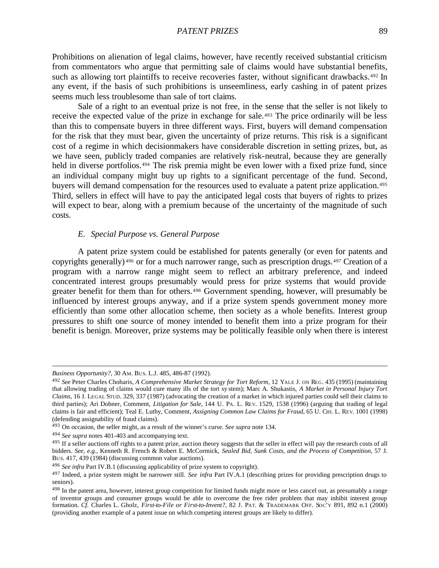Prohibitions on alienation of legal claims, however, have recently received substantial criticism from commentators who argue that permitting sale of claims would have substantial benefits, such as allowing tort plaintiffs to receive recoveries faster, without significant drawbacks.<sup>492</sup> In any event, if the basis of such prohibitions is unseemliness, early cashing in of patent prizes seems much less troublesome than sale of tort claims.

Sale of a right to an eventual prize is not free, in the sense that the seller is not likely to receive the expected value of the prize in exchange for sale.493 The price ordinarily will be less than this to compensate buyers in three different ways. First, buyers will demand compensation for the risk that they must bear, given the uncertainty of prize returns. This risk is a significant cost of a regime in which decisionmakers have considerable discretion in setting prizes, but, as we have seen, publicly traded companies are relatively risk-neutral, because they are generally held in diverse portfolios.<sup>494</sup> The risk premia might be even lower with a fixed prize fund, since an individual company might buy up rights to a significant percentage of the fund. Second, buyers will demand compensation for the resources used to evaluate a patent prize application.<sup>495</sup> Third, sellers in effect will have to pay the anticipated legal costs that buyers of rights to prizes will expect to bear, along with a premium because of the uncertainty of the magnitude of such costs.

## *E. Special Purpose vs. General Purpose*

A patent prize system could be established for patents generally (or even for patents and copyrights generally) <sup>496</sup> or for a much narrower range, such as prescription drugs.<sup>497</sup> Creation of a program with a narrow range might seem to reflect an arbitrary preference, and indeed concentrated interest groups presumably would press for prize systems that would provide greater benefit for them than for others.<sup>498</sup> Government spending, however, will presumably be influenced by interest groups anyway, and if a prize system spends government money more efficiently than some other allocation scheme, then society as a whole benefits. Interest group pressures to shift one source of money intended to benefit them into a prize program for their benefit is benign. Moreover, prize systems may be politically feasible only when there is interest

*Business Opportunity?*, 30 AM. BUS. L.J. 485, 486-87 (1992).

<sup>492</sup> *See* Peter Charles Choharis, *A Comprehensive Market Strategy for Tort Reform*, 12 YALE J. ON REG. 435 (1995) (maintaining that allowing trading of claims would cure many ills of the tort sy stem); Marc A. Shukastis, *A Market in Personal Injury Tort Claims*, 16 J. LEGAL STUD. 329, 337 (1987) (advocating the creation of a market in which injured parties could sell their claims to third parties); Ari Dobner, Comment, *Litigation for Sale*, 144 U. PA. L. REV. 1529, 1538 (1996) (arguing that trading of legal claims is fair and efficient); Teal E. Luthy, Comment, *Assigning Common Law Claims for Fraud*, 65 U. CHI. L. REV. 1001 (1998) (defending assignability of fraud claims).

<sup>493</sup> On occasion, the seller might, as a result of the winner's curse. *See supra* note 134.

<sup>494</sup> *See supra* notes 401-403 and accompanying text.

<sup>&</sup>lt;sup>495</sup> If a seller auctions off rights to a patent prize, auction theory suggests that the seller in effect will pay the research costs of all bidders. *See, e.g.*, Kenneth R. French & Robert E. McCormick, *Sealed Bid, Sunk Costs, and the Process of Competition*, 57 J. BUS. 417, 439 (1984) (discussing common value auctions).

<sup>496</sup> *See infra* Part IV.B.1 (discussing applicability of prize system to copyright).

<sup>497</sup> Indeed, a prize system might be narrower still. *See infra* Part IV.A.1 (describing prizes for providing prescription drugs to seniors).

<sup>&</sup>lt;sup>498</sup> In the patent area, however, interest group competition for limited funds might more or less cancel out, as presumably a range of inventor groups and consumer groups would be able to overcome the free rider problem that may inhibit interest group formation. *Cf.* Charles L. Gholz, *First-to-File or First-to-Invent?*, 82 J. PAT. & TRADEMARK OFF. SOC'Y 891, 892 n.1 (2000) (providing another example of a patent issue on which competing interest groups are likely to differ).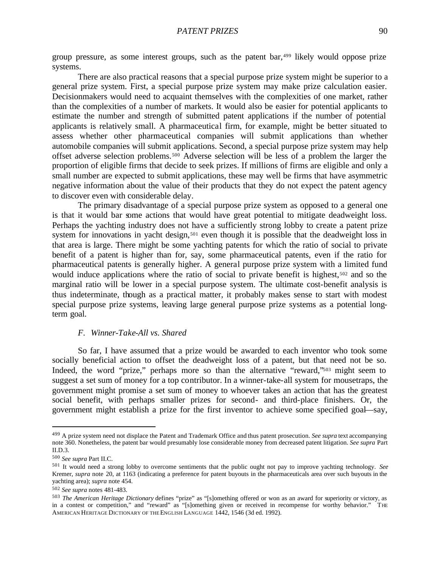group pressure, as some interest groups, such as the patent bar,499 likely would oppose prize systems.

There are also practical reasons that a special purpose prize system might be superior to a general prize system. First, a special purpose prize system may make prize calculation easier. Decisionmakers would need to acquaint themselves with the complexities of one market, rather than the complexities of a number of markets. It would also be easier for potential applicants to estimate the number and strength of submitted patent applications if the number of potential applicants is relatively small. A pharmaceutical firm, for example, might be better situated to assess whether other pharmaceutical companies will submit applications than whether automobile companies will submit applications. Second, a special purpose prize system may help offset adverse selection problems.500 Adverse selection will be less of a problem the larger the proportion of eligible firms that decide to seek prizes. If millions of firms are eligible and only a small number are expected to submit applications, these may well be firms that have asymmetric negative information about the value of their products that they do not expect the patent agency to discover even with considerable delay.

The primary disadvantage of a special purpose prize system as opposed to a general one is that it would bar some actions that would have great potential to mitigate deadweight loss. Perhaps the yachting industry does not have a sufficiently strong lobby to create a patent prize system for innovations in yacht design,<sup>501</sup> even though it is possible that the deadweight loss in that area is large. There might be some yachting patents for which the ratio of social to private benefit of a patent is higher than for, say, some pharmaceutical patents, even if the ratio for pharmaceutical patents is generally higher. A general purpose prize system with a limited fund would induce applications where the ratio of social to private benefit is highest,<sup>502</sup> and so the marginal ratio will be lower in a special purpose system. The ultimate cost-benefit analysis is thus indeterminate, though as a practical matter, it probably makes sense to start with modest special purpose prize systems, leaving large general purpose prize systems as a potential longterm goal.

# *F. Winner-Take-All vs. Shared*

So far, I have assumed that a prize would be awarded to each inventor who took some socially beneficial action to offset the deadweight loss of a patent, but that need not be so. Indeed, the word "prize," perhaps more so than the alternative "reward,"503 might seem to suggest a set sum of money for a top contributor. In a winner-take-all system for mousetraps, the government might promise a set sum of money to whoever takes an action that has the greatest social benefit, with perhaps smaller prizes for second- and third-place finishers. Or, the government might establish a prize for the first inventor to achieve some specified goal—say,

<sup>499</sup> A prize system need not displace the Patent and Trademark Office and thus patent prosecution. *See supra* text accompanying note 360. Nonetheless, the patent bar would presumably lose considerable money from decreased patent litigation. *See supra* Part II.D.3.

<sup>500</sup> *See supra* Part II.C.

<sup>501</sup> It would need a strong lobby to overcome sentiments that the public ought not pay to improve yachting technology. *See* Kremer, *supra* note 20, at 1163 (indicating a preference for patent buyouts in the pharmaceuticals area over such buyouts in the yachting area); *supra* note 454.

<sup>502</sup> *See supra* notes 481-483.

<sup>503</sup> *The American Heritage Dictionary* defines "prize" as "[s]omething offered or won as an award for superiority or victory, as in a contest or competition," and "reward" as "[s]omething given or received in recompense for worthy behavior." THE AMERICAN HERITAGE DICTIONARY OF THE ENGLISH LANGUAGE 1442, 1546 (3d ed. 1992).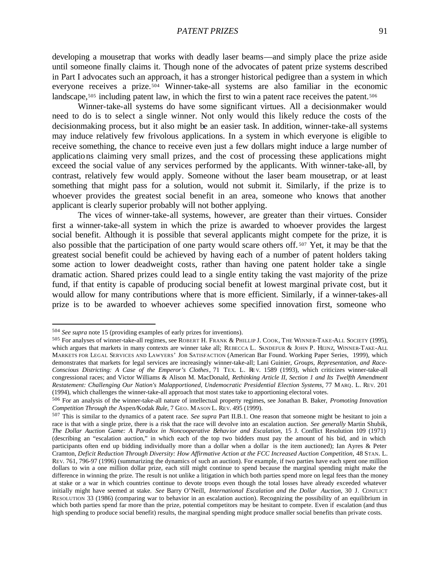developing a mousetrap that works with deadly laser beams—and simply place the prize aside until someone finally claims it. Though none of the advocates of patent prize systems described in Part I advocates such an approach, it has a stronger historical pedigree than a system in which everyone receives a prize.504 Winner-take-all systems are also familiar in the economic landscape,<sup>505</sup> including patent law, in which the first to win a patent race receives the patent.<sup>506</sup>

Winner-take-all systems do have some significant virtues. All a decisionmaker would need to do is to select a single winner. Not only would this likely reduce the costs of the decisionmaking process, but it also might be an easier task. In addition, winner-take-all systems may induce relatively few frivolous applications. In a system in which everyone is eligible to receive something, the chance to receive even just a few dollars might induce a large number of applications claiming very small prizes, and the cost of processing these applications might exceed the social value of any services performed by the applicants. With winner-take-all, by contrast, relatively few would apply. Someone without the laser beam mousetrap, or at least something that might pass for a solution, would not submit it. Similarly, if the prize is to whoever provides the greatest social benefit in an area, someone who knows that another applicant is clearly superior probably will not bother applying.

The vices of winner-take-all systems, however, are greater than their virtues. Consider first a winner-take-all system in which the prize is awarded to whoever provides the largest social benefit. Although it is possible that several applicants might compete for the prize, it is also possible that the participation of one party would scare others off. <sup>507</sup> Yet, it may be that the greatest social benefit could be achieved by having each of a number of patent holders taking some action to lower deadweight costs, rather than having one patent holder take a single dramatic action. Shared prizes could lead to a single entity taking the vast majority of the prize fund, if that entity is capable of producing social benefit at lowest marginal private cost, but it would allow for many contributions where that is more efficient. Similarly, if a winner-takes-all prize is to be awarded to whoever achieves some specified innovation first, someone who

<sup>504</sup> *See supra* note 15 (providing examples of early prizes for inventions).

<sup>505</sup> For analyses of winner-take-all regimes, see ROBERT H. FRANK & PHILLIP J. COOK, THE WINNER-TAKE-ALL SOCIETY (1995), which argues that markets in many contexts are winner take all; REBECCA L. SANDEFUR & JOHN P. HEINZ, WINNER-TAKE-ALL MARKETS FOR LEGAL SERVICES AND LAWYERS' JOB SATISFACTION (American Bar Found. Working Paper Series, 1999), which demonstrates that markets for legal services are increasingly winner-take-all; Lani Guinier, *Groups, Representation, and Race-Conscious Districting: A Case of the Emperor's Clothes*, 71 TEX. L. RE V. 1589 (1993), which criticizes winner-take-all congressional races; and Victor Williams & Alison M. MacDonald, *Rethinking Article II, Section 1 and Its Twelfth Amendment Restatement: Challenging Our Nation's Malapportioned, Undemocratic Presidential Election Systems*, 77 MARQ. L. REV. 201 (1994), which challenges the winner-take-all approach that most states take to apportioning electoral votes.

<sup>506</sup> For an analysis of the winner-take-all nature of intellectual property regimes, see Jonathan B. Baker, *Promoting Innovation Competition Through the* Aspen*/*Kodak *Rule*, 7 GEO. MASON L. REV. 495 (1999).

<sup>507</sup> This is similar to the dynamics of a patent race. *See supra* Part II.B.1. One reason that someone might be hesitant to join a race is that with a single prize, there is a risk that the race will devolve into an escalation auction. *See generally* Martin Shubik, *The Dollar Auction Game: A Paradox in Noncooperative Behavior and Escalation*, 15 J. Conflict Resolution 109 (1971) (describing an "escalation auction," in which each of the top two bidders must pay the amount of his bid, and in which participants often end up bidding individually more than a dollar when a dollar is the item auctioned); Ian Ayres & Peter Cramton, *Deficit Reduction Through Diversity: How Affirmative Action at the FCC Increased Auction Competition*, 48 STAN. L. REV. 761, 796-97 (1996) (summarizing the dynamics of such an auction). For example, if two parties have each spent one million dollars to win a one million dollar prize, each still might continue to spend because the marginal spending might make the difference in winning the prize. The result is not unlike a litigation in which both parties spend more on legal fees than the money at stake or a war in which countries continue to devote troops even though the total losses have already exceeded whatever initially might have seemed at stake. *See* Barry O'Neill, *International Escalation and the Dollar Auction*, 30 J. CONFLICT RESOLUTION 33 (1986) (comparing war to behavior in an escalation auction). Recognizing the possibility of an equilibrium in which both parties spend far more than the prize, potential competitors may be hesitant to compete. Even if escalation (and thus high spending to produce social benefit) results, the marginal spending might produce smaller social benefits than private costs.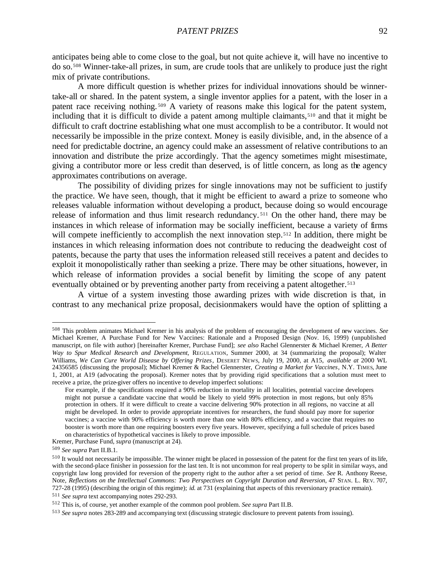anticipates being able to come close to the goal, but not quite achieve it, will have no incentive to do so.508 Winner-take-all prizes, in sum, are crude tools that are unlikely to produce just the right mix of private contributions.

A more difficult question is whether prizes for individual innovations should be winnertake-all or shared. In the patent system, a single inventor applies for a patent, with the loser in a patent race receiving nothing. <sup>509</sup> A variety of reasons make this logical for the patent system, including that it is difficult to divide a patent among multiple claimants,<sup>510</sup> and that it might be difficult to craft doctrine establishing what one must accomplish to be a contributor. It would not necessarily be impossible in the prize context. Money is easily divisible, and, in the absence of a need for predictable doctrine, an agency could make an assessment of relative contributions to an innovation and distribute the prize accordingly. That the agency sometimes might misestimate, giving a contributor more or less credit than deserved, is of little concern, as long as the agency approximates contributions on average.

The possibility of dividing prizes for single innovations may not be sufficient to justify the practice. We have seen, though, that it might be efficient to award a prize to someone who releases valuable information without developing a product, because doing so would encourage release of information and thus limit research redundancy. <sup>511</sup> On the other hand, there may be instances in which release of information may be socially inefficient, because a variety of firms will compete inefficiently to accomplish the next innovation step.<sup>512</sup> In addition, there might be instances in which releasing information does not contribute to reducing the deadweight cost of patents, because the party that uses the information released still receives a patent and decides to exploit it monopolistically rather than seeking a prize. There may be other situations, however, in which release of information provides a social benefit by limiting the scope of any patent eventually obtained or by preventing another party from receiving a patent altogether.<sup>513</sup>

A virtue of a system investing those awarding prizes with wide discretion is that, in contrast to any mechanical prize proposal, decisionmakers would have the option of splitting a

<sup>508</sup> This problem animates Michael Kremer in his analysis of the problem of encouraging the development of new vaccines. *See* Michael Kremer, A Purchase Fund for New Vaccines: Rationale and a Proposed Design (Nov. 16, 1999) (unpublished manuscript, on file with author) [hereinafter Kremer, Purchase Fund]; *see also* Rachel Glennerster & Michael Kremer, *A Better Way to Spur Medical Research and Development*, REGULATION, Summer 2000, at 34 (summarizing the proposal); Walter Williams, *We Can Cure World Disease by Offering Prizes*, DESERET NEWS, July 19, 2000, at A15, *available at* 2000 WL 24356585 (discussing the proposal); Michael Kremer & Rachel Glennerster, *Creating a Market for Vaccines*, N.Y. TIMES, June 1, 2001, at A19 (advocating the proposal). Kremer notes that by providing rigid specifications that a solution must meet to receive a prize, the prize-giver offers no incentive to develop imperfect solutions:

For example, if the specifications required a 90% reduction in mortality in all localities, potential vaccine developers might not pursue a candidate vaccine that would be likely to yield 99% protection in most regions, but only 85% protection in others. If it were difficult to create a vaccine delivering 90% protection in all regions, no vaccine at all might be developed. In order to provide appropriate incentives for researchers, the fund should pay more for superior vaccines; a vaccine with 90% efficiency is worth more than one with 80% efficiency, and a vaccine that requires no booster is worth more than one requiring boosters every five years. However, specifying a full schedule of prices based on characteristics of hypothetical vaccines is likely to prove impossible.

Kremer, Purchase Fund, *supra* (manuscript at 24).

<sup>509</sup> *See supra* Part II.B.1.

<sup>510</sup> It would not necessarily be impossible. The winner might be placed in possession of the patent for the first ten years of its life, with the second-place finisher in possession for the last ten. It is not uncommon for real property to be split in similar ways, and copyright law long provided for reversion of the property right to the author after a set period of time. *See* R. Anthony Reese, Note, *Reflections on the Intellectual Commons: Two Perspectives on Copyright Duration and Reversion*, 47 STAN. L. REV. 707, 727-28 (1995) (describing the origin of this regime); *id.* at 731 (explaining that aspects of this reversionary practice remain). <sup>511</sup> *See supra* text accompanying notes 292-293.

<sup>512</sup> This is, of course, yet another example of the common pool problem. *See supra* Part II.B.

<sup>513</sup> *See supra* notes 283-289 and accompanying text (discussing strategic disclosure to prevent patents from issuing).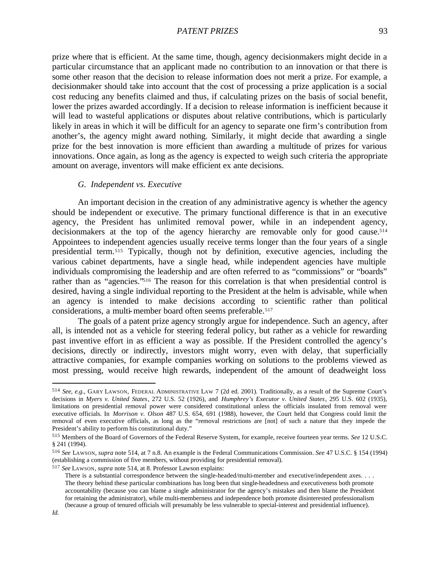prize where that is efficient. At the same time, though, agency decisionmakers might decide in a particular circumstance that an applicant made no contribution to an innovation or that there is some other reason that the decision to release information does not merit a prize. For example, a decisionmaker should take into account that the cost of processing a prize application is a social cost reducing any benefits claimed and thus, if calculating prizes on the basis of social benefit, lower the prizes awarded accordingly. If a decision to release information is inefficient because it will lead to wasteful applications or disputes about relative contributions, which is particularly likely in areas in which it will be difficult for an agency to separate one firm's contribution from another's, the agency might award nothing. Similarly, it might decide that awarding a single prize for the best innovation is more efficient than awarding a multitude of prizes for various innovations. Once again, as long as the agency is expected to weigh such criteria the appropriate amount on average, inventors will make efficient ex ante decisions.

### *G. Independent vs. Executive*

An important decision in the creation of any administrative agency is whether the agency should be independent or executive. The primary functional difference is that in an executive agency, the President has unlimited removal power, while in an independent agency, decisionmakers at the top of the agency hierarchy are removable only for good cause.<sup>514</sup> Appointees to independent agencies usually receive terms longer than the four years of a single presidential term.515 Typically, though not by definition, executive agencies, including the various cabinet departments, have a single head, while independent agencies have multiple individuals compromising the leadership and are often referred to as "commissions" or "boards" rather than as "agencies."516 The reason for this correlation is that when presidential control is desired, having a single individual reporting to the President at the helm is advisable, while when an agency is intended to make decisions according to scientific rather than political considerations, a multi-member board often seems preferable.<sup>517</sup>

The goals of a patent prize agency strongly argue for independence. Such an agency, after all, is intended not as a vehicle for steering federal policy, but rather as a vehicle for rewarding past inventive effort in as efficient a way as possible. If the President controlled the agency's decisions, directly or indirectly, investors might worry, even with delay, that superficially attractive companies, for example companies working on solutions to the problems viewed as most pressing, would receive high rewards, independent of the amount of deadweight loss

<sup>514</sup> *See, e.g.*, GARY LAWSON, FEDERAL ADMINISTRATIVE LAW 7 (2d ed. 2001). Traditionally, as a result of the Supreme Court's decisions in *Myers v. United States*, 272 U.S. 52 (1926), and *Humphrey's Executor v. United States*, 295 U.S. 602 (1935), limitations on presidential removal power were considered constitutional unless the officials insulated from removal were executive officials. In *Morrison v. Olson* 487 U.S. 654, 691 (1988), however, the Court held that Congress could limit the removal of even executive officials, as long as the "removal restrictions are [not] of such a nature that they impede the President's ability to perform his constitutional duty."

<sup>515</sup> Members of the Board of Governors of the Federal Reserve System, for example, receive fourteen year terms. *See* 12 U.S.C. § 241 (1994).

<sup>516</sup> *See* LAWSON, *supra* note 514, at 7 n.8. An example is the Federal Communications Commission. *See* 47 U.S.C. § 154 (1994) (establishing a commission of five members, without providing for presidential removal).

<sup>517</sup> *See* LAWSON, *supra* note 514, at 8. Professor Lawson explains:

There is a substantial correspondence between the single-headed/multi-member and executive/independent axes. . . . The theory behind these particular combinations has long been that single-headedness and executiveness both promote accountability (because you can blame a single administrator for the agency's mistakes and then blame the President for retaining the administrator), while multi-memberness and independence both promote disinterested professionalism (because a group of tenured officials will presumably be less vulnerable to special-interest and presidential influence).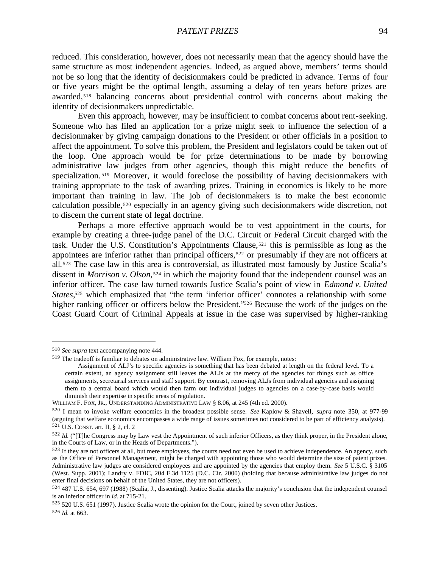reduced. This consideration, however, does not necessarily mean that the agency should have the same structure as most independent agencies. Indeed, as argued above, members' terms should not be so long that the identity of decisionmakers could be predicted in advance. Terms of four or five years might be the optimal length, assuming a delay of ten years before prizes are awarded,<sup>518</sup> balancing concerns about presidential control with concerns about making the identity of decisionmakers unpredictable.

Even this approach, however, may be insufficient to combat concerns about rent-seeking. Someone who has filed an application for a prize might seek to influence the selection of a decisionmaker by giving campaign donations to the President or other officials in a position to affect the appointment. To solve this problem, the President and legislators could be taken out of the loop. One approach would be for prize determinations to be made by borrowing administrative law judges from other agencies, though this might reduce the benefits of specialization.<sup>519</sup> Moreover, it would foreclose the possibility of having decisionmakers with training appropriate to the task of awarding prizes. Training in economics is likely to be more important than training in law. The job of decisionmakers is to make the best economic calculation possible,520 especially in an agency giving such decisionmakers wide discretion, not to discern the current state of legal doctrine.

Perhaps a more effective approach would be to vest appointment in the courts, for example by creating a three-judge panel of the D.C. Circuit or Federal Circuit charged with the task. Under the U.S. Constitution's Appointments Clause,521 this is permissible as long as the appointees are inferior rather than principal officers,522 or presumably if they are not officers at all. <sup>523</sup> The case law in this area is controversial, as illustrated most famously by Justice Scalia's dissent in *Morrison v. Olson*, <sup>524</sup> in which the majority found that the independent counsel was an inferior officer. The case law turned towards Justice Scalia's point of view in *Edmond v. United*  States,<sup>525</sup> which emphasized that "the term 'inferior officer' connotes a relationship with some higher ranking officer or officers below the President."<sup>526</sup> Because the work of the judges on the Coast Guard Court of Criminal Appeals at issue in the case was supervised by higher-ranking

<sup>518</sup> *See supra* text accompanying note 444.

<sup>519</sup> The tradeoff is familiar to debates on administrative law. William Fox, for example, notes:

Assignment of ALJ's to specific agencies is something that has been debated at length on the federal level. To a certain extent, an agency assignment still leaves the ALJs at the mercy of the agencies for things such as office assignments, secretarial services and staff support. By contrast, removing ALJs from individual agencies and assigning them to a central board which would then farm out individual judges to agencies on a case-by-case basis would diminish their expertise in specific areas of regulation.

WILLIAM F. FOX, JR., UNDERSTANDING ADMINISTRATIVE LAW § 8.06, at 245 (4th ed. 2000).

<sup>520</sup> I mean to invoke welfare economics in the broadest possible sense. *See* Kaplow & Shavell, *supra* note 350, at 977-99 (arguing that welfare economics encompasses a wide range of issues sometimes not considered to be part of efficiency analysis). <sup>521</sup> U.S. CONST. art. II, § 2, cl. 2

<sup>&</sup>lt;sup>522</sup> *Id.* ("The Congress may by Law vest the Appointment of such inferior Officers, as they think proper, in the President alone, in the Courts of Law, or in the Heads of Departments.").

<sup>&</sup>lt;sup>523</sup> If they are not officers at all, but mere employees, the courts need not even be used to achieve independence. An agency, such as the Office of Personnel Management, might be charged with appointing those who would determine the size of patent prizes. Administrative law judges are considered employees and are appointed by the agencies that employ them. *See* 5 U.S.C. § 3105 (West. Supp. 2001); Landry v. FDIC, 204 F.3d 1125 (D.C. Cir. 2000) (holding that because administrative law judges do not enter final decisions on behalf of the United States, they are not officers).

<sup>524</sup> 487 U.S. 654, 697 (1988) (Scalia, J., dissenting). Justice Scalia attacks the majority's conclusion that the independent counsel is an inferior officer in *id.* at 715-21.

<sup>525</sup> 520 U.S. 651 (1997). Justice Scalia wrote the opinion for the Court, joined by seven other Justices.

<sup>526</sup> *Id.* at 663.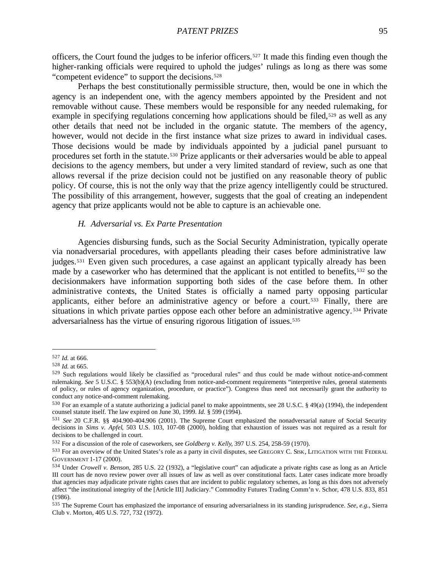officers, the Court found the judges to be inferior officers.527 It made this finding even though the higher-ranking officials were required to uphold the judges' rulings as long as there was some "competent evidence" to support the decisions.<sup>528</sup>

Perhaps the best constitutionally permissible structure, then, would be one in which the agency is an independent one, with the agency members appointed by the President and not removable without cause. These members would be responsible for any needed rulemaking, for example in specifying regulations concerning how applications should be filed, $529$  as well as any other details that need not be included in the organic statute. The members of the agency, however, would not decide in the first instance what size prizes to award in individual cases. Those decisions would be made by individuals appointed by a judicial panel pursuant to procedures set forth in the statute.530 Prize applicants or their adversaries would be able to appeal decisions to the agency members, but under a very limited standard of review, such as one that allows reversal if the prize decision could not be justified on any reasonable theory of public policy. Of course, this is not the only way that the prize agency intelligently could be structured. The possibility of this arrangement, however, suggests that the goal of creating an independent agency that prize applicants would not be able to capture is an achievable one.

# *H. Adversarial vs. Ex Parte Presentation*

Agencies disbursing funds, such as the Social Security Administration, typically operate via nonadversarial procedures, with appellants pleading their cases before administrative law judges.<sup>531</sup> Even given such procedures, a case against an applicant typically already has been made by a caseworker who has determined that the applicant is not entitled to benefits,532 so the decisionmakers have information supporting both sides of the case before them. In other administrative contexts, the United States is officially a named party opposing particular applicants, either before an administrative agency or before a court.533 Finally, there are situations in which private parties oppose each other before an administrative agency. <sup>534</sup> Private adversarialness has the virtue of ensuring rigorous litigation of issues.<sup>535</sup>

<sup>527</sup> *Id.* at 666.

<sup>528</sup> *Id.* at 665.

<sup>529</sup> Such regulations would likely be classified as "procedural rules" and thus could be made without notice-and-comment rulemaking. *See* 5 U.S.C. § 553(b)(A) (excluding from notice-and-comment requirements "interpretive rules, general statements of policy, or rules of agency organization, procedure, or practice"). Congress thus need not necessarily grant the authority to conduct any notice-and-comment rulemaking.

<sup>530</sup> For an example of a statute authorizing a judicial panel to make appointments, see 28 U.S.C. § 49(a) (1994), the independent counsel statute itself. The law expired on June 30, 1999. *Id.* § 599 (1994).

<sup>531</sup> *See* 20 C.F.R. §§ 404.900-404.906 (2001). The Supreme Court emphasized the nonadversarial nature of Social Security decisions in *Sims v. Apfel*, 503 U.S. 103, 107-08 (2000), holding that exhaustion of issues was not required as a result for decisions to be challenged in court.

<sup>532</sup> For a discussion of the role of caseworkers, see *Goldberg v. Kelly*, 397 U.S. 254, 258-59 (1970).

<sup>533</sup> For an overview of the United States's role as a party in civil disputes, see GREGORY C. SISK, LITIGATION WITH THE FEDERAL GOVERNMENT 1-17 (2000).

<sup>534</sup> Under *Crowell v. Benson*, 285 U.S. 22 (1932), a "legislative court" can adjudicate a private rights case as long as an Article III court has de novo review power over all issues of law as well as over constitutional facts. Later cases indicate more broadly that agencies may adjudicate private rights cases that are incident to public regulatory schemes, as long as this does not adversely affect "the institutional integrity of the [Article III] Judiciary." Commodity Futures Trading Comm'n v. Schor, 478 U.S. 833, 851 (1986).

<sup>535</sup> The Supreme Court has emphasized the importance of ensuring adversarialness in its standing jurisprudence. *See, e.g.*, Sierra Club v. Morton, 405 U.S. 727, 732 (1972).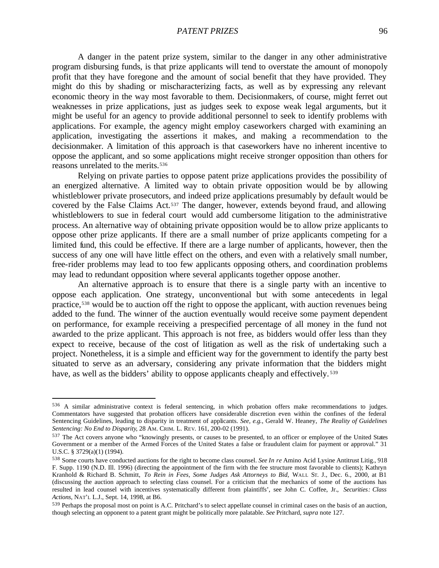A danger in the patent prize system, similar to the danger in any other administrative program disbursing funds, is that prize applicants will tend to overstate the amount of monopoly profit that they have foregone and the amount of social benefit that they have provided. They might do this by shading or mischaracterizing facts, as well as by expressing any relevant economic theory in the way most favorable to them. Decisionmakers, of course, might ferret out weaknesses in prize applications, just as judges seek to expose weak legal arguments, but it might be useful for an agency to provide additional personnel to seek to identify problems with applications. For example, the agency might employ caseworkers charged with examining an application, investigating the assertions it makes, and making a recommendation to the decisionmaker. A limitation of this approach is that caseworkers have no inherent incentive to oppose the applicant, and so some applications might receive stronger opposition than others for reasons unrelated to the merits.<sup>536</sup>

Relying on private parties to oppose patent prize applications provides the possibility of an energized alternative. A limited way to obtain private opposition would be by allowing whistleblower private prosecutors, and indeed prize applications presumably by default would be covered by the False Claims Act.537 The danger, however, extends beyond fraud, and allowing whistleblowers to sue in federal court would add cumbersome litigation to the administrative process. An alternative way of obtaining private opposition would be to allow prize applicants to oppose other prize applicants. If there are a small number of prize applicants competing for a limited fund, this could be effective. If there are a large number of applicants, however, then the success of any one will have little effect on the others, and even with a relatively small number, free-rider problems may lead to too few applicants opposing others, and coordination problems may lead to redundant opposition where several applicants together oppose another.

An alternative approach is to ensure that there is a single party with an incentive to oppose each application. One strategy, unconventional but with some antecedents in legal practice,538 would be to auction off the right to oppose the applicant, with auction revenues being added to the fund. The winner of the auction eventually would receive some payment dependent on performance, for example receiving a prespecified percentage of all money in the fund not awarded to the prize applicant. This approach is not free, as bidders would offer less than they expect to receive, because of the cost of litigation as well as the risk of undertaking such a project. Nonetheless, it is a simple and efficient way for the government to identify the party best situated to serve as an adversary, considering any private information that the bidders might have, as well as the bidders' ability to oppose applicants cheaply and effectively.<sup>539</sup>

<sup>536</sup> A similar administrative context is federal sentencing, in which probation offers make recommendations to judges. Commentators have suggested that probation officers have considerable discretion even within the confines of the federal Sentencing Guidelines, leading to disparity in treatment of applicants. *See, e.g.*, Gerald W. Heaney, *The Reality of Guidelines Sentencing: No End to Disparity*, 28 AM. CRIM. L. REV. 161, 200-02 (1991).

<sup>537</sup> The Act covers anyone who "knowingly presents, or causes to be presented, to an officer or employee of the United States Government or a member of the Armed Forces of the United States a false or fraudulent claim for payment or approval." 31 U.S.C. § 3729(a)(1) (1994).

<sup>538</sup> Some courts have conducted auctions for the right to become class counsel. *See In re* Amino Acid Lysine Antitrust Litig., 918 F. Supp. 1190 (N.D. Ill. 1996) (directing the appointment of the firm with the fee structure most favorable to clients); Kathryn Kranhold & Richard B. Schmitt, *To Rein in Fees, Some Judges Ask Attorneys to Bid*, WALL ST. J., Dec. 6., 2000, at B1 (discussing the auction approach to selecting class counsel. For a criticism that the mechanics of some of the auctions has resulted in lead counsel with incentives systematically different from plaintiffs', see John C. Coffee, Jr., *Securities: Class Actions*, NAT'L L.J., Sept. 14, 1998, at B6.

<sup>539</sup> Perhaps the proposal most on point is A.C. Pritchard's to select appellate counsel in criminal cases on the basis of an auction, though selecting an opponent to a patent grant might be politically more palatable. *See* Pritchard, *supra* note 127.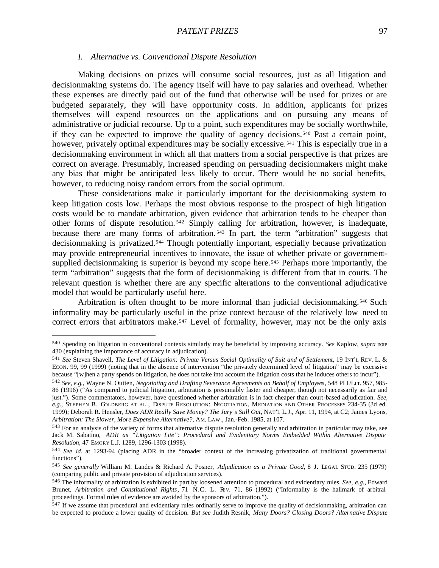### *I. Alternative vs. Conventional Dispute Resolution*

Making decisions on prizes will consume social resources, just as all litigation and decisionmaking systems do. The agency itself will have to pay salaries and overhead. Whether these expenses are directly paid out of the fund that otherwise will be used for prizes or are budgeted separately, they will have opportunity costs. In addition, applicants for prizes themselves will expend resources on the applications and on pursuing any means of administrative or judicial recourse. Up to a point, such expenditures may be socially worthwhile, if they can be expected to improve the quality of agency decisions.540 Past a certain point, however, privately optimal expenditures may be socially excessive.<sup>541</sup> This is especially true in a decisionmaking environment in which all that matters from a social perspective is that prizes are correct on average. Presumably, increased spending on persuading decisionmakers might make any bias that might be anticipated le ss likely to occur. There would be no social benefits, however, to reducing noisy random errors from the social optimum.

These considerations make it particularly important for the decisionmaking system to keep litigation costs low. Perhaps the most obvious response to the prospect of high litigation costs would be to mandate arbitration, given evidence that arbitration tends to be cheaper than other forms of dispute resolution. <sup>542</sup> Simply calling for arbitration, however, is inadequate, because there are many forms of arbitration. <sup>543</sup> In part, the term "arbitration" suggests that decisionmaking is privatized.<sup>544</sup> Though potentially important, especially because privatization may provide entrepreneurial incentives to innovate, the issue of whether private or governmentsupplied decisionmaking is superior is beyond my scope here.<sup>545</sup> Perhaps more importantly, the term "arbitration" suggests that the form of decisionmaking is different from that in courts. The relevant question is whether there are any specific alterations to the conventional adjudicative model that would be particularly useful here.

Arbitration is often thought to be more informal than judicial decisionmaking.546 Such informality may be particularly useful in the prize context because of the relatively low need to correct errors that arbitrators make.<sup>547</sup> Level of formality, however, may not be the only axis

<sup>540</sup> Spending on litigation in conventional contexts similarly may be beneficial by improving accuracy. *See* Kaplow, *supra* note 430 (explaining the importance of accuracy in adjudication).

<sup>541</sup> *See* Steven Shavell, *The Level of Litigation: Private Versus Social Optimality of Suit and of Settlement*, 19 INT'L REV. L. & ECON. 99, 99 (1999) (noting that in the absence of intervention "the privately determined level of litigation" may be excessive because "[w]hen a party spends on litigation, he does not take into account the litigation costs that he induces others to incur").

<sup>542</sup> *See, e.g.*, Wayne N. Outten, *Negotiating and Drafting Severance Agreements on Behalf of Employees*, 548 PLI/LI T. 957, 985- 86 (1996) ("As compared to judicial litigation, arbitration is presumably faster and cheaper, though not necessarily as fair and just."). Some commentators, however, have questioned whether arbitration is in fact cheaper than court-based adjudication. *See, e.g.*, STEPHEN B. GOLDBERG AT AL., DISPUTE RESOLUTION: NEGOTIATION, MEDIATION AND OTHER PROCESSES 234-35 (3d ed. 1999); Deborah R. Hensler, *Does ADR Really Save Money? The Jury's Still Out*, NAT'L L.J., Apr. 11, 1994, at C2; James Lyons, *Arbitration: The Slower, More Expensive Alternative?*, AM. LAW., Jan.-Feb. 1985, at 107.

<sup>543</sup> For an analysis of the variety of forms that alternative dispute resolution generally and arbitration in particular may take, see Jack M. Sabatino, *ADR as "Litigation Lite": Procedural and Evidentiary Norms Embedded Within Alternative Dispute Resolution*, 47 EMORY L.J. 1289, 1296-1303 (1998).

<sup>544</sup> *See id.* at 1293-94 (placing ADR in the "broader context of the increasing privatization of traditional governmental functions").

<sup>545</sup> *See generally* William M. Landes & Richard A. Posner, *Adjudication as a Private Good*, 8 J. LEGAL STUD. 235 (1979) (comparing public and private provision of adjudication services).

<sup>546</sup> The informality of arbitration is exhibited in part by loosened attention to procedural and evidentiary rules. *See, e.g.*, Edward Brunet, *Arbitration and Constitutional Rights*, 71 N.C. L. REV. 71, 86 (1992) ("Informality is the hallmark of arbitral proceedings. Formal rules of evidence are avoided by the sponsors of arbitration.").

<sup>547</sup> If we assume that procedural and evidentiary rules ordinarily serve to improve the quality of decisionmaking, arbitration can be expected to produce a lower quality of decision. *But see* Judith Resnik, *Many Doors? Closing Doors? Alternative Dispute*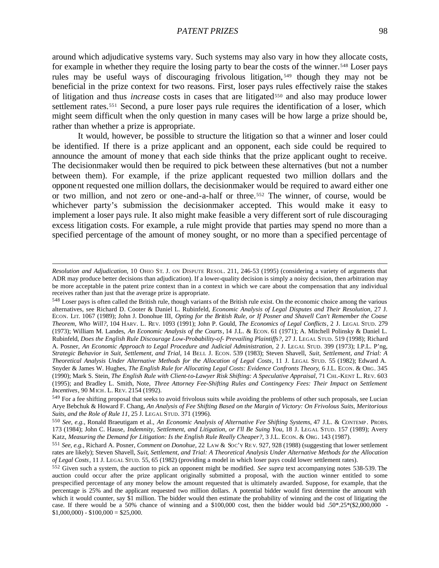around which adjudicative systems vary. Such systems may also vary in how they allocate costs, for example in whether they require the losing party to bear the costs of the winner.<sup>548</sup> Loser pays rules may be useful ways of discouraging frivolous litigation, <sup>549</sup> though they may not be beneficial in the prize context for two reasons. First, loser pays rules effectively raise the stakes of litigation and thus *increase* costs in cases that are litigated550 and also may produce lower settlement rates.<sup>551</sup> Second, a pure loser pays rule requires the identification of a loser, which might seem difficult when the only question in many cases will be how large a prize should be, rather than whether a prize is appropriate.

It would, however, be possible to structure the litigation so that a winner and loser could be identified. If there is a prize applicant and an opponent, each side could be required to announce the amount of money that each side thinks that the prize applicant ought to receive. The decisionmaker would then be required to pick between these alternatives (but not a number between them). For example, if the prize applicant requested two million dollars and the opponent requested one million dollars, the decisionmaker would be required to award either one or two million, and not zero or one-and-a-half or three.552 The winner, of course, would be whichever party's submission the decisionmaker accepted. This would make it easy to implement a loser pays rule. It also might make feasible a very different sort of rule discouraging excess litigation costs. For example, a rule might provide that parties may spend no more than a specified percentage of the amount of money sought, or no more than a specified percentage of

*Resolution and Adjudication*, 10 OHIO ST. J. ON DISPUTE RESOL. 211, 246-53 (1995) (considering a variety of arguments that ADR may produce better decisions than adjudication). If a lower-quality decision is simply a noisy decision, then arbitration may be more acceptable in the patent prize context than in a context in which we care about the compensation that any individual receives rather than just that the average prize is appropriate.

<sup>548</sup> Loser pays is often called the British rule, though variants of the British rule exist. On the economic choice among the various alternatives, see Richard D. Cooter & Daniel L. Rubinfeld, *Economic Analysis of Legal Disputes and Their Resolution*, 27 J. ECON. LIT. 1067 (1989); John J. Donohue III, *Opting for the British Rule, or If Posner and Shavell Can't Remember the Coase Theorem, Who Will?*, 104 HARV. L. REV. 1093 (1991); John P. Gould, *The Economics of Legal Conflicts*, 2 J. LEGAL STUD. 279 (1973); William M. Landes, *An Economic Analysis of the Courts*, 14 J.L. & ECON. 61 (1971); A. Mitchell Polinsky & Daniel L. Rubinfeld, *Does the English Rule Discourage Low-Probability-of- Prevailing Plaintiffs?*, 27 J. LEGAL STUD. 519 (1998); Richard A. Posner, *An Economic Approach to Legal Procedure and Judicial Administration*, 2 J. LEGAL STUD. 399 (1973); I.P.L. P'ng, *Strategic Behavior in Suit, Settlement, and Trial*, 14 BELL J. ECON. 539 (1983); Steven Shavell, *Suit, Settlement, and Trial: A Theoretical Analysis Under Alternative Methods for the Allocation of Legal Costs*, 11 J. LEGAL STUD. 55 (1982); Edward A. Snyder & James W. Hughes, *The English Rule for Allocating Legal Costs: Evidence Confronts Theory*, 6 J.L. ECON. & ORG. 345 (1990); Mark S. Stein, *The English Rule with Client-to-Lawyer Risk Shifting: A Speculative Appraisal*, 71 CHI.-KENT L. REV. 603 (1995); and Bradley L. Smith, Note, *Three Attorney Fee-Shifting Rules and Contingency Fees: Their Impact on Settlement Incentives*, 90 MICH. L. REV. 2154 (1992).

<sup>549</sup> For a fee shifting proposal that seeks to avoid frivolous suits while avoiding the problems of other such proposals, see Lucian Arye Bebchuk & Howard F. Chang, *An Analysis of Fee Shifting Based on the Margin of Victory: On Frivolous Suits, Meritorious Suits, and the Role of Rule 11*, 25 J. LEGAL STUD. 371 (1996).

<sup>550</sup> *See, e.g.*, Ronald Braeutigam et al., *An Economic Analysis of Alternative Fee Shifting Systems*, 47 J.L. & CONTEMP. PROBS. 173 (1984); John C. Hause, *Indemnity, Settlement, and Litigation, or I'll Be Suing You*, 18 J. LEGAL STUD. 157 (1989); Avery Katz, *Measuring the Demand for Litigation: Is the English Rule Really Cheaper?*, 3 J.L. ECON. & ORG. 143 (1987).

<sup>551</sup> *See, e.g.*, Richard A. Posner, *Comment on Donohue*, 22 LAW & SOC'Y RE V. 927, 928 (1988) (suggesting that lower settlement rates are likely); Steven Shavell, *Suit, Settlement, and Trial: A Theoretical Analysis Under Alternative Methods for the Allocation of Legal Costs*, 11 J. LEGAL STUD. 55, 65 (1982) (providing a model in which loser pays could lower settlement rates).

<sup>552</sup> Given such a system, the auction to pick an opponent might be modified. *See supra* text accompanying notes 538-539. The auction could occur after the prize applicant originally submitted a proposal, with the auction winner entitled to some prespecified percentage of any money below the amount requested that is ultimately awarded. Suppose, for example, that the percentage is 25% and the applicant requested two million dollars. A potential bidder would first determine the amount with which it would counter, say \$1 million. The bidder would then estimate the probability of winning and the cost of litigating the case. If there would be a 50% chance of winning and a \$100,000 cost, then the bidder would bid .50\*.25\*(\$2,000,000 -  $$1,000,000$  -  $$100,000 = $25,000$ .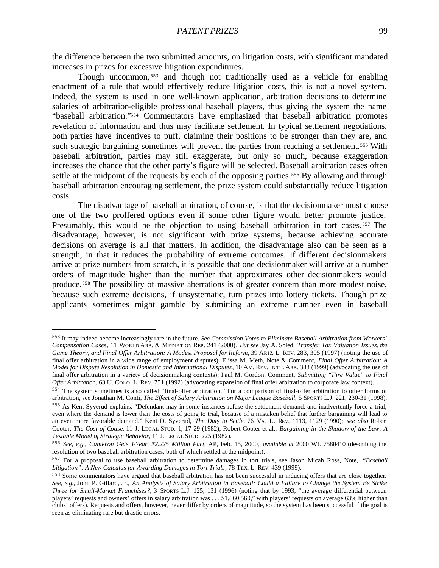the difference between the two submitted amounts, on litigation costs, with significant mandated increases in prizes for excessive litigation expenditures.

Though uncommon, <sup>553</sup> and though not traditionally used as a vehicle for enabling enactment of a rule that would effectively reduce litigation costs, this is not a novel system. Indeed, the system is used in one well-known application, arbitration decisions to determine salaries of arbitration-eligible professional baseball players, thus giving the system the name "baseball arbitration."554 Commentators have emphasized that baseball arbitration promotes revelation of information and thus may facilitate settlement. In typical settlement negotiations, both parties have incentives to puff, claiming their positions to be stronger than they are, and such strategic bargaining sometimes will prevent the parties from reaching a settlement.<sup>555</sup> With baseball arbitration, parties may still exaggerate, but only so much, because exaggeration increases the chance that the other party's figure will be selected. Baseball arbitration cases often settle at the midpoint of the requests by each of the opposing parties.<sup>556</sup> By allowing and through baseball arbitration encouraging settlement, the prize system could substantially reduce litigation costs.

The disadvantage of baseball arbitration, of course, is that the decisionmaker must choose one of the two proffered options even if some other figure would better promote justice. Presumably, this would be the objection to using baseball arbitration in tort cases.<sup>557</sup> The disadvantage, however, is not significant with prize systems, because achieving accurate decisions on average is all that matters. In addition, the disadvantage also can be seen as a strength, in that it reduces the probability of extreme outcomes. If different decisionmakers arrive at prize numbers from scratch, it is possible that one decisionmaker will arrive at a number orders of magnitude higher than the number that approximates other decisionmakers would produce.558 The possibility of massive aberrations is of greater concern than more modest noise, because such extreme decisions, if unsystematic, turn prizes into lottery tickets. Though prize applicants sometimes might gamble by submitting an extreme number even in baseball

<sup>553</sup> It may indeed become increasingly rare in the future. *See Commission Votes to Eliminate Baseball Arbitration from Workers' Compensation Cases*, 11 WORLD ARB. & MEDIATION REP. 241 (2000). *But see* Jay A. Soled, *Transfer Tax Valuation Issues, the Game Theory, and Final Offer Arbitration: A Modest Proposal for Reform*, 39 ARIZ. L. REV. 283, 305 (1997) (noting the use of final offer arbitration in a wide range of employment disputes); Elissa M. Meth, Note & Comment, *Final Offer Arbitration: A Model for Dispute Resolution in Domestic and International Disputes*, 10 AM. REV. IN T'L ARB. 383 (1999) (advocating the use of final offer arbitration in a variety of decisionmaking contexts); Paul M. Gordon, Comment, *Submitting "Fire Value" to Final Offer Arbitration*, 63 U. COLO. L. REV. 751 (1992) (advocating expansion of final offer arbitration to corporate law context).

<sup>554</sup> The system sometimes is also called "final-offer arbitration." For a comparison of final-offer arbitration to other forms of arbitration, see Jonathan M. Conti, *The Effect of Salary Arbitration on Major League Baseball*, 5 SPORTS L.J. 221, 230-31 (1998).

<sup>555</sup> As Kent Syverud explains, "Defendant may in some instances refuse the settlement demand, and inadvertently force a trial, even where the demand is lower than the costs of going to trial, because of a mistaken belief that further bargaining will lead to an even more favorable demand." Kent D. Syverud, *The Duty to Settle*, 76 VA. L. REV. 1113, 1129 (1990); *see also* Robert Cooter, *The Cost of Coase*, 11 J. LEGAL STUD. 1, 17-29 (1982); Robert Cooter et al., *Bargaining in the Shadow of the Law: A Testable Model of Strategic Behavior*, 11 J. LEGAL STUD. 225 (1982).

<sup>556</sup> *See, e.g.*, *Cameron Gets 1-Year, \$2.225 Million Pact*, AP, Feb. 15, 2000, *available at* 2000 WL 7580410 (describing the resolution of two baseball arbitration cases, both of which settled at the midpoint).

<sup>557</sup> For a proposal to use baseball arbitration to determine damages in tort trials, see Jason Micah Ross, Note, *"Baseball*  Litigation": A New Calculus for Awarding Damages in Tort Trials, 78 TEX. L. REV. 439 (1999).

<sup>558</sup> Some commentators have argued that baseball arbitration has not been successful in inducing offers that are close together. *See, e.g.*, John P. Gillard, Jr., *An Analysis of Salary Arbitration in Baseball: Could a Failure to Change the System Be Strike Three for Small-Market Franchises?*, 3 SPORTS L.J. 125, 131 (1996) (noting that by 1993, "the average differential between players' requests and owners' offers in salary arbitration was . . . \$1,660,560," with players' requests on average 63% higher than clubs' offers). Requests and offers, however, never differ by orders of magnitude, so the system has been successful if the goal is seen as eliminating rare but drastic errors.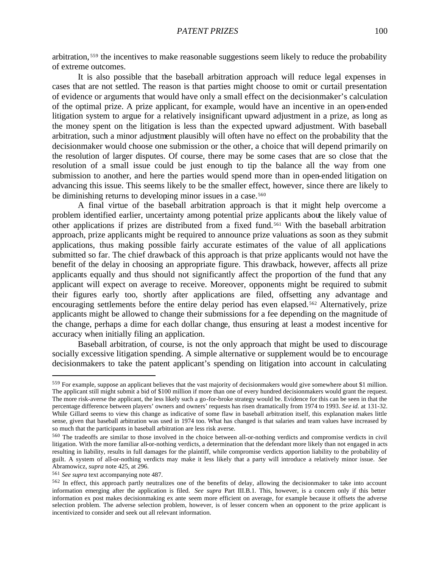arbitration, <sup>559</sup> the incentives to make reasonable suggestions seem likely to reduce the probability of extreme outcomes.

It is also possible that the baseball arbitration approach will reduce legal expenses in cases that are not settled. The reason is that parties might choose to omit or curtail presentation of evidence or arguments that would have only a small effect on the decisionmaker's calculation of the optimal prize. A prize applicant, for example, would have an incentive in an open-ended litigation system to argue for a relatively insignificant upward adjustment in a prize, as long as the money spent on the litigation is less than the expected upward adjustment. With baseball arbitration, such a minor adjustment plausibly will often have no effect on the probability that the decisionmaker would choose one submission or the other, a choice that will depend primarily on the resolution of larger disputes. Of course, there may be some cases that are so close that the resolution of a small issue could be just enough to tip the balance all the way from one submission to another, and here the parties would spend more than in open-ended litigation on advancing this issue. This seems likely to be the smaller effect, however, since there are likely to be diminishing returns to developing minor issues in a case.<sup>560</sup>

A final virtue of the baseball arbitration approach is that it might help overcome a problem identified earlier, uncertainty among potential prize applicants about the likely value of other applications if prizes are distributed from a fixed fund.561 With the baseball arbitration approach, prize applicants might be required to announce prize valuations as soon as they submit applications, thus making possible fairly accurate estimates of the value of all applications submitted so far. The chief drawback of this approach is that prize applicants would not have the benefit of the delay in choosing an appropriate figure. This drawback, however, affects all prize applicants equally and thus should not significantly affect the proportion of the fund that any applicant will expect on average to receive. Moreover, opponents might be required to submit their figures early too, shortly after applications are filed, offsetting any advantage and encouraging settlements before the entire delay period has even elapsed.562 Alternatively, prize applicants might be allowed to change their submissions for a fee depending on the magnitude of the change, perhaps a dime for each dollar change, thus ensuring at least a modest incentive for accuracy when initially filing an application.

Baseball arbitration, of course, is not the only approach that might be used to discourage socially excessive litigation spending. A simple alternative or supplement would be to encourage decisionmakers to take the patent applicant's spending on litigation into account in calculating

<sup>559</sup> For example, suppose an applicant believes that the vast majority of decisionmakers would give somewhere about \$1 million. The applicant still might submit a bid of \$100 million if more than one of every hundred decisionmakers would grant the request. The more risk-averse the applicant, the less likely such a go-for-broke strategy would be. Evidence for this can be seen in that the percentage difference between players' owners and owners' requests has risen dramatically from 1974 to 1993. *See id.* at 131-32. While Gillard seems to view this change as indicative of some flaw in baseball arbitration itself, this explanation makes little sense, given that baseball arbitration was used in 1974 too. What has changed is that salaries and team values have increased by so much that the participants in baseball arbitration are less risk averse.

<sup>560</sup> The tradeoffs are similar to those involved in the choice between all-or-nothing verdicts and compromise verdicts in civil litigation. With the more familiar all-or-nothing verdicts, a determination that the defendant more likely than not engaged in acts resulting in liability, results in full damages for the plaintiff, while compromise verdicts apportion liability to the probability of guilt. A system of all-or-nothing verdicts may make it less likely that a party will introduce a relatively minor issue. *See* Abramowicz, *supra* note 425, at 296.

<sup>561</sup> *See supra* text accompanying note 487.

<sup>562</sup> In effect, this approach partly neutralizes one of the benefits of delay, allowing the decisionmaker to take into account information emerging after the application is filed. *See supra* Part III.B.1. This, however, is a concern only if this better information ex post makes decisionmaking ex ante seem more efficient on average, for example because it offsets the adverse selection problem. The adverse selection problem, however, is of lesser concern when an opponent to the prize applicant is incentivized to consider and seek out all relevant information.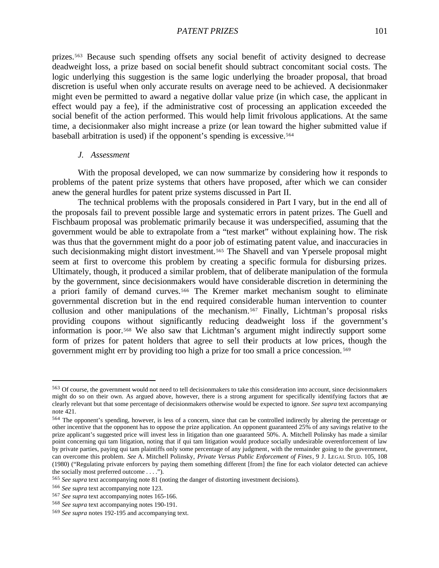prizes.563 Because such spending offsets any social benefit of activity designed to decrease deadweight loss, a prize based on social benefit should subtract concomitant social costs. The logic underlying this suggestion is the same logic underlying the broader proposal, that broad discretion is useful when only accurate results on average need to be achieved. A decisionmaker might even be permitted to award a negative dollar value prize (in which case, the applicant in effect would pay a fee), if the administrative cost of processing an application exceeded the social benefit of the action performed. This would help limit frivolous applications. At the same time, a decisionmaker also might increase a prize (or lean toward the higher submitted value if baseball arbitration is used) if the opponent's spending is excessive.<sup>564</sup>

# *J. Assessment*

With the proposal developed, we can now summarize by considering how it responds to problems of the patent prize systems that others have proposed, after which we can consider anew the general hurdles for patent prize systems discussed in Part II.

The technical problems with the proposals considered in Part I vary, but in the end all of the proposals fail to prevent possible large and systematic errors in patent prizes. The Guell and Fischbaum proposal was problematic primarily because it was underspecified, assuming that the government would be able to extrapolate from a "test market" without explaining how. The risk was thus that the government might do a poor job of estimating patent value, and inaccuracies in such decisionmaking might distort investment.<sup>565</sup> The Shavell and van Ypersele proposal might seem at first to overcome this problem by creating a specific formula for disbursing prizes. Ultimately, though, it produced a similar problem, that of deliberate manipulation of the formula by the government, since decisionmakers would have considerable discretion in determining the a priori family of demand curves.566 The Kremer market mechanism sought to eliminate governmental discretion but in the end required considerable human intervention to counter collusion and other manipulations of the mechanism.567 Finally, Lichtman's proposal risks providing coupons without significantly reducing deadweight loss if the government's information is poor.568 We also saw that Lichtman's argument might indirectly support some form of prizes for patent holders that agree to sell their products at low prices, though the government might err by providing too high a prize for too small a price concession. <sup>569</sup>

<sup>563</sup> Of course, the government would not need to tell decisionmakers to take this consideration into account, since decisionmakers might do so on their own. As argued above, however, there is a strong argument for specifically identifying factors that are clearly relevant but that some percentage of decisionmakers otherwise would be expected to ignore. *See supra* text accompanying note 421.

<sup>564</sup> The opponent's spending, however, is less of a concern, since that can be controlled indirectly by altering the percentage or other incentive that the opponent has to oppose the prize application. An opponent guaranteed 25% of any savings relative to the prize applicant's suggested price will invest less in litigation than one guaranteed 50%. A. Mitchell Polinsky has made a similar point concerning qui tam litigation, noting that if qui tam litigation would produce socially undesirable overenforcement of law by private parties, paying qui tam plaintiffs only some percentage of any judgment, with the remainder going to the government, can overcome this problem. *See* A. Mitchell Polinsky, *Private Versus Public Enforcement of Fines*, 9 J. LEGAL STUD. 105, 108 (1980) ("Regulating private enforcers by paying them something different [from] the fine for each violator detected can achieve the socially most preferred outcome . . . .").

<sup>565</sup> *See supra* text accompanying note 81 (noting the danger of distorting investment decisions).

<sup>566</sup> *See supra* text accompanying note 123.

<sup>567</sup> *See supra* text accompanying notes 165-166.

<sup>568</sup> *See supra* text accompanying notes 190-191.

<sup>569</sup> *See supra* notes 192-195 and accompanying text.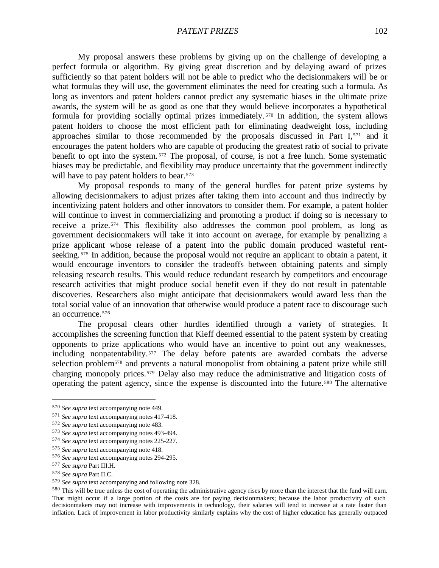My proposal answers these problems by giving up on the challenge of developing a perfect formula or algorithm. By giving great discretion and by delaying award of prizes sufficiently so that patent holders will not be able to predict who the decisionmakers will be or what formulas they will use, the government eliminates the need for creating such a formula. As long as inventors and patent holders cannot predict any systematic biases in the ultimate prize awards, the system will be as good as one that they would believe incorporates a hypothetical formula for providing socially optimal prizes immediately. <sup>570</sup> In addition, the system allows patent holders to choose the most efficient path for eliminating deadweight loss, including approaches similar to those recommended by the proposals discussed in Part I,571 and it encourages the patent holders who are capable of producing the greatest ratio of social to private benefit to opt into the system. <sup>572</sup> The proposal, of course, is not a free lunch. Some systematic biases may be predictable, and flexibility may produce uncertainty that the government indirectly will have to pay patent holders to bear.<sup>573</sup>

My proposal responds to many of the general hurdles for patent prize systems by allowing decisionmakers to adjust prizes after taking them into account and thus indirectly by incentivizing patent holders and other innovators to consider them. For example, a patent holder will continue to invest in commercializing and promoting a product if doing so is necessary to receive a prize.574 This flexibility also addresses the common pool problem, as long as government decisionmakers will take it into account on average, for example by penalizing a prize applicant whose release of a patent into the public domain produced wasteful rentseeking.<sup>575</sup> In addition, because the proposal would not require an applicant to obtain a patent, it would encourage inventors to consider the tradeoffs between obtaining patents and simply releasing research results. This would reduce redundant research by competitors and encourage research activities that might produce social benefit even if they do not result in patentable discoveries. Researchers also might anticipate that decisionmakers would award less than the total social value of an innovation that otherwise would produce a patent race to discourage such an occurrence.<sup>576</sup>

The proposal clears other hurdles identified through a variety of strategies. It accomplishes the screening function that Kieff deemed essential to the patent system by creating opponents to prize applications who would have an incentive to point out any weaknesses, including nonpatentability.577 The delay before patents are awarded combats the adverse selection problem578 and prevents a natural monopolist from obtaining a patent prize while still charging monopoly prices.579 Delay also may reduce the administrative and litigation costs of operating the patent agency, sinc e the expense is discounted into the future.580 The alternative

 $\overline{a}$ 

<sup>578</sup> *See supra* Part II.C.

<sup>570</sup> *See supra* text accompanying note 449.

<sup>571</sup> *See supra* text accompanying notes 417-418.

<sup>572</sup> *See supra* text accompanying note 483.

<sup>573</sup> *See supra* text accompanying notes 493-494.

<sup>574</sup> *See supra* text accompanying notes 225-227.

<sup>575</sup> *See supra* text accompanying note 418.

<sup>576</sup> *See supra* text accompanying notes 294-295.

<sup>577</sup> *See supra* Part III.H.

<sup>579</sup> *See supra* text accompanying and following note 328.

<sup>&</sup>lt;sup>580</sup> This will be true unless the cost of operating the administrative agency rises by more than the interest that the fund will earn. That might occur if a large portion of the costs are for paying decisionmakers; because the labor productivity of such decisionmakers may not increase with improvements in technology, their salaries will tend to increase at a rate faster than inflation. Lack of improvement in labor productivity similarly explains why the cost of higher education has generally outpaced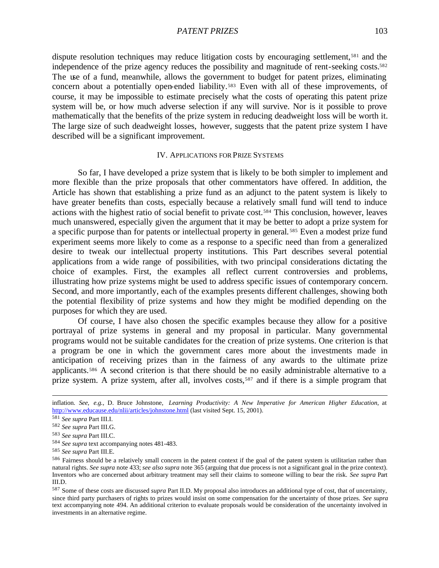dispute resolution techniques may reduce litigation costs by encouraging settlement,<sup>581</sup> and the independence of the prize agency reduces the possibility and magnitude of rent-seeking costs.<sup>582</sup> The use of a fund, meanwhile, allows the government to budget for patent prizes, eliminating concern about a potentially open-ended liability.583 Even with all of these improvements, of course, it may be impossible to estimate precisely what the costs of operating this patent prize system will be, or how much adverse selection if any will survive. Nor is it possible to prove mathematically that the benefits of the prize system in reducing deadweight loss will be worth it. The large size of such deadweight losses, however, suggests that the patent prize system I have described will be a significant improvement.

#### IV. APPLICATIONS FOR PRIZE SYSTEMS

So far, I have developed a prize system that is likely to be both simpler to implement and more flexible than the prize proposals that other commentators have offered. In addition, the Article has shown that establishing a prize fund as an adjunct to the patent system is likely to have greater benefits than costs, especially because a relatively small fund will tend to induce actions with the highest ratio of social benefit to private cost.584 This conclusion, however, leaves much unanswered, especially given the argument that it may be better to adopt a prize system for a specific purpose than for patents or intellectual property in general. <sup>585</sup> Even a modest prize fund experiment seems more likely to come as a response to a specific need than from a generalized desire to tweak our intellectual property institutions. This Part describes several potential applications from a wide range of possibilities, with two principal considerations dictating the choice of examples. First, the examples all reflect current controversies and problems, illustrating how prize systems might be used to address specific issues of contemporary concern. Second, and more importantly, each of the examples presents different challenges, showing both the potential flexibility of prize systems and how they might be modified depending on the purposes for which they are used.

Of course, I have also chosen the specific examples because they allow for a positive portrayal of prize systems in general and my proposal in particular. Many governmental programs would not be suitable candidates for the creation of prize systems. One criterion is that a program be one in which the government cares more about the investments made in anticipation of receiving prizes than in the fairness of any awards to the ultimate prize applicants.586 A second criterion is that there should be no easily administrable alternative to a prize system. A prize system, after all, involves costs,<sup>587</sup> and if there is a simple program that

inflation. *See, e.g.*, D. Bruce Johnstone, *Learning Productivity: A New Imperative for American Higher Education*, at http://www.educause.edu/nlii/articles/johnstone.html (last visited Sept. 15, 2001).

<sup>581</sup> *See supra* Part III.I.

<sup>582</sup> *See supra* Part III.G.

<sup>583</sup> *See supra* Part III.C.

<sup>584</sup> *See supra* text accompanying notes 481-483.

<sup>585</sup> *See supra* Part III.E.

<sup>586</sup> Fairness should be a relatively small concern in the patent context if the goal of the patent system is utilitarian rather than natural rights. *See supra* note 433; *see also supra* note 365 (arguing that due process is not a significant goal in the prize context). Inventors who are concerned about arbitrary treatment may sell their claims to someone willing to bear the risk. *See supra* Part III.D.

<sup>587</sup> Some of these costs are discussed *supra* Part II.D. My proposal also introduces an additional type of cost, that of uncertainty, since third party purchasers of rights to prizes would insist on some compensation for the uncertainty of those prizes. *See supra* text accompanying note 494. An additional criterion to evaluate proposals would be consideration of the uncertainty involved in investments in an alternative regime.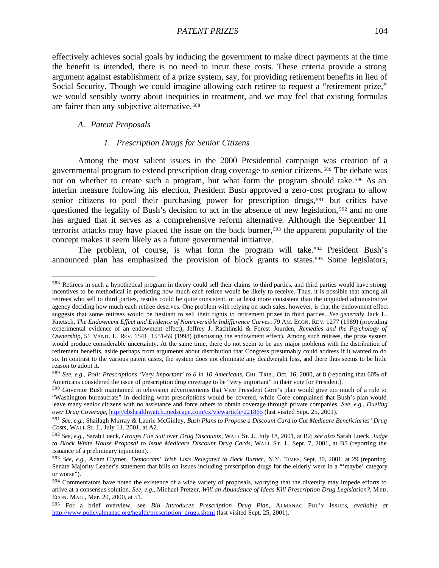effectively achieves social goals by inducing the government to make direct payments at the time the benefit is intended, there is no need to incur these costs. These criteria provide a strong argument against establishment of a prize system, say, for providing retirement benefits in lieu of Social Security. Though we could imagine allowing each retiree to request a "retirement prize," we would sensibly worry about inequities in treatment, and we may feel that existing formulas are fairer than any subjective alternative.<sup>588</sup>

#### *A. Patent Proposals*

 $\overline{a}$ 

# *1. Prescription Drugs for Senior Citizens*

Among the most salient issues in the 2000 Presidential campaign was creation of a governmental program to extend prescription drug coverage to senior citizens.589 The debate was not on whether to create such a program, but what form the program should take.<sup>590</sup> As an interim measure following his election, President Bush approved a zero-cost program to allow senior citizens to pool their purchasing power for prescription drugs,<sup>591</sup> but critics have questioned the legality of Bush's decision to act in the absence of new legislation, <sup>592</sup> and no one has argued that it serves as a comprehensive reform alternative. Although the September 11 terrorist attacks may have placed the issue on the back burner,593 the apparent popularity of the concept makes it seem likely as a future governmental initiative.

The problem, of course, is what form the program will take.594 President Bush's announced plan has emphasized the provision of block grants to states.<sup>595</sup> Some legislators,

<sup>588</sup> Retirees in such a hypothetical program in theory could sell their claims to third parties, and third parties would have strong incentives to be methodical in predicting how much each retiree would be likely to receive. Thus, it is possible that among all retirees who sell to third parties, results could be quite consistent, or at least more consistent than the unguided administrative agency deciding how much each retiree deserves. One problem with relying on such sales, however, is that the endowment effect suggests that some retirees would be hesitant to sell their rights to retirement prizes to third parties. *See generally* Jack L. Knetsch, *The Endowment Effect and Evidence of Nonreversible Indifference Curves*, 79 AM. ECON. REV. 1277 (1989) (providing experimental evidence of an endowment effect); Jeffrey J. Rachlinski & Forest Jourden, *Remedies and the Psychology of Ownership*, 51 VAND. L. REV. 1541, 1551-59 (1998) (discussing the endowment effect). Among such retirees, the prize system would produce considerable uncertainty. At the same time, there do not seem to be any major problems with the distribution of retirement benefits, aside perhaps from arguments about distribution that Congress presumably could address if it wanted to do so. In contrast to the various patent cases, the system does not eliminate any deadweight loss, and there thus seems to be little reason to adopt it.

<sup>589</sup> *See, e.g.*, *Poll: Prescriptions 'Very Important' to 6 in 10 Americans*, CHI. TRIB., Oct. 16, 2000, at 8 (reporting that 60% of Americans considered the issue of prescription drug coverage to be "very important" in their vote for President).

<sup>590</sup> Governor Bush maintained in television advertisements that Vice President Gore's plan would give too much of a role to "Washington bureaucrats" in deciding what prescriptions would be covered, while Gore complained that Bush's plan would leave many senior citizens with no assistance and force others to obtain coverage through private companies. *See, e.g.*, *Dueling over Drug Coverage*, http://cbshealthwatch.medscape.com/cx/viewarticle/221865 (last visited Sept. 25, 2001).

<sup>591</sup> *See, e.g.*, Shailagh Murray & Laurie McGinley, *Bush Plans to Propose a Discount Card to Cut Medicare Beneficiaries' Drug Costs*, WALL ST. J., July 11, 2001, at A2.

<sup>592</sup> *See, e.g.*, Sarah Lueck, *Groups File Suit over Drug Discounts*, WALL ST. J., July 18, 2001, at B2; *see also* Sarah Lueck, *Judge to Block White House Proposal to Issue Medicare Discount Drug Cards*, WALL ST. J., Sept. 7, 2001, at B5 (reporting the issuance of a preliminary injunction).

<sup>593</sup> *See, e.g.*, Adam Clymer, *Democrats' Wish Lists Relegated to Back Burner*, N.Y. TIMES, Sept. 30, 2001, at 29 (reporting Senate Majority Leader's statement that bills on issues including prescription drugs for the elderly were in a "'maybe' category or worse").

<sup>594</sup> Commentators have noted the existence of a wide variety of proposals, worrying that the diversity may impede efforts to arrive at a consensus solution. *See, e.g.*, Michael Pretzer, *Will an Abundance of Ideas Kill Prescription Drug Legislation?*, MED. ECON. MAG., Mar. 20, 2000, at 51.

<sup>595</sup> For a brief overview, see *Bill Introduces Prescription Drug Plan*, ALMANAC POL'Y ISSUES, *available at* http://www.policyalmanac.org/health/prescription\_drugs.shtml (last visited Sept. 25, 2001).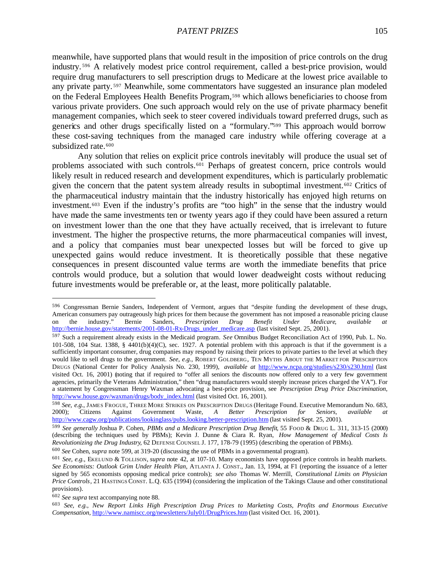meanwhile, have supported plans that would result in the imposition of price controls on the drug industry. <sup>596</sup> A relatively modest price control requirement, called a best-price provision, would require drug manufacturers to sell prescription drugs to Medicare at the lowest price available to any private party. <sup>597</sup> Meanwhile, some commentators have suggested an insurance plan modeled on the Federal Employees Health Benefits Program,<sup>598</sup> which allows beneficiaries to choose from various private providers. One such approach would rely on the use of private pharmacy benefit management companies, which seek to steer covered individuals toward preferred drugs, such as generics and other drugs specifically listed on a "formulary."599 This approach would borrow these cost-saving techniques from the managed care industry while offering coverage at a subsidized rate.<sup>600</sup>

Any solution that relies on explicit price controls inevitably will produce the usual set of problems associated with such controls.<sup>601</sup> Perhaps of greatest concern, price controls would likely result in reduced research and development expenditures, which is particularly problematic given the concern that the patent system already results in suboptimal investment.<sup>602</sup> Critics of the pharmaceutical industry maintain that the industry historically has enjoyed high returns on investment.603 Even if the industry's profits are "too high" in the sense that the industry would have made the same investments ten or twenty years ago if they could have been assured a return on investment lower than the one that they have actually received, that is irrelevant to future investment. The higher the prospective returns, the more pharmaceutical companies will invest, and a policy that companies must bear unexpected losses but will be forced to give up unexpected gains would reduce investment. It is theoretically possible that these negative consequences in present discounted value terms are worth the immediate benefits that price controls would produce, but a solution that would lower deadweight costs without reducing future investments would be preferable or, at the least, more politically palatable.

<sup>602</sup> *See supra* text accompanying note 88.

<sup>596</sup> Congressman Bernie Sanders, Independent of Vermont, argues that "despite funding the development of these drugs, American consumers pay outrageously high prices for them because the government has not imposed a reasonable pricing clause on the industry." Bernie Sanders, *Prescription Drug Benefit Under Medicare*, *available at* http://bernie.house.gov/statements/2001-08-01-Rx-Drugs\_under\_medicare.asp (last visited Sept. 25, 2001).

<sup>597</sup> Such a requirement already exists in the Medicaid program. *See* Omnibus Budget Reconciliation Act of 1990, Pub. L. No. 101-508, 104 Stat. 1388, § 4401(b)(4)(C), sec. 1927. A potential problem with this approach is that if the government is a sufficiently important consumer, drug companies may respond by raising their prices to private parties to the level at which they would like to sell drugs to the government. *See, e.g.*, ROBERT GOLDBERG, TEN MYTHS ABOUT THE MARKET FOR PRESCRIPTION DRUGS (National Center for Policy Analysis No. 230, 1999), *available at* http://www.ncpa.org/studies/s230/s230.html (last visited Oct. 16, 2001) (noting that if required to "offer all seniors the discounts now offered only to a very few government agencies, primarily the Veterans Administration," then "drug manufacturers would steeply increase prices charged the VA"). For a statement by Congressman Henry Waxman advocating a best-price provision, see *Prescription Drug Price Discrimination*, http://www.house.gov/waxman/drugs/body\_index.html (last visited Oct. 16, 2001).

<sup>598</sup> *See, e.g.*, JAMES FROGUE, THREE MORE STRIKES ON PRESCRIPTION DRUGS (Heritage Found. Executive Memorandum No. 683, 2000); Citizens Against Government Waste, *A Better Prescription for Seniors*, *available at* http://www.cagw.org/publications/lookinglass/pubs.looking.better-prescription.htm (last visited Sept. 25, 2001).

<sup>599</sup> *See generally* Joshua P. Cohen, *PBMs and a Medicare Prescription Drug Benefit*, 55 FOOD & DRUG L. 311, 313-15 (2000) (describing the techniques used by PBMs); Kevin J. Dunne & Ciara R. Ryan, *How Management of Medical Costs Is Revolutionizing the Drug Industry*, 62 DEFENSE COUNSEL J. 177, 178-79 (1995) (describing the operation of PBMs).

<sup>600</sup> *See* Cohen, *supra* note 599, at 319-20 (discussing the use of PBMs in a governmental program).

<sup>601</sup> *See, e.g.*, EKELUND & TOLLISON, *supra* note 42, at 107-10. Many economists have opposed price controls in health markets. *See Economists: Outlook Grim Under Health Plan*, ATLANTA J. CONST., Jan. 13, 1994, at F1 (reporting the issuance of a letter signed by 565 economists opposing medical price controls); *see also* Thomas W. Merrill, *Constitutional Limits on Physician Price Controls*, 21 HASTINGS CONST. L.Q. 635 (1994) (considering the implication of the Takings Clause and other constitutional provisions).

<sup>603</sup> *See, e.g.*, *New Report Links High Prescription Drug Prices to Marketing Costs, Profits and Enormous Executive Compensation*, http://www.namiscc.org/newsletters/July01/DrugPrices.htm (last visited Oct. 16, 2001).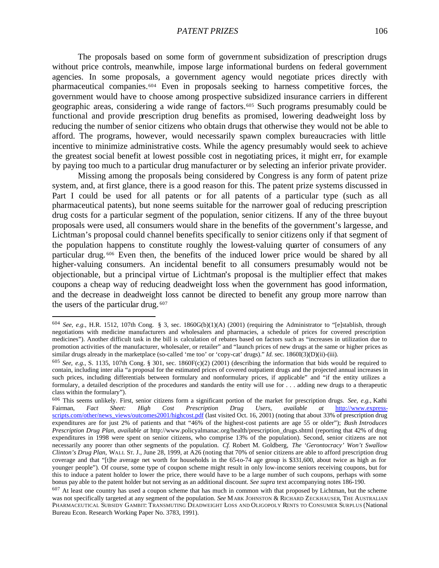The proposals based on some form of government subsidization of prescription drugs without price controls, meanwhile, impose large informational burdens on federal government agencies. In some proposals, a government agency would negotiate prices directly with pharmaceutical companies.604 Even in proposals seeking to harness competitive forces, the government would have to choose among prospective subsidized insurance carriers in different geographic areas, considering a wide range of factors.605 Such programs presumably could be functional and provide prescription drug benefits as promised, lowering deadweight loss by reducing the number of senior citizens who obtain drugs that otherwise they would not be able to afford. The programs, however, would necessarily spawn complex bureaucracies with little incentive to minimize administrative costs. While the agency presumably would seek to achieve the greatest social benefit at lowest possible cost in negotiating prices, it might err, for example by paying too much to a particular drug manufacturer or by selecting an inferior private provider.

Missing among the proposals being considered by Congress is any form of patent prize system, and, at first glance, there is a good reason for this. The patent prize systems discussed in Part I could be used for all patents or for all patents of a particular type (such as all pharmaceutical patents), but none seems suitable for the narrower goal of reducing prescription drug costs for a particular segment of the population, senior citizens. If any of the three buyout proposals were used, all consumers would share in the benefits of the government's largesse, and Lichtman's proposal could channel benefits specifically to senior citizens only if that segment of the population happens to constitute roughly the lowest-valuing quarter of consumers of any particular drug. <sup>606</sup> Even then, the benefits of the induced lower price would be shared by all higher-valuing consumers. An incidental benefit to all consumers presumably would not be objectionable, but a principal virtue of Lichtman's proposal is the multiplier effect that makes coupons a cheap way of reducing deadweight loss when the government has good information, and the decrease in deadweight loss cannot be directed to benefit any group more narrow than the users of the particular drug. <sup>607</sup>

<sup>&</sup>lt;sup>604</sup> *See, e.g.*, H.R. 1512, 107th Cong. § 3, sec. 1860G(b)(1)(A) (2001) (requiring the Administrator to "[e]stablish, through negotiations with medicine manufacturers and wholesalers and pharmacies, a schedule of prices for covered prescription medicines"). Another difficult task in the bill is calculation of rebates based on factors such as "increases in utilization due to promotion activities of the manufacturer, wholesaler, or retailer" and "launch prices of new drugs at the same or higher prices as similar drugs already in the marketplace (so-called 'me too' or 'copy-cat' drugs)." *Id.* sec. 1860I(3)(D)(ii)-(iii).

<sup>605</sup> *See, e.g.*, S. 1135, 107th Cong. § 301, sec. 1860F(c)(2) (2001) (describing the information that bids would be required to contain, including inter alia "a proposal for the estimated prices of covered outpatient drugs and the projected annual increases in such prices, including differentials between formulary and nonformulary prices, if applicable" and "if the entity utilizes a formulary, a detailed description of the procedures and standards the entity will use for . . . adding new drugs to a therapeutic class within the formulary").

<sup>606</sup> This seems unlikely. First, senior citizens form a significant portion of the market for prescription drugs. *See, e.g.*, Kathi Fairman, *Fact Sheet: High Cost Prescription Drug Users*, *available at* http://www.expressscripts.com/other/news\_views/outcomes2001/highcost.pdf (last visited Oct. 16, 2001) (noting that about 33% of prescription drug expenditures are for just 2% of patients and that "46% of the highest-cost patients are age 55 or older"); *Bush Introduces Prescription Drug Plan*, *available at* http://www.policyalmanac.org/health/prescription\_drugs.shtml (reporting that 42% of drug expenditures in 1998 were spent on senior citizens, who comprise 13% of the population). Second, senior citizens are not necessarily any poorer than other segments of the population. *Cf.* Robert M. Goldberg, *The 'Gerontocracy' Won't Swallow Clinton's Drug Plan*, WALL ST. J., June 28, 1999, at A26 (noting that 70% of senior citizens are able to afford prescription drug coverage and that "[t]he average net worth for households in the 65-to-74 age group is \$331,600, about twice as high as for younger people"). Of course, some type of coupon scheme might result in only low-income seniors receiving coupons, but for this to induce a patent holder to lower the price, there would have to be a large number of such coupons, perhaps with some bonus pay able to the patent holder but not serving as an additional discount. *See supra* text accompanying notes 186-190.

 $607$  At least one country has used a coupon scheme that has much in common with that proposed by Lichtman, but the scheme was not specifically targeted at any segment of the population. *See* MARK JOHNSTON & RICHARD ZECKHAUSER, THE AUSTRALIAN PHARMACEUTICAL SUBSIDY GAMBIT: TRANSMUTING DEADWEIGHT LOSS AND OLIGOPOLY RENTS TO CONSUMER SURPLUS (National Bureau Econ. Research Working Paper No. 3783, 1991).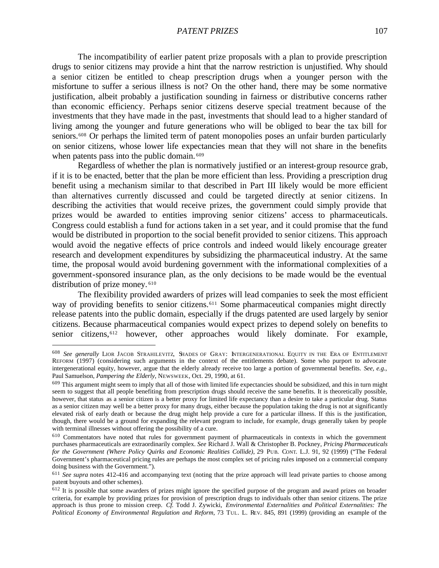The incompatibility of earlier patent prize proposals with a plan to provide prescription drugs to senior citizens may provide a hint that the narrow restriction is unjustified. Why should a senior citizen be entitled to cheap prescription drugs when a younger person with the misfortune to suffer a serious illness is not? On the other hand, there may be some normative justification, albeit probably a justification sounding in fairness or distributive concerns rather than economic efficiency. Perhaps senior citizens deserve special treatment because of the investments that they have made in the past, investments that should lead to a higher standard of living among the younger and future generations who will be obliged to bear the tax bill for seniors.<sup>608</sup> Or perhaps the limited term of patent monopolies poses an unfair burden particularly on senior citizens, whose lower life expectancies mean that they will not share in the benefits when patents pass into the public domain. <sup>609</sup>

Regardless of whether the plan is normatively justified or an interest-group resource grab, if it is to be enacted, better that the plan be more efficient than less. Providing a prescription drug benefit using a mechanism similar to that described in Part III likely would be more efficient than alternatives currently discussed and could be targeted directly at senior citizens. In describing the activities that would receive prizes, the government could simply provide that prizes would be awarded to entities improving senior citizens' access to pharmaceuticals. Congress could establish a fund for actions taken in a set year, and it could promise that the fund would be distributed in proportion to the social benefit provided to senior citizens. This approach would avoid the negative effects of price controls and indeed would likely encourage greater research and development expenditures by subsidizing the pharmaceutical industry. At the same time, the proposal would avoid burdening government with the informational complexities of a government-sponsored insurance plan, as the only decisions to be made would be the eventual distribution of prize money. <sup>610</sup>

The flexibility provided awarders of prizes will lead companies to seek the most efficient way of providing benefits to senior citizens.<sup>611</sup> Some pharmaceutical companies might directly release patents into the public domain, especially if the drugs patented are used largely by senior citizens. Because pharmaceutical companies would expect prizes to depend solely on benefits to senior citizens,612 however, other approaches would likely dominate. For example,

<sup>608</sup> *See generally* LIOR JACOB STRAHILEVITZ, SHADES OF GRAY: INTERGENERATIONAL EQUITY IN THE ERA OF ENTITLEMENT REFORM (1997) (considering such arguments in the context of the entitlements debate). Some who purport to advocate intergenerational equity, however, argue that the elderly already receive too large a portion of governmental benefits. *See, e.g.*, Paul Samuelson, *Pampering the Elderly*, NEWSWEEK, Oct. 29, 1990, at 61.

 $609$  This argument might seem to imply that all of those with limited life expectancies should be subsidized, and this in turn might seem to suggest that all people benefiting from prescription drugs should receive the same benefits. It is theoretically possible, however, that status as a senior citizen is a better proxy for limited life expectancy than a desire to take a particular drug. Status as a senior citizen may well be a better proxy for many drugs, either because the population taking the drug is not at significantly elevated risk of early death or because the drug might help provide a cure for a particular illness. If this is the justification, though, there would be a ground for expanding the relevant program to include, for example, drugs generally taken by people with terminal illnesses without offering the possibility of a cure.

<sup>610</sup> Commentators have noted that rules for government payment of pharmaceuticals in contexts in which the government purchases pharmaceuticals are extraordinarily complex. *See* Richard J. Wall & Christopher B. Pockney, *Pricing Pharmaceuticals for the Government (Where Policy Quirks and Economic Realities Collide)*, 29 PUB. CONT. L.J. 91, 92 (1999) ("The Federal Government's pharmaceutical pricing rules are perhaps the most complex set of pricing rules imposed on a commercial company doing business with the Government.").

<sup>&</sup>lt;sup>611</sup> See supra notes 412-416 and accompanying text (noting that the prize approach will lead private parties to choose among patent buyouts and other schemes).

<sup>&</sup>lt;sup>612</sup> It is possible that some awarders of prizes might ignore the specified purpose of the program and award prizes on broader criteria, for example by providing prizes for provision of prescription drugs to individuals other than senior citizens. The prize approach is thus prone to mission creep. *Cf.* Todd J. Zywicki, *Environmental Externalities and Political Externalities: The Political Economy of Environmental Regulation and Reform*, 73 TUL. L. REV. 845, 891 (1999) (providing an example of the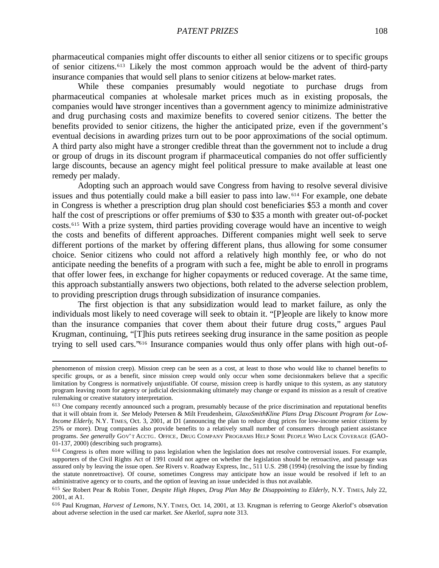pharmaceutical companies might offer discounts to either all senior citizens or to specific groups of senior citizens.613 Likely the most common approach would be the advent of third-party insurance companies that would sell plans to senior citizens at below-market rates.

While these companies presumably would negotiate to purchase drugs from pharmaceutical companies at wholesale market prices much as in existing proposals, the companies would have stronger incentives than a government agency to minimize administrative and drug purchasing costs and maximize benefits to covered senior citizens. The better the benefits provided to senior citizens, the higher the anticipated prize, even if the government's eventual decisions in awarding prizes turn out to be poor approximations of the social optimum. A third party also might have a stronger credible threat than the government not to include a drug or group of drugs in its discount program if pharmaceutical companies do not offer sufficiently large discounts, because an agency might feel political pressure to make available at least one remedy per malady.

Adopting such an approach would save Congress from having to resolve several divisive issues and thus potentially could make a bill easier to pass into law. <sup>614</sup> For example, one debate in Congress is whether a prescription drug plan should cost beneficiaries \$53 a month and cover half the cost of prescriptions or offer premiums of \$30 to \$35 a month with greater out-of-pocket costs.615 With a prize system, third parties providing coverage would have an incentive to weigh the costs and benefits of different approaches. Different companies might well seek to serve different portions of the market by offering different plans, thus allowing for some consumer choice. Senior citizens who could not afford a relatively high monthly fee, or who do not anticipate needing the benefits of a program with such a fee, might be able to enroll in programs that offer lower fees, in exchange for higher copayments or reduced coverage. At the same time, this approach substantially answers two objections, both related to the adverse selection problem, to providing prescription drugs through subsidization of insurance companies.

The first objection is that any subsidization would lead to market failure, as only the individuals most likely to need coverage will seek to obtain it. "[P]eople are likely to know more than the insurance companies that cover them about their future drug costs," argues Paul Krugman, continuing, "[T]his puts retirees seeking drug insurance in the same position as people trying to sell used cars."616 Insurance companies would thus only offer plans with high out-of-

phenomenon of mission creep). Mission creep can be seen as a cost, at least to those who would like to channel benefits to specific groups, or as a benefit, since mission creep would only occur when some decisionmakers believe that a specific limitation by Congress is normatively unjustifiable. Of course, mission creep is hardly unique to this system, as any statutory program leaving room for agency or judicial decisionmaking ultimately may change or expand its mission as a result of creative rulemaking or creative statutory interpretation.

<sup>613</sup> One company recently announced such a program, presumably because of the price discrimination and reputational benefits that it will obtain from it. *See* Melody Petersen & Milt Freudenheim, *GlaxoSmithKline Plans Drug Discount Program for Low-Income Elderly*, N.Y. TIMES, Oct. 3, 2001, at D1 (announcing the plan to reduce drug prices for low-income senior citizens by 25% or more). Drug companies also provide benefits to a relatively small number of consumers through patient assistance programs. *See generally* GOV'T ACCTG. OFFICE, DRUG COMPANY PROGRAMS HELP SOME PEOPLE WHO LACK COVERAGE (GAO-01-137, 2000) (describing such programs).

 $614$  Congress is often more willing to pass legislation when the legislation does not resolve controversial issues. For example, supporters of the Civil Rights Act of 1991 could not agree on whether the legislation should be retroactive, and passage was assured only by leaving the issue open. *See* Rivers v. Roadway Express, Inc., 511 U.S. 298 (1994) (resolving the issue by finding the statute nonretroactive). Of course, sometimes Congress may anticipate how an issue would be resolved if left to an administrative agency or to courts, and the option of leaving an issue undecided is thus not available.

<sup>615</sup> *See* Robert Pear & Robin Toner, *Despite High Hopes, Drug Plan May Be Disappointing to Elderly*, N.Y. TIMES, July 22, 2001, at A1.

<sup>616</sup> Paul Krugman, *Harvest of Lemons*, N.Y. TIMES, Oct. 14, 2001, at 13. Krugman is referring to George Akerlof's observation about adverse selection in the used car market. *See* Akerlof, *supra* note 313.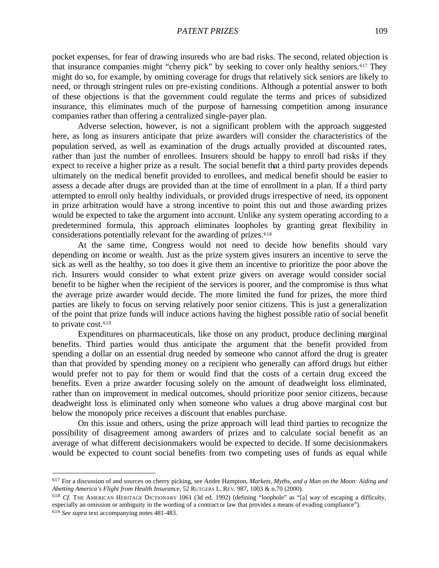pocket expenses, for fear of drawing insureds who are bad risks. The second, related objection is that insurance companies might "cherry pick" by seeking to cover only healthy seniors.<sup>617</sup> They might do so, for example, by omitting coverage for drugs that relatively sick seniors are likely to need, or through stringent rules on pre-existing conditions. Although a potential answer to both of these objections is that the government could regulate the terms and prices of subsidized insurance, this eliminates much of the purpose of harnessing competition among insurance companies rather than offering a centralized single-payer plan.

Adverse selection, however, is not a significant problem with the approach suggested here, as long as insurers anticipate that prize awarders will consider the characteristics of the population served, as well as examination of the drugs actually provided at discounted rates, rather than just the number of enrollees. Insurers should be happy to enroll bad risks if they expect to receive a higher prize as a result. The social benefit that a third party provides depends ultimately on the medical benefit provided to enrollees, and medical benefit should be easier to assess a decade after drugs are provided than at the time of enrollment in a plan. If a third party attempted to enroll only healthy individuals, or provided drugs irrespective of need, its opponent in prize arbitration would have a strong incentive to point this out and those awarding prizes would be expected to take the argument into account. Unlike any system operating according to a predetermined formula, this approach eliminates loopholes by granting great flexibility in considerations potentially relevant for the awarding of prizes.<sup>618</sup>

At the same time, Congress would not need to decide how benefits should vary depending on income or wealth. Just as the prize system gives insurers an incentive to serve the sick as well as the healthy, so too does it give them an incentive to prioritize the poor above the rich. Insurers would consider to what extent prize givers on average would consider social benefit to be higher when the recipient of the services is poorer, and the compromise is thus what the average prize awarder would decide. The more limited the fund for prizes, the more third parties are likely to focus on serving relatively poor senior citizens. This is just a generalization of the point that prize funds will induce actions having the highest possible ratio of social benefit to private cost.<sup>619</sup>

Expenditures on pharmaceuticals, like those on any product, produce declining marginal benefits. Third parties would thus anticipate the argument that the benefit provided from spending a dollar on an essential drug needed by someone who cannot afford the drug is greater than that provided by spending money on a recipient who generally can afford drugs but either would prefer not to pay for them or would find that the costs of a certain drug exceed the benefits. Even a prize awarder focusing solely on the amount of deadweight loss eliminated, rather than on improvement in medical outcomes, should prioritize poor senior citizens, because deadweight loss is eliminated only when someone who values a drug above marginal cost but below the monopoly price receives a discount that enables purchase.

On this issue and others, using the prize approach will lead third parties to recognize the possibility of disagreement among awarders of prizes and to calculate social benefit as an average of what different decisionmakers would be expected to decide. If some decisionmakers would be expected to count social benefits from two competing uses of funds as equal while

<sup>617</sup> For a discussion of and sources on cherry picking, see Andre Hampton, *Markets, Myths, and a Man on the Moon: Aiding and Abetting America's Flight from Health Insurance*, 52 RUTGERS L. REV. 987, 1003 & n.70 (2000).

<sup>618</sup> *Cf.* THE AMERICAN HERITAGE DICTIONARY 1061 (3d ed. 1992) (defining "loophole" as "[a] way of escaping a difficulty, especially an omission or ambiguity in the wording of a contract or law that provides a means of evading compliance").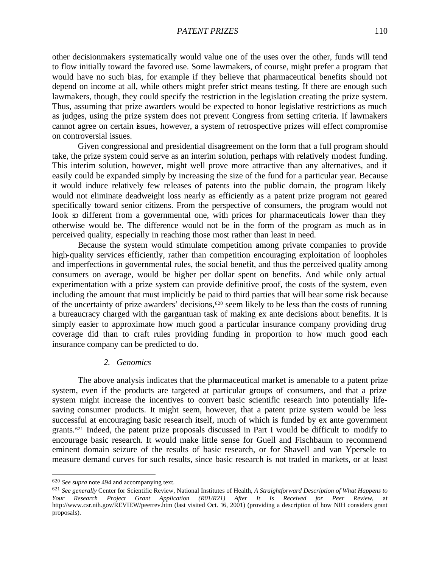### *PATENT PRIZES* 110

other decisionmakers systematically would value one of the uses over the other, funds will tend to flow initially toward the favored use. Some lawmakers, of course, might prefer a program that would have no such bias, for example if they believe that pharmaceutical benefits should not depend on income at all, while others might prefer strict means testing. If there are enough such lawmakers, though, they could specify the restriction in the legislation creating the prize system. Thus, assuming that prize awarders would be expected to honor legislative restrictions as much as judges, using the prize system does not prevent Congress from setting criteria. If lawmakers cannot agree on certain issues, however, a system of retrospective prizes will effect compromise on controversial issues.

Given congressional and presidential disagreement on the form that a full program should take, the prize system could serve as an interim solution, perhaps with relatively modest funding. This interim solution, however, might well prove more attractive than any alternatives, and it easily could be expanded simply by increasing the size of the fund for a particular year. Because it would induce relatively few releases of patents into the public domain, the program likely would not eliminate deadweight loss nearly as efficiently as a patent prize program not geared specifically toward senior citizens. From the perspective of consumers, the program would not look so different from a governmental one, with prices for pharmaceuticals lower than they otherwise would be. The difference would not be in the form of the program as much as in perceived quality, especially in reaching those most rather than least in need.

Because the system would stimulate competition among private companies to provide high-quality services efficiently, rather than competition encouraging exploitation of loopholes and imperfections in governmental rules, the social benefit, and thus the perceived quality among consumers on average, would be higher per dollar spent on benefits. And while only actual experimentation with a prize system can provide definitive proof, the costs of the system, even including the amount that must implicitly be paid to third parties that will bear some risk because of the uncertainty of prize awarders' decisions,620 seem likely to be less than the costs of running a bureaucracy charged with the gargantuan task of making ex ante decisions about benefits. It is simply easier to approximate how much good a particular insurance company providing drug coverage did than to craft rules providing funding in proportion to how much good each insurance company can be predicted to do.

#### *2. Genomics*

The above analysis indicates that the pharmaceutical market is amenable to a patent prize system, even if the products are targeted at particular groups of consumers, and that a prize system might increase the incentives to convert basic scientific research into potentially lifesaving consumer products. It might seem, however, that a patent prize system would be less successful at encouraging basic research itself, much of which is funded by ex ante government grants.621 Indeed, the patent prize proposals discussed in Part I would be difficult to modify to encourage basic research. It would make little sense for Guell and Fischbaum to recommend eminent domain seizure of the results of basic research, or for Shavell and van Ypersele to measure demand curves for such results, since basic research is not traded in markets, or at least

<sup>620</sup> *See supra* note 494 and accompanying text.

<sup>621</sup> *See generally* Center for Scientific Review, National Institutes of Health, *A Straightforward Description of What Happens to Your Research Project Grant Application (R01/R21) After It Is Received for Peer Review*, at http://www.csr.nih.gov/REVIEW/peerrev.htm (last visited Oct. 16, 2001) (providing a description of how NIH considers grant proposals).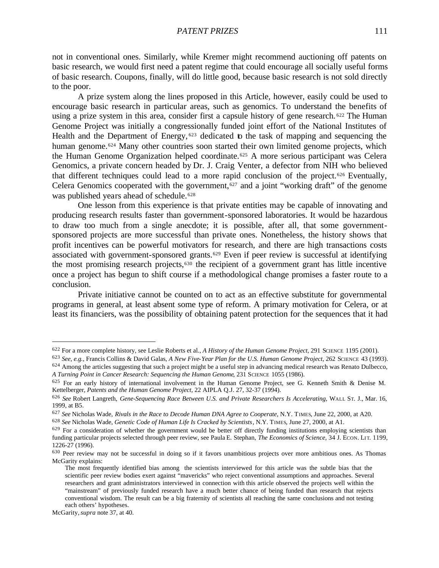not in conventional ones. Similarly, while Kremer might recommend auctioning off patents on basic research, we would first need a patent regime that could encourage all socially useful forms of basic research. Coupons, finally, will do little good, because basic research is not sold directly to the poor.

A prize system along the lines proposed in this Article, however, easily could be used to encourage basic research in particular areas, such as genomics. To understand the benefits of using a prize system in this area, consider first a capsule history of gene research. <sup>622</sup> The Human Genome Project was initially a congressionally funded joint effort of the National Institutes of Health and the Department of Energy, <sup>623</sup> dedicated to the task of mapping and sequencing the human genome.<sup>624</sup> Many other countries soon started their own limited genome projects, which the Human Genome Organization helped coordinate.<sup>625</sup> A more serious participant was Celera Genomics, a private concern headed by Dr. J. Craig Venter, a defector from NIH who believed that different techniques could lead to a more rapid conclusion of the project.626 Eventually, Celera Genomics cooperated with the government,<sup> $627$ </sup> and a joint "working draft" of the genome was published years ahead of schedule.<sup>628</sup>

One lesson from this experience is that private entities may be capable of innovating and producing research results faster than government-sponsored laboratories. It would be hazardous to draw too much from a single anecdote; it is possible, after all, that some governmentsponsored projects are more successful than private ones. Nonetheless, the history shows that profit incentives can be powerful motivators for research, and there are high transactions costs associated with government-sponsored grants.<sup> $629$ </sup> Even if peer review is successful at identifying the most promising research projects,630 the recipient of a government grant has little incentive once a project has begun to shift course if a methodological change promises a faster route to a conclusion.

Private initiative cannot be counted on to act as an effective substitute for governmental programs in general, at least absent some type of reform. A primary motivation for Celera, or at least its financiers, was the possibility of obtaining patent protection for the sequences that it had

<sup>622</sup> For a more complete history, see Leslie Roberts et al., *A History of the Human Genome Project*, 291 SCIENCE 1195 (2001).

<sup>623</sup> *See, e.g.*, Francis Collins & David Galas, *A New Five-Year Plan for the U.S. Human Genome Project*, 262 SCIENCE 43 (1993).

<sup>&</sup>lt;sup>624</sup> Among the articles suggesting that such a project might be a useful step in advancing medical research was Renato Dulbecco, *A Turning Point in Cancer Research: Sequencing the Human Genome*, 231 SCIENCE 1055 (1986).

<sup>625</sup> For an early history of international involvement in the Human Genome Project, see G. Kenneth Smith & Denise M. Kettelberger, *Patents and the Human Genome Project*, 22 AIPLA Q.J. 27, 32-37 (1994).

<sup>626</sup> *See* Robert Langreth, *Gene-Sequencing Race Between U.S. and Private Researchers Is Accelerating*, WALL ST. J., Mar. 16, 1999, at B5.

<sup>627</sup> *See* Nicholas Wade, *Rivals in the Race to Decode Human DNA Agree to Cooperate*, N.Y. TIMES, June 22, 2000, at A20.

<sup>628</sup> *See* Nicholas Wade, *Genetic Code of Human Life Is Cracked by Scientists*, N.Y. TIMES, June 27, 2000, at A1.

 $629$  For a consideration of whether the government would be better off directly funding institutions employing scientists than funding particular projects selected through peer review, see Paula E. Stephan, *The Economics of Science*, 34 J. ECON. LI T. 1199, 1226-27 (1996).

<sup>630</sup> Peer review may not be successful in doing so if it favors unambitious projects over more ambitious ones. As Thomas McGarity explains:

The most frequently identified bias among the scientists interviewed for this article was the subtle bias that the scientific peer review bodies exert against "mavericks" who reject conventional assumptions and approaches. Several researchers and grant administrators interviewed in connection with this article observed the projects well within the "mainstream" of previously funded research have a much better chance of being funded than research that rejects conventional wisdom. The result can be a big fraternity of scientists all reaching the same conclusions and not testing each others' hypotheses.

McGarity, *supra* note 37, at 40.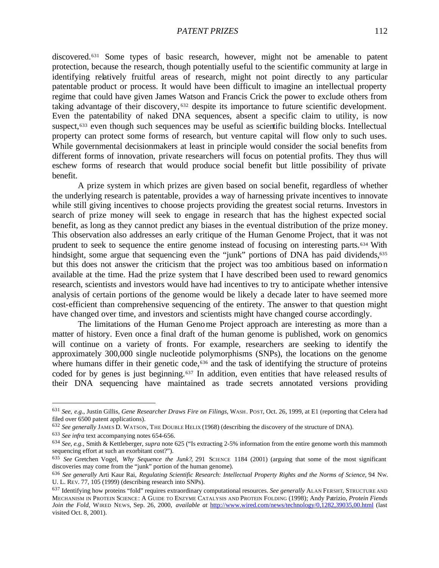discovered.631 Some types of basic research, however, might not be amenable to patent protection, because the research, though potentially useful to the scientific community at large in identifying relatively fruitful areas of research, might not point directly to any particular patentable product or process. It would have been difficult to imagine an intellectual property regime that could have given James Watson and Francis Crick the power to exclude others from taking advantage of their discovery, <sup>632</sup> despite its importance to future scientific development. Even the patentability of naked DNA sequences, absent a specific claim to utility, is now suspect,<sup>633</sup> even though such sequences may be useful as scientific building blocks. Intellectual property can protect some forms of research, but venture capital will flow only to such uses. While governmental decisionmakers at least in principle would consider the social benefits from different forms of innovation, private researchers will focus on potential profits. They thus will eschew forms of research that would produce social benefit but little possibility of private benefit.

A prize system in which prizes are given based on social benefit, regardless of whether the underlying research is patentable, provides a way of harnessing private incentives to innovate while still giving incentives to choose projects providing the greatest social returns. Investors in search of prize money will seek to engage in research that has the highest expected social benefit, as long as they cannot predict any biases in the eventual distribution of the prize money. This observation also addresses an early critique of the Human Genome Project, that it was not prudent to seek to sequence the entire genome instead of focusing on interesting parts.634 With hindsight, some argue that sequencing even the "junk" portions of DNA has paid dividends,<sup>635</sup> but this does not answer the criticism that the project was too ambitious based on information available at the time. Had the prize system that I have described been used to reward genomics research, scientists and investors would have had incentives to try to anticipate whether intensive analysis of certain portions of the genome would be likely a decade later to have seemed more cost-efficient than comprehensive sequencing of the entirety. The answer to that question might have changed over time, and investors and scientists might have changed course accordingly.

The limitations of the Human Genome Project approach are interesting as more than a matter of history. Even once a final draft of the human genome is published, work on genomics will continue on a variety of fronts. For example, researchers are seeking to identify the approximately 300,000 single nucleotide polymorphisms (SNPs), the locations on the genome where humans differ in their genetic code,<sup>636</sup> and the task of identifying the structure of proteins coded for by genes is just beginning.637 In addition, even entities that have released results of their DNA sequencing have maintained as trade secrets annotated versions providing

<sup>631</sup> *See, e.g.*, Justin Gillis, *Gene Researcher Draws Fire on Filings*, WASH. POST, Oct. 26, 1999, at E1 (reporting that Celera had filed over 6500 patent applications).

<sup>632</sup> *See generally* JAMES D. WATSON, THE DOUBLE HELIX (1968) (describing the discovery of the structure of DNA).

<sup>633</sup> *See infra* text accompanying notes 654-656.

<sup>634</sup> *See, e.g.*, Smith & Kettleberger, *supra* note 625 ("Is extracting 2-5% information from the entire genome worth this mammoth sequencing effort at such an exorbitant cost?").

<sup>635</sup> *See* Gretchen Vogel, *Why Sequence the Junk?*, 291 SCIENCE 1184 (2001) (arguing that some of the most significant discoveries may come from the "junk" portion of the human genome).

<sup>636</sup> *See generally* Arti Kaur Rai, *Regulating Scientific Research: Intellectual Property Rights and the Norms of Science*, 94 NW. U. L. REV. 77, 105 (1999) (describing research into SNPs).

<sup>637</sup> Identifying how proteins "fold" requires extraordinary computational resources. *See generally* ALAN FERSHT, STRUCTURE AND MECHANISM IN PROTEIN SCIENCE: A GUIDE TO ENZYME CATALYSIS AND PROTEIN FOLDING (1998); Andy Patrizio, *Protein Fiends Join the Fold*, WIRED NEWS, Sep. 26, 2000, *available at* http://www.wired.com/news/technology/0,1282,39035,00.html (last visited Oct. 8, 2001).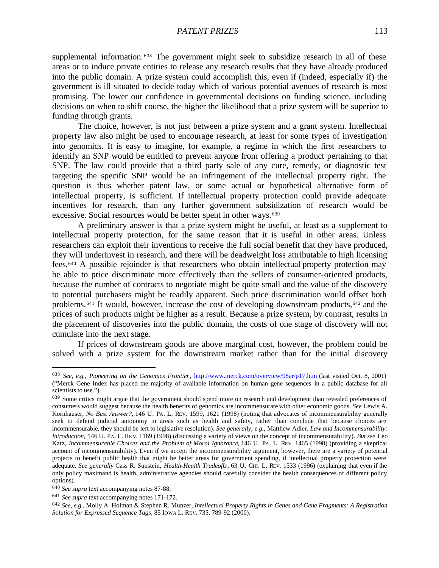supplemental information. <sup>638</sup> The government might seek to subsidize research in all of these areas or to induce private entities to release any research results that they have already produced into the public domain. A prize system could accomplish this, even if (indeed, especially if) the government is ill situated to decide today which of various potential avenues of research is most promising. The lower our confidence in governmental decisions on funding science, including decisions on when to shift course, the higher the likelihood that a prize system will be superior to funding through grants.

The choice, however, is not just between a prize system and a grant system. Intellectual property law also might be used to encourage research, at least for some types of investigation into genomics. It is easy to imagine, for example, a regime in which the first researchers to identify an SNP would be entitled to prevent anyone from offering a product pertaining to that SNP. The law could provide that a third party sale of any cure, remedy, or diagnostic test targeting the specific SNP would be an infringement of the intellectual property right. The question is thus whether patent law, or some actual or hypothetical alternative form of intellectual property, is sufficient. If intellectual property protection could provide adequate incentives for research, than any further government subsidization of research would be excessive. Social resources would be better spent in other ways.<sup>639</sup>

A preliminary answer is that a prize system might be useful, at least as a supplement to intellectual property protection, for the same reason that it is useful in other areas. Unless researchers can exploit their inventions to receive the full social benefit that they have produced, they will underinvest in research, and there will be deadweight loss attributable to high licensing fees.640 A possible rejoinder is that researchers who obtain intellectual property protection may be able to price discriminate more effectively than the sellers of consumer-oriented products, because the number of contracts to negotiate might be quite small and the value of the discovery to potential purchasers might be readily apparent. Such price discrimination would offset both problems.641 It would, however, increase the cost of developing downstream products,642 and the prices of such products might be higher as a result. Because a prize system, by contrast, results in the placement of discoveries into the public domain, the costs of one stage of discovery will not cumulate into the next stage.

If prices of downstream goods are above marginal cost, however, the problem could be solved with a prize system for the downstream market rather than for the initial discovery

<sup>638</sup> *See, e.g.*, *Pioneering on the Genomics Frontier*, http://www.merck.com/overview/98ar/p17.htm (last visited Oct. 8, 2001) ("Merck Gene Index has placed the majority of available information on human gene sequences in a public database for all scientists to use.").

<sup>639</sup> Some critics might argue that the government should spend more on research and development than revealed preferences of consumers would suggest because the health benefits of genomics are incommensurate with other economic goods. *See* Lewis A. Kornhauser, *No Best Answer?*, 146 U. PA. L. REV. 1599, 1621 (1998) (noting that advocates of incommensurability generally seek to defend judicial autonomy in areas such as health and safety, rather than conclude that because choices are incommensurable, they should be left to legislative resolution). *See generally, e.g.*, Matthew Adler, *Law and Incommensurability: Introduction*, 146 U. PA. L. RE V. 1169 (1998) (discussing a variety of views on the concept of incommensurability). *But see* Leo Katz, *Incommensurable Choices and the Problem of Moral Ignorance*, 146 U. PA. L. REV. 1465 (1998) (providing a skeptical account of incommensurability). Even if we accept the incommensurability argument, however, there are a variety of potential projects to benefit public health that might be better areas for government spending, if intellectual property protection were adequate. *See generally* Cass R. Sunstein, *Health-Health Tradeoffs*, 63 U. CHI. L. REV. 1533 (1996) (explaining that even if the only policy maximand is health, administrative agencies should carefully consider the health consequences of different policy options).

<sup>640</sup> *See supra* text accompanying notes 87-88.

<sup>641</sup> *See supra* text accompanying notes 171-172.

<sup>642</sup> *See, e.g.*, Molly A. Holman & Stephen R. Munzer, *Intellectual Property Rights in Genes and Gene Fragments: A Registration Solution for Expressed Sequence Tags*, 85 IOWA L. REV. 735, 789-92 (2000).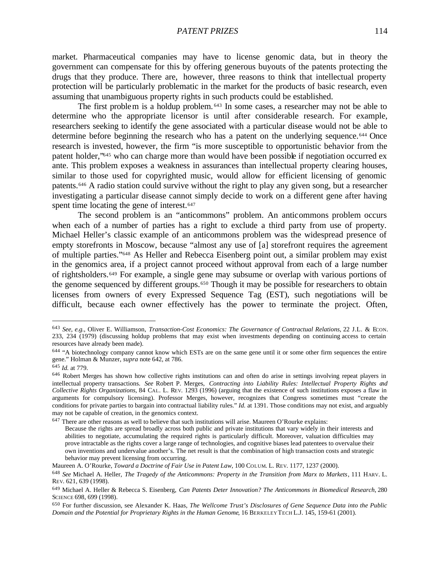market. Pharmaceutical companies may have to license genomic data, but in theory the government can compensate for this by offering generous buyouts of the patents protecting the drugs that they produce. There are, however, three reasons to think that intellectual property protection will be particularly problematic in the market for the products of basic research, even assuming that unambiguous property rights in such products could be established.

The first problem is a holdup problem. <sup>643</sup> In some cases, a researcher may not be able to determine who the appropriate licensor is until after considerable research. For example, researchers seeking to identify the gene associated with a particular disease would not be able to determine before beginning the research who has a patent on the underlying sequence.<sup>644</sup> Once research is invested, however, the firm "is more susceptible to opportunistic behavior from the patent holder,"<sup>645</sup> who can charge more than would have been possible if negotiation occurred ex ante. This problem exposes a weakness in assurances than intellectual property clearing houses, similar to those used for copyrighted music, would allow for efficient licensing of genomic patents.646 A radio station could survive without the right to play any given song, but a researcher investigating a particular disease cannot simply decide to work on a different gene after having spent time locating the gene of interest.<sup>647</sup>

The second problem is an "anticommons" problem. An anticommons problem occurs when each of a number of parties has a right to exclude a third party from use of property. Michael Heller's classic example of an anticommons problem was the widespread presence of empty storefronts in Moscow, because "almost any use of [a] storefront requires the agreement of multiple parties."648 As Heller and Rebecca Eisenberg point out, a similar problem may exist in the genomics area, if a project cannot proceed without approval from each of a large number of rightsholders.649 For example, a single gene may subsume or overlap with various portions of the genome sequenced by different groups.<sup>650</sup> Though it may be possible for researchers to obtain licenses from owners of every Expressed Sequence Tag (EST), such negotiations will be difficult, because each owner effectively has the power to terminate the project. Often,

<sup>643</sup> *See, e.g.*, Oliver E. Williamson, *Transaction-Cost Economics: The Governance of Contractual Relations*, 22 J.L. & ECON. 233, 234 (1979) (discussing holdup problems that may exist when investments depending on continuing access to certain resources have already been made).

<sup>&</sup>lt;sup>644</sup> "A biotechnology company cannot know which ESTs are on the same gene until it or some other firm sequences the entire gene." Holman & Munzer, *supra* note 642, at 786.

<sup>645</sup> *Id.* at 779.

<sup>646</sup> Robert Merges has shown how collective rights institutions can and often do arise in settings involving repeat players in intellectual property transactions. *See* Robert P. Merges, *Contracting into Liability Rules: Intellectual Property Rights and Collective Rights Organizations*, 84 CAL. L. REV. 1293 (1996) (arguing that the existence of such institutions exposes a flaw in arguments for compulsory licensing). Professor Merges, however, recognizes that Congress sometimes must "create the conditions for private parties to bargain into contractual liability rules." *Id.* at 1391. Those conditions may not exist, and arguably may not be capable of creation, in the genomics context.

<sup>647</sup> There are other reasons as well to believe that such institutions will arise. Maureen O'Rourke explains: Because the rights are spread broadly across both public and private institutions that vary widely in their interests and abilities to negotiate, accumulating the required rights is particularly difficult. Moreover, valuation difficulties may prove intractable as the rights cover a large range of technologies, and cognitive biases lead patentees to overvalue their own inventions and undervalue another's. The net result is that the combination of high transaction costs and strategic behavior may prevent licensing from occurring.

Maureen A. O'Rourke, *Toward a Doctrine of Fair Use in Patent Law*, 100 COLUM. L. REV. 1177, 1237 (2000).

<sup>648</sup> *See* Michael A. Heller, *The Tragedy of the Anticommons: Property in the Transition from Marx to Markets*, 111 HARV. L. REV. 621, 639 (1998).

<sup>649</sup> Michael A. Heller & Rebecca S. Eisenberg, *Can Patents Deter Innovation? The Anticommons in Biomedical Research*, 280 SCIENCE 698, 699 (1998).

<sup>650</sup> For further discussion, see Alexander K. Haas, *The Wellcome Trust's Disclosures of Gene Sequence Data into the Public Domain and the Potential for Proprietary Rights in the Human Genome*, 16 BERKELEY TECH L.J. 145, 159-61 (2001).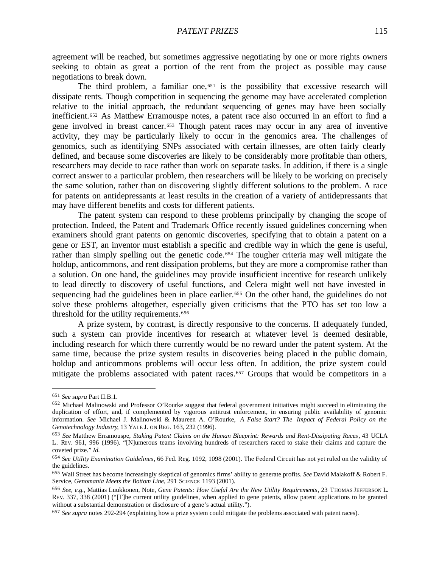agreement will be reached, but sometimes aggressive negotiating by one or more rights owners seeking to obtain as great a portion of the rent from the project as possible may cause negotiations to break down.

The third problem, a familiar one, $651$  is the possibility that excessive research will dissipate rents. Though competition in sequencing the genome may have accelerated completion relative to the initial approach, the redundant sequencing of genes may have been socially inefficient.652 As Matthew Erramouspe notes, a patent race also occurred in an effort to find a gene involved in breast cancer.653 Though patent races may occur in any area of inventive activity, they may be particularly likely to occur in the genomics area. The challenges of genomics, such as identifying SNPs associated with certain illnesses, are often fairly clearly defined, and because some discoveries are likely to be considerably more profitable than others, researchers may decide to race rather than work on separate tasks. In addition, if there is a single correct answer to a particular problem, then researchers will be likely to be working on precisely the same solution, rather than on discovering slightly different solutions to the problem. A race for patents on antidepressants at least results in the creation of a variety of antidepressants that may have different benefits and costs for different patients.

The patent system can respond to these problems principally by changing the scope of protection. Indeed, the Patent and Trademark Office recently issued guidelines concerning when examiners should grant patents on genomic discoveries, specifying that to obtain a patent on a gene or EST, an inventor must establish a specific and credible way in which the gene is useful, rather than simply spelling out the genetic code.<sup>654</sup> The tougher criteria may well mitigate the holdup, anticommons, and rent dissipation problems, but they are more a compromise rather than a solution. On one hand, the guidelines may provide insufficient incentive for research unlikely to lead directly to discovery of useful functions, and Celera might well not have invested in sequencing had the guidelines been in place earlier.<sup>655</sup> On the other hand, the guidelines do not solve these problems altogether, especially given criticisms that the PTO has set too low a threshold for the utility requirements.<sup>656</sup>

A prize system, by contrast, is directly responsive to the concerns. If adequately funded, such a system can provide incentives for research at whatever level is deemed desirable, including research for which there currently would be no reward under the patent system. At the same time, because the prize system results in discoveries being placed in the public domain, holdup and anticommons problems will occur less often. In addition, the prize system could mitigate the problems associated with patent races.<sup>657</sup> Groups that would be competitors in a

<sup>651</sup> *See supra* Part II.B.1.

<sup>652</sup> Michael Malinowski and Professor O'Rourke suggest that federal government initiatives might succeed in eliminating the duplication of effort, and, if complemented by vigorous antitrust enforcement, in ensuring public availability of genomic information. *See* Michael J. Malinowski & Maureen A. O'Rourke, *A False Start? The Impact of Federal Policy on the Genotechnology Industry*, 13 YALE J. ON REG. 163, 232 (1996).

<sup>653</sup> *See* Matthew Erramouspe, *Staking Patent Claims on the Human Blueprint: Rewards and Rent-Dissipating Races*, 43 UCLA L. REV. 961, 996 (1996). "[N]umerous teams involving hundreds of researchers raced to stake their claims and capture the coveted prize." *Id.*

<sup>654</sup> *See Utility Examination Guidelines*, 66 Fed. Reg. 1092, 1098 (2001). The Federal Circuit has not yet ruled on the validity of the guidelines.

<sup>655</sup> Wall Street has become increasingly skeptical of genomics firms' ability to generate profits. *See* David Malakoff & Robert F. Service, *Genomania Meets the Bottom Line*, 291 SCIENCE 1193 (2001).

<sup>656</sup> *See, e.g.*, Mattias Luukkonen, Note, *Gene Patents: How Useful Are the New Utility Requirements*, 23 THOMAS JEFFERSON L. REV. 337, 338 (2001) ("[T]he current utility guidelines, when applied to gene patents, allow patent applications to be granted without a substantial demonstration or disclosure of a gene's actual utility.").

<sup>657</sup> *See supra* notes 292-294 (explaining how a prize system could mitigate the problems associated with patent races).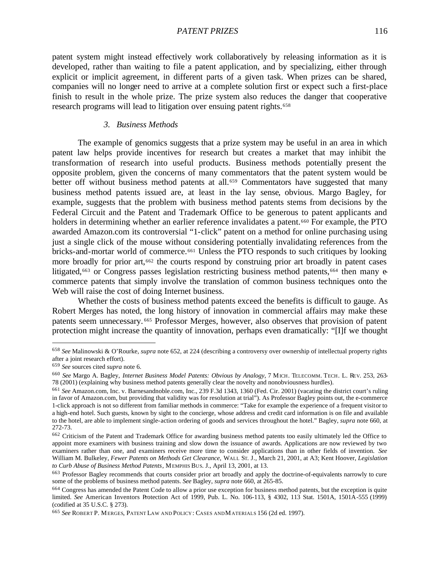patent system might instead effectively work collaboratively by releasing information as it is developed, rather than waiting to file a patent application, and by specializing, either through explicit or implicit agreement, in different parts of a given task. When prizes can be shared, companies will no longer need to arrive at a complete solution first or expect such a first-place finish to result in the whole prize. The prize system also reduces the danger that cooperative research programs will lead to litigation over ensuing patent rights.<sup>658</sup>

#### *3. Business Methods*

The example of genomics suggests that a prize system may be useful in an area in which patent law helps provide incentives for research but creates a market that may inhibit the transformation of research into useful products. Business methods potentially present the opposite problem, given the concerns of many commentators that the patent system would be better off without business method patents at all.<sup>659</sup> Commentators have suggested that many business method patents issued are, at least in the lay sense, obvious. Margo Bagley, for example, suggests that the problem with business method patents stems from decisions by the Federal Circuit and the Patent and Trademark Office to be generous to patent applicants and holders in determining whether an earlier reference invalidates a patent.<sup>660</sup> For example, the PTO awarded Amazon.com its controversial "1-click" patent on a method for online purchasing using just a single click of the mouse without considering potentially invalidating references from the bricks-and-mortar world of commerce.<sup>661</sup> Unless the PTO responds to such critiques by looking more broadly for prior art,<sup>662</sup> the courts respond by construing prior art broadly in patent cases litigated,<sup>663</sup> or Congress passes legislation restricting business method patents,<sup>664</sup> then many  $\Theta$ commerce patents that simply involve the translation of common business techniques onto the Web will raise the cost of doing Internet business.

Whether the costs of business method patents exceed the benefits is difficult to gauge. As Robert Merges has noted, the long history of innovation in commercial affairs may make these patents seem unnecessary. <sup>665</sup> Professor Merges, however, also observes that provision of patent protection might increase the quantity of innovation, perhaps even dramatically: "[I]f we thought

<sup>658</sup> *See* Malinowski & O'Rourke, *supra* note 652, at 224 (describing a controversy over ownership of intellectual property rights after a joint research effort).

<sup>659</sup> *See* sources cited *supra* note 6.

<sup>660</sup> *See* Margo A. Bagley, *Internet Business Model Patents: Obvious by Analogy*, 7 MICH. TELECOMM. TECH. L. REV. 253, 263- 78 (2001) (explaining why business method patents generally clear the novelty and nonobviousness hurdles).

<sup>661</sup> *See* Amazon.com, Inc. v. Barnesandnoble.com, Inc., 239 F.3d 1343, 1360 (Fed. Cir. 2001) (vacating the district court's ruling in favor of Amazon.com, but providing that validity was for resolution at trial"). As Professor Bagley points out, the e-commerce 1-click approach is not so different from familiar methods in commerce: "Take for example the experience of a frequent visitor to a high-end hotel. Such guests, known by sight to the concierge, whose address and credit card information is on file and available to the hotel, are able to implement single-action ordering of goods and services throughout the hotel." Bagley, *supra* note 660, at 272-73.

<sup>662</sup> Criticism of the Patent and Trademark Office for awarding business method patents too easily ultimately led the Office to appoint more examiners with business training and slow down the issuance of awards. Applications are now reviewed by two examiners rather than one, and examiners receive more time to consider applications than in other fields of invention. *See* William M. Bulkeley, *Fewer Patents on Methods Get Clearance*, WALL ST. J., March 21, 2001, at A3; Kent Hoover, *Legislation to Curb Abuse of Business Method Patents*, MEMPHIS BUS. J., April 13, 2001, at 13.

<sup>663</sup> Professor Bagley recommends that courts consider prior art broadly and apply the doctrine-of-equivalents narrowly to cure some of the problems of business method patents. *See* Bagley, *supra* note 660, at 265-85.

<sup>&</sup>lt;sup>664</sup> Congress has amended the Patent Code to allow a prior use exception for business method patents, but the exception is quite limited. *See* American Inventors Protection Act of 1999, Pub. L. No. 106-113, § 4302, 113 Stat. 1501A, 1501A-555 (1999) (codified at 35 U.S.C. § 273).

<sup>665</sup> *See* ROBERT P. MERGES, PATENT LAW AND POLICY: CASES AND MATERIALS 156 (2d ed. 1997).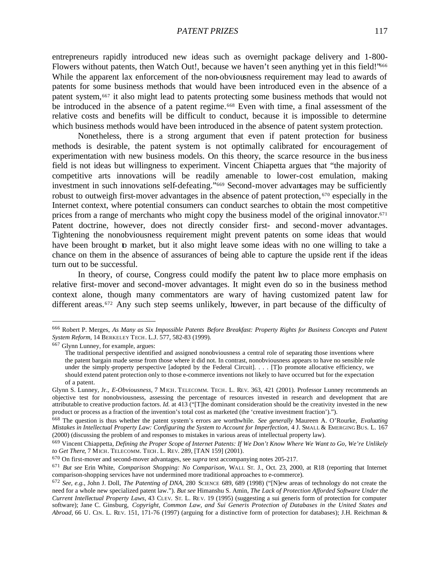entrepreneurs rapidly introduced new ideas such as overnight package delivery and 1-800- Flowers without patents, then Watch Out!, because we haven't seen anything yet in this field!'<sup>666</sup> While the apparent lax enforcement of the non-obviousness requirement may lead to awards of patents for some business methods that would have been introduced even in the absence of a patent system,667 it also might lead to patents protecting some business methods that would not be introduced in the absence of a patent regime.<sup>668</sup> Even with time, a final assessment of the relative costs and benefits will be difficult to conduct, because it is impossible to determine which business methods would have been introduced in the absence of patent system protection.

Nonetheless, there is a strong argument that even if patent protection for business methods is desirable, the patent system is not optimally calibrated for encouragement of experimentation with new business models. On this theory, the scarce resource in the business field is not ideas but willingness to experiment. Vincent Chiapetta argues that "the majority of competitive arts innovations will be readily amenable to lower-cost emulation, making investment in such innovations self-defeating."669 Second-mover advantages may be sufficiently robust to outweigh first-mover advantages in the absence of patent protection, <sup>670</sup> especially in the Internet context, where potential consumers can conduct searches to obtain the most competitive prices from a range of merchants who might copy the business model of the original innovator.<sup>671</sup> Patent doctrine, however, does not directly consider first- and second-mover advantages. Tightening the nonobviousness requirement might prevent patents on some ideas that would have been brought to market, but it also might leave some ideas with no one willing to take a chance on them in the absence of assurances of being able to capture the upside rent if the ideas turn out to be successful.

In theory, of course, Congress could modify the patent law to place more emphasis on relative first-mover and second-mover advantages. It might even do so in the business method context alone, though many commentators are wary of having customized patent law for different areas.<sup>672</sup> Any such step seems unlikely, however, in part because of the difficulty of

<sup>666</sup> Robert P. Merges, *As Many as Six Impossible Patents Before Breakfast: Property Rights for Business Concepts and Patent System Reform*, 14 BERKELEY TECH. L.J. 577, 582-83 (1999).

<sup>667</sup> Glynn Lunney, for example, argues:

The traditional perspective identified and assigned nonobviousness a central role of separating those inventions where the patent bargain made sense from those where it did not. In contrast, nonobviousness appears to have no sensible role under the simply -property perspective [adopted by the Federal Circuit]. . . . [T]o promote allocative efficiency, we should extend patent protection only to those e-commerce inventions not likely to have occurred but for the expectation of a patent.

Glynn S. Lunney, Jr., *E-Obviousness*, 7 MICH. TELECOMM. TECH. L. REV. 363, 421 (2001). Professor Lunney recommends an objective test for nonobviousness, assessing the percentage of resources invested in research and development that are attributable to creative production factors. *Id.* at 413 ("[T]he dominant consideration should be the creativity invested in the new product or process as a fraction of the invention's total cost as marketed (the 'creative investment fraction').").

<sup>668</sup> The question is thus whether the patent system's errors are worthwhile. *See generally* Maureen A. O'Rourke, *Evaluating Mistakes in Intellectual Property Law: Configuring the System to Account for Imperfection*, 4 J. SMALL & EMERGING BUS. L. 167 (2000) (discussing the problem of and responses to mistakes in various areas of intellectual property law).

<sup>669</sup> Vincent Chiappetta, *Defining the Proper Scope of Internet Patents: If We Don't Know Where We Want to Go, We're Unlikely to Get There*, 7 MICH. TELECOMM. TECH . L. REV. 289, [TAN 159] (2001).

<sup>670</sup> On first-mover and second-mover advantages, see *supra* text accompanying notes 205-217.

<sup>671</sup> *But see* Erin White, *Comparison Shopping: No Comparison*, WALL ST. J., Oct. 23, 2000, at R18 (reporting that Internet comparison-shopping services have not undermined more traditional approaches to e-commerce).

<sup>672</sup> *See, e.g.*, John J. Doll, *The Patenting of DNA*, 280 SCIENCE 689, 689 (1998) ("[N]ew areas of technology do not create the need for a whole new specialized patent law."). *But see* Himanshu S. Amin, *The Lack of Protection Afforded Software Under the Current Intellectual Property Laws*, 43 CLEV. ST. L. RE V. 19 (1995) (suggesting a sui generis form of protection for computer software); Jane C. Ginsburg, *Copyright, Common Law, and Sui Generis Protection of Databases in the United States and Abroad*, 66 U. CIN. L. REV. 151, 171-76 (1997) (arguing for a distinctive form of protection for databases); J.H. Reichman &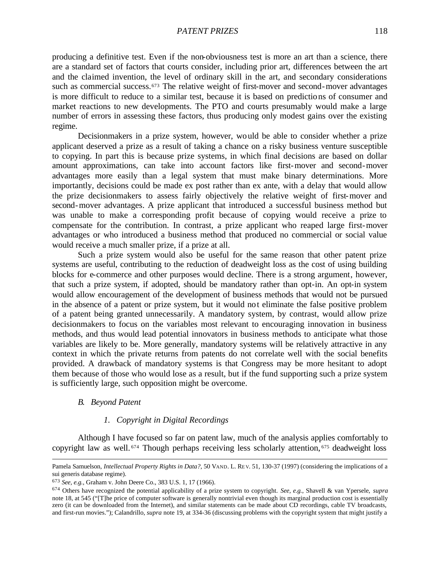producing a definitive test. Even if the non-obviousness test is more an art than a science, there are a standard set of factors that courts consider, including prior art, differences between the art and the claimed invention, the level of ordinary skill in the art, and secondary considerations such as commercial success.<sup>673</sup> The relative weight of first-mover and second-mover advantages is more difficult to reduce to a similar test, because it is based on predictions of consumer and market reactions to new developments. The PTO and courts presumably would make a large number of errors in assessing these factors, thus producing only modest gains over the existing regime.

Decisionmakers in a prize system, however, would be able to consider whether a prize applicant deserved a prize as a result of taking a chance on a risky business venture susceptible to copying. In part this is because prize systems, in which final decisions are based on dollar amount approximations, can take into account factors like first-mover and second-mover advantages more easily than a legal system that must make binary determinations. More importantly, decisions could be made ex post rather than ex ante, with a delay that would allow the prize decisionmakers to assess fairly objectively the relative weight of first-mover and second-mover advantages. A prize applicant that introduced a successful business method but was unable to make a corresponding profit because of copying would receive a prize to compensate for the contribution. In contrast, a prize applicant who reaped large first-mover advantages or who introduced a business method that produced no commercial or social value would receive a much smaller prize, if a prize at all.

Such a prize system would also be useful for the same reason that other patent prize systems are useful, contributing to the reduction of deadweight loss as the cost of using building blocks for e-commerce and other purposes would decline. There is a strong argument, however, that such a prize system, if adopted, should be mandatory rather than opt-in. An opt-in system would allow encouragement of the development of business methods that would not be pursued in the absence of a patent or prize system, but it would not eliminate the false positive problem of a patent being granted unnecessarily. A mandatory system, by contrast, would allow prize decisionmakers to focus on the variables most relevant to encouraging innovation in business methods, and thus would lead potential innovators in business methods to anticipate what those variables are likely to be. More generally, mandatory systems will be relatively attractive in any context in which the private returns from patents do not correlate well with the social benefits provided. A drawback of mandatory systems is that Congress may be more hesitant to adopt them because of those who would lose as a result, but if the fund supporting such a prize system is sufficiently large, such opposition might be overcome.

## *B. Beyond Patent*

 $\overline{a}$ 

## *1. Copyright in Digital Recordings*

Although I have focused so far on patent law, much of the analysis applies comfortably to copyright law as well. <sup>674</sup> Though perhaps receiving less scholarly attention, <sup>675</sup> deadweight loss

Pamela Samuelson, *Intellectual Property Rights in Data?*, 50 VAND. L. RE V. 51, 130-37 (1997) (considering the implications of a sui generis database regime).

<sup>673</sup> *See, e.g.*, Graham v. John Deere Co., 383 U.S. 1, 17 (1966).

<sup>674</sup> Others have recognized the potential applicability of a prize system to copyright. *See, e.g.*, Shavell & van Ypersele, *supra* note 18, at 545 ("[T]he price of computer software is generally nontrivial even though its marginal production cost is essentially zero (it can be downloaded from the Internet), and similar statements can be made about CD recordings, cable TV broadcasts, and first-run movies."); Calandrillo, *supra* note 19, at 334-36 (discussing problems with the copyright system that might justify a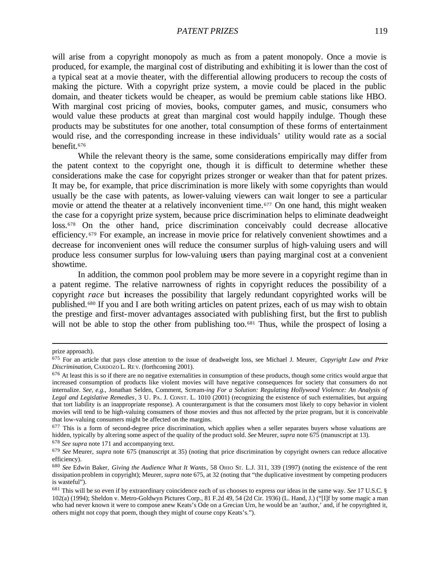will arise from a copyright monopoly as much as from a patent monopoly. Once a movie is produced, for example, the marginal cost of distributing and exhibiting it is lower than the cost of a typical seat at a movie theater, with the differential allowing producers to recoup the costs of making the picture. With a copyright prize system, a movie could be placed in the public domain, and theater tickets would be cheaper, as would be premium cable stations like HBO. With marginal cost pricing of movies, books, computer games, and music, consumers who would value these products at great than marginal cost would happily indulge. Though these products may be substitutes for one another, total consumption of these forms of entertainment would rise, and the corresponding increase in these individuals' utility would rate as a social benefit.<sup>676</sup>

While the relevant theory is the same, some considerations empirically may differ from the patent context to the copyright one, though it is difficult to determine whether these considerations make the case for copyright prizes stronger or weaker than that for patent prizes. It may be, for example, that price discrimination is more likely with some copyrights than would usually be the case with patents, as lower-valuing viewers can wait longer to see a particular movie or attend the theater at a relatively inconvenient time.<sup>677</sup> On one hand, this might weaken the case for a copyright prize system, because price discrimination helps to eliminate deadweight loss.678 On the other hand, price discrimination conceivably could decrease allocative efficiency. <sup>679</sup> For example, an increase in movie price for relatively convenient showtimes and a decrease for inconvenient ones will reduce the consumer surplus of high-valuing users and will produce less consumer surplus for low-valuing users than paying marginal cost at a convenient showtime.

In addition, the common pool problem may be more severe in a copyright regime than in a patent regime. The relative narrowness of rights in copyright reduces the possibility of a copyright *race* but increases the possibility that largely redundant copyrighted works will be published.680 If you and I are both writing articles on patent prizes, each of us may wish to obtain the prestige and first-mover advantages associated with publishing first, but the first to publish will not be able to stop the other from publishing too.<sup>681</sup> Thus, while the prospect of losing a

prize approach).

<sup>675</sup> For an article that pays close attention to the issue of deadweight loss, see Michael J. Meurer, *Copyright Law and Price Discrimination*, CARDOZO L. RE V. (forthcoming 2001).

 $676$  At least this is so if there are no negative externalities in consumption of these products, though some critics would argue that increased consumption of products like violent movies will have negative consequences for society that consumers do not internalize. *See, e.g.*, Jonathan Selden, Comment, Scream-*ing For a Solution: Regulating Hollywood Violence: An Analysis of Legal and Legislative Remedies*, 3 U. PA. J. CONST. L. 1010 (2001) (recognizing the existence of such externalities, but arguing that tort liability is an inappropriate response). A counterargument is that the consumers most likely to copy behavior in violent movies will tend to be high-valuing consumers of those movies and thus not affected by the prize program, but it is conceivable that low-valuing consumers might be affected on the margins.

 $677$  This is a form of second-degree price discrimination, which applies when a seller separates buyers whose valuations are hidden, typically by altering some aspect of the quality of the product sold. *See* Meurer, *supra* note 675 (manuscript at 13).

<sup>678</sup> *See supra* note 171 and accompanying text.

<sup>679</sup> *See* Meurer, *supra* note 675 (manuscript at 35) (noting that price discrimination by copyright owners can reduce allocative efficiency).

<sup>680</sup> *See* Edwin Baker, *Giving the Audience What It Wants*, 58 OHIO ST. L.J. 311, 339 (1997) (noting the existence of the rent dissipation problem in copyright); Meurer, *supra* note 675, at 32 (noting that "the duplicative investment by competing producers is wasteful").

<sup>681</sup> This will be so even if by extraordinary coincidence each of us chooses to express our ideas in the same way. *See* 17 U.S.C. § 102(a) (1994); Sheldon v. Metro-Goldwyn Pictures Corp., 81 F.2d 49, 54 (2d Cir. 1936) (L. Hand, J.) ("[I]f by some magic a man who had never known it were to compose anew Keats's Ode on a Grecian Urn, he would be an 'author,' and, if he copyrighted it, others might not copy that poem, though they might of course copy Keats's.").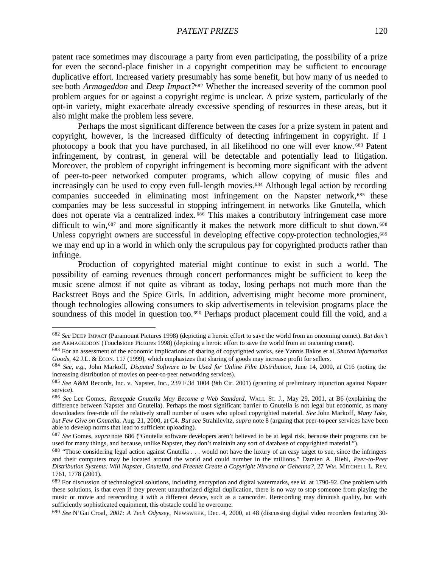patent race sometimes may discourage a party from even participating, the possibility of a prize for even the second-place finisher in a copyright competition may be sufficient to encourage duplicative effort. Increased variety presumably has some benefit, but how many of us needed to see both *Armageddon* and *Deep Impact*? <sup>682</sup> Whether the increased severity of the common pool problem argues for or against a copyright regime is unclear. A prize system, particularly of the opt-in variety, might exacerbate already excessive spending of resources in these areas, but it also might make the problem less severe.

Perhaps the most significant difference between the cases for a prize system in patent and copyright, however, is the increased difficulty of detecting infringement in copyright. If I photocopy a book that you have purchased, in all likelihood no one will ever know. <sup>683</sup> Patent infringement, by contrast, in general will be detectable and potentially lead to litigation. Moreover, the problem of copyright infringement is becoming more significant with the advent of peer-to-peer networked computer programs, which allow copying of music files and increasingly can be used to copy even full-length movies.<sup>684</sup> Although legal action by recording companies succeeded in eliminating most infringement on the Napster network,685 these companies may be less successful in stopping infringement in networks like Gnutella, which does not operate via a centralized index. <sup>686</sup> This makes a contributory infringement case more difficult to win,<sup>687</sup> and more significantly it makes the network more difficult to shut down.<sup>688</sup> Unless copyright owners are successful in developing effective copy-protection technologies,<sup>689</sup> we may end up in a world in which only the scrupulous pay for copyrighted products rather than infringe.

Production of copyrighted material might continue to exist in such a world. The possibility of earning revenues through concert performances might be sufficient to keep the music scene almost if not quite as vibrant as today, losing perhaps not much more than the Backstreet Boys and the Spice Girls. In addition, advertising might become more prominent, though technologies allowing consumers to skip advertisements in television programs place the soundness of this model in question too.<sup>690</sup> Perhaps product placement could fill the void, and a

<sup>682</sup> *See* DEEP IMPACT (Paramount Pictures 1998) (depicting a heroic effort to save the world from an oncoming comet). *But don't see* ARMAGEDDON (Touchstone Pictures 1998) (depicting a heroic effort to save the world from an oncoming comet).

<sup>683</sup> For an assessment of the economic implications of sharing of copyrighted works, see Yannis Bakos et al, *Shared Information Goods*, 42 J.L. & ECON. 117 (1999), which emphasizes that sharing of goods may increase profit for sellers.

<sup>684</sup> *See, e.g.*, John Markoff, *Disputed Software to be Used for Online Film Distribution*, June 14, 2000, at C16 (noting the increasing distribution of movies on peer-to-peer networking services).

<sup>685</sup> *See* A&M Records, Inc. v. Napster, Inc., 239 F.3d 1004 (9th Cir. 2001) (granting of preliminary injunction against Napster service).

<sup>686</sup> *See* Lee Gomes, *Renegade Gnutella May Become a Web Standard*, WALL ST. J., May 29, 2001, at B6 (explaining the difference between Napster and Gnutella). Perhaps the most significant barrier to Gnutella is not legal but economic, as many downloaders free-ride off the relatively small number of users who upload copyrighted material. *See* John Markoff, *Many Take, but Few Give on Gnutella*, Aug. 21, 2000, at C4. *But see* Strahilevitz, *supra* note 8 (arguing that peer-to-peer services have been able to develop norms that lead to sufficient uploading).

<sup>687</sup> *See* Gomes, *supra* note 686 ("Gnutella software developers aren't believed to be at legal risk, because their programs can be used for many things, and because, unlike Napster, they don't maintain any sort of database of copyrighted material.").

<sup>&</sup>lt;sup>688</sup> "Those considering legal action against Gnutella . . . would not have the luxury of an easy target to sue, since the infringers and their computers may be located around the world and could number in the millions." Damien A. Riehl, *Peer-to-Peer Distribution Systems: Will Napster, Gnutella, and Freenet Create a Copyright Nirvana or Gehenna?*, 27 WM. MITCHELL L. REV. 1761, 1778 (2001).

<sup>689</sup> For discussion of technological solutions, including encryption and digital watermarks, see *id.* at 1790-92. One problem with these solutions, is that even if they prevent unauthorized digital duplication, there is no way to stop someone from playing the music or movie and rerecording it with a different device, such as a camcorder. Rerecording may diminish quality, but with sufficiently sophisticated equipment, this obstacle could be overcome.

<sup>690</sup> *See* N'Gai Croal, *2001: A Tech Odyssey*, NEWSWEEK, Dec. 4, 2000, at 48 (discussing digital video recorders featuring 30-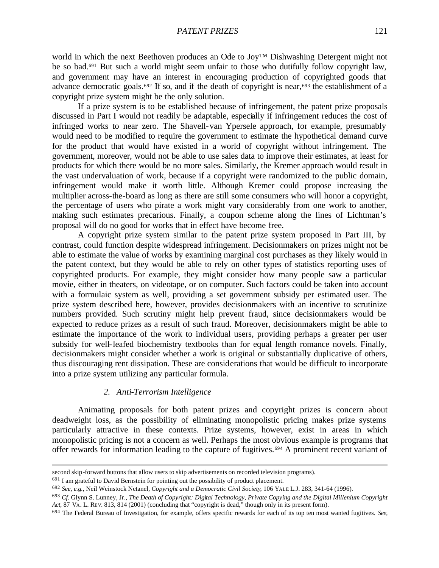world in which the next Beethoven produces an Ode to Joy™ Dishwashing Detergent might not be so bad.691 But such a world might seem unfair to those who dutifully follow copyright law, and government may have an interest in encouraging production of copyrighted goods that advance democratic goals.<sup>692</sup> If so, and if the death of copyright is near,<sup>693</sup> the establishment of a copyright prize system might be the only solution.

If a prize system is to be established because of infringement, the patent prize proposals discussed in Part I would not readily be adaptable, especially if infringement reduces the cost of infringed works to near zero. The Shavell-van Ypersele approach, for example, presumably would need to be modified to require the government to estimate the hypothetical demand curve for the product that would have existed in a world of copyright without infringement. The government, moreover, would not be able to use sales data to improve their estimates, at least for products for which there would be no more sales. Similarly, the Kremer approach would result in the vast undervaluation of work, because if a copyright were randomized to the public domain, infringement would make it worth little. Although Kremer could propose increasing the multiplier across-the-board as long as there are still some consumers who will honor a copyright, the percentage of users who pirate a work might vary considerably from one work to another, making such estimates precarious. Finally, a coupon scheme along the lines of Lichtman's proposal will do no good for works that in effect have become free.

A copyright prize system similar to the patent prize system proposed in Part III, by contrast, could function despite widespread infringement. Decisionmakers on prizes might not be able to estimate the value of works by examining marginal cost purchases as they likely would in the patent context, but they would be able to rely on other types of statistics reporting uses of copyrighted products. For example, they might consider how many people saw a particular movie, either in theaters, on videotape, or on computer. Such factors could be taken into account with a formulaic system as well, providing a set government subsidy per estimated user. The prize system described here, however, provides decisionmakers with an incentive to scrutinize numbers provided. Such scrutiny might help prevent fraud, since decisionmakers would be expected to reduce prizes as a result of such fraud. Moreover, decisionmakers might be able to estimate the importance of the work to individual users, providing perhaps a greater per user subsidy for well-leafed biochemistry textbooks than for equal length romance novels. Finally, decisionmakers might consider whether a work is original or substantially duplicative of others, thus discouraging rent dissipation. These are considerations that would be difficult to incorporate into a prize system utilizing any particular formula.

# *2. Anti-Terrorism Intelligence*

Animating proposals for both patent prizes and copyright prizes is concern about deadweight loss, as the possibility of eliminating monopolistic pricing makes prize systems particularly attractive in these contexts. Prize systems, however, exist in areas in which monopolistic pricing is not a concern as well. Perhaps the most obvious example is programs that offer rewards for information leading to the capture of fugitives.694 A prominent recent variant of

second skip-forward buttons that allow users to skip advertisements on recorded television programs).

<sup>691</sup> I am grateful to David Bernstein for pointing out the possibility of product placement.

<sup>692</sup> *See, e.g.*, Neil Weinstock Netanel, *Copyright and a Democratic Civil Society*, 106 YALE L.J. 283, 341-64 (1996).

<sup>693</sup> *Cf.* Glynn S. Lunney, Jr., *The Death of Copyright: Digital Technology, Private Copying and the Digital Millenium Copyright Act*, 87 VA. L. REV. 813, 814 (2001) (concluding that "copyright is dead," though only in its present form).

<sup>694</sup> The Federal Bureau of Investigation, for example, offers specific rewards for each of its top ten most wanted fugitives. *See,*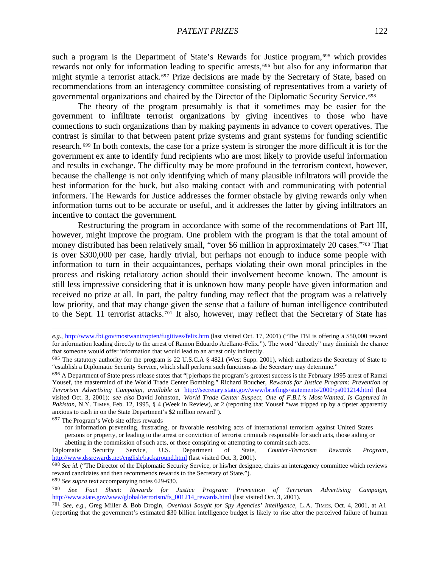such a program is the Department of State's Rewards for Justice program,<sup>695</sup> which provides rewards not only for information leading to specific arrests,<sup>696</sup> but also for any information that might stymie a terrorist attack.697 Prize decisions are made by the Secretary of State, based on recommendations from an interagency committee consisting of representatives from a variety of governmental organizations and chaired by the Director of the Diplomatic Security Service.<sup>698</sup>

The theory of the program presumably is that it sometimes may be easier for the government to infiltrate terrorist organizations by giving incentives to those who have connections to such organizations than by making payments in advance to covert operatives. The contrast is similar to that between patent prize systems and grant systems for funding scientific research. <sup>699</sup> In both contexts, the case for a prize system is stronger the more difficult it is for the government ex ante to identify fund recipients who are most likely to provide useful information and results in exchange. The difficulty may be more profound in the terrorism context, however, because the challenge is not only identifying which of many plausible infiltrators will provide the best information for the buck, but also making contact with and communicating with potential informers. The Rewards for Justice addresses the former obstacle by giving rewards only when information turns out to be accurate or useful, and it addresses the latter by giving infiltrators an incentive to contact the government.

Restructuring the program in accordance with some of the recommendations of Part III, however, might improve the program. One problem with the program is that the total amount of money distributed has been relatively small, "over \$6 million in approximately 20 cases."700 That is over \$300,000 per case, hardly trivial, but perhaps not enough to induce some people with information to turn in their acquaintances, perhaps violating their own moral principles in the process and risking retaliatory action should their involvement become known. The amount is still less impressive considering that it is unknown how many people have given information and received no prize at all. In part, the paltry funding may reflect that the program was a relatively low priority, and that may change given the sense that a failure of human intelligence contributed to the Sept. 11 terrorist attacks.701 It also, however, may reflect that the Secretary of State has

<sup>697</sup> The Program's Web site offers rewards

 $\overline{a}$ 

for information preventing, frustrating, or favorable resolving acts of international terrorism against United States persons or property, or leading to the arrest or conviction of terrorist criminals responsible for such acts, those aiding or abetting in the commission of such acts, or those conspiring or attempting to commit such acts.

<sup>699</sup> *See supra* text accompanying notes 629-630.

*e.g.*, http://www.fbi.gov/mostwant/topten/fugitives/felix.htm (last visited Oct. 17, 2001) ("The FBI is offering a \$50,000 reward for information leading directly to the arrest of Ramon Eduardo Arellano-Felix."). The word "directly" may diminish the chance that someone would offer information that would lead to an arrest only indirectly.

<sup>695</sup> The statutory authority for the program is 22 U.S.C.A § 4821 (West Supp. 2001), which authorizes the Secretary of State to "establish a Diplomatic Security Service, which shall perform such functions as the Secretary may determine."

<sup>696</sup> A Department of State press release states that "[p]erhaps the program's greatest success is the February 1995 arrest of Ramzi Yousef, the mastermind of the World Trade Center Bombing." Richard Boucher, *Rewards for Justice Program: Prevention of Terrorism Advertising Campaign*, *available at* http://secretary.state.gov/www/briefings/statements/2000/ps001214.html (last visited Oct. 3, 2001); *see also* David Johnston, *World Trade Center Suspect, One of F.B.I.'s Most-Wanted, Is Captured in Pakistan*, N.Y. TIMES, Feb. 12, 1995, § 4 (Week in Review), at 2 (reporting that Yousef "was tripped up by a tipster apparently anxious to cash in on the State Department's \$2 million reward").

Diplomatic Security Service, U.S. Department of State, *Counter-Terrorism Rewards Program*, http://www.dssrewards.net/english/background.html (last visited Oct. 3, 2001).

<sup>698</sup> *See id.* ("The Director of the Diplomatic Security Service, or his/her designee, chairs an interagency committee which reviews reward candidates and then recommends rewards to the Secretary of State.").

<sup>700</sup> *See Fact Sheet: Rewards for Justice Program: Prevention of Terrorism Advertising Campaign*, http://www.state.gov/www/global/terrorism/fs\_001214\_rewards.html (last visited Oct. 3, 2001).

<sup>701</sup> *See, e.g.*, Greg Miller & Bob Drogin, *Overhaul Sought for Spy Agencies' Intelligence*, L.A. TIMES, Oct. 4, 2001, at A1 (reporting that the government's estimated \$30 billion intelligence budget is likely to rise after the perceived failure of human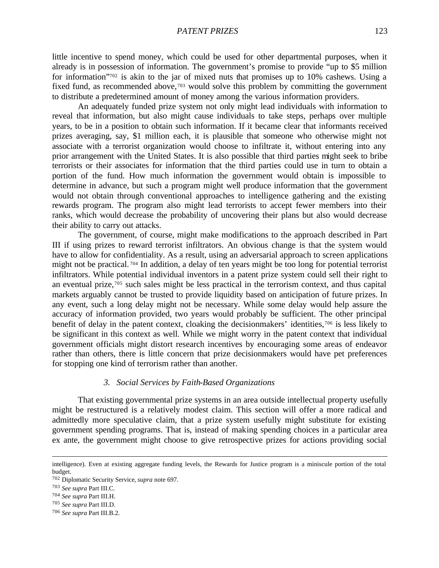little incentive to spend money, which could be used for other departmental purposes, when it already is in possession of information. The government's promise to provide "up to \$5 million for information"702 is akin to the jar of mixed nuts that promises up to 10% cashews. Using a fixed fund, as recommended above,<sup>703</sup> would solve this problem by committing the government to distribute a predetermined amount of money among the various information providers.

An adequately funded prize system not only might lead individuals with information to reveal that information, but also might cause individuals to take steps, perhaps over multiple years, to be in a position to obtain such information. If it became clear that informants received prizes averaging, say, \$1 million each, it is plausible that someone who otherwise might not associate with a terrorist organization would choose to infiltrate it, without entering into any prior arrangement with the United States. It is also possible that third parties might seek to bribe terrorists or their associates for information that the third parties could use in turn to obtain a portion of the fund. How much information the government would obtain is impossible to determine in advance, but such a program might well produce information that the government would not obtain through conventional approaches to intelligence gathering and the existing rewards program. The program also might lead terrorists to accept fewer members into their ranks, which would decrease the probability of uncovering their plans but also would decrease their ability to carry out attacks.

The government, of course, might make modifications to the approach described in Part III if using prizes to reward terrorist infiltrators. An obvious change is that the system would have to allow for confidentiality. As a result, using an adversarial approach to screen applications might not be practical. <sup>704</sup> In addition, a delay of ten years might be too long for potential terrorist infiltrators. While potential individual inventors in a patent prize system could sell their right to an eventual prize,705 such sales might be less practical in the terrorism context, and thus capital markets arguably cannot be trusted to provide liquidity based on anticipation of future prizes. In any event, such a long delay might not be necessary. While some delay would help assure the accuracy of information provided, two years would probably be sufficient. The other principal benefit of delay in the patent context, cloaking the decisionmakers' identities,706 is less likely to be significant in this context as well. While we might worry in the patent context that individual government officials might distort research incentives by encouraging some areas of endeavor rather than others, there is little concern that prize decisionmakers would have pet preferences for stopping one kind of terrorism rather than another.

## *3. Social Services by Faith-Based Organizations*

That existing governmental prize systems in an area outside intellectual property usefully might be restructured is a relatively modest claim. This section will offer a more radical and admittedly more speculative claim, that a prize system usefully might substitute for existing government spending programs. That is, instead of making spending choices in a particular area ex ante, the government might choose to give retrospective prizes for actions providing social

intelligence). Even at existing aggregate funding levels, the Rewards for Justice program is a miniscule portion of the total budget.

<sup>702</sup> Diplomatic Security Service, *supra* note 697.

<sup>703</sup> *See supra* Part III.C.

<sup>704</sup> *See supra* Part III.H.

<sup>705</sup> *See supra* Part III.D.

<sup>706</sup> *See supra* Part III.B.2.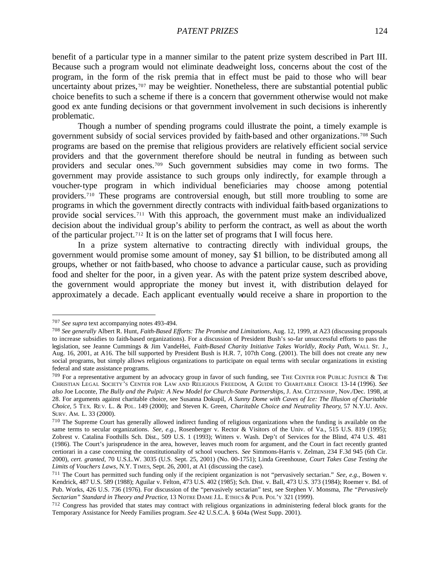benefit of a particular type in a manner similar to the patent prize system described in Part III. Because such a program would not eliminate deadweight loss, concerns about the cost of the program, in the form of the risk premia that in effect must be paid to those who will bear uncertainty about prizes,<sup>707</sup> may be weightier. Nonetheless, there are substantial potential public choice benefits to such a scheme if there is a concern that government otherwise would not make good ex ante funding decisions or that government involvement in such decisions is inherently problematic.

Though a number of spending programs could illustrate the point, a timely example is government subsidy of social services provided by faith-based and other organizations.708 Such programs are based on the premise that religious providers are relatively efficient social service providers and that the government therefore should be neutral in funding as between such providers and secular ones.709 Such government subsidies may come in two forms. The government may provide assistance to such groups only indirectly, for example through a voucher-type program in which individual beneficiaries may choose among potential providers.710 These programs are controversial enough, but still more troubling to some are programs in which the government directly contracts with individual faith-based organizations to provide social services.711 With this approach, the government must make an individualized decision about the individual group's ability to perform the contract, as well as about the worth of the particular project.712 It is on the latter set of programs that I will focus here.

In a prize system alternative to contracting directly with individual groups, the government would promise some amount of money, say \$1 billion, to be distributed among all groups, whether or not faith-based, who choose to advance a particular cause, such as providing food and shelter for the poor, in a given year. As with the patent prize system described above, the government would appropriate the money but invest it, with distribution delayed for approximately a decade. Each applicant eventually would receive a share in proportion to the

<sup>707</sup> *See supra* text accompanying notes 493-494.

<sup>708</sup> *See generally* Albert R. Hunt, *Faith-Based Efforts: The Promise and Limitations*, Aug. 12, 1999, at A23 (discussing proposals to increase subsidies to faith-based organizations). For a discussion of President Bush's so-far unsuccessful efforts to pass the legislation, see Jeanne Cummings & Jim VandeHei, *Faith-Based Charity Initiative Takes Worldly, Rocky Path*, WALL ST. J., Aug. 16, 2001, at A16. The bill supported by President Bush is H.R. 7, 107th Cong. (2001). The bill does not create any new social programs, but simply allows religious organizations to participate on equal terms with secular organizations in existing federal and state assistance programs.

 $^{709}$  For a representative argument by an advocacy group in favor of such funding, see THE CENTER FOR PUBLIC JUSTICE & THE CHRISTIAN LEGAL SOCIETY'S CENTER FOR LAW AND RELIGIOUS FREEDOM, A GUIDE TO CHARITABLE CHOICE 13-14 (1996). *See also* Joe Loconte, *The Bully and the Pulpit: A New Model for Church-State Partnerships*, J. AM. CITZENSHIP , Nov./Dec. 1998, at 28. For arguments against charitable choice, see Susanna Dokupil, *A Sunny Dome with Caves of Ice: The Illusion of Charitable Choice*, 5 TEX. RE V. L. & POL. 149 (2000); and Steven K. Green, *Charitable Choice and Neutrality Theory*, 57 N.Y.U. ANN. SURV. AM. L. 33 (2000).

<sup>710</sup> The Supreme Court has generally allowed indirect funding of religious organizations when the funding is available on the same terms to secular organizations. *See, e.g.*, Rosenberger v. Rector & Visitors of the Univ. of Va., 515 U.S. 819 (1995); Zobrest v. Catalina Foothills Sch. Dist., 509 U.S. 1 (1993); Witters v. Wash. Dep't of Services for the Blind, 474 U.S. 481 (1986). The Court's jurisprudence in the area, however, leaves much room for argument, and the Court in fact recently granted certiorari in a case concerning the constitutionality of school vouchers. *See* Simmons-Harris v. Zelman, 234 F.3d 945 (6th Cir. 2000), *cert. granted*, 70 U.S.L.W. 3035 (U.S. Sept. 25, 2001) (No. 00-1751); Linda Greenhouse, *Court Takes Case Testing the Limits of Vouchers Laws*, N.Y. TIMES, Sept. 26, 2001, at A1 (discussing the case).

<sup>711</sup> The Court has permitted such funding only if the recipient organization is not "pervasively sectarian." *See, e.g.*, Bowen v. Kendrick, 487 U.S. 589 (1988); Aguilar v. Felton, 473 U.S. 402 (1985); Sch. Dist. v. Ball, 473 U.S. 373 (1984); Roemer v. Bd. of Pub. Works, 426 U.S. 736 (1976). For discussion of the "pervasively sectarian" test, see Stephen V. Monsma, *The "Pervasively Sectarian" Standard in Theory and Practice*, 13 NOTRE DAME J.L. ETHICS & PUB. POL'Y 321 (1999).

<sup>712</sup> Congress has provided that states may contract with religious organizations in administering federal block grants for the Temporary Assistance for Needy Families program. *See* 42 U.S.C.A. § 604a (West Supp. 2001).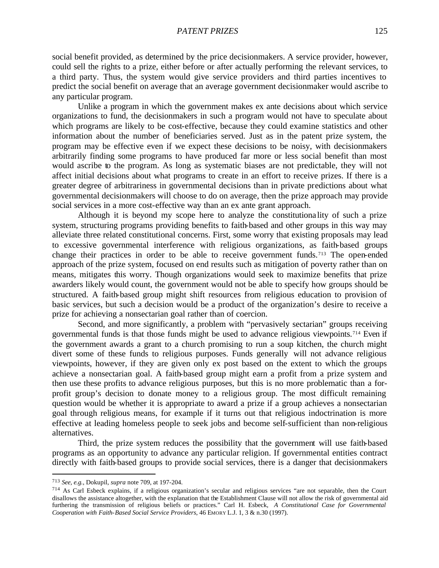social benefit provided, as determined by the price decisionmakers. A service provider, however, could sell the rights to a prize, either before or after actually performing the relevant services, to a third party. Thus, the system would give service providers and third parties incentives to predict the social benefit on average that an average government decisionmaker would ascribe to any particular program.

Unlike a program in which the government makes ex ante decisions about which service organizations to fund, the decisionmakers in such a program would not have to speculate about which programs are likely to be cost-effective, because they could examine statistics and other information about the number of beneficiaries served. Just as in the patent prize system, the program may be effective even if we expect these decisions to be noisy, with decisionmakers arbitrarily finding some programs to have produced far more or less social benefit than most would ascribe to the program. As long as systematic biases are not predictable, they will not affect initial decisions about what programs to create in an effort to receive prizes. If there is a greater degree of arbitrariness in governmental decisions than in private predictions about what governmental decisionmakers will choose to do on average, then the prize approach may provide social services in a more cost-effective way than an ex ante grant approach.

Although it is beyond my scope here to analyze the constitutiona lity of such a prize system, structuring programs providing benefits to faith-based and other groups in this way may alleviate three related constitutional concerns. First, some worry that existing proposals may lead to excessive governmental interference with religious organizations, as faith-based groups change their practices in order to be able to receive government funds.713 The open-ended approach of the prize system, focused on end results such as mitigation of poverty rather than on means, mitigates this worry. Though organizations would seek to maximize benefits that prize awarders likely would count, the government would not be able to specify how groups should be structured. A faith-based group might shift resources from religious education to provision of basic services, but such a decision would be a product of the organization's desire to receive a prize for achieving a nonsectarian goal rather than of coercion.

Second, and more significantly, a problem with "pervasively sectarian" groups receiving governmental funds is that those funds might be used to advance religious viewpoints.714 Even if the government awards a grant to a church promising to run a soup kitchen, the church might divert some of these funds to religious purposes. Funds generally will not advance religious viewpoints, however, if they are given only ex post based on the extent to which the groups achieve a nonsectarian goal. A faith-based group might earn a profit from a prize system and then use these profits to advance religious purposes, but this is no more problematic than a forprofit group's decision to donate money to a religious group. The most difficult remaining question would be whether it is appropriate to award a prize if a group achieves a nonsectarian goal through religious means, for example if it turns out that religious indoctrination is more effective at leading homeless people to seek jobs and become self-sufficient than non-religious alternatives.

Third, the prize system reduces the possibility that the government will use faith-based programs as an opportunity to advance any particular religion. If governmental entities contract directly with faith-based groups to provide social services, there is a danger that decisionmakers

<sup>713</sup> *See, e.g.*, Dokupil, *supra* note 709, at 197-204.

 $714$  As Carl Esbeck explains, if a religious organization's secular and religious services "are not separable, then the Court disallows the assistance altogether, with the explanation that the Establishment Clause will not allow the risk of governmental aid furthering the transmission of religious beliefs or practices." Carl H. Esbeck, *A Constitutional Case for Governmental Cooperation with Faith-Based Social Service Providers*, 46 EMORY L.J. 1, 3 & n.30 (1997).